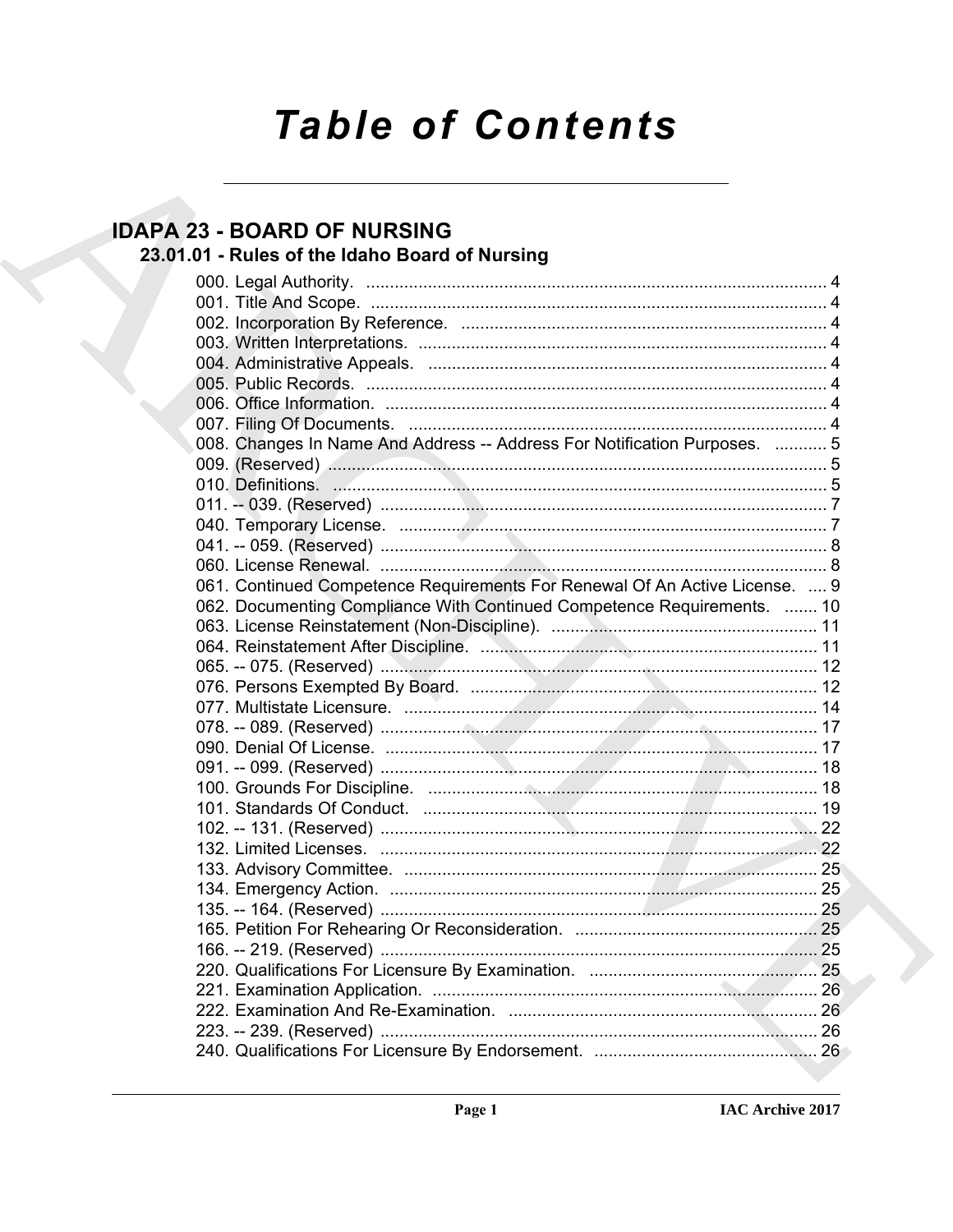# **Table of Contents**

## **IDAPA 23 - BOARD OF NURSING**

## 23.01.01 - Rules of the Idaho Board of Nursing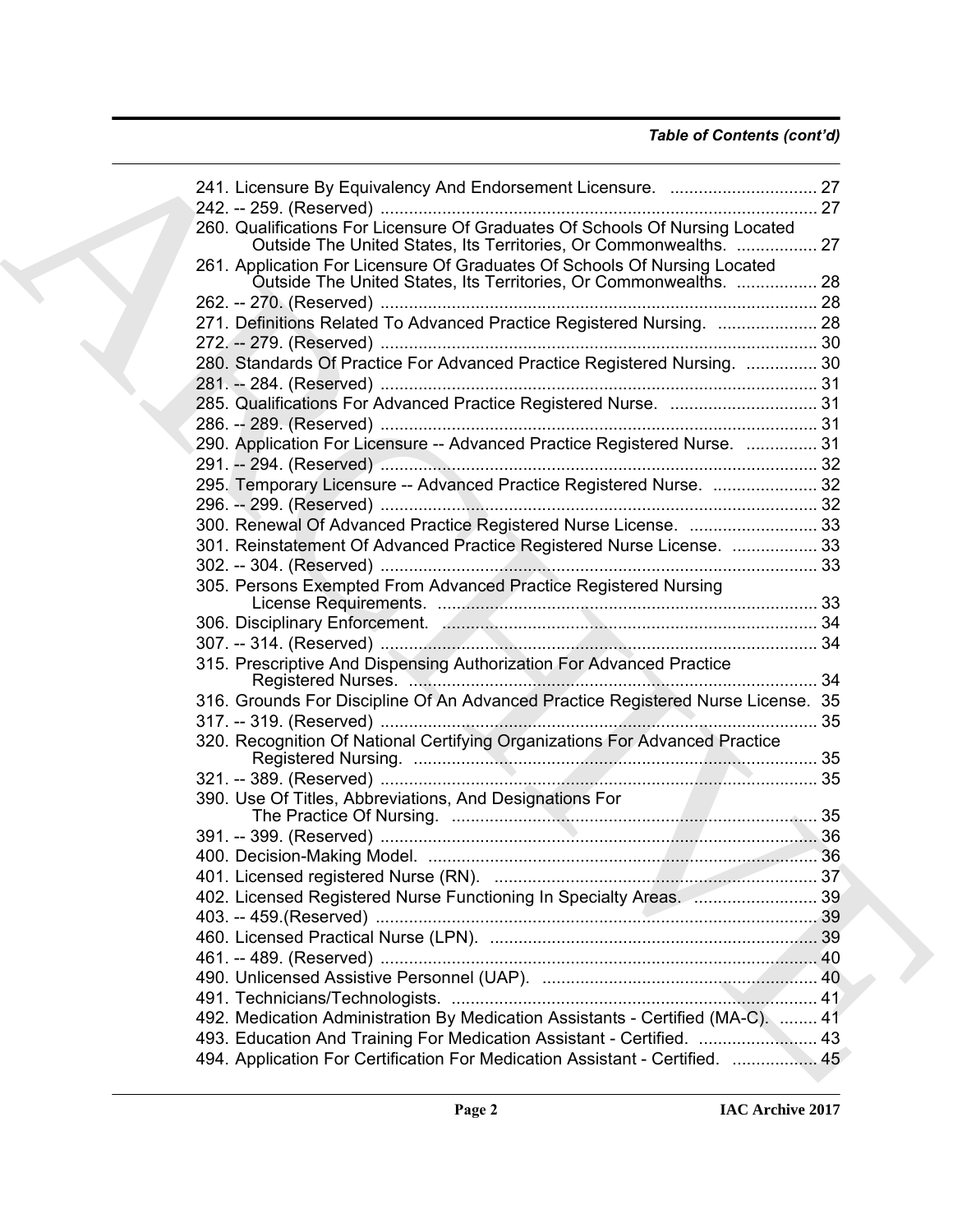### *Table of Contents (cont'd)*

| 260. Qualifications For Licensure Of Graduates Of Schools Of Nursing Located<br>Outside The United States, Its Territories, Or Commonwealths.  27 |  |
|---------------------------------------------------------------------------------------------------------------------------------------------------|--|
| 261. Application For Licensure Of Graduates Of Schools Of Nursing Located<br>Outside The United States, Its Territories, Or Commonwealths.  28    |  |
|                                                                                                                                                   |  |
| 271. Definitions Related To Advanced Practice Registered Nursing.  28                                                                             |  |
|                                                                                                                                                   |  |
| 280. Standards Of Practice For Advanced Practice Registered Nursing.  30                                                                          |  |
|                                                                                                                                                   |  |
| 285. Qualifications For Advanced Practice Registered Nurse.  31                                                                                   |  |
|                                                                                                                                                   |  |
| 290. Application For Licensure -- Advanced Practice Registered Nurse.  31                                                                         |  |
|                                                                                                                                                   |  |
| 295. Temporary Licensure -- Advanced Practice Registered Nurse.  32                                                                               |  |
|                                                                                                                                                   |  |
|                                                                                                                                                   |  |
| 300. Renewal Of Advanced Practice Registered Nurse License.  33                                                                                   |  |
| 301. Reinstatement Of Advanced Practice Registered Nurse License.  33                                                                             |  |
|                                                                                                                                                   |  |
| 305. Persons Exempted From Advanced Practice Registered Nursing                                                                                   |  |
|                                                                                                                                                   |  |
|                                                                                                                                                   |  |
| 315. Prescriptive And Dispensing Authorization For Advanced Practice                                                                              |  |
| 316. Grounds For Discipline Of An Advanced Practice Registered Nurse License. 35                                                                  |  |
|                                                                                                                                                   |  |
| 320. Recognition Of National Certifying Organizations For Advanced Practice                                                                       |  |
|                                                                                                                                                   |  |
| 390. Use Of Titles, Abbreviations, And Designations For                                                                                           |  |
|                                                                                                                                                   |  |
|                                                                                                                                                   |  |
|                                                                                                                                                   |  |
|                                                                                                                                                   |  |
| 402. Licensed Registered Nurse Functioning In Specialty Areas.  39                                                                                |  |
|                                                                                                                                                   |  |
|                                                                                                                                                   |  |
|                                                                                                                                                   |  |
|                                                                                                                                                   |  |
|                                                                                                                                                   |  |
| 492. Medication Administration By Medication Assistants - Certified (MA-C).  41                                                                   |  |
| 493. Education And Training For Medication Assistant - Certified.  43                                                                             |  |
| 494. Application For Certification For Medication Assistant - Certified.  45                                                                      |  |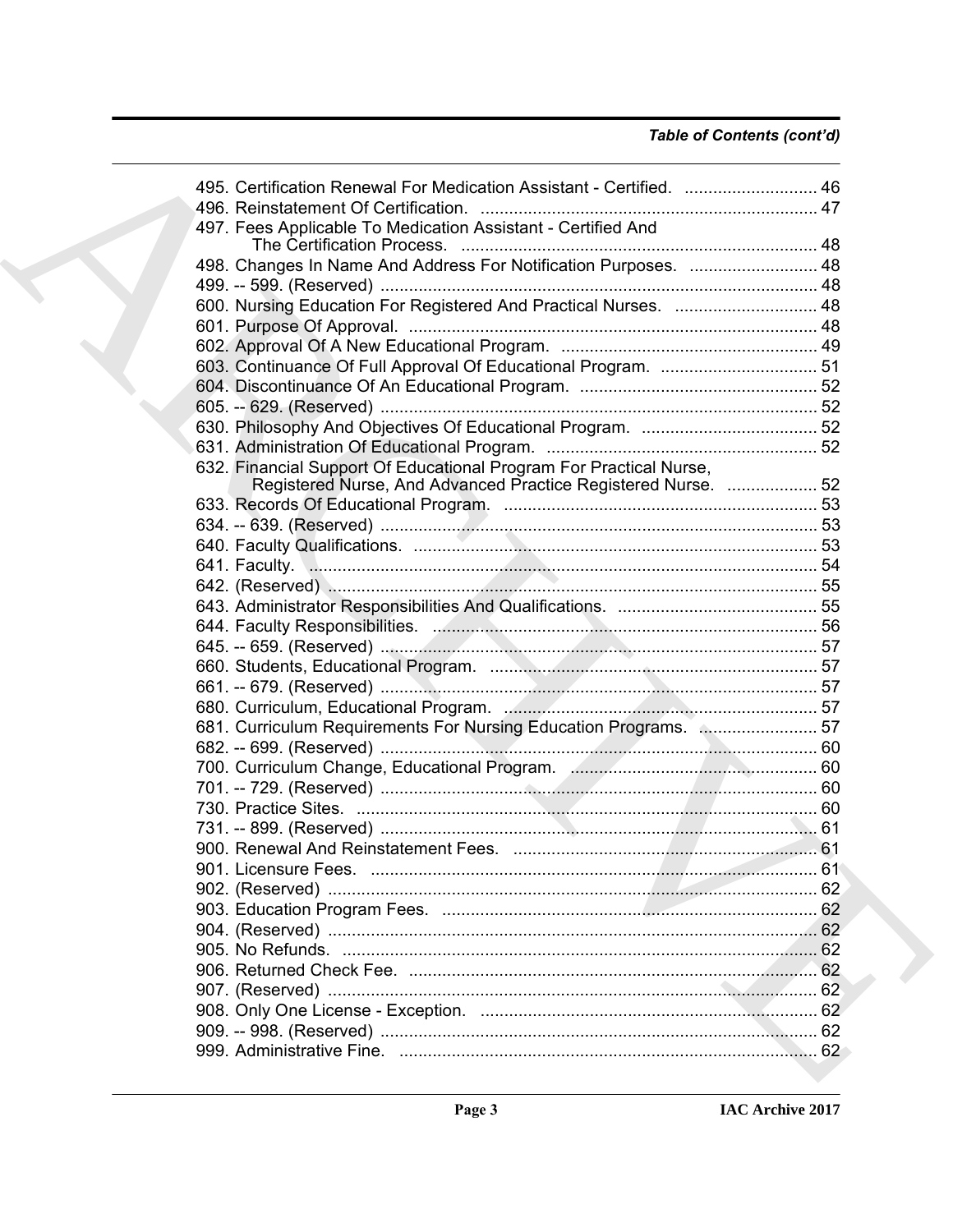### Table of Contents (cont'd)

|  | 46. Certification Renewal For Medication Assistant - Certified.  46                                                                 |  |
|--|-------------------------------------------------------------------------------------------------------------------------------------|--|
|  | 497. Fees Applicable To Medication Assistant - Certified And                                                                        |  |
|  | 498. Changes In Name And Address For Notification Purposes.  48                                                                     |  |
|  |                                                                                                                                     |  |
|  | 600. Nursing Education For Registered And Practical Nurses.  48                                                                     |  |
|  |                                                                                                                                     |  |
|  |                                                                                                                                     |  |
|  |                                                                                                                                     |  |
|  |                                                                                                                                     |  |
|  |                                                                                                                                     |  |
|  |                                                                                                                                     |  |
|  |                                                                                                                                     |  |
|  |                                                                                                                                     |  |
|  | 632. Financial Support Of Educational Program For Practical Nurse,<br>Registered Nurse, And Advanced Practice Registered Nurse.  52 |  |
|  |                                                                                                                                     |  |
|  |                                                                                                                                     |  |
|  |                                                                                                                                     |  |
|  |                                                                                                                                     |  |
|  |                                                                                                                                     |  |
|  |                                                                                                                                     |  |
|  |                                                                                                                                     |  |
|  |                                                                                                                                     |  |
|  |                                                                                                                                     |  |
|  |                                                                                                                                     |  |
|  |                                                                                                                                     |  |
|  | 681. Curriculum Requirements For Nursing Education Programs.  57                                                                    |  |
|  |                                                                                                                                     |  |
|  |                                                                                                                                     |  |
|  |                                                                                                                                     |  |
|  |                                                                                                                                     |  |
|  |                                                                                                                                     |  |
|  |                                                                                                                                     |  |
|  |                                                                                                                                     |  |
|  |                                                                                                                                     |  |
|  |                                                                                                                                     |  |
|  |                                                                                                                                     |  |
|  |                                                                                                                                     |  |
|  |                                                                                                                                     |  |
|  |                                                                                                                                     |  |
|  |                                                                                                                                     |  |
|  |                                                                                                                                     |  |
|  |                                                                                                                                     |  |
|  |                                                                                                                                     |  |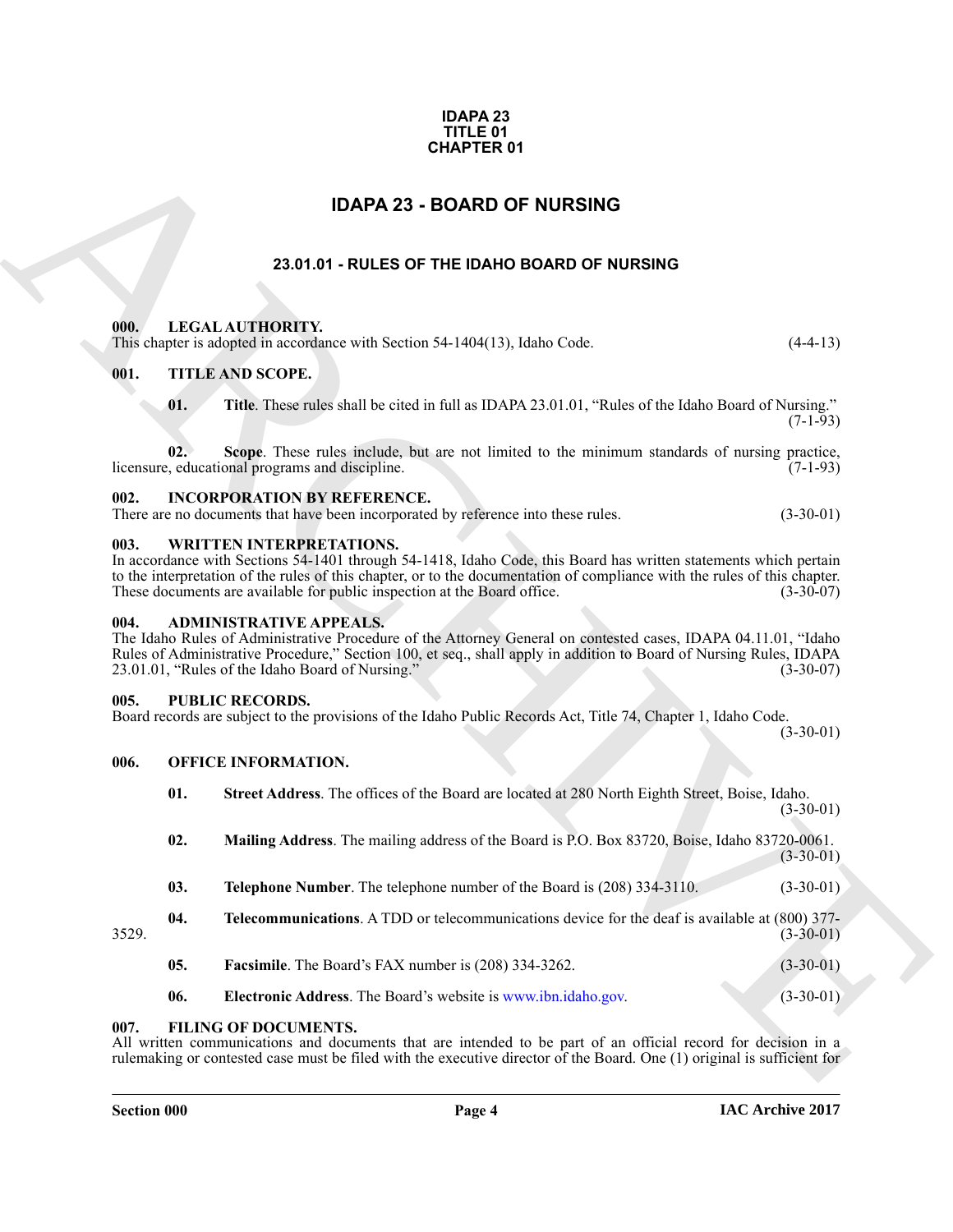### **IDAPA 23 TITLE 01 CHAPTER 01**

### **IDAPA 23 - BOARD OF NURSING**

### **23.01.01 - RULES OF THE IDAHO BOARD OF NURSING**

### <span id="page-3-2"></span><span id="page-3-1"></span>**000. LEGAL AUTHORITY.**

### <span id="page-3-3"></span>**001. TITLE AND SCOPE.**

### <span id="page-3-4"></span>**002. INCORPORATION BY REFERENCE.**

### <span id="page-3-5"></span>**003. WRITTEN INTERPRETATIONS.**

### <span id="page-3-6"></span>**004. ADMINISTRATIVE APPEALS.**

### <span id="page-3-7"></span>**005. PUBLIC RECORDS.**

### <span id="page-3-8"></span>**006. OFFICE INFORMATION.**

<span id="page-3-0"></span>

| <b>IDAPA 23 - BOARD OF NURSING</b> |                                                                                                                                                                                                                                                                                                                                                              |             |  |
|------------------------------------|--------------------------------------------------------------------------------------------------------------------------------------------------------------------------------------------------------------------------------------------------------------------------------------------------------------------------------------------------------------|-------------|--|
|                                    | 23.01.01 - RULES OF THE IDAHO BOARD OF NURSING                                                                                                                                                                                                                                                                                                               |             |  |
| 000.                               | LEGAL AUTHORITY.<br>This chapter is adopted in accordance with Section 54-1404(13), Idaho Code.                                                                                                                                                                                                                                                              | $(4-4-13)$  |  |
| 001.                               | <b>TITLE AND SCOPE.</b>                                                                                                                                                                                                                                                                                                                                      |             |  |
| 01.                                | Title. These rules shall be cited in full as IDAPA 23.01.01, "Rules of the Idaho Board of Nursing."                                                                                                                                                                                                                                                          | $(7-1-93)$  |  |
| 02.                                | Scope. These rules include, but are not limited to the minimum standards of nursing practice,<br>licensure, educational programs and discipline.                                                                                                                                                                                                             | $(7-1-93)$  |  |
| 002.                               | <b>INCORPORATION BY REFERENCE.</b><br>There are no documents that have been incorporated by reference into these rules.                                                                                                                                                                                                                                      | $(3-30-01)$ |  |
| 003.                               | <b>WRITTEN INTERPRETATIONS.</b><br>In accordance with Sections 54-1401 through 54-1418, Idaho Code, this Board has written statements which pertain<br>to the interpretation of the rules of this chapter, or to the documentation of compliance with the rules of this chapter.<br>These documents are available for public inspection at the Board office. | $(3-30-07)$ |  |
| 004.                               | <b>ADMINISTRATIVE APPEALS.</b><br>The Idaho Rules of Administrative Procedure of the Attorney General on contested cases, IDAPA 04.11.01, "Idaho<br>Rules of Administrative Procedure," Section 100, et seq., shall apply in addition to Board of Nursing Rules, IDAPA<br>23.01.01, "Rules of the Idaho Board of Nursing."                                   | $(3-30-07)$ |  |
| 005.                               | <b>PUBLIC RECORDS.</b><br>Board records are subject to the provisions of the Idaho Public Records Act, Title 74, Chapter 1, Idaho Code.                                                                                                                                                                                                                      | $(3-30-01)$ |  |
| 006.                               | <b>OFFICE INFORMATION.</b>                                                                                                                                                                                                                                                                                                                                   |             |  |
| 01.                                | Street Address. The offices of the Board are located at 280 North Eighth Street, Boise, Idaho.                                                                                                                                                                                                                                                               | $(3-30-01)$ |  |
| 02.                                | Mailing Address. The mailing address of the Board is P.O. Box 83720, Boise, Idaho 83720-0061.                                                                                                                                                                                                                                                                | $(3-30-01)$ |  |
| 03.                                | Telephone Number. The telephone number of the Board is (208) 334-3110.                                                                                                                                                                                                                                                                                       | $(3-30-01)$ |  |
| 04.<br>3529.                       | <b>Telecommunications.</b> A TDD or telecommunications device for the deaf is available at (800) 377-                                                                                                                                                                                                                                                        | $(3-30-01)$ |  |
| 05.                                | <b>Facsimile.</b> The Board's FAX number is (208) 334-3262.                                                                                                                                                                                                                                                                                                  | $(3-30-01)$ |  |
|                                    | Electronic Address. The Board's website is www.ibn.idaho.gov.                                                                                                                                                                                                                                                                                                | $(3-30-01)$ |  |

### <span id="page-3-9"></span>**007. FILING OF DOCUMENTS.**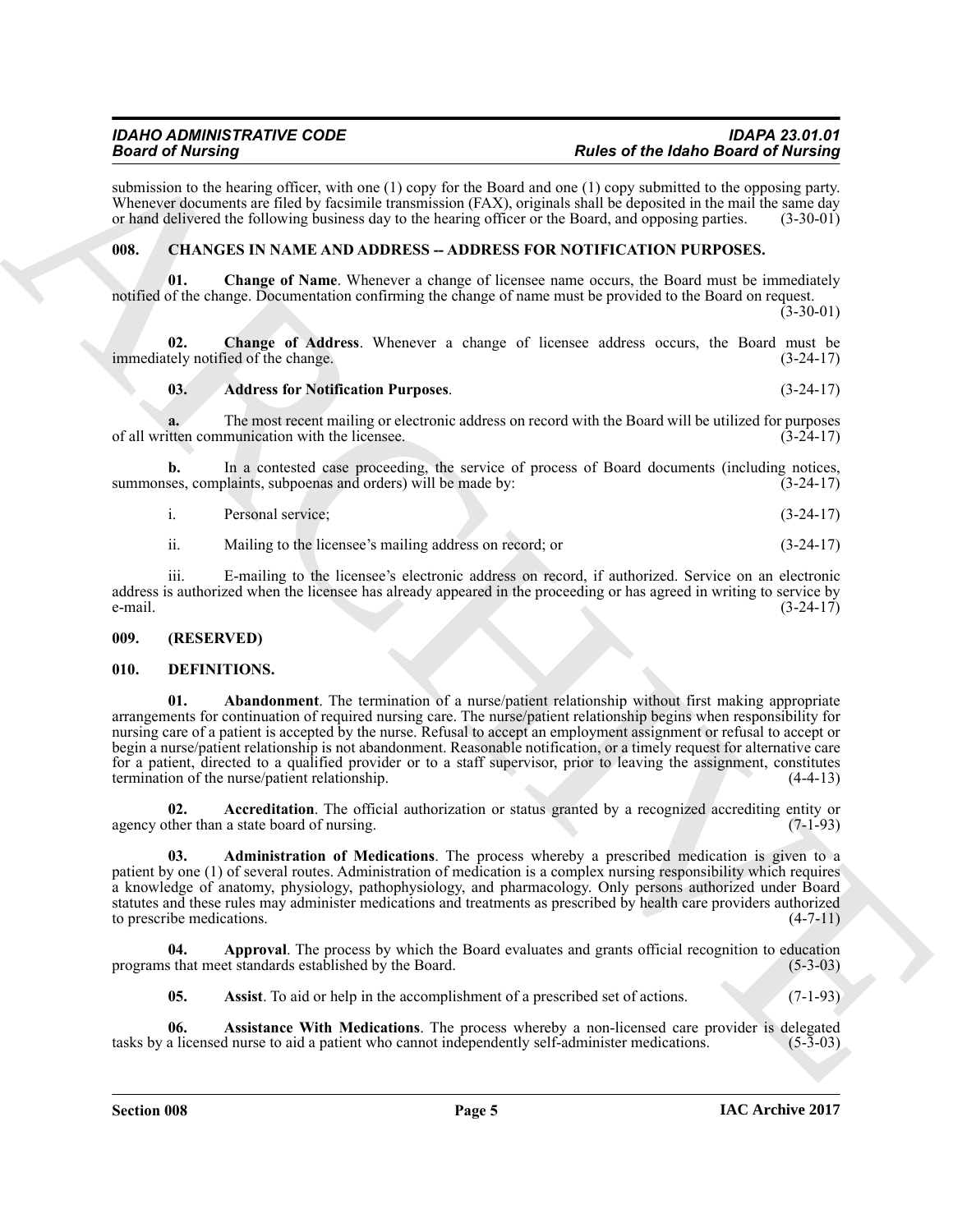submission to the hearing officer, with one (1) copy for the Board and one (1) copy submitted to the opposing party. Whenever documents are filed by facsimile transmission (FAX), originals shall be deposited in the mail the same day<br>or hand delivered the following business day to the hearing officer or the Board, and opposing parties. (3 or hand delivered the following business day to the hearing officer or the Board, and opposing parties.

### <span id="page-4-0"></span>**008. CHANGES IN NAME AND ADDRESS -- ADDRESS FOR NOTIFICATION PURPOSES.**

**01. Change of Name**. Whenever a change of licensee name occurs, the Board must be immediately notified of the change. Documentation confirming the change of name must be provided to the Board on request.

 $(3-30-01)$ 

**02.** Change of Address. Whenever a change of licensee address occurs, the Board must be tely notified of the change. (3-24-17) immediately notified of the change.

### **03. Address for Notification Purposes**. (3-24-17)

**a.** The most recent mailing or electronic address on record with the Board will be utilized for purposes itten communication with the licensee. (3-24-17) of all written communication with the licensee.

**b.** In a contested case proceeding, the service of process of Board documents (including notices, ses, complaints, subpoenas and orders) will be made by:  $(3-24-17)$ summonses, complaints, subpoenas and orders) will be made by:

i. Personal service; (3-24-17)

ii. Mailing to the licensee's mailing address on record; or (3-24-17)

iii. E-mailing to the licensee's electronic address on record, if authorized. Service on an electronic address is authorized when the licensee has already appeared in the proceeding or has agreed in writing to service by e-mail.  $(3-24-17)$ e-mail.  $(3-24-17)$ 

### <span id="page-4-1"></span>**009. (RESERVED)**

### <span id="page-4-4"></span><span id="page-4-3"></span><span id="page-4-2"></span>**010. DEFINITIONS.**

Beach of Michael solutions (and the United States) and the Halbert of Michael States (1) and the Halbert of Michael States (1) and the United States (1) and the United States (1) and the United States (1) and the United S **01. Abandonment**. The termination of a nurse/patient relationship without first making appropriate arrangements for continuation of required nursing care. The nurse/patient relationship begins when responsibility for nursing care of a patient is accepted by the nurse. Refusal to accept an employment assignment or refusal to accept or begin a nurse/patient relationship is not abandonment. Reasonable notification, or a timely request for alternative care for a patient, directed to a qualified provider or to a staff supervisor, prior to leaving the assignment, constitutes termination of the nurse/patient relationship. (4-4-13)

<span id="page-4-5"></span>**02.** Accreditation. The official authorization or status granted by a recognized accrediting entity or ther than a state board of nursing. (7-1-93) agency other than a state board of nursing.

<span id="page-4-6"></span>**03. Administration of Medications**. The process whereby a prescribed medication is given to a patient by one (1) of several routes. Administration of medication is a complex nursing responsibility which requires a knowledge of anatomy, physiology, pathophysiology, and pharmacology. Only persons authorized under Board statutes and these rules may administer medications and treatments as prescribed by health care providers authorized to prescribe medications.  $(4-7-11)$ 

**04.** Approval. The process by which the Board evaluates and grants official recognition to education s that meet standards established by the Board. (5-3-03) programs that meet standards established by the Board.

<span id="page-4-9"></span><span id="page-4-8"></span><span id="page-4-7"></span>**05.** Assist. To aid or help in the accomplishment of a prescribed set of actions. (7-1-93)

**06.** Assistance With Medications. The process whereby a non-licensed care provider is delegated a licensed nurse to aid a patient who cannot independently self-administer medications. (5-3-03) tasks by a licensed nurse to aid a patient who cannot independently self-administer medications.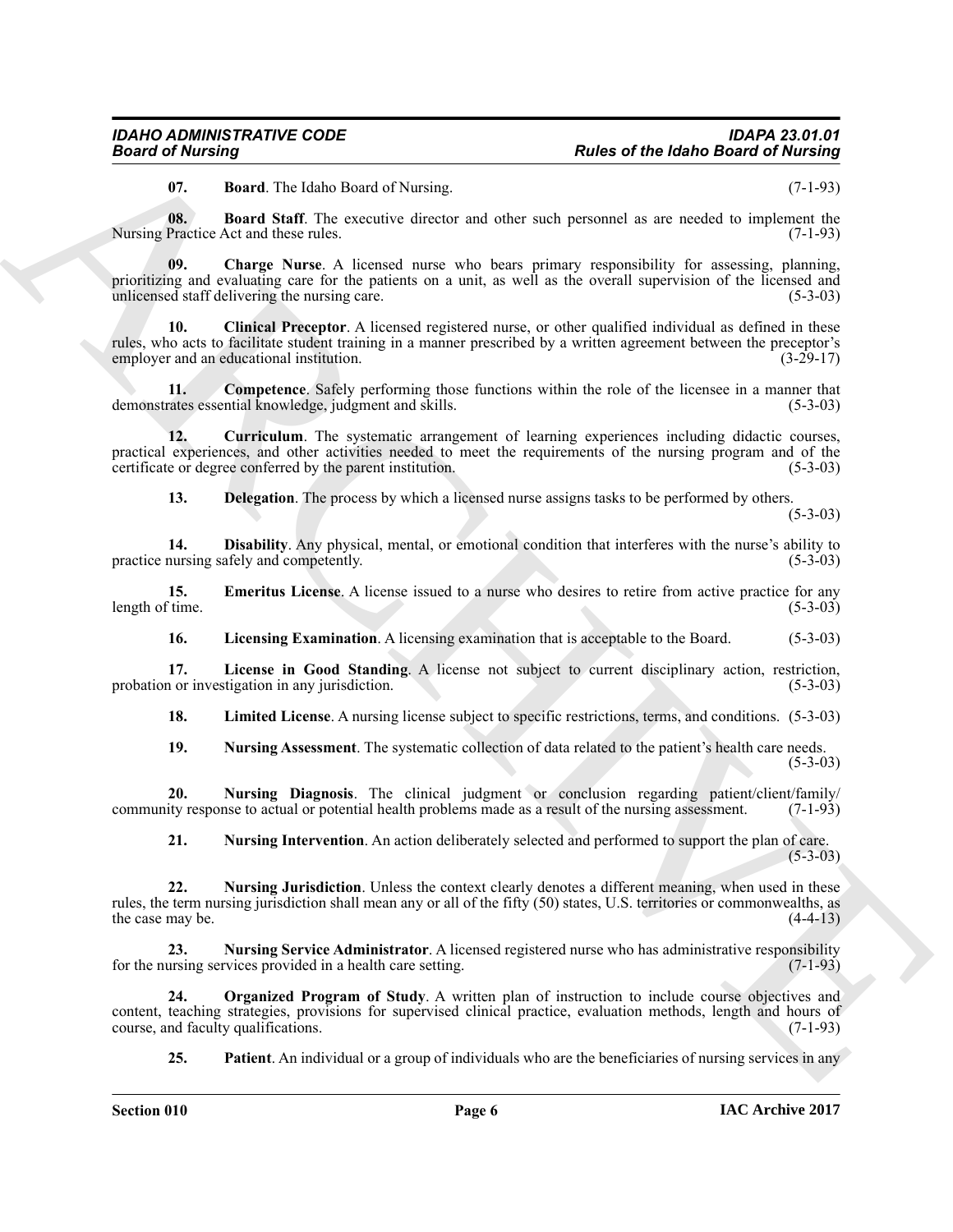<span id="page-5-2"></span><span id="page-5-1"></span><span id="page-5-0"></span>**07. Board**. The Idaho Board of Nursing. (7-1-93)

**08. Board Staff**. The executive director and other such personnel as are needed to implement the Nursing Practice Act and these rules. (7-1-93)

**Fraction of the latter of the latter based of the latter of the latter of the latter of the latter of the latter of the latter of the latter of the latter of the latter of the latter of the latter of the latter of the st 09. Charge Nurse**. A licensed nurse who bears primary responsibility for assessing, planning, prioritizing and evaluating care for the patients on a unit, as well as the overall supervision of the licensed and unlicensed staff delivering the nursing care. (5-3-03)

<span id="page-5-3"></span>**10. Clinical Preceptor**. A licensed registered nurse, or other qualified individual as defined in these rules, who acts to facilitate student training in a manner prescribed by a written agreement between the preceptor's employer and an educational institution.

<span id="page-5-4"></span>**11. Competence**. Safely performing those functions within the role of the licensee in a manner that demonstrates essential knowledge, judgment and skills. (5-3-03)

12. **Curriculum**. The systematic arrangement of learning experiences including didactic courses, practical experiences, and other activities needed to meet the requirements of the nursing program and of the certificate or degree conferred by the parent institution. (5-3-03)

<span id="page-5-7"></span><span id="page-5-6"></span><span id="page-5-5"></span>**13. Delegation**. The process by which a licensed nurse assigns tasks to be performed by others.

 $(5-3-03)$ 

**14. Disability**. Any physical, mental, or emotional condition that interferes with the nurse's ability to practice nursing safely and competently. (5-3-03)

**15. Emeritus License**. A license issued to a nurse who desires to retire from active practice for any (5-3-03) length of time.

<span id="page-5-10"></span><span id="page-5-9"></span><span id="page-5-8"></span>**16.** Licensing Examination. A licensing examination that is acceptable to the Board. (5-3-03)

**17.** License in Good Standing. A license not subject to current disciplinary action, restriction, 1 or investigation in any jurisdiction. (5-3-03) probation or investigation in any jurisdiction.

<span id="page-5-11"></span>**18. Limited License**. A nursing license subject to specific restrictions, terms, and conditions. (5-3-03)

<span id="page-5-13"></span><span id="page-5-12"></span>**19.** Nursing Assessment. The systematic collection of data related to the patient's health care needs. (5-3-03)

**20. Nursing Diagnosis**. The clinical judgment or conclusion regarding patient/client/family/ ity response to actual or potential health problems made as a result of the nursing assessment. (7-1-93) community response to actual or potential health problems made as a result of the nursing assessment.

<span id="page-5-16"></span><span id="page-5-15"></span><span id="page-5-14"></span>**21. Nursing Intervention**. An action deliberately selected and performed to support the plan of care.  $(5-3-03)$ 

**22. Nursing Jurisdiction**. Unless the context clearly denotes a different meaning, when used in these rules, the term nursing jurisdiction shall mean any or all of the fifty (50) states, U.S. territories or commonwealths, as the case may be.  $(4-4-13)$ 

**23.** Nursing Service Administrator. A licensed registered nurse who has administrative responsibility ursing services provided in a health care setting. (7-1-93) for the nursing services provided in a health care setting.

**24. Organized Program of Study**. A written plan of instruction to include course objectives and content, teaching strategies, provisions for supervised clinical practice, evaluation methods, length and hours of course, and faculty qualifications. (7-1-93) course, and faculty qualifications.

<span id="page-5-18"></span><span id="page-5-17"></span>**25. Patient**. An individual or a group of individuals who are the beneficiaries of nursing services in any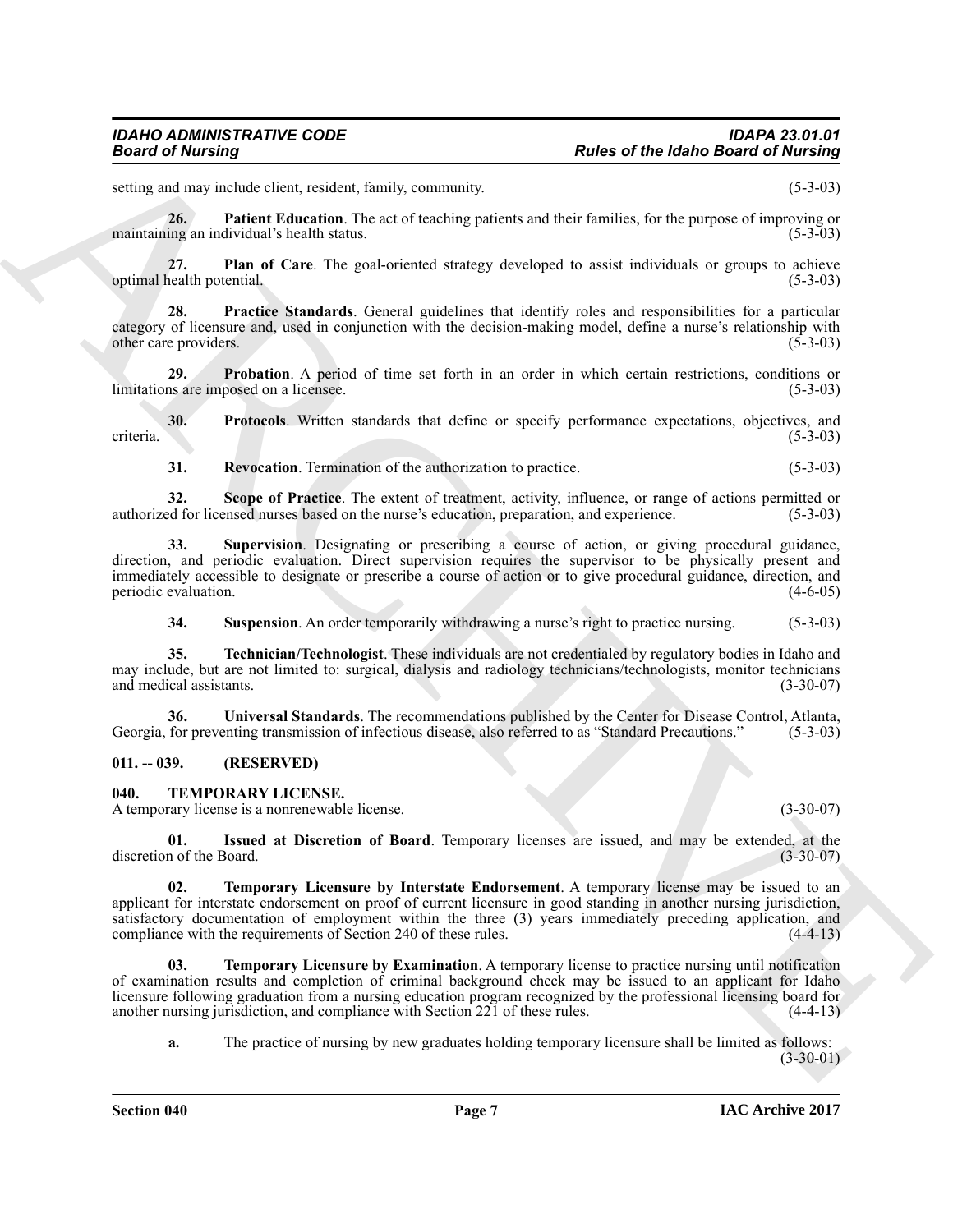setting and may include client, resident, family, community. (5-3-03)

<span id="page-6-2"></span>**26. Patient Education**. The act of teaching patients and their families, for the purpose of improving or maintaining an individual's health status. (5-3-03)

<span id="page-6-3"></span>**27. Plan of Care**. The goal-oriented strategy developed to assist individuals or groups to achieve optimal health potential.

<span id="page-6-4"></span>**28. Practice Standards**. General guidelines that identify roles and responsibilities for a particular category of licensure and, used in conjunction with the decision-making model, define a nurse's relationship with other care providers. (5-3-03)

<span id="page-6-5"></span>**29. Probation**. A period of time set forth in an order in which certain restrictions, conditions or ns are imposed on a licensee. (5-3-03) limitations are imposed on a licensee.

**30. Protocols**. Written standards that define or specify performance expectations, objectives, and (5-3-03) criteria. (5-3-03)

<span id="page-6-9"></span><span id="page-6-8"></span><span id="page-6-7"></span><span id="page-6-6"></span>**31. Revocation**. Termination of the authorization to practice. (5-3-03)

**32.** Scope of Practice. The extent of treatment, activity, influence, or range of actions permitted or ed for licensed nurses based on the nurse's education, preparation, and experience. (5-3-03) authorized for licensed nurses based on the nurse's education, preparation, and experience.

**33. Supervision**. Designating or prescribing a course of action, or giving procedural guidance, direction, and periodic evaluation. Direct supervision requires the supervisor to be physically present and immediately accessible to designate or prescribe a course of action or to give procedural guidance, direction, and periodic evaluation.

<span id="page-6-12"></span><span id="page-6-11"></span><span id="page-6-10"></span>**34.** Suspension. An order temporarily withdrawing a nurse's right to practice nursing. (5-3-03)

**35. Technician/Technologist**. These individuals are not credentialed by regulatory bodies in Idaho and may include, but are not limited to: surgical, dialysis and radiology technicians/technologists, monitor technicians and medical assistants. (3-30-07) and medical assistants.

**36.** Universal Standards. The recommendations published by the Center for Disease Control, Atlanta, for preventing transmission of infectious disease, also referred to as "Standard Precautions." (5-3-03) Georgia, for preventing transmission of infectious disease, also referred to as "Standard Precautions."

### <span id="page-6-0"></span>**011. -- 039. (RESERVED)**

### <span id="page-6-13"></span><span id="page-6-1"></span>**040. TEMPORARY LICENSE.**

A temporary license is a nonrenewable license. (3-30-07)

<span id="page-6-16"></span><span id="page-6-14"></span>**01. Issued at Discretion of Board**. Temporary licenses are issued, and may be extended, at the discretion of the Board.

**Parks of the labora Gaussian** and contained the state of the labora Gaussian and contained of the contained of the state of the state of the state of the state of the state of the state of the state of the state of the s **02. Temporary Licensure by Interstate Endorsement**. A temporary license may be issued to an applicant for interstate endorsement on proof of current licensure in good standing in another nursing jurisdiction, satisfactory documentation of employment within the three (3) years immediately preceding application, and compliance with the requirements of Section 240 of these rules. (4-4-13) compliance with the requirements of Section 240 of these rules.

**03. Temporary Licensure by Examination**. A temporary license to practice nursing until notification of examination results and completion of criminal background check may be issued to an applicant for Idaho licensure following graduation from a nursing education program recognized by the professional licensing board for another nursing jurisdiction, and compliance with Section 221 of these rules. (4-4-13) another nursing jurisdiction, and compliance with Section 221 of these rules.

<span id="page-6-15"></span>**a.** The practice of nursing by new graduates holding temporary licensure shall be limited as follows:  $(3-30-01)$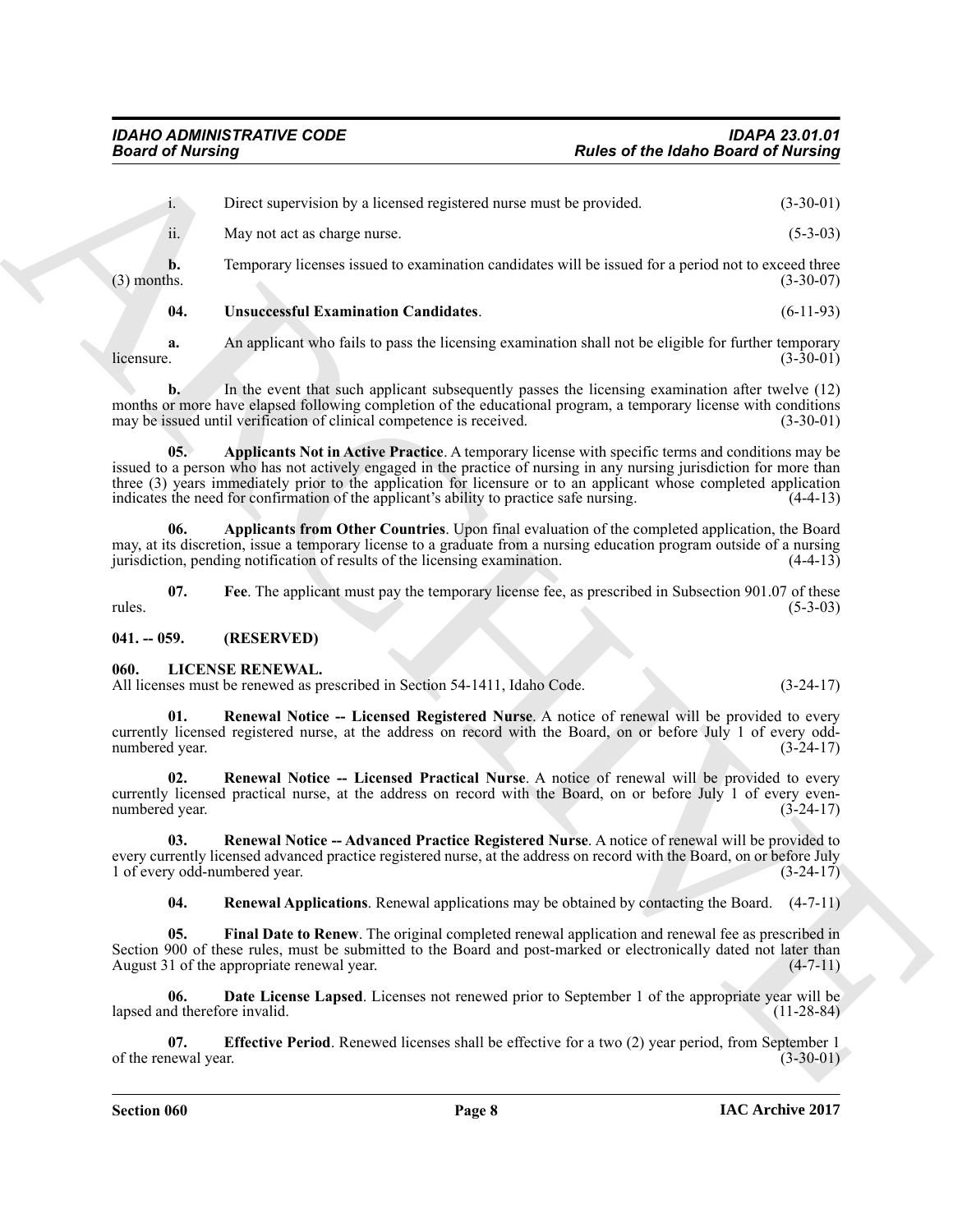**Parks of the Idahe Based of Nutring**<br> **Parks of the Idahe Based of Nutring**<br> **ARCHIVE CONTINUES**<br> **ARCHIVE CONTINUES**<br> **ARCHIVE CONTINUES**<br> **ARCHIVE CONTINUES**<br> **ARCHIVE CONTINUES**<br> **ARCHIVE CONTINUES**<br> **ARCHIVE CONTINUE** i. Direct supervision by a licensed registered nurse must be provided. (3-30-01) ii. May not act as charge nurse. (5-3-03) **b.** Temporary licenses issued to examination candidates will be issued for a period not to exceed three (3) months. (3-30-07) (3) months.  $(3-30-07)$ **04. Unsuccessful Examination Candidates**. (6-11-93) **a.** An applicant who fails to pass the licensing examination shall not be eligible for further temporary licensure. (3-30-01)

<span id="page-7-13"></span>

 $\mu$  (3-30-01)  $(3-30-01)$ **b.** In the event that such applicant subsequently passes the licensing examination after twelve (12)

months or more have elapsed following completion of the educational program, a temporary license with conditions may be issued until verification of clinical competence is received. (3-30-01)

<span id="page-7-11"></span>**05. Applicants Not in Active Practice**. A temporary license with specific terms and conditions may be issued to a person who has not actively engaged in the practice of nursing in any nursing jurisdiction for more than three (3) years immediately prior to the application for licensure or to an applicant whose completed application indicates the need for confirmation of the applicant's ability to practice safe nursing.  $(4-4-13)$ indicates the need for confirmation of the applicant's ability to practice safe nursing.

<span id="page-7-10"></span>**06. Applicants from Other Countries**. Upon final evaluation of the completed application, the Board may, at its discretion, issue a temporary license to a graduate from a nursing education program outside of a nursing jurisdiction, pending notification of results of the licensing examination. (4-4-13)

<span id="page-7-12"></span>**07.** Fee. The applicant must pay the temporary license fee, as prescribed in Subsection 901.07 of these (5-3-03)  $r_{\text{rules}}$  (5-3-03)

### <span id="page-7-0"></span>**041. -- 059. (RESERVED)**

### <span id="page-7-2"></span><span id="page-7-1"></span>**060. LICENSE RENEWAL.**

All licenses must be renewed as prescribed in Section 54-1411, Idaho Code. (3-24-17)

<span id="page-7-9"></span>**01.** Renewal Notice -- Licensed Registered Nurse. A notice of renewal will be provided to every currently licensed registered nurse, at the address on record with the Board, on or before July 1 of every oddnumbered year. (3-24-17)

<span id="page-7-8"></span>**02. Renewal Notice -- Licensed Practical Nurse**. A notice of renewal will be provided to every currently licensed practical nurse, at the address on record with the Board, on or before July 1 of every even-<br>
(3-24-17) numbered year.

**03. Renewal Notice -- Advanced Practice Registered Nurse**. A notice of renewal will be provided to every currently licensed advanced practice registered nurse, at the address on record with the Board, on or before July 1 of every odd-numbered year. (3-24-17) 1 of every odd-numbered year.

<span id="page-7-7"></span><span id="page-7-6"></span><span id="page-7-5"></span><span id="page-7-3"></span>**04. Renewal Applications**. Renewal applications may be obtained by contacting the Board. (4-7-11)

**05. Final Date to Renew**. The original completed renewal application and renewal fee as prescribed in Section 900 of these rules, must be submitted to the Board and post-marked or electronically dated not later than August 31 of the appropriate renewal year. (4-7-11) August 31 of the appropriate renewal year.

**06. Date License Lapsed**. Licenses not renewed prior to September 1 of the appropriate year will be lapsed and therefore invalid. (11-28-84)

<span id="page-7-4"></span>**07. Effective Period**. Renewed licenses shall be effective for a two (2) year period, from September 1 newal year. (3-30-01) of the renewal year.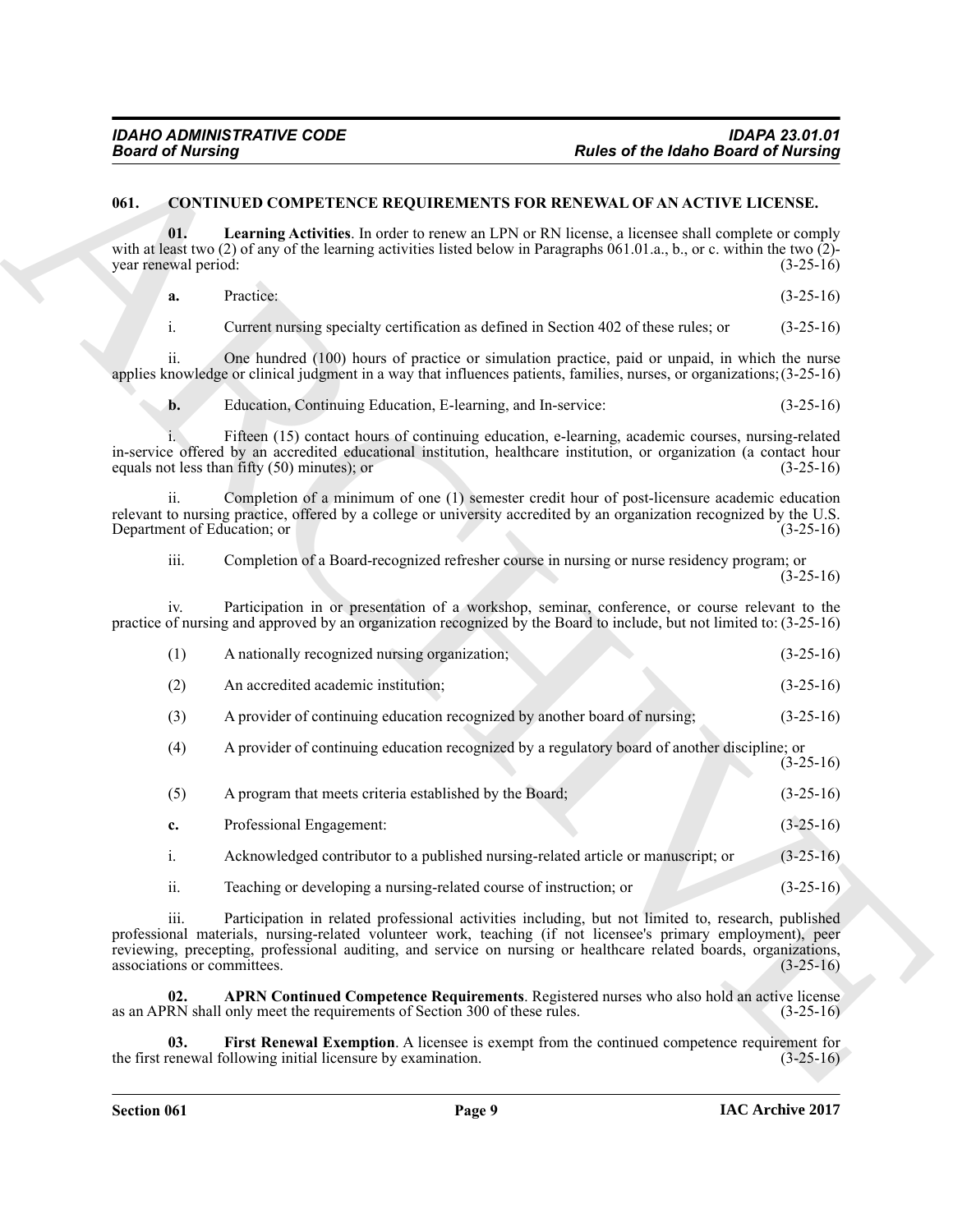### <span id="page-8-4"></span><span id="page-8-3"></span><span id="page-8-2"></span><span id="page-8-1"></span><span id="page-8-0"></span>**061. CONTINUED COMPETENCE REQUIREMENTS FOR RENEWAL OF AN ACTIVE LICENSE.**

| <b>Board of Nursing</b>                                  |                                                                                                                                                                                                                                                                                                                                           | Rules of the Idaho Board of Nursing |
|----------------------------------------------------------|-------------------------------------------------------------------------------------------------------------------------------------------------------------------------------------------------------------------------------------------------------------------------------------------------------------------------------------------|-------------------------------------|
| 061.                                                     | <b>CONTINUED COMPETENCE REQUIREMENTS FOR RENEWAL OF AN ACTIVE LICENSE.</b>                                                                                                                                                                                                                                                                |                                     |
| 01.<br>year renewal period:                              | <b>Learning Activities.</b> In order to renew an LPN or RN license, a licensee shall complete or comply<br>with at least two (2) of any of the learning activities listed below in Paragraphs 061.01.a., b., or c. within the two $(2)$ -                                                                                                 | $(3-25-16)$                         |
| a.                                                       | Practice:                                                                                                                                                                                                                                                                                                                                 | $(3-25-16)$                         |
| i.                                                       | Current nursing specialty certification as defined in Section 402 of these rules; or                                                                                                                                                                                                                                                      | $(3-25-16)$                         |
| ii.                                                      | One hundred (100) hours of practice or simulation practice, paid or unpaid, in which the nurse<br>applies knowledge or clinical judgment in a way that influences patients, families, nurses, or organizations; (3-25-16)                                                                                                                 |                                     |
| b.                                                       | Education, Continuing Education, E-learning, and In-service:                                                                                                                                                                                                                                                                              | $(3-25-16)$                         |
|                                                          | Fifteen (15) contact hours of continuing education, e-learning, academic courses, nursing-related<br>in-service offered by an accredited educational institution, healthcare institution, or organization (a contact hour<br>equals not less than fifty $(50)$ minutes); or                                                               | $(3-25-16)$                         |
| $\overline{\mathbf{u}}$ .<br>Department of Education; or | Completion of a minimum of one (1) semester credit hour of post-licensure academic education<br>relevant to nursing practice, offered by a college or university accredited by an organization recognized by the U.S.                                                                                                                     | $(3-25-16)$                         |
| iii.                                                     | Completion of a Board-recognized refresher course in nursing or nurse residency program; or                                                                                                                                                                                                                                               | $(3-25-16)$                         |
| iv.                                                      | Participation in or presentation of a workshop, seminar, conference, or course relevant to the<br>practice of nursing and approved by an organization recognized by the Board to include, but not limited to: (3-25-16)                                                                                                                   |                                     |
| (1)                                                      | A nationally recognized nursing organization;                                                                                                                                                                                                                                                                                             | $(3-25-16)$                         |
| (2)                                                      | An accredited academic institution;                                                                                                                                                                                                                                                                                                       | $(3-25-16)$                         |
| (3)                                                      | A provider of continuing education recognized by another board of nursing;                                                                                                                                                                                                                                                                | $(3-25-16)$                         |
| (4)                                                      | A provider of continuing education recognized by a regulatory board of another discipline; or                                                                                                                                                                                                                                             | $(3-25-16)$                         |
| (5)                                                      | A program that meets criteria established by the Board;                                                                                                                                                                                                                                                                                   | $(3-25-16)$                         |
| c.                                                       | Professional Engagement:                                                                                                                                                                                                                                                                                                                  | $(3-25-16)$                         |
| $i$ .                                                    | Acknowledged contributor to a published nursing-related article or manuscript; or                                                                                                                                                                                                                                                         | $(3-25-16)$                         |
| ii.                                                      | Teaching or developing a nursing-related course of instruction; or                                                                                                                                                                                                                                                                        | $(3-25-16)$                         |
| 111.<br>associations or committees.                      | Participation in related professional activities including, but not limited to, research, published<br>professional materials, nursing-related volunteer work, teaching (if not licensee's primary employment), peer<br>reviewing, precepting, professional auditing, and service on nursing or healthcare related boards, organizations, | $(3-25-16)$                         |
| 02.                                                      | APRN Continued Competence Requirements. Registered nurses who also hold an active license<br>as an APRN shall only meet the requirements of Section 300 of these rules.                                                                                                                                                                   | $(3-25-16)$                         |
| 03.                                                      | First Renewal Exemption. A licensee is exempt from the continued competence requirement for<br>the first renewal following initial licensure by examination.                                                                                                                                                                              | $(3-25-16)$                         |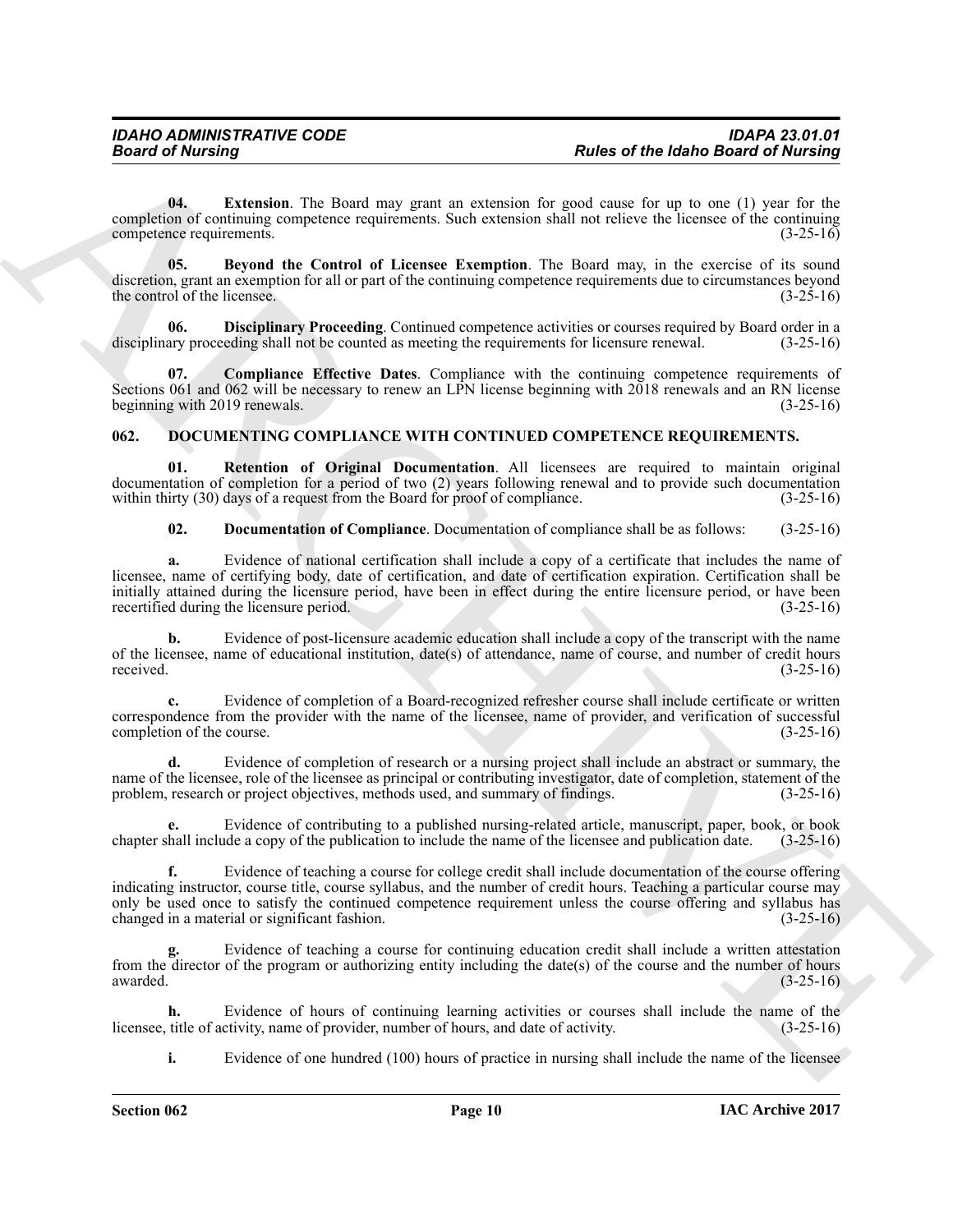<span id="page-9-4"></span>**04. Extension**. The Board may grant an extension for good cause for up to one (1) year for the completion of continuing competence requirements. Such extension shall not relieve the licensee of the continuing competence requirements.<br>(3-25-16) competence requirements.

<span id="page-9-1"></span>**05. Beyond the Control of Licensee Exemption**. The Board may, in the exercise of its sound discretion, grant an exemption for all or part of the continuing competence requirements due to circumstances beyond<br>(3-25-16) the control of the licensee.

<span id="page-9-3"></span>**06. Disciplinary Proceeding**. Continued competence activities or courses required by Board order in a lary proceeding shall not be counted as meeting the requirements for licensure renewal. (3-25-16) disciplinary proceeding shall not be counted as meeting the requirements for licensure renewal.

<span id="page-9-2"></span>**07. Compliance Effective Dates**. Compliance with the continuing competence requirements of Sections 061 and 062 will be necessary to renew an LPN license beginning with 2018 renewals and an RN license beginning with 2019 renewals. (3-25-16)

### <span id="page-9-5"></span><span id="page-9-0"></span>**062. DOCUMENTING COMPLIANCE WITH CONTINUED COMPETENCE REQUIREMENTS.**

**01. Retention of Original Documentation**. All licensees are required to maintain original documentation of completion for a period of two (2) years following renewal and to provide such documentation within thirty (30) days of a request from the Board for proof of compliance. (3-25-16) within thirty  $(30)$  days of a request from the Board for proof of compliance.

<span id="page-9-7"></span><span id="page-9-6"></span>**02. Documentation of Compliance**. Documentation of compliance shall be as follows: (3-25-16)

**Passe of the laboration** The bust in the bust and an expectation of the laboration of the laboration of the set of the set of the set of the set of the set of the set of the set of the set of the set of the set of the se **a.** Evidence of national certification shall include a copy of a certificate that includes the name of licensee, name of certifying body, date of certification, and date of certification expiration. Certification shall be initially attained during the licensure period, have been in effect during the entire licensure period, or have been recertified during the licensure period. (3-25-16) recertified during the licensure period.

**b.** Evidence of post-licensure academic education shall include a copy of the transcript with the name of the licensee, name of educational institution, date(s) of attendance, name of course, and number of credit hours received. (3-25-16) received.  $(3-25-16)$ 

**c.** Evidence of completion of a Board-recognized refresher course shall include certificate or written correspondence from the provider with the name of the licensee, name of provider, and verification of successful completion of the course. (3-25-16) completion of the course.

**d.** Evidence of completion of research or a nursing project shall include an abstract or summary, the name of the licensee, role of the licensee as principal or contributing investigator, date of completion, statement of the problem, research or project objectives, methods used, and summary of findings. (3-25-16) problem, research or project objectives, methods used, and summary of findings.

Evidence of contributing to a published nursing-related article, manuscript, paper, book, or book de a copy of the publication to include the name of the licensee and publication date. (3-25-16) chapter shall include a copy of the publication to include the name of the licensee and publication date.

**f.** Evidence of teaching a course for college credit shall include documentation of the course offering indicating instructor, course title, course syllabus, and the number of credit hours. Teaching a particular course may only be used once to satisfy the continued competence requirement unless the course offering and syllabus has changed in a material or significant fashion. (3-25-16)

**g.** Evidence of teaching a course for continuing education credit shall include a written attestation from the director of the program or authorizing entity including the date(s) of the course and the number of hours awarded.  $(3-25-16)$ 

**h.** Evidence of hours of continuing learning activities or courses shall include the name of the title of activity, name of provider, number of hours, and date of activity. (3-25-16) licensee, title of activity, name of provider, number of hours, and date of activity.

**i.** Evidence of one hundred (100) hours of practice in nursing shall include the name of the licensee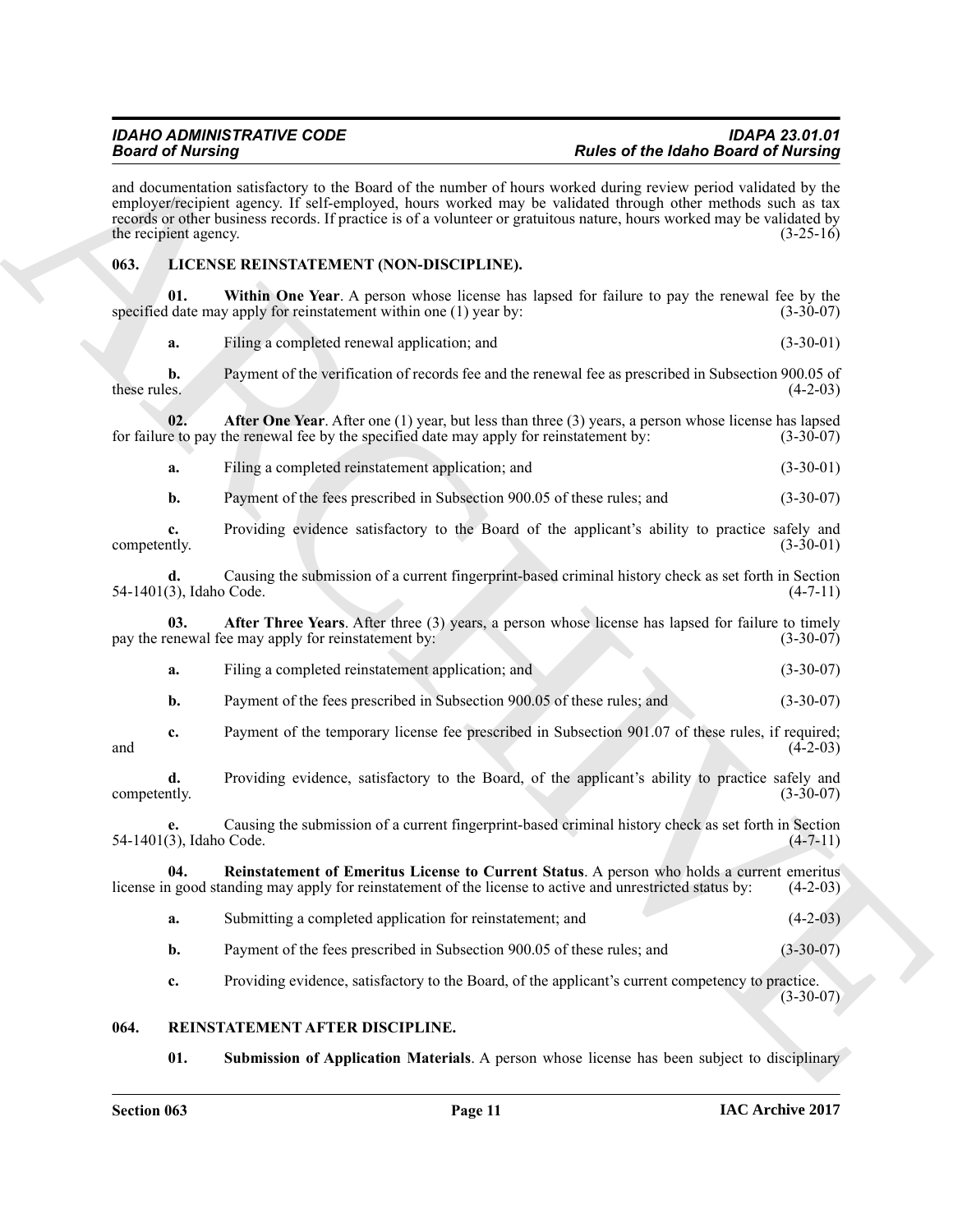**Each of Drivering Street of the United Street of the Hart of Die Information of the Northern Barrow Constrainer<br>
ARCHIVES THE CONSTRUCTION CONTINUES INTO A CONSTRUCT CONTINUES INTO A CONSTRUCT CONTINUES INTO A CONSTRUCT** and documentation satisfactory to the Board of the number of hours worked during review period validated by the employer/recipient agency. If self-employed, hours worked may be validated through other methods such as tax records or other business records. If practice is of a volunteer or gratuitous nature, hours worked may be validated by the recipient agency.  $(3-25-16)$ 

### <span id="page-10-2"></span><span id="page-10-0"></span>**063. LICENSE REINSTATEMENT (NON-DISCIPLINE).**

**Within One Year**. A person whose license has lapsed for failure to pay the renewal fee by the v apply for reinstatement within one (1) year by: (3-30-07) specified date may apply for reinstatement within one  $(1)$  year by:

<span id="page-10-6"></span>**a.** Filing a completed renewal application; and (3-30-01)

**b.** Payment of the verification of records fee and the renewal fee as prescribed in Subsection 900.05 of these rules. (4-2-03) these rules.  $(4-2-03)$ 

**02. After One Year**. After one (1) year, but less than three (3) years, a person whose license has lapsed e to pay the renewal fee by the specified date may apply for reinstatement by: (3-30-07) for failure to pay the renewal fee by the specified date may apply for reinstatement by:

<span id="page-10-3"></span>**a.** Filing a completed reinstatement application; and  $(3-30-01)$ 

**b.** Payment of the fees prescribed in Subsection 900.05 of these rules; and  $(3-30-07)$ 

**c.** Providing evidence satisfactory to the Board of the applicant's ability to practice safely and competently. (3-30-01) competently. (3-30-01) (3-30-01)

**d.** Causing the submission of a current fingerprint-based criminal history check as set forth in Section (3), Idaho Code. (4-7-11) 54-1401(3), Idaho Code.

**03. After Three Years**. After three (3) years, a person whose license has lapsed for failure to timely enewal fee may apply for reinstatement by: (3-30-07) pay the renewal fee may apply for reinstatement by:

- <span id="page-10-4"></span>**a.** Filing a completed reinstatement application; and (3-30-07)
- **b.** Payment of the fees prescribed in Subsection 900.05 of these rules; and (3-30-07)
- **c.** Payment of the temporary license fee prescribed in Subsection 901.07 of these rules, if required; (4-2-03) and  $(4-2-03)$

**d.** Providing evidence, satisfactory to the Board, of the applicant's ability to practice safely and thy. (3-30-07) competently.

**e.** Causing the submission of a current fingerprint-based criminal history check as set forth in Section 54-1401(3), Idaho Code. (4-7-11)

**04.** Reinstatement of Emeritus License to Current Status. A person who holds a current emeritus a good standing may apply for reinstatement of the license to active and unrestricted status by: (4-2-03) license in good standing may apply for reinstatement of the license to active and unrestricted status by:

- <span id="page-10-5"></span>**a.** Submitting a completed application for reinstatement; and (4-2-03)
- **b.** Payment of the fees prescribed in Subsection 900.05 of these rules; and  $(3-30-07)$

<span id="page-10-7"></span>**c.** Providing evidence, satisfactory to the Board, of the applicant's current competency to practice.

(3-30-07)

### <span id="page-10-1"></span>**064. REINSTATEMENT AFTER DISCIPLINE.**

<span id="page-10-8"></span>**01. Submission of Application Materials**. A person whose license has been subject to disciplinary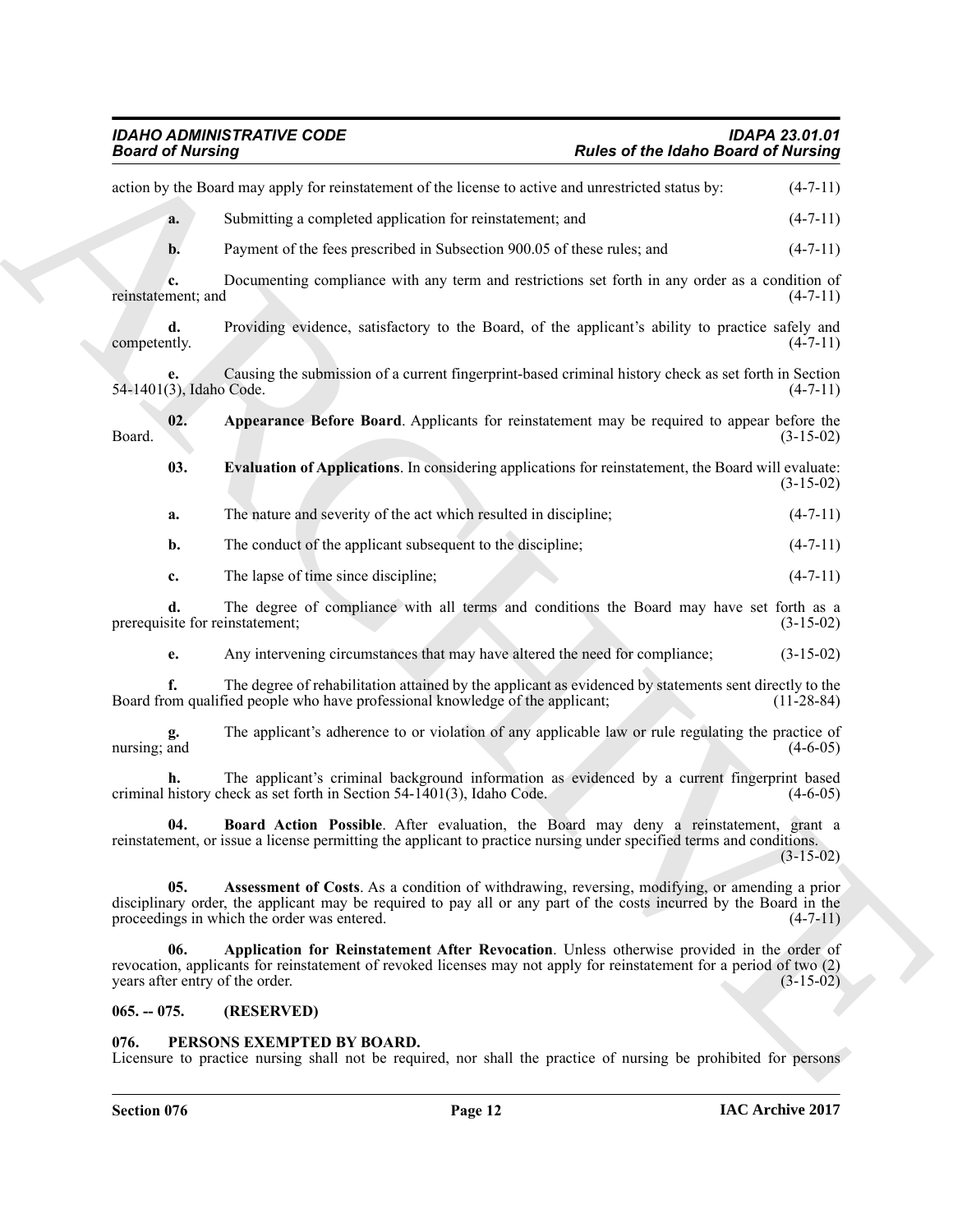<span id="page-11-7"></span><span id="page-11-3"></span>

| <b>Board of Nursing</b>                |                                                                                                                                                                                                                                                                    | <b>Rules of the Idaho Board of Nursing</b> |              |
|----------------------------------------|--------------------------------------------------------------------------------------------------------------------------------------------------------------------------------------------------------------------------------------------------------------------|--------------------------------------------|--------------|
|                                        | action by the Board may apply for reinstatement of the license to active and unrestricted status by:                                                                                                                                                               |                                            | $(4-7-11)$   |
| a.                                     | Submitting a completed application for reinstatement; and                                                                                                                                                                                                          |                                            | $(4-7-11)$   |
| b.                                     | Payment of the fees prescribed in Subsection 900.05 of these rules; and                                                                                                                                                                                            |                                            | $(4-7-11)$   |
| c.<br>reinstatement; and               | Documenting compliance with any term and restrictions set forth in any order as a condition of                                                                                                                                                                     |                                            | $(4-7-11)$   |
| d.<br>competently.                     | Providing evidence, satisfactory to the Board, of the applicant's ability to practice safely and                                                                                                                                                                   |                                            | $(4-7-11)$   |
| е.<br>54-1401(3), Idaho Code.          | Causing the submission of a current fingerprint-based criminal history check as set forth in Section                                                                                                                                                               |                                            | $(4-7-11)$   |
| 02.<br>Board.                          | Appearance Before Board. Applicants for reinstatement may be required to appear before the                                                                                                                                                                         |                                            | $(3-15-02)$  |
| 03.                                    | <b>Evaluation of Applications.</b> In considering applications for reinstatement, the Board will evaluate:                                                                                                                                                         |                                            | $(3-15-02)$  |
| a.                                     | The nature and severity of the act which resulted in discipline;                                                                                                                                                                                                   |                                            | $(4-7-11)$   |
| b.                                     | The conduct of the applicant subsequent to the discipline;                                                                                                                                                                                                         |                                            | $(4-7-11)$   |
| c.                                     | The lapse of time since discipline;                                                                                                                                                                                                                                |                                            | $(4-7-11)$   |
| prerequisite for reinstatement;        | The degree of compliance with all terms and conditions the Board may have set forth as a                                                                                                                                                                           |                                            | $(3-15-02)$  |
| e.                                     | Any intervening circumstances that may have altered the need for compliance;                                                                                                                                                                                       |                                            | $(3-15-02)$  |
| f.                                     | The degree of rehabilitation attained by the applicant as evidenced by statements sent directly to the<br>Board from qualified people who have professional knowledge of the applicant;                                                                            |                                            | $(11-28-84)$ |
| g.<br>nursing; and                     | The applicant's adherence to or violation of any applicable law or rule regulating the practice of                                                                                                                                                                 |                                            | $(4-6-05)$   |
|                                        | The applicant's criminal background information as evidenced by a current fingerprint based<br>criminal history check as set forth in Section 54-1401(3), Idaho Code.                                                                                              |                                            | $(4-6-05)$   |
| 04.                                    | Board Action Possible. After evaluation, the Board may deny a reinstatement, grant a<br>reinstatement, or issue a license permitting the applicant to practice nursing under specified terms and conditions.                                                       |                                            | $(3-15-02)$  |
| 05.                                    | Assessment of Costs. As a condition of withdrawing, reversing, modifying, or amending a prior<br>disciplinary order, the applicant may be required to pay all or any part of the costs incurred by the Board in the<br>proceedings in which the order was entered. |                                            | $(4-7-11)$   |
| 06.<br>years after entry of the order. | Application for Reinstatement After Revocation. Unless otherwise provided in the order of<br>revocation, applicants for reinstatement of revoked licenses may not apply for reinstatement for a period of two (2)                                                  |                                            | $(3-15-02)$  |
|                                        | (RESERVED)                                                                                                                                                                                                                                                         |                                            |              |

### <span id="page-11-6"></span><span id="page-11-5"></span><span id="page-11-4"></span><span id="page-11-0"></span>**065. -- 075. (RESERVED)**

### <span id="page-11-2"></span><span id="page-11-1"></span>**076. PERSONS EXEMPTED BY BOARD.**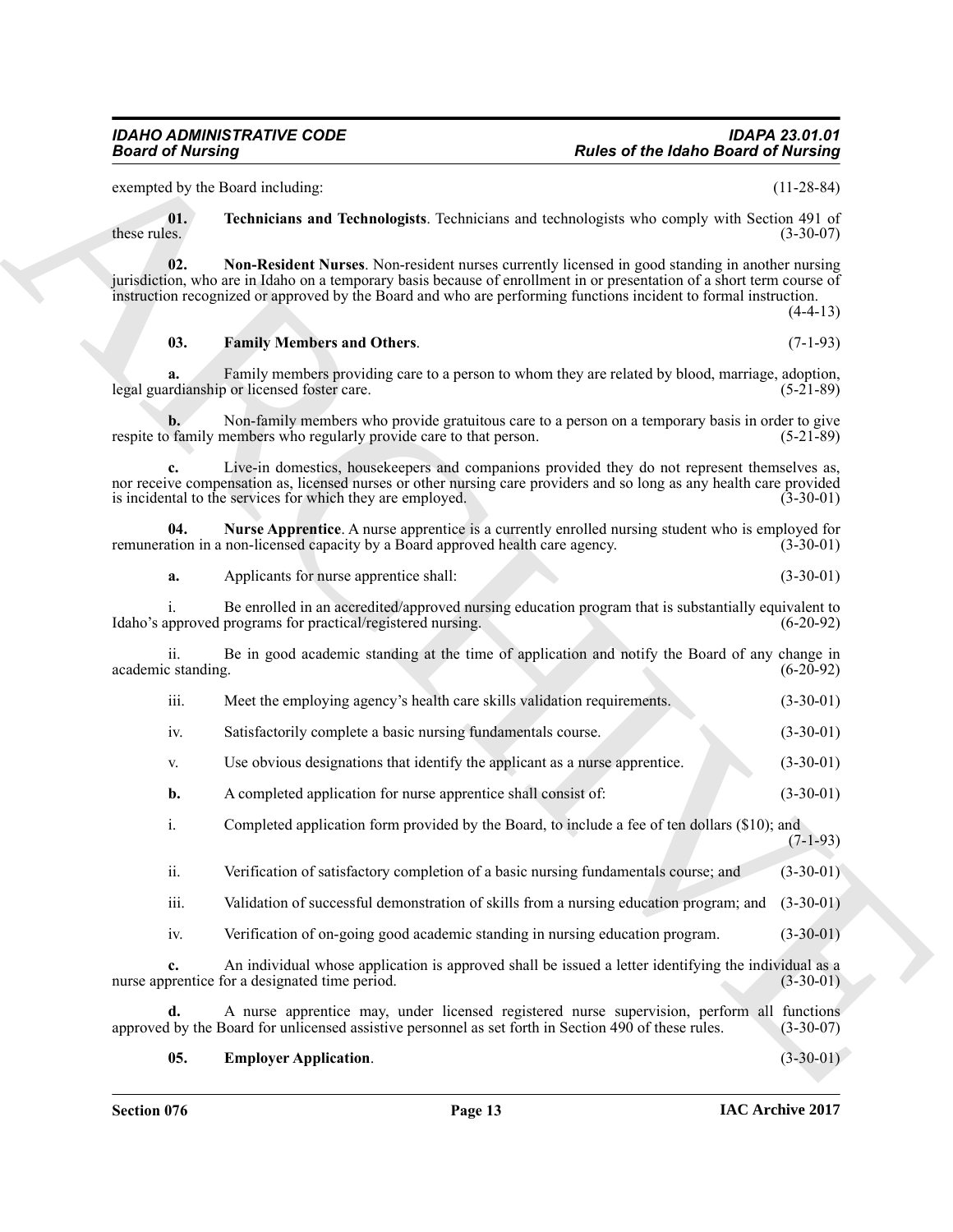exempted by the Board including: (11-28-84)

<span id="page-12-4"></span>**01. Technicians and Technologists**. Technicians and technologists who comply with Section 491 of these rules.  $(3-30-07)$ 

<span id="page-12-2"></span>**02. Non-Resident Nurses**. Non-resident nurses currently licensed in good standing in another nursing jurisdiction, who are in Idaho on a temporary basis because of enrollment in or presentation of a short term course of instruction recognized or approved by the Board and who are performing functions incident to formal instruction.

 $(4-4-13)$ 

### <span id="page-12-1"></span>**03. Family Members and Others**. (7-1-93)

**a.** Family members providing care to a person to whom they are related by blood, marriage, adoption, relianship or licensed foster care. legal guardianship or licensed foster care.

**b.** Non-family members who provide gratuitous care to a person on a temporary basis in order to give family members who regularly provide care to that person. (5-21-89) respite to family members who regularly provide care to that person.

**Passes of the Idaho Based of Newtonia**<br>
Consider the Idaho Based of Newtonia<br>
Less of Newtonia internsity consider the Indebendent state derivative comply with Section 2014<br>
Less of the Treatment and Trebradegies Techniq **c.** Live-in domestics, housekeepers and companions provided they do not represent themselves as, nor receive compensation as, licensed nurses or other nursing care providers and so long as any health care provided is incidental to the services for which they are employed. (3-30-01) is incidental to the services for which they are employed.

**04.** Nurse Apprentice. A nurse apprentice is a currently enrolled nursing student who is employed for a tion in a non-licensed capacity by a Board approved health care agency. (3-30-01) remuneration in a non-licensed capacity by a Board approved health care agency.

<span id="page-12-3"></span>**a.** Applicants for nurse apprentice shall: (3-30-01)

i. Be enrolled in an accredited/approved nursing education program that is substantially equivalent to upproved programs for practical/registered nursing. (6-20-92) Idaho's approved programs for practical/registered nursing.

ii. Be in good academic standing at the time of application and notify the Board of any change in academic standing.

- iii. Meet the employing agency's health care skills validation requirements. (3-30-01)
- iv. Satisfactorily complete a basic nursing fundamentals course. (3-30-01)
- v. Use obvious designations that identify the applicant as a nurse apprentice. (3-30-01)
- **b.** A completed application for nurse apprentice shall consist of: (3-30-01)
- i. Completed application form provided by the Board, to include a fee of ten dollars (\$10); and  $(7-1-93)$
- ii. Verification of satisfactory completion of a basic nursing fundamentals course; and (3-30-01)
- iii. Validation of successful demonstration of skills from a nursing education program; and (3-30-01)
- iv. Verification of on-going good academic standing in nursing education program. (3-30-01)

**c.** An individual whose application is approved shall be issued a letter identifying the individual as a nurse apprentice for a designated time period. (3-30-01) (3-30-01)

**d.** A nurse apprentice may, under licensed registered nurse supervision, perform all functions by the Board for unlicensed assistive personnel as set forth in Section 490 of these rules. (3-30-07) approved by the Board for unlicensed assistive personnel as set forth in Section 490 of these rules.

<span id="page-12-0"></span>**05. Employer Application**. (3-30-01)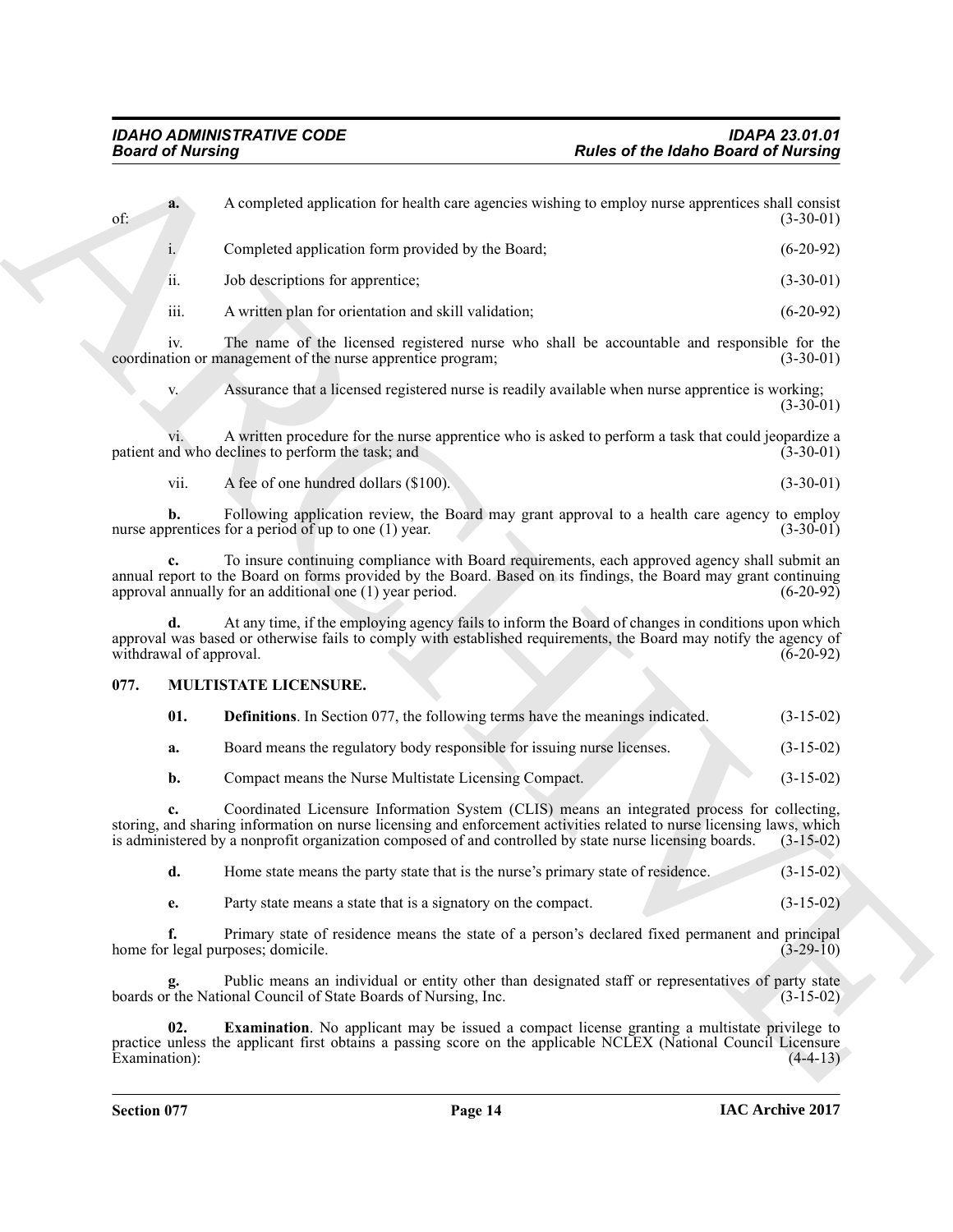| <b>Board of Nursing</b>       |                                                                                                                                                                                                                                                                                                                                 | <b>Rules of the Idaho Board of Nursing</b> |
|-------------------------------|---------------------------------------------------------------------------------------------------------------------------------------------------------------------------------------------------------------------------------------------------------------------------------------------------------------------------------|--------------------------------------------|
| a.<br>of:                     | A completed application for health care agencies wishing to employ nurse apprentices shall consist                                                                                                                                                                                                                              | $(3-30-01)$                                |
| 1.                            | Completed application form provided by the Board;                                                                                                                                                                                                                                                                               | $(6-20-92)$                                |
| ii.                           | Job descriptions for apprentice;                                                                                                                                                                                                                                                                                                | $(3-30-01)$                                |
| iii.                          | A written plan for orientation and skill validation;                                                                                                                                                                                                                                                                            | $(6-20-92)$                                |
| iv.                           | The name of the licensed registered nurse who shall be accountable and responsible for the<br>coordination or management of the nurse apprentice program;                                                                                                                                                                       | $(3-30-01)$                                |
| V.                            | Assurance that a licensed registered nurse is readily available when nurse apprentice is working;                                                                                                                                                                                                                               | $(3-30-01)$                                |
|                               | A written procedure for the nurse apprentice who is asked to perform a task that could jeopardize a<br>patient and who declines to perform the task; and                                                                                                                                                                        | $(3-30-01)$                                |
| vii.                          | A fee of one hundred dollars (\$100).                                                                                                                                                                                                                                                                                           | $(3-30-01)$                                |
| b.                            | Following application review, the Board may grant approval to a health care agency to employ<br>nurse apprentices for a period of up to one (1) year.                                                                                                                                                                           | $(3-30-01)$                                |
|                               | To insure continuing compliance with Board requirements, each approved agency shall submit an<br>annual report to the Board on forms provided by the Board. Based on its findings, the Board may grant continuing<br>approval annually for an additional one (1) year period.                                                   | $(6-20-92)$                                |
| d.<br>withdrawal of approval. | At any time, if the employing agency fails to inform the Board of changes in conditions upon which<br>approval was based or otherwise fails to comply with established requirements, the Board may notify the agency of                                                                                                         | $(6-20-92)$                                |
| 077.                          | MULTISTATE LICENSURE.                                                                                                                                                                                                                                                                                                           |                                            |
| 01.                           | <b>Definitions</b> . In Section 077, the following terms have the meanings indicated.                                                                                                                                                                                                                                           | $(3-15-02)$                                |
| a.                            | Board means the regulatory body responsible for issuing nurse licenses.                                                                                                                                                                                                                                                         | $(3-15-02)$                                |
| b.                            | Compact means the Nurse Multistate Licensing Compact.                                                                                                                                                                                                                                                                           | $(3-15-02)$                                |
|                               | Coordinated Licensure Information System (CLIS) means an integrated process for collecting,<br>storing, and sharing information on nurse licensing and enforcement activities related to nurse licensing laws, which<br>is administered by a nonprofit organization composed of and controlled by state nurse licensing boards. | $(3-15-02)$                                |
| d.                            | Home state means the party state that is the nurse's primary state of residence.                                                                                                                                                                                                                                                | $(3-15-02)$                                |
| e.                            | Party state means a state that is a signatory on the compact.                                                                                                                                                                                                                                                                   | $(3-15-02)$                                |
| f.                            | Primary state of residence means the state of a person's declared fixed permanent and principal<br>home for legal purposes; domicile.                                                                                                                                                                                           | $(3-29-10)$                                |
| g.                            | Public means an individual or entity other than designated staff or representatives of party state<br>boards or the National Council of State Boards of Nursing, Inc.                                                                                                                                                           | $(3-15-02)$                                |
| 02.                           | <b>Examination</b> . No applicant may be issued a compact license granting a multistate privilege to<br>practice unless the applicant first obtains a passing score on the applicable NCLEX (National Council Licensure                                                                                                         |                                            |

### <span id="page-13-0"></span>**077. MULTISTATE LICENSURE.**

<span id="page-13-3"></span><span id="page-13-2"></span><span id="page-13-1"></span>

| 01. | <b>Definitions</b> . In Section 077, the following terms have the meanings indicated. | $(3-15-02)$ |
|-----|---------------------------------------------------------------------------------------|-------------|
|     |                                                                                       |             |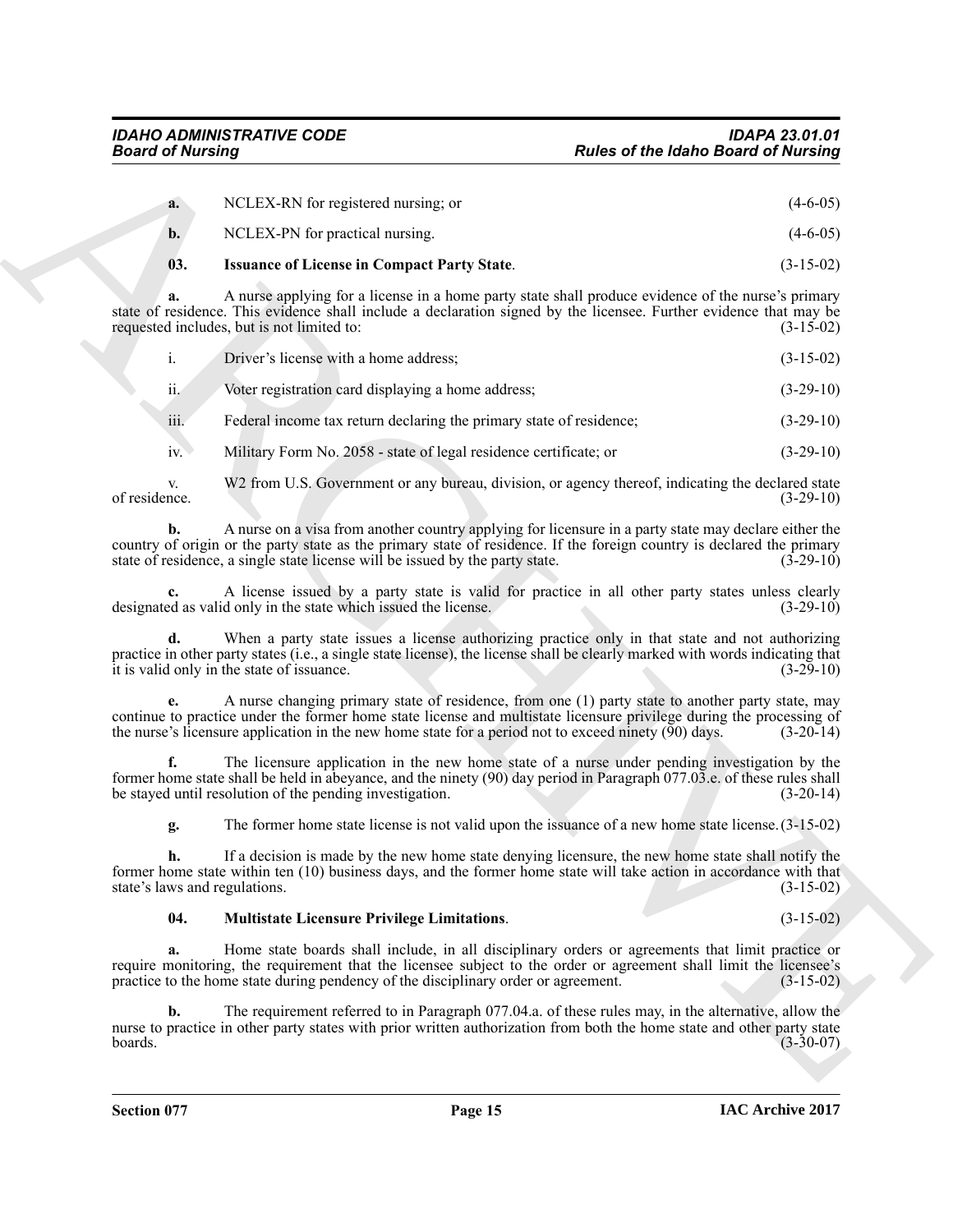<span id="page-14-0"></span>

| <b>Board of Nursing</b>                                        |                                                                                                                                                                                                                                                                                                                                     | <b>Rules of the Idaho Board of Nursing</b> |
|----------------------------------------------------------------|-------------------------------------------------------------------------------------------------------------------------------------------------------------------------------------------------------------------------------------------------------------------------------------------------------------------------------------|--------------------------------------------|
| a.                                                             | NCLEX-RN for registered nursing; or                                                                                                                                                                                                                                                                                                 | $(4-6-05)$                                 |
| $b$ .                                                          | NCLEX-PN for practical nursing.                                                                                                                                                                                                                                                                                                     | $(4-6-05)$                                 |
| 03.                                                            | <b>Issuance of License in Compact Party State.</b>                                                                                                                                                                                                                                                                                  | $(3-15-02)$                                |
| a.<br>requested includes, but is not limited to:               | A nurse applying for a license in a home party state shall produce evidence of the nurse's primary<br>state of residence. This evidence shall include a declaration signed by the licensee. Further evidence that may be                                                                                                            | $(3-15-02)$                                |
| $\mathbf{i}$ .                                                 | Driver's license with a home address;                                                                                                                                                                                                                                                                                               | $(3-15-02)$                                |
| ii.                                                            | Voter registration card displaying a home address;                                                                                                                                                                                                                                                                                  | $(3-29-10)$                                |
| iii.                                                           | Federal income tax return declaring the primary state of residence;                                                                                                                                                                                                                                                                 | $(3-29-10)$                                |
| iv.                                                            | Military Form No. 2058 - state of legal residence certificate; or                                                                                                                                                                                                                                                                   | $(3-29-10)$                                |
| V.<br>of residence.                                            | W2 from U.S. Government or any bureau, division, or agency thereof, indicating the declared state                                                                                                                                                                                                                                   | $(3-29-10)$                                |
| b.                                                             | A nurse on a visa from another country applying for licensure in a party state may declare either the<br>country of origin or the party state as the primary state of residence. If the foreign country is declared the primary<br>state of residence, a single state license will be issued by the party state.                    | $(3-29-10)$                                |
|                                                                | A license issued by a party state is valid for practice in all other party states unless clearly<br>designated as valid only in the state which issued the license.                                                                                                                                                                 | $(3-29-10)$                                |
| it is valid only in the state of issuance.                     | When a party state issues a license authorizing practice only in that state and not authorizing<br>practice in other party states (i.e., a single state license), the license shall be clearly marked with words indicating that                                                                                                    | $(3-29-10)$                                |
|                                                                | A nurse changing primary state of residence, from one (1) party state to another party state, may<br>continue to practice under the former home state license and multistate licensure privilege during the processing of<br>the nurse's licensure application in the new home state for a period not to exceed ninety $(90)$ days. | $(3-20-14)$                                |
| f.<br>be stayed until resolution of the pending investigation. | The licensure application in the new home state of a nurse under pending investigation by the<br>former home state shall be held in abeyance, and the ninety (90) day period in Paragraph 077.03 e. of these rules shall                                                                                                            | $(3-20-14)$                                |
| g.                                                             | The former home state license is not valid upon the issuance of a new home state license. $(3-15-02)$                                                                                                                                                                                                                               |                                            |
| h.<br>state's laws and regulations.                            | If a decision is made by the new home state denying licensure, the new home state shall notify the<br>former home state within ten (10) business days, and the former home state will take action in accordance with that                                                                                                           | $(3-15-02)$                                |
| 04.                                                            | <b>Multistate Licensure Privilege Limitations.</b>                                                                                                                                                                                                                                                                                  | $(3-15-02)$                                |
| a.                                                             | Home state boards shall include, in all disciplinary orders or agreements that limit practice or<br>require monitoring, the requirement that the licensee subject to the order or agreement shall limit the licensee's<br>practice to the home state during pendency of the disciplinary order or agreement.                        | $(3-15-02)$                                |
| b.<br>boards.                                                  | The requirement referred to in Paragraph 077.04.a. of these rules may, in the alternative, allow the<br>nurse to practice in other party states with prior written authorization from both the home state and other party state                                                                                                     | $(3-30-07)$                                |
|                                                                |                                                                                                                                                                                                                                                                                                                                     |                                            |

### <span id="page-14-1"></span>**04. Multistate Licensure Privilege Limitations**. (3-15-02)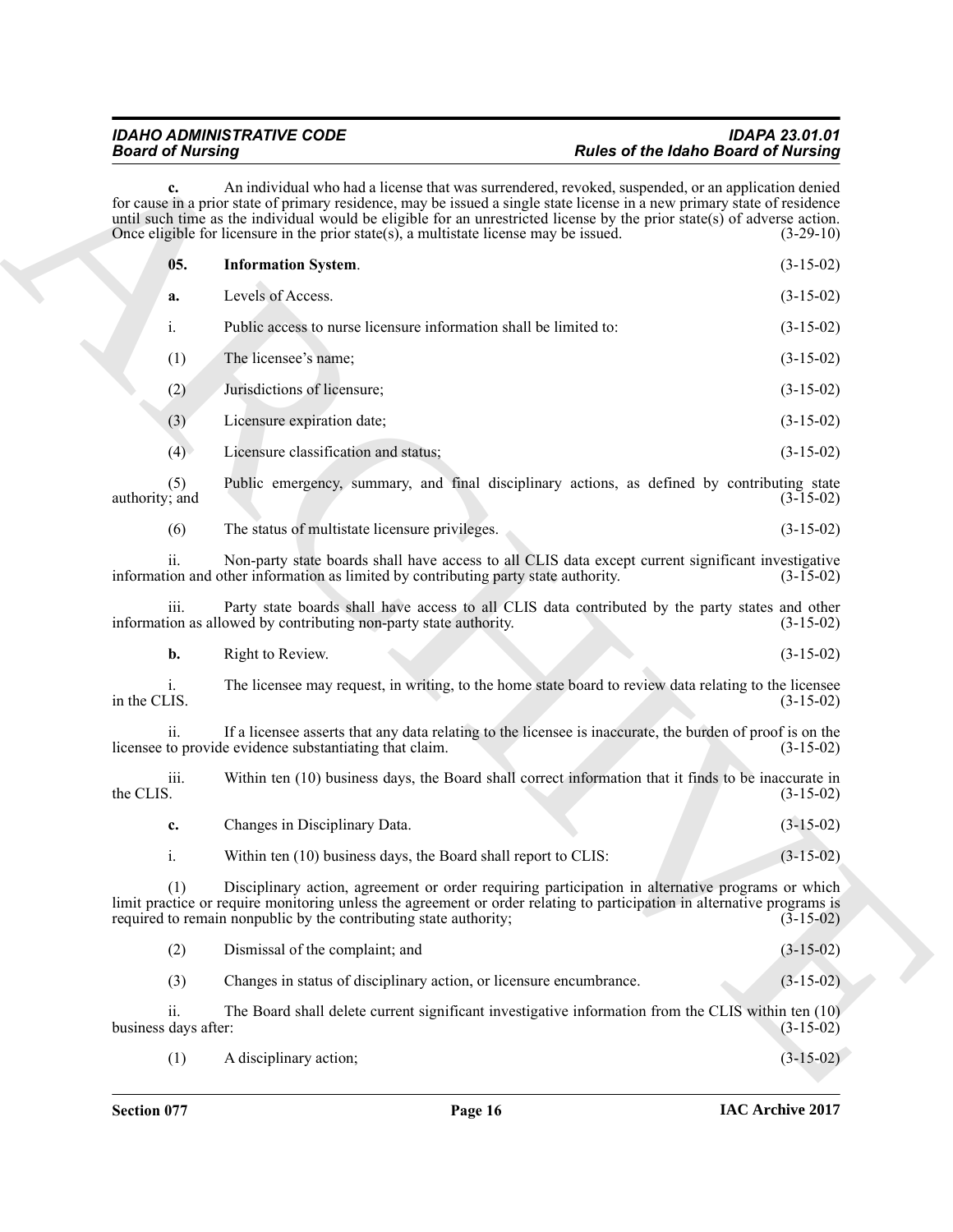<span id="page-15-0"></span>

|           | <b>Board of Nursing</b>                            |                                                                                                                                                                                                                                                                                                                                                                                                                                                           | <b>Rules of the Idaho Board of Nursing</b> |
|-----------|----------------------------------------------------|-----------------------------------------------------------------------------------------------------------------------------------------------------------------------------------------------------------------------------------------------------------------------------------------------------------------------------------------------------------------------------------------------------------------------------------------------------------|--------------------------------------------|
|           |                                                    | An individual who had a license that was surrendered, revoked, suspended, or an application denied<br>for cause in a prior state of primary residence, may be issued a single state license in a new primary state of residence<br>until such time as the individual would be eligible for an unrestricted license by the prior state(s) of adverse action.<br>Once eligible for licensure in the prior state $(s)$ , a multistate license may be issued. | $(3-29-10)$                                |
|           | 05.                                                | <b>Information System.</b>                                                                                                                                                                                                                                                                                                                                                                                                                                | $(3-15-02)$                                |
|           | a.                                                 | Levels of Access.                                                                                                                                                                                                                                                                                                                                                                                                                                         | $(3-15-02)$                                |
|           | i.                                                 | Public access to nurse licensure information shall be limited to:                                                                                                                                                                                                                                                                                                                                                                                         | $(3-15-02)$                                |
|           | (1)                                                | The licensee's name;                                                                                                                                                                                                                                                                                                                                                                                                                                      | $(3-15-02)$                                |
|           | (2)                                                | Jurisdictions of licensure;                                                                                                                                                                                                                                                                                                                                                                                                                               | $(3-15-02)$                                |
|           | (3)                                                | Licensure expiration date;                                                                                                                                                                                                                                                                                                                                                                                                                                | $(3-15-02)$                                |
|           | (4)                                                | Licensure classification and status;                                                                                                                                                                                                                                                                                                                                                                                                                      | $(3-15-02)$                                |
|           | (5)<br>authority; and                              | Public emergency, summary, and final disciplinary actions, as defined by contributing state                                                                                                                                                                                                                                                                                                                                                               | $(3-15-02)$                                |
|           | (6)                                                | The status of multistate licensure privileges.                                                                                                                                                                                                                                                                                                                                                                                                            | $(3-15-02)$                                |
|           | $\overline{\mathbf{11}}$ .                         | Non-party state boards shall have access to all CLIS data except current significant investigative<br>information and other information as limited by contributing party state authority.                                                                                                                                                                                                                                                                 | $(3-15-02)$                                |
|           | <i>iii.</i>                                        | Party state boards shall have access to all CLIS data contributed by the party states and other<br>information as allowed by contributing non-party state authority.                                                                                                                                                                                                                                                                                      | $(3-15-02)$                                |
|           | b.                                                 | Right to Review.                                                                                                                                                                                                                                                                                                                                                                                                                                          | $(3-15-02)$                                |
|           | 1.<br>in the CLIS.                                 | The licensee may request, in writing, to the home state board to review data relating to the licensee                                                                                                                                                                                                                                                                                                                                                     | $(3-15-02)$                                |
|           | 11.                                                | If a licensee asserts that any data relating to the licensee is inaccurate, the burden of proof is on the<br>licensee to provide evidence substantiating that claim.                                                                                                                                                                                                                                                                                      | $(3-15-02)$                                |
| the CLIS. | iii.                                               | Within ten (10) business days, the Board shall correct information that it finds to be inaccurate in                                                                                                                                                                                                                                                                                                                                                      | $(3-15-02)$                                |
|           | c.                                                 | Changes in Disciplinary Data.                                                                                                                                                                                                                                                                                                                                                                                                                             | $(3-15-02)$                                |
|           | $i$ .                                              | Within ten (10) business days, the Board shall report to CLIS:                                                                                                                                                                                                                                                                                                                                                                                            | $(3-15-02)$                                |
|           | (1)                                                | Disciplinary action, agreement or order requiring participation in alternative programs or which<br>limit practice or require monitoring unless the agreement or order relating to participation in alternative programs is<br>required to remain nonpublic by the contributing state authority;                                                                                                                                                          | $(3-15-02)$                                |
|           | (2)                                                | Dismissal of the complaint; and                                                                                                                                                                                                                                                                                                                                                                                                                           | $(3-15-02)$                                |
|           | (3)                                                | Changes in status of disciplinary action, or licensure encumbrance.                                                                                                                                                                                                                                                                                                                                                                                       | $(3-15-02)$                                |
|           | $\overline{\mathbf{11}}$ .<br>business days after: | The Board shall delete current significant investigative information from the CLIS within ten (10)                                                                                                                                                                                                                                                                                                                                                        | $(3-15-02)$                                |
|           | (1)                                                | A disciplinary action;                                                                                                                                                                                                                                                                                                                                                                                                                                    | $(3-15-02)$                                |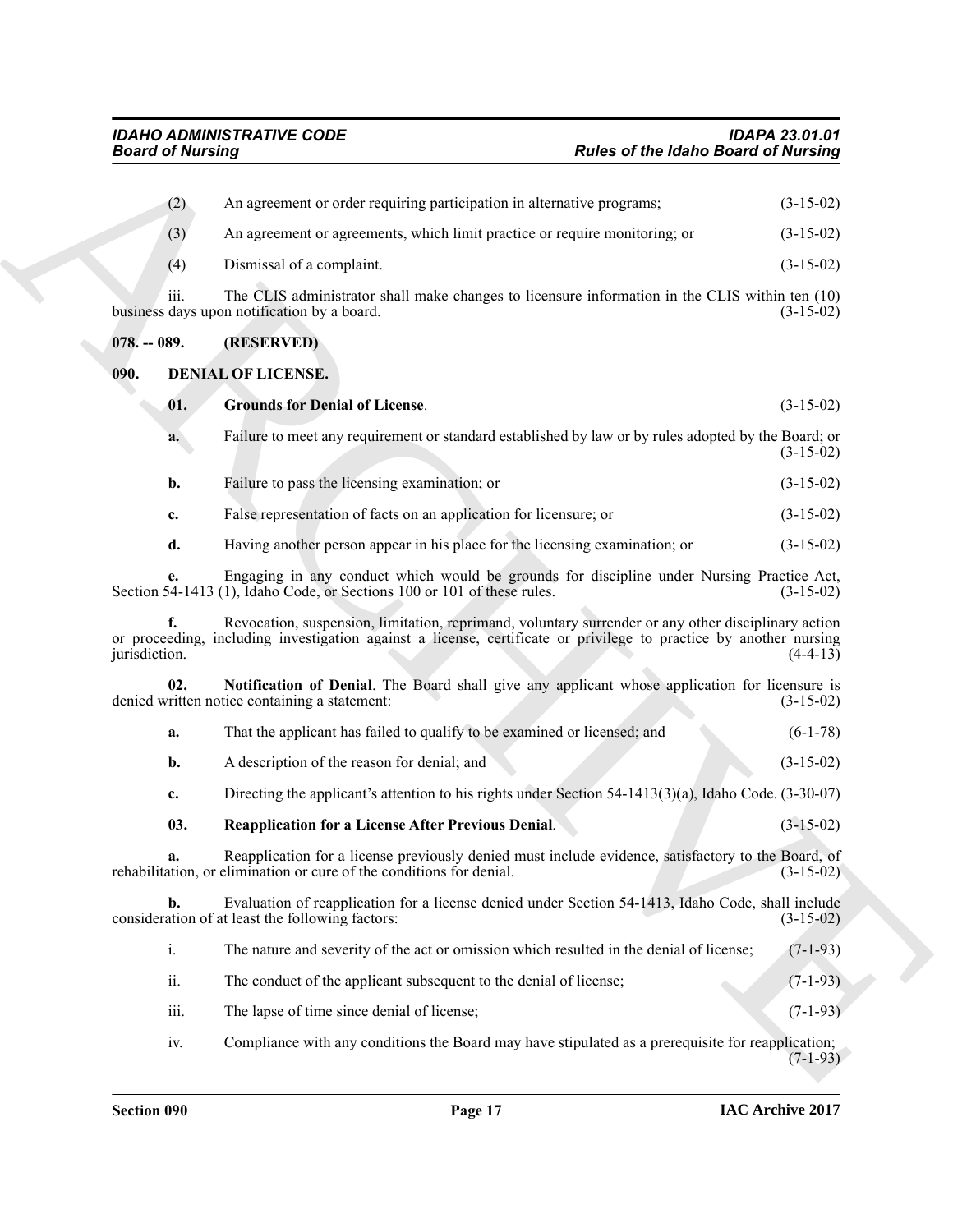<span id="page-16-5"></span><span id="page-16-4"></span><span id="page-16-3"></span><span id="page-16-2"></span><span id="page-16-1"></span><span id="page-16-0"></span>

| <b>Board of Nursing</b> |                                                                                                                                                                                                                          | Rules of the Idaho Board of Nursing |
|-------------------------|--------------------------------------------------------------------------------------------------------------------------------------------------------------------------------------------------------------------------|-------------------------------------|
| (2)                     | An agreement or order requiring participation in alternative programs;                                                                                                                                                   | $(3-15-02)$                         |
| (3)                     | An agreement or agreements, which limit practice or require monitoring; or                                                                                                                                               | $(3-15-02)$                         |
| (4)                     | Dismissal of a complaint.                                                                                                                                                                                                | $(3-15-02)$                         |
| iii.                    | The CLIS administrator shall make changes to licensure information in the CLIS within ten (10)<br>business days upon notification by a board.                                                                            | $(3-15-02)$                         |
| $078. - 089.$           | (RESERVED)                                                                                                                                                                                                               |                                     |
| 090.                    | <b>DENIAL OF LICENSE.</b>                                                                                                                                                                                                |                                     |
| 01.                     | <b>Grounds for Denial of License.</b>                                                                                                                                                                                    | $(3-15-02)$                         |
| a.                      | Failure to meet any requirement or standard established by law or by rules adopted by the Board; or                                                                                                                      | $(3-15-02)$                         |
| b.                      | Failure to pass the licensing examination; or                                                                                                                                                                            | $(3-15-02)$                         |
| c.                      | False representation of facts on an application for licensure; or                                                                                                                                                        | $(3-15-02)$                         |
| d.                      | Having another person appear in his place for the licensing examination; or                                                                                                                                              | $(3-15-02)$                         |
| e.                      | Engaging in any conduct which would be grounds for discipline under Nursing Practice Act,<br>Section 54-1413 (1), Idaho Code, or Sections 100 or 101 of these rules.                                                     | $(3-15-02)$                         |
| f.<br>jurisdiction.     | Revocation, suspension, limitation, reprimand, voluntary surrender or any other disciplinary action<br>or proceeding, including investigation against a license, certificate or privilege to practice by another nursing | $(4-4-13)$                          |
| 02.                     | Notification of Denial. The Board shall give any applicant whose application for licensure is<br>denied written notice containing a statement:                                                                           | $(3-15-02)$                         |
| a.                      | That the applicant has failed to qualify to be examined or licensed; and                                                                                                                                                 | $(6-1-78)$                          |
| b.                      | A description of the reason for denial; and                                                                                                                                                                              | $(3-15-02)$                         |
| c.                      | Directing the applicant's attention to his rights under Section $54-1413(3)(a)$ , Idaho Code. (3-30-07)                                                                                                                  |                                     |
| 03.                     | <b>Reapplication for a License After Previous Denial.</b>                                                                                                                                                                | $(3-15-02)$                         |
| a.                      | Reapplication for a license previously denied must include evidence, satisfactory to the Board, of<br>rehabilitation, or elimination or cure of the conditions for denial.                                               | $(3-15-02)$                         |
| $\mathbf{b}$ .          | Evaluation of reapplication for a license denied under Section 54-1413, Idaho Code, shall include<br>consideration of at least the following factors:                                                                    | $(3-15-02)$                         |
| $\mathbf{i}$ .          | The nature and severity of the act or omission which resulted in the denial of license;                                                                                                                                  | $(7-1-93)$                          |
| ii.                     | The conduct of the applicant subsequent to the denial of license;                                                                                                                                                        | $(7-1-93)$                          |
| iii.                    | The lapse of time since denial of license;                                                                                                                                                                               | $(7-1-93)$                          |
|                         | Compliance with any conditions the Board may have stipulated as a prerequisite for reapplication;                                                                                                                        |                                     |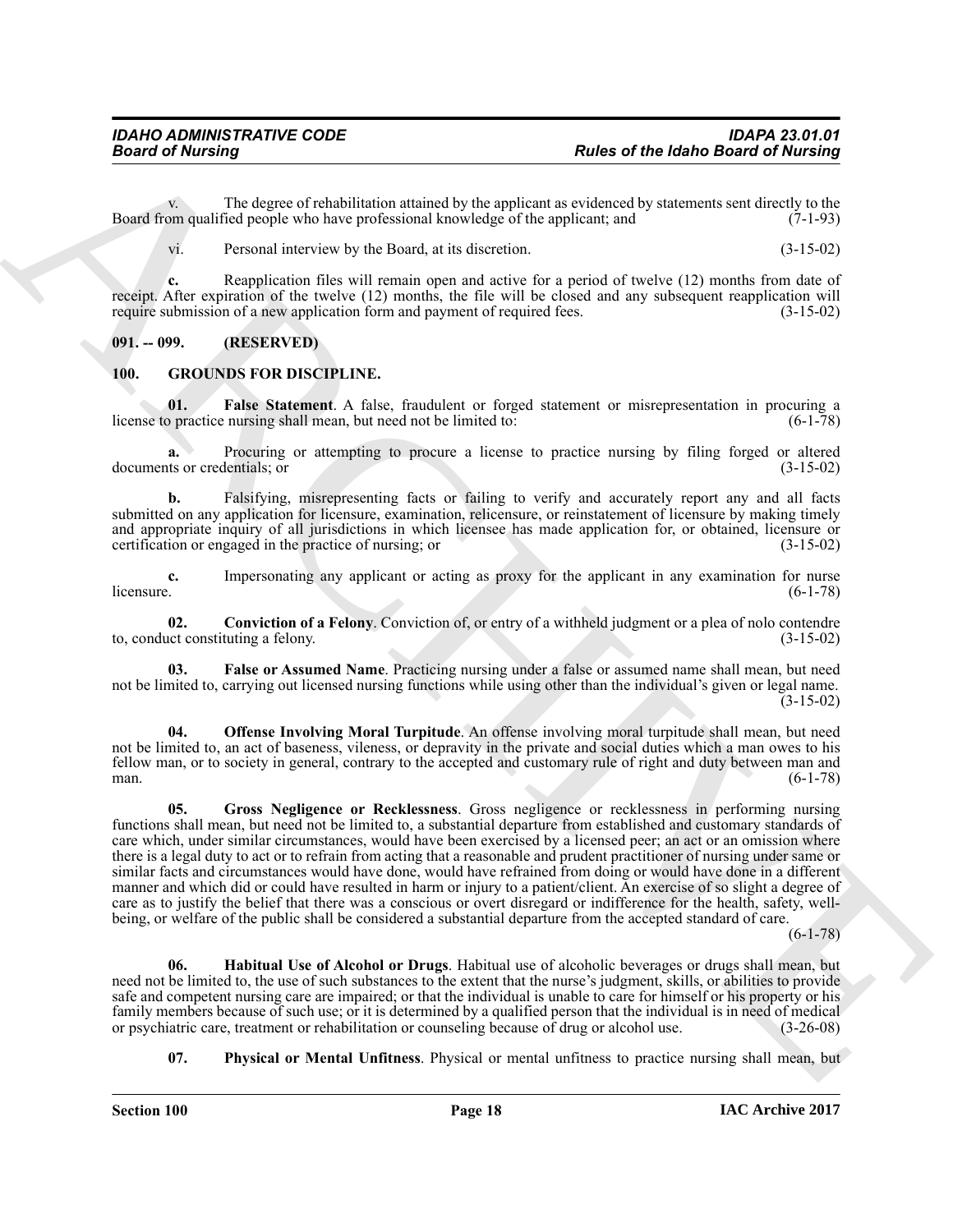v. The degree of rehabilitation attained by the applicant as evidenced by statements sent directly to the opplicant and (7-1-93) Board from qualified people who have professional knowledge of the applicant; and

vi. Personal interview by the Board, at its discretion. (3-15-02)

**c.** Reapplication files will remain open and active for a period of twelve (12) months from date of receipt. After expiration of the twelve (12) months, the file will be closed and any subsequent reapplication will require submission of a new application form and payment of required fees. (3-15-02)

### <span id="page-17-0"></span>**091. -- 099. (RESERVED)**

### <span id="page-17-2"></span><span id="page-17-1"></span>**100. GROUNDS FOR DISCIPLINE.**

<span id="page-17-5"></span>**01. False Statement**. A false, fraudulent or forged statement or misrepresentation in procuring a practice nursing shall mean, but need not be limited to: (6-1-78) license to practice nursing shall mean, but need not be limited to:

**a.** Procuring or attempting to procure a license to practice nursing by filing forged or altered documents or credentials; or (3-15-02)

**b.** Falsifying, misrepresenting facts or failing to verify and accurately report any and all facts submitted on any application for licensure, examination, relicensure, or reinstatement of licensure by making timely and appropriate inquiry of all jurisdictions in which licensee has made application for, or obtained, licensure or certification or engaged in the practice of nursing; or (3-15-02) certification or engaged in the practice of nursing; or

**c.** Impersonating any applicant or acting as proxy for the applicant in any examination for nurse licensure. (6-1-78)  $l$ icensure.  $(6-1-78)$ 

<span id="page-17-3"></span>**02. Conviction of a Felony**. Conviction of, or entry of a withheld judgment or a plea of nolo contendre intertional constituting a felony. (3-15-02) to, conduct constituting a felony.

<span id="page-17-4"></span>**03. False or Assumed Name**. Practicing nursing under a false or assumed name shall mean, but need not be limited to, carrying out licensed nursing functions while using other than the individual's given or legal name. (3-15-02)

<span id="page-17-8"></span><span id="page-17-6"></span>**04. Offense Involving Moral Turpitude**. An offense involving moral turpitude shall mean, but need not be limited to, an act of baseness, vileness, or depravity in the private and social duties which a man owes to his fellow man, or to society in general, contrary to the accepted and customary rule of right and duty between man and man.  $(6-1-78)$ 

**Passes of the latino Bioard of Nutrings**<br> **Passes of the latino Bioard of Nutrings**<br>
The dispersistent of external term is the dispersistent of external term is the contribution of the state of the state of the state of **05. Gross Negligence or Recklessness**. Gross negligence or recklessness in performing nursing functions shall mean, but need not be limited to, a substantial departure from established and customary standards of care which, under similar circumstances, would have been exercised by a licensed peer; an act or an omission where there is a legal duty to act or to refrain from acting that a reasonable and prudent practitioner of nursing under same or similar facts and circumstances would have done, would have refrained from doing or would have done in a different manner and which did or could have resulted in harm or injury to a patient/client. An exercise of so slight a degree of care as to justify the belief that there was a conscious or overt disregard or indifference for the health, safety, wellbeing, or welfare of the public shall be considered a substantial departure from the accepted standard of care.

(6-1-78)

<span id="page-17-7"></span>**06. Habitual Use of Alcohol or Drugs**. Habitual use of alcoholic beverages or drugs shall mean, but need not be limited to, the use of such substances to the extent that the nurse's judgment, skills, or abilities to provide safe and competent nursing care are impaired; or that the individual is unable to care for himself or his property or his family members because of such use; or it is determined by a qualified person that the individual is in need of medical or psychiatric care, treatment or rehabilitation or counseling because of drug or alcohol use. (3-26-0 or psychiatric care, treatment or rehabilitation or counseling because of drug or alcohol use.

<span id="page-17-9"></span>**07. Physical or Mental Unfitness**. Physical or mental unfitness to practice nursing shall mean, but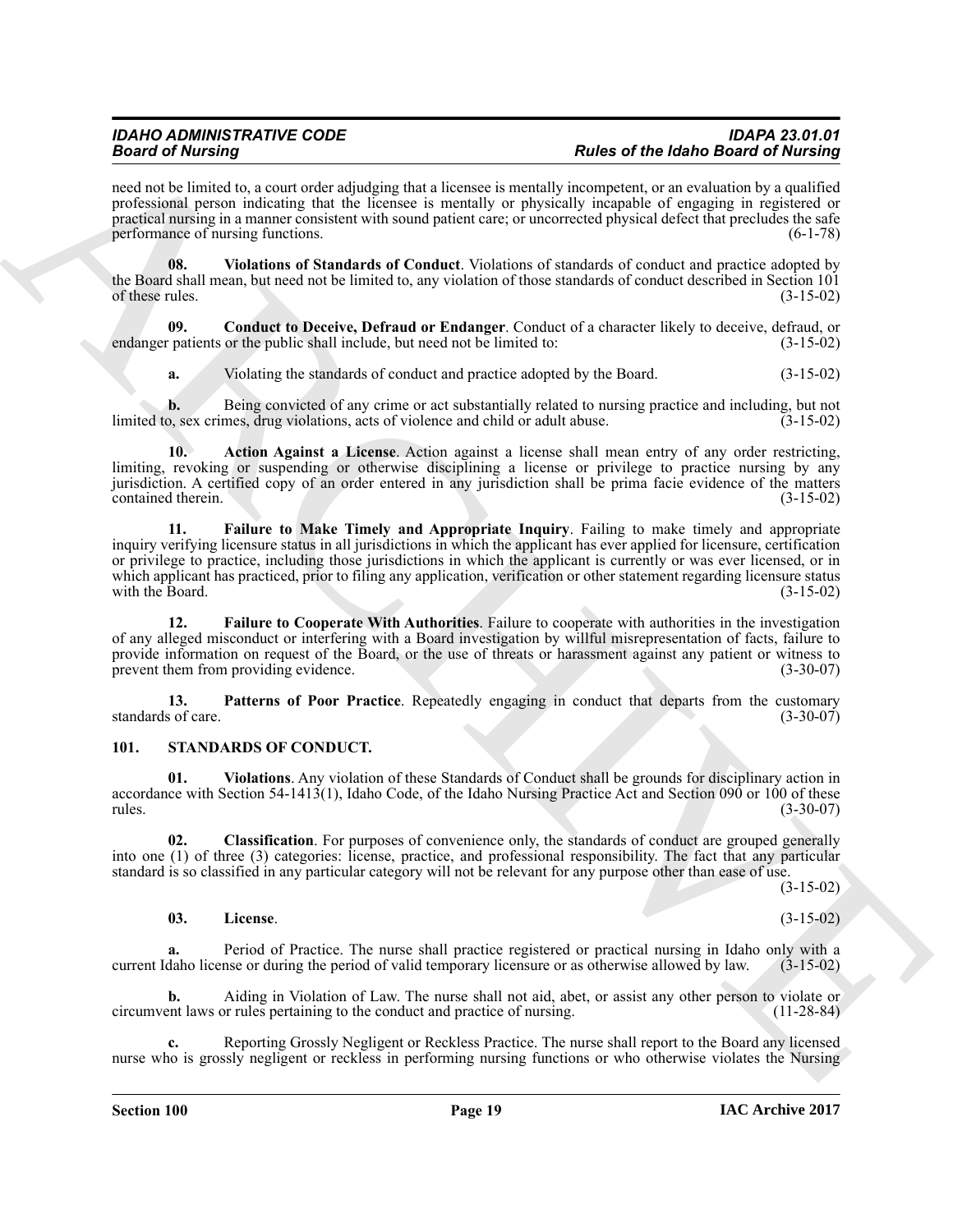need not be limited to, a court order adjudging that a licensee is mentally incompetent, or an evaluation by a qualified professional person indicating that the licensee is mentally or physically incapable of engaging in registered or practical nursing in a manner consistent with sound patient care; or uncorrected physical defect that precludes the safe<br>performance of nursing functions. performance of nursing functions.

<span id="page-18-6"></span>**08. Violations of Standards of Conduct**. Violations of standards of conduct and practice adopted by the Board shall mean, but need not be limited to, any violation of those standards of conduct described in Section 101<br>of these rules. (3-15-02) of these rules.  $(3-15-02)$ 

**09.** Conduct to Deceive, Defraud or Endanger. Conduct of a character likely to deceive, defraud, or patients or the public shall include, but need not be limited to: (3-15-02) endanger patients or the public shall include, but need not be limited to:

<span id="page-18-2"></span><span id="page-18-1"></span>**a.** Violating the standards of conduct and practice adopted by the Board. (3-15-02)

**b.** Being convicted of any crime or act substantially related to nursing practice and including, but not o, sex crimes, drug violations, acts of violence and child or adult abuse. (3-15-02) limited to, sex crimes, drug violations, acts of violence and child or adult abuse.

<span id="page-18-4"></span>**10. Action Against a License**. Action against a license shall mean entry of any order restricting, limiting, revoking or suspending or otherwise disciplining a license or privilege to practice nursing by any jurisdiction. A certified copy of an order entered in any jurisdiction shall be prima facie evidence of the matters contained therein.

Beach of Marchine and the the state defining the chemical Research associates and the Marchine Beach of Marchine and the Marchine and the Marchine and the State of Marchine and the State of Marchine and the State of March **11. Failure to Make Timely and Appropriate Inquiry**. Failing to make timely and appropriate inquiry verifying licensure status in all jurisdictions in which the applicant has ever applied for licensure, certification or privilege to practice, including those jurisdictions in which the applicant is currently or was ever licensed, or in which applicant has practiced, prior to filing any application, verification or other statement regarding licensure status with the Board. (3-15-02) with the Board.

<span id="page-18-3"></span>**12. Failure to Cooperate With Authorities**. Failure to cooperate with authorities in the investigation of any alleged misconduct or interfering with a Board investigation by willful misrepresentation of facts, failure to provide information on request of the Board, or the use of threats or harassment against any patient or witness to prevent them from providing evidence. prevent them from providing evidence.

<span id="page-18-5"></span>**13.** Patterns of Poor Practice. Repeatedly engaging in conduct that departs from the customary s of care. (3-30-07) standards of care.

### <span id="page-18-10"></span><span id="page-18-7"></span><span id="page-18-0"></span>**101. STANDARDS OF CONDUCT.**

**01. Violations**. Any violation of these Standards of Conduct shall be grounds for disciplinary action in accordance with Section 54-1413(1), Idaho Code, of the Idaho Nursing Practice Act and Section 090 or 100 of these rules.  $(3-30-07)$  $r_{\text{rules}}$  (3-30-07)

**02. Classification**. For purposes of convenience only, the standards of conduct are grouped generally into one (1) of three (3) categories: license, practice, and professional responsibility. The fact that any particular standard is so classified in any particular category will not be relevant for any purpose other than ease of use.

(3-15-02)

### <span id="page-18-9"></span><span id="page-18-8"></span>**03. License**. (3-15-02)

**a.** Period of Practice. The nurse shall practice registered or practical nursing in Idaho only with a daho license or during the period of valid temporary licensure or as otherwise allowed by law. (3-15-02) current Idaho license or during the period of valid temporary licensure or as otherwise allowed by law.

**b.** Aiding in Violation of Law. The nurse shall not aid, abet, or assist any other person to violate or entil laws or rules pertaining to the conduct and practice of nursing. (11-28-84) circumvent laws or rules pertaining to the conduct and practice of nursing.

**c.** Reporting Grossly Negligent or Reckless Practice. The nurse shall report to the Board any licensed nurse who is grossly negligent or reckless in performing nursing functions or who otherwise violates the Nursing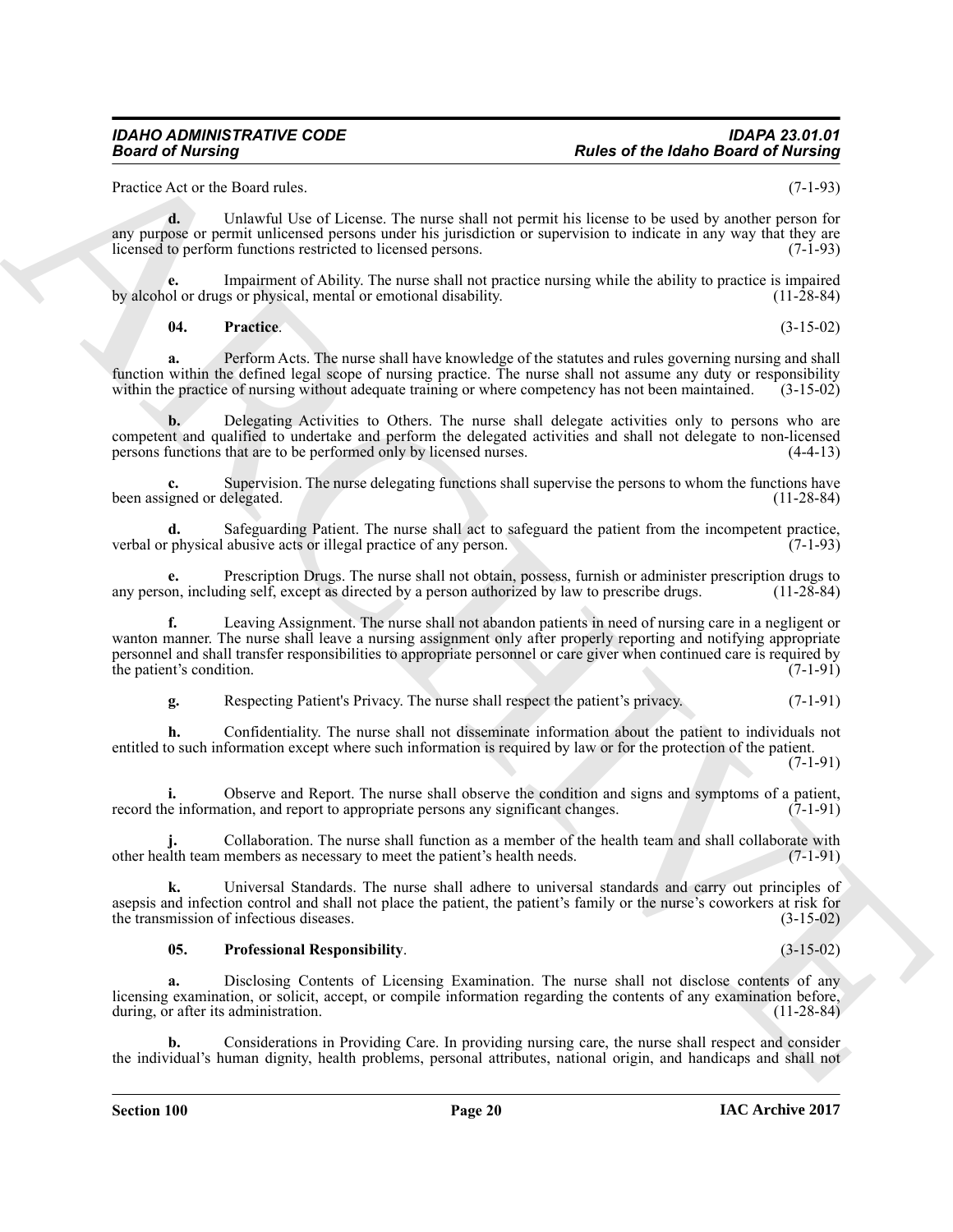Practice Act or the Board rules. (7-1-93)

**d.** Unlawful Use of License. The nurse shall not permit his license to be used by another person for any purpose or permit unlicensed persons under his jurisdiction or supervision to indicate in any way that they are licensed to perform functions restricted to licensed persons. (7-1-93)

Impairment of Ability. The nurse shall not practice nursing while the ability to practice is impaired<br>gs or physical, mental or emotional disability. (11-28-84) by alcohol or drugs or physical, mental or emotional disability.

<span id="page-19-0"></span>**04. Practice**. (3-15-02)

**a.** Perform Acts. The nurse shall have knowledge of the statutes and rules governing nursing and shall function within the defined legal scope of nursing practice. The nurse shall not assume any duty or responsibility within the practice of nursing without adequate training or where competency has not been maintained. (3-15 within the practice of nursing without adequate training or where competency has not been maintained.

**b.** Delegating Activities to Others. The nurse shall delegate activities only to persons who are competent and qualified to undertake and perform the delegated activities and shall not delegate to non-licensed<br>persons functions that are to be performed only by licensed nurses. (4-4-13) persons functions that are to be performed only by licensed nurses.

Supervision. The nurse delegating functions shall supervise the persons to whom the functions have delegated. (11-28-84) been assigned or delegated.

**d.** Safeguarding Patient. The nurse shall act to safeguard the patient from the incompetent practice, physical abusive acts or illegal practice of any person. (7-1-93) verbal or physical abusive acts or illegal practice of any person.

**e.** Prescription Drugs. The nurse shall not obtain, possess, furnish or administer prescription drugs to on, including self, except as directed by a person authorized by law to prescribe drugs. (11-28-84) any person, including self, except as directed by a person authorized by law to prescribe drugs.

**Passe of the labor distribution**<br> **Passe of the labor distribution**<br>
Passe of the labor distribution of the state of the state of the state of the state of the labor distribution of the state of the state of the state of **f.** Leaving Assignment. The nurse shall not abandon patients in need of nursing care in a negligent or wanton manner. The nurse shall leave a nursing assignment only after properly reporting and notifying appropriate personnel and shall transfer responsibilities to appropriate personnel or care giver when continued care is required by the patient's condition. (7-1-91) the patient's condition.

**g.** Respecting Patient's Privacy. The nurse shall respect the patient's privacy. (7-1-91)

**h.** Confidentiality. The nurse shall not disseminate information about the patient to individuals not entitled to such information except where such information is required by law or for the protection of the patient. (7-1-91)

**i.** Observe and Report. The nurse shall observe the condition and signs and symptoms of a patient, e information, and report to appropriate persons any significant changes. (7-1-91) record the information, and report to appropriate persons any significant changes.

Collaboration. The nurse shall function as a member of the health team and shall collaborate with members as necessary to meet the patient's health needs. (7-1-91) other health team members as necessary to meet the patient's health needs.

**k.** Universal Standards. The nurse shall adhere to universal standards and carry out principles of asepsis and infection control and shall not place the patient, the patient's family or the nurse's coworkers at risk for the transmission of infectious diseases. (3-15-02)

### <span id="page-19-1"></span>**05. Professional Responsibility**. (3-15-02)

**a.** Disclosing Contents of Licensing Examination. The nurse shall not disclose contents of any licensing examination, or solicit, accept, or compile information regarding the contents of any examination before, during, or after its administration. (11-28-84)

**b.** Considerations in Providing Care. In providing nursing care, the nurse shall respect and consider the individual's human dignity, health problems, personal attributes, national origin, and handicaps and shall not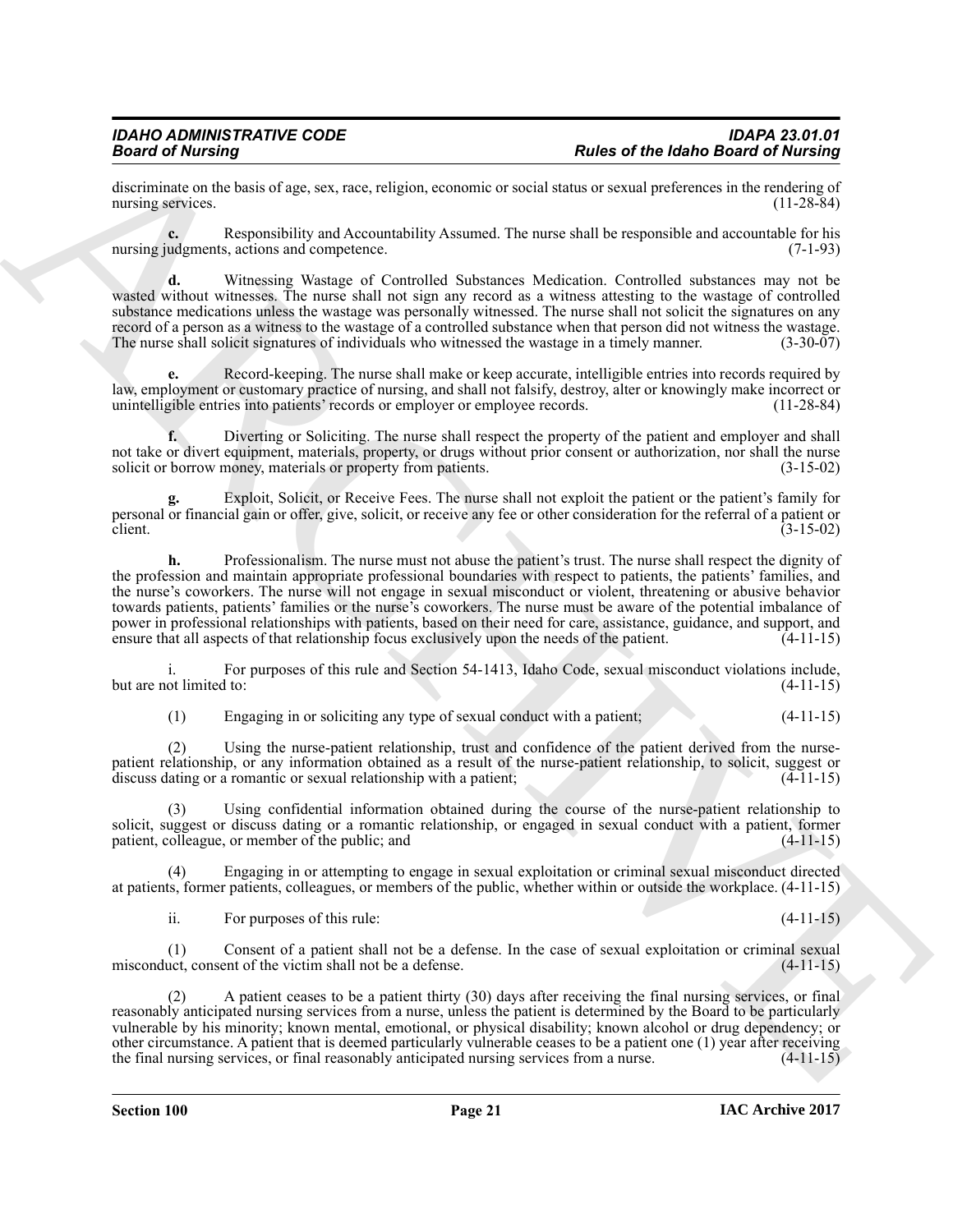discriminate on the basis of age, sex, race, religion, economic or social status or sexual preferences in the rendering of nursing services. (11-28-84) nursing services.

**c.** Responsibility and Accountability Assumed. The nurse shall be responsible and accountable for his nursing judgments, actions and competence. (7-1-93)

**d.** Witnessing Wastage of Controlled Substances Medication. Controlled substances may not be wasted without witnesses. The nurse shall not sign any record as a witness attesting to the wastage of controlled substance medications unless the wastage was personally witnessed. The nurse shall not solicit the signatures on any record of a person as a witness to the wastage of a controlled substance when that person did not witness the wastage.<br>The nurse shall solicit signatures of individuals who witnessed the wastage in a timely manner. (3-30-0 The nurse shall solicit signatures of individuals who witnessed the wastage in a timely manner.

**e.** Record-keeping. The nurse shall make or keep accurate, intelligible entries into records required by law, employment or customary practice of nursing, and shall not falsify, destroy, alter or knowingly make incorrect or unintelligible entries into patients' records or employer or employee records. (11-28-84)

**f.** Diverting or Soliciting. The nurse shall respect the property of the patient and employer and shall not take or divert equipment, materials, property, or drugs without prior consent or authorization, nor shall the nurse solicit or borrow money, materials or property from patients. (3-15-02)

**g.** Exploit, Solicit, or Receive Fees. The nurse shall not exploit the patient or the patient's family for personal or financial gain or offer, give, solicit, or receive any fee or other consideration for the referral of a patient or client.  $(3-15-02)$ 

Beats of the Idabe Based of Neuron Beats of the Idabe Based of Neuron Beats of Neuron Beats of Neuron Beats of Neuron Beats of Neuron Beats of Neuron Beats of Neuron Beats of Neuron Beats of Neuron Beats of Neuron Beats o **h.** Professionalism. The nurse must not abuse the patient's trust. The nurse shall respect the dignity of the profession and maintain appropriate professional boundaries with respect to patients, the patients' families, and the nurse's coworkers. The nurse will not engage in sexual misconduct or violent, threatening or abusive behavior towards patients, patients' families or the nurse's coworkers. The nurse must be aware of the potential imbalance of power in professional relationships with patients, based on their need for care, assistance, guidance, and support, and ensure that all aspects of that relationship focus exclusively upon the needs of the patient. (4-11-15 ensure that all aspects of that relationship focus exclusively upon the needs of the patient.

i. For purposes of this rule and Section 54-1413, Idaho Code, sexual misconduct violations include, but are not limited to:

(1) Engaging in or soliciting any type of sexual conduct with a patient; (4-11-15)

(2) Using the nurse-patient relationship, trust and confidence of the patient derived from the nursepatient relationship, or any information obtained as a result of the nurse-patient relationship, to solicit, suggest or discuss dating or a romantic or sexual relationship with a patient; (4-11-15)

(3) Using confidential information obtained during the course of the nurse-patient relationship to solicit, suggest or discuss dating or a romantic relationship, or engaged in sexual conduct with a patient, former patient, colleague, or member of the public; and (4-11-15)

(4) Engaging in or attempting to engage in sexual exploitation or criminal sexual misconduct directed at patients, former patients, colleagues, or members of the public, whether within or outside the workplace. (4-11-15)

ii. For purposes of this rule: (4-11-15)

(1) Consent of a patient shall not be a defense. In the case of sexual exploitation or criminal sexual misconduct, consent of the victim shall not be a defense.

(2) A patient ceases to be a patient thirty (30) days after receiving the final nursing services, or final reasonably anticipated nursing services from a nurse, unless the patient is determined by the Board to be particularly vulnerable by his minority; known mental, emotional, or physical disability; known alcohol or drug dependency; or other circumstance. A patient that is deemed particularly vulnerable ceases to be a patient one (1) year after receiving the final nursing services, or final reasonably anticipated nursing services from a nurse.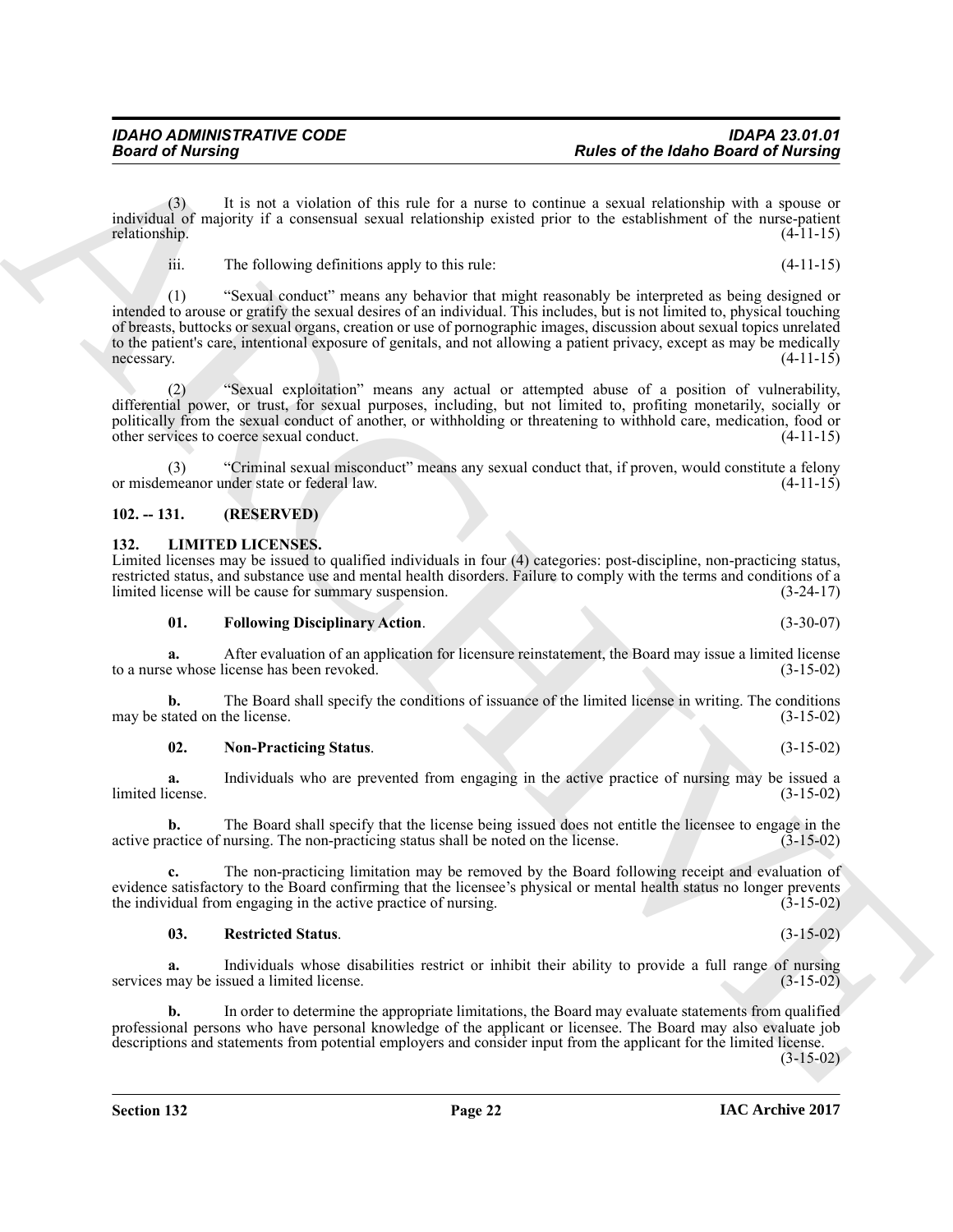## <span id="page-21-0"></span>**102. -- 131. (RESERVED)**

### <span id="page-21-2"></span><span id="page-21-1"></span>**132. LIMITED LICENSES.**

Limited licenses may be issued to qualified individuals in four (4) categories: post-discipline, non-practicing status, restricted status, and substance use and mental health disorders. Failure to comply with the terms and conditions of a limited license will be cause for summary suspension. (3-24-17) limited license will be cause for summary suspension.

<span id="page-21-3"></span>**01. Following Disciplinary Action**. (3-30-07)

**a.** After evaluation of an application for licensure reinstatement, the Board may issue a limited license e whose license has been revoked.  $(3-15-02)$ to a nurse whose license has been revoked.

**b.** The Board shall specify the conditions of issuance of the limited license in writing. The conditions tated on the license. (3-15-02) may be stated on the license.

<span id="page-21-4"></span>**02. Non-Practicing Status**. (3-15-02)

**a.** Individuals who are prevented from engaging in the active practice of nursing may be issued a cense. (3-15-02) limited license.

**b.** The Board shall specify that the license being issued does not entitle the licensee to engage in the active practice of nursing. The non-practicing status shall be noted on the license. (3-15-02)

**c.** The non-practicing limitation may be removed by the Board following receipt and evaluation of evidence satisfactory to the Board confirming that the licensee's physical or mental health status no longer prevents the individual from engaging in the active practice of nursing. (3-15-02) the individual from engaging in the active practice of nursing.

### <span id="page-21-5"></span>**03. Restricted Status**. (3-15-02)

**a.** Individuals whose disabilities restrict or inhibit their ability to provide a full range of nursing services may be issued a limited license. (3-15-02)

**b.** In order to determine the appropriate limitations, the Board may evaluate statements from qualified professional persons who have personal knowledge of the applicant or licensee. The Board may also evaluate job descriptions and statements from potential employers and consider input from the applicant for the limited license.

 $(3-15-02)$ 

**IAC Archive 2017**

### *IDAHO ADMINISTRATIVE CODE IDAPA 23.01.01 Board of Nursing Rules of the Idaho Board of Nursing*

(3) It is not a violation of this rule for a nurse to continue a sexual relationship with a spouse or individual of majority if a consensual sexual relationship existed prior to the establishment of the nurse-patient relationship. (4-11-15)

iii. The following definitions apply to this rule: (4-11-15)

**Beared of Nursing**<br> **Radical of the state of the halle distribution of the state of the state of the state Based of Nursing<br>
include the state of the state of the state of the state of the state of the state of the state** (1) "Sexual conduct" means any behavior that might reasonably be interpreted as being designed or intended to arouse or gratify the sexual desires of an individual. This includes, but is not limited to, physical touching of breasts, buttocks or sexual organs, creation or use of pornographic images, discussion about sexual topics unrelated to the patient's care, intentional exposure of genitals, and not allowing a patient privacy, except as may be medically necessary. (4-11-15) necessary. (4-11-15)

(2) "Sexual exploitation" means any actual or attempted abuse of a position of vulnerability, differential power, or trust, for sexual purposes, including, but not limited to, profiting monetarily, socially or politically from the sexual conduct of another, or withholding or threatening to withhold care, medication, food or other services to coerce sexual conduct. (4-11-15) other services to coerce sexual conduct.

(3) "Criminal sexual misconduct" means any sexual conduct that, if proven, would constitute a felony or misdemeanor under state or federal law.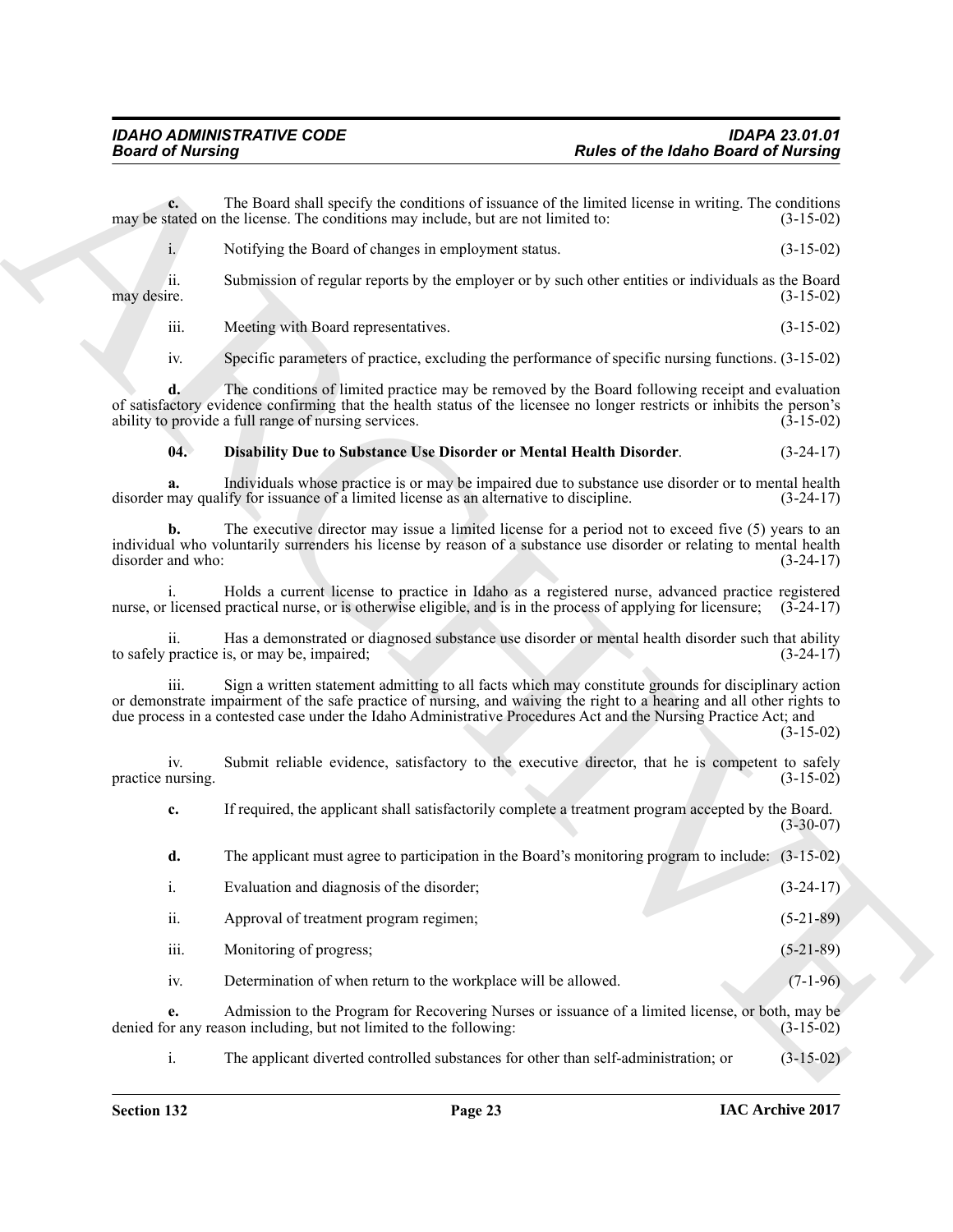<span id="page-22-0"></span>

| <b>Board of Nursing</b>  |                                                                                                                                                                                                                                                                                                                                                  | <b>Rules of the Idaho Board of Nursing</b> |             |
|--------------------------|--------------------------------------------------------------------------------------------------------------------------------------------------------------------------------------------------------------------------------------------------------------------------------------------------------------------------------------------------|--------------------------------------------|-------------|
| $c_{\cdot}$              | The Board shall specify the conditions of issuance of the limited license in writing. The conditions<br>may be stated on the license. The conditions may include, but are not limited to:                                                                                                                                                        | $(3-15-02)$                                |             |
| $i$ .                    | Notifying the Board of changes in employment status.                                                                                                                                                                                                                                                                                             | $(3-15-02)$                                |             |
| ii.<br>may desire.       | Submission of regular reports by the employer or by such other entities or individuals as the Board                                                                                                                                                                                                                                              | $(3-15-02)$                                |             |
| iii.                     | Meeting with Board representatives.                                                                                                                                                                                                                                                                                                              | $(3-15-02)$                                |             |
| iv.                      | Specific parameters of practice, excluding the performance of specific nursing functions. (3-15-02)                                                                                                                                                                                                                                              |                                            |             |
| d.                       | The conditions of limited practice may be removed by the Board following receipt and evaluation<br>of satisfactory evidence confirming that the health status of the licensee no longer restricts or inhibits the person's<br>ability to provide a full range of nursing services.                                                               | $(3-15-02)$                                |             |
| 04.                      | Disability Due to Substance Use Disorder or Mental Health Disorder.                                                                                                                                                                                                                                                                              | $(3-24-17)$                                |             |
| a.                       | Individuals whose practice is or may be impaired due to substance use disorder or to mental health<br>disorder may qualify for issuance of a limited license as an alternative to discipline.                                                                                                                                                    | $(3-24-17)$                                |             |
| b.<br>disorder and who:  | The executive director may issue a limited license for a period not to exceed five $(5)$ years to an<br>individual who voluntarily surrenders his license by reason of a substance use disorder or relating to mental health                                                                                                                     | $(3-24-17)$                                |             |
|                          | Holds a current license to practice in Idaho as a registered nurse, advanced practice registered<br>nurse, or licensed practical nurse, or is otherwise eligible, and is in the process of applying for licensure; $(3-24-17)$                                                                                                                   |                                            |             |
| 11.                      | Has a demonstrated or diagnosed substance use disorder or mental health disorder such that ability<br>to safely practice is, or may be, impaired;                                                                                                                                                                                                | $(3-24-17)$                                |             |
| 111.                     | Sign a written statement admitting to all facts which may constitute grounds for disciplinary action<br>or demonstrate impairment of the safe practice of nursing, and waiving the right to a hearing and all other rights to<br>due process in a contested case under the Idaho Administrative Procedures Act and the Nursing Practice Act; and | $(3-15-02)$                                |             |
| iv.<br>practice nursing. | Submit reliable evidence, satisfactory to the executive director, that he is competent to safely                                                                                                                                                                                                                                                 | $(3-15-02)$                                |             |
| c.                       | If required, the applicant shall satisfactorily complete a treatment program accepted by the Board.                                                                                                                                                                                                                                              | $(3-30-07)$                                |             |
| d.                       | The applicant must agree to participation in the Board's monitoring program to include: (3-15-02)                                                                                                                                                                                                                                                |                                            |             |
| $\mathbf{i}$ .           | Evaluation and diagnosis of the disorder;                                                                                                                                                                                                                                                                                                        | $(3-24-17)$                                |             |
| ii.                      | Approval of treatment program regimen;                                                                                                                                                                                                                                                                                                           | $(5-21-89)$                                |             |
| iii.                     | Monitoring of progress;                                                                                                                                                                                                                                                                                                                          | $(5-21-89)$                                |             |
| iv.                      | Determination of when return to the workplace will be allowed.                                                                                                                                                                                                                                                                                   |                                            | $(7-1-96)$  |
| e.                       | Admission to the Program for Recovering Nurses or issuance of a limited license, or both, may be<br>denied for any reason including, but not limited to the following:                                                                                                                                                                           | $(3-15-02)$                                |             |
| $i$ .                    | The applicant diverted controlled substances for other than self-administration; or                                                                                                                                                                                                                                                              |                                            | $(3-15-02)$ |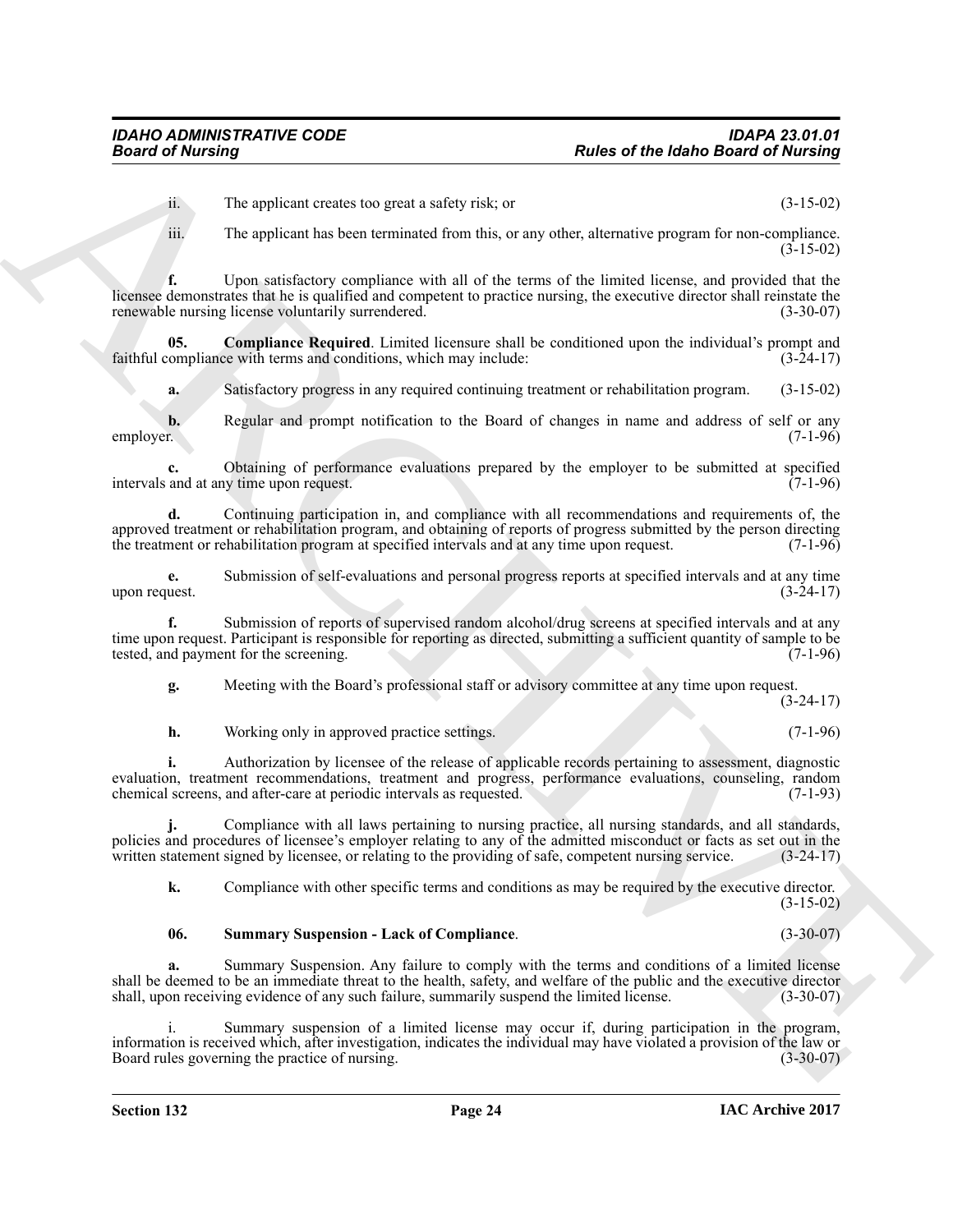ii. The applicant creates too great a safety risk; or (3-15-02)

iii. The applicant has been terminated from this, or any other, alternative program for non-compliance. (3-15-02)

**From of the hydrogenomenon contained the spin of the hydrogenomenon contained or**  $\theta$  **(31.4) The spin of the spin of the spin of the spin of the spin of the spin of the spin of the spin of the spin of the spin of the spi f.** Upon satisfactory compliance with all of the terms of the limited license, and provided that the licensee demonstrates that he is qualified and competent to practice nursing, the executive director shall reinstate the renewable nursing license voluntarily surrendered. (3-30-07) renewable nursing license voluntarily surrendered.

**05. Compliance Required**. Limited licensure shall be conditioned upon the individual's prompt and compliance with terms and conditions, which may include:  $(3-24-17)$ faithful compliance with terms and conditions, which may include:

<span id="page-23-0"></span>**a.** Satisfactory progress in any required continuing treatment or rehabilitation program. (3-15-02)

**b.** Regular and prompt notification to the Board of changes in name and address of self or any employer. (7-1-96) employer. (7-1-96)

**c.** Obtaining of performance evaluations prepared by the employer to be submitted at specified and at any time upon request. (7-1-96) intervals and at any time upon request.

**d.** Continuing participation in, and compliance with all recommendations and requirements of, the approved treatment or rehabilitation program, and obtaining of reports of progress submitted by the person directing<br>the treatment or rehabilitation program at specified intervals and at any time upon request. (7-1-96) the treatment or rehabilitation program at specified intervals and at any time upon request.

**e.** Submission of self-evaluations and personal progress reports at specified intervals and at any time uest.  $(3-24-17)$ upon request.

**f.** Submission of reports of supervised random alcohol/drug screens at specified intervals and at any time upon request. Participant is responsible for reporting as directed, submitting a sufficient quantity of sample to be tested, and payment for the screening. tested, and payment for the screening.

**g.** Meeting with the Board's professional staff or advisory committee at any time upon request.

 $(3-24-17)$ 

**h.** Working only in approved practice settings. (7-1-96)

**i.** Authorization by licensee of the release of applicable records pertaining to assessment, diagnostic evaluation, treatment recommendations, treatment and progress, performance evaluations, counseling, random chemical screens, and after-care at periodic intervals as requested. (7-1-93) chemical screens, and after-care at periodic intervals as requested.

**j.** Compliance with all laws pertaining to nursing practice, all nursing standards, and all standards, policies and procedures of licensee's employer relating to any of the admitted misconduct or facts as set out in the written statement signed by licensee, or relating to the providing of safe, competent nursing service. (3 written statement signed by licensee, or relating to the providing of safe, competent nursing service.

**k.** Compliance with other specific terms and conditions as may be required by the executive director. (3-15-02)

### <span id="page-23-1"></span>**06. Summary Suspension - Lack of Compliance**. (3-30-07)

**a.** Summary Suspension. Any failure to comply with the terms and conditions of a limited license shall be deemed to be an immediate threat to the health, safety, and welfare of the public and the executive director shall, upon receiving evidence of any such failure, summarily suspend the limited license. (3-30-07) shall, upon receiving evidence of any such failure, summarily suspend the limited license.

i. Summary suspension of a limited license may occur if, during participation in the program, information is received which, after investigation, indicates the individual may have violated a provision of the law or Board rules governing the practice of nursing.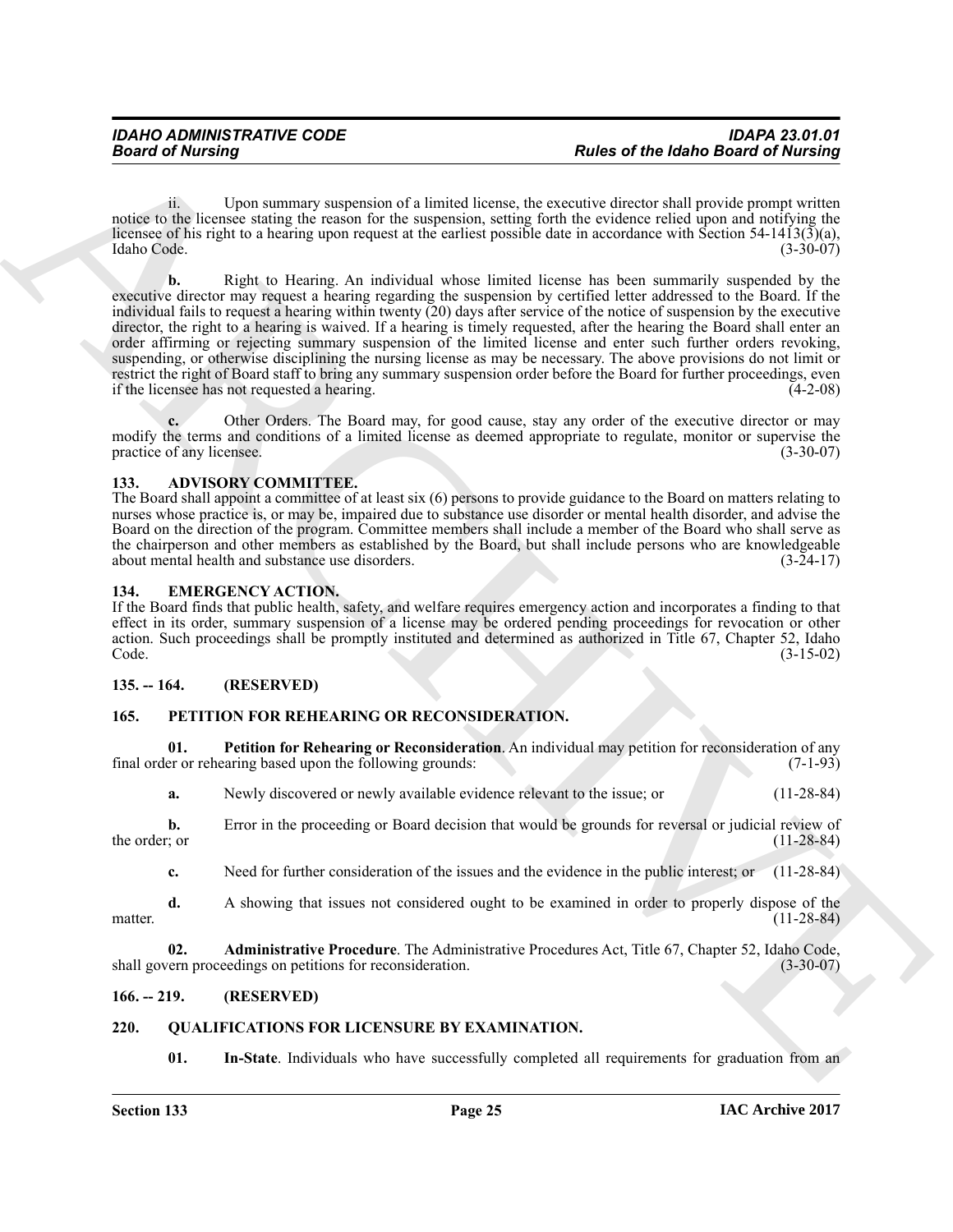ii. Upon summary suspension of a limited license, the executive director shall provide prompt written notice to the licensee stating the reason for the suspension, setting forth the evidence relied upon and notifying the licensee of his right to a hearing upon request at the earliest possible date in accordance with Section 54-1413(3)(a), Idaho Code. (3-30-07)

**Fourier of the latinos of the latinos of the latinos of the latinos distribution of the control of the control of the control of the control of the control of the control of the control of the control of the control of t b.** Right to Hearing. An individual whose limited license has been summarily suspended by the executive director may request a hearing regarding the suspension by certified letter addressed to the Board. If the individual fails to request a hearing within twenty (20) days after service of the notice of suspension by the executive director, the right to a hearing is waived. If a hearing is timely requested, after the hearing the Board shall enter an order affirming or rejecting summary suspension of the limited license and enter such further orders revoking, suspending, or otherwise disciplining the nursing license as may be necessary. The above provisions do not limit or restrict the right of Board staff to bring any summary suspension order before the Board for further proceedings, even<br>if the licensee has not requested a hearing. if the licensee has not requested a hearing.

**c.** Other Orders. The Board may, for good cause, stay any order of the executive director or may modify the terms and conditions of a limited license as deemed appropriate to regulate, monitor or supervise the practice of any licensee. (3-30-07) practice of any licensee.

### <span id="page-24-6"></span><span id="page-24-0"></span>**133. ADVISORY COMMITTEE.**

The Board shall appoint a committee of at least six (6) persons to provide guidance to the Board on matters relating to nurses whose practice is, or may be, impaired due to substance use disorder or mental health disorder, and advise the Board on the direction of the program. Committee members shall include a member of the Board who shall serve as the chairperson and other members as established by the Board, but shall include persons who are knowledgeable about mental health and substance use disorders. (3-24-17)

### <span id="page-24-7"></span><span id="page-24-1"></span>**134. EMERGENCY ACTION.**

If the Board finds that public health, safety, and welfare requires emergency action and incorporates a finding to that effect in its order, summary suspension of a license may be ordered pending proceedings for revocation or other action. Such proceedings shall be promptly instituted and determined as authorized in Title 67, Chapter 52, Idaho<br>Code (3-15-02) Code. (3-15-02)

### <span id="page-24-2"></span>**135. -- 164. (RESERVED)**

### <span id="page-24-8"></span><span id="page-24-3"></span>**165. PETITION FOR REHEARING OR RECONSIDERATION.**

**01.** Petition for Rehearing or Reconsideration. An individual may petition for reconsideration of any er or rehearing based upon the following grounds: (7-1-93) final order or rehearing based upon the following grounds:

<span id="page-24-10"></span>**a.** Newly discovered or newly available evidence relevant to the issue; or (11-28-84)

**b.** Error in the proceeding or Board decision that would be grounds for reversal or judicial review of the order; or  $(11-28-84)$ 

<span id="page-24-9"></span>**c.** Need for further consideration of the issues and the evidence in the public interest; or (11-28-84)

**d.** A showing that issues not considered ought to be examined in order to properly dispose of the matter.  $(11-28-84)$ 

**Administrative Procedure**. The Administrative Procedures Act, Title 67, Chapter 52, Idaho Code, eedings on petitions for reconsideration. (3-30-07) shall govern proceedings on petitions for reconsideration.

### <span id="page-24-4"></span>**166. -- 219. (RESERVED)**

### <span id="page-24-5"></span>**220. QUALIFICATIONS FOR LICENSURE BY EXAMINATION.**

<span id="page-24-12"></span><span id="page-24-11"></span>**01.** In-State. Individuals who have successfully completed all requirements for graduation from an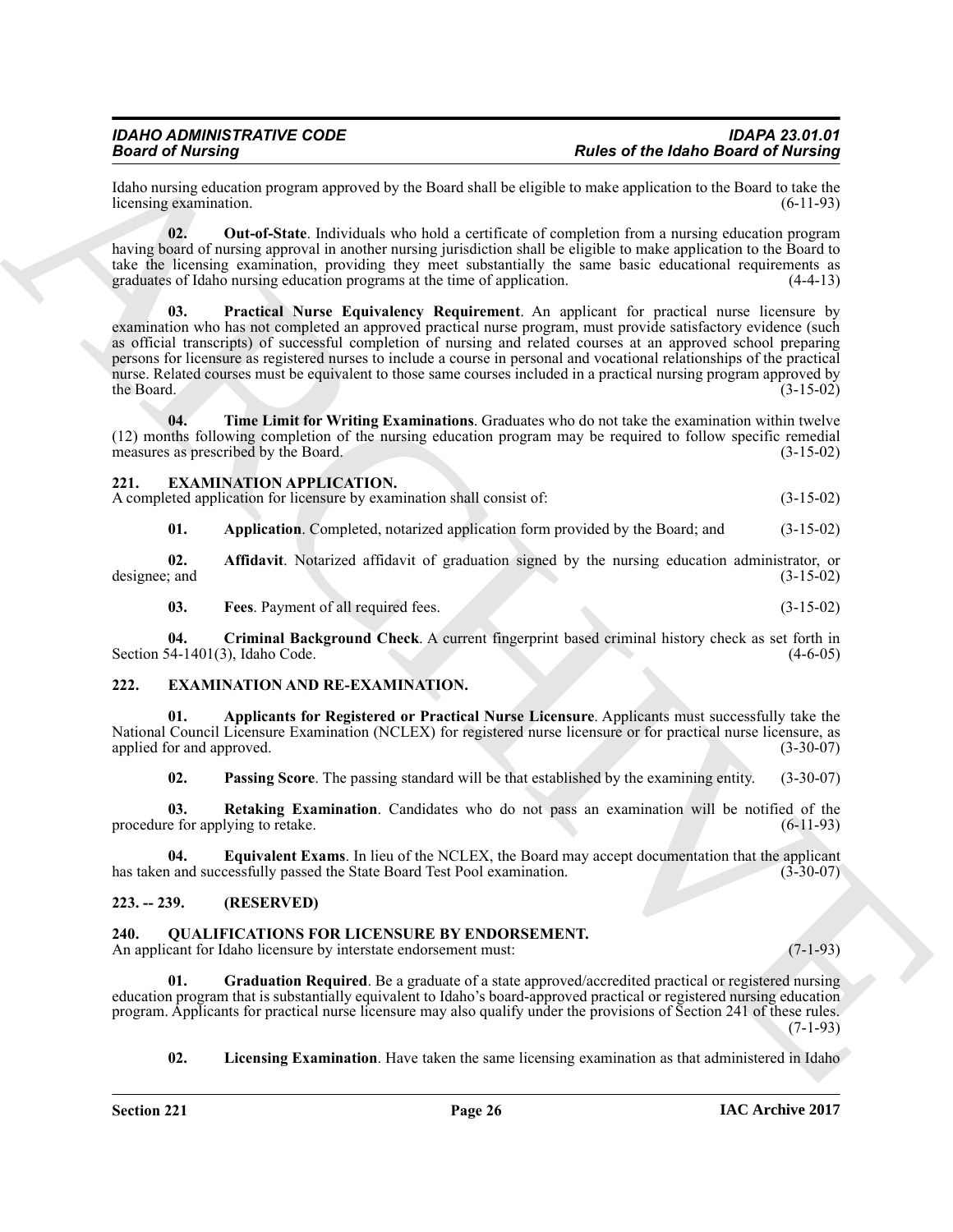Idaho nursing education program approved by the Board shall be eligible to make application to the Board to take the licensing examination.

<span id="page-25-18"></span><span id="page-25-17"></span>**02. Out-of-State**. Individuals who hold a certificate of completion from a nursing education program having board of nursing approval in another nursing jurisdiction shall be eligible to make application to the Board to take the licensing examination, providing they meet substantially the same basic educational requirements as graduates of Idaho nursing education programs at the time of application. (4-4-13) graduates of Idaho nursing education programs at the time of application.

**Beats of the Idahe Barrier of the Idahe School and Levington International Research in the United School and Levington International Research in the United School and Control and Control and Control and Control and Contr 03. Practical Nurse Equivalency Requirement**. An applicant for practical nurse licensure by examination who has not completed an approved practical nurse program, must provide satisfactory evidence (such as official transcripts) of successful completion of nursing and related courses at an approved school preparing persons for licensure as registered nurses to include a course in personal and vocational relationships of the practical nurse. Related courses must be equivalent to those same courses included in a practical nursing program approved by the Board. (3-15-02) the Board.  $(3-15-02)$ 

<span id="page-25-19"></span>**04. Time Limit for Writing Examinations**. Graduates who do not take the examination within twelve (12) months following completion of the nursing education program may be required to follow specific remedial measures as prescribed by the Board.

### <span id="page-25-9"></span><span id="page-25-0"></span>**221. EXAMINATION APPLICATION.**

A completed application for licensure by examination shall consist of: (3-15-02)

<span id="page-25-11"></span><span id="page-25-10"></span>**01.** Application. Completed, notarized application form provided by the Board; and (3-15-02)

**02. Affidavit**. Notarized affidavit of graduation signed by the nursing education administrator, or ; and  $(3-15-02)$ designee; and

<span id="page-25-13"></span><span id="page-25-12"></span>**03. Fees**. Payment of all required fees. (3-15-02)

**04. Criminal Background Check**. A current fingerprint based criminal history check as set forth in Section 54-1401 $(3)$ , Idaho Code.

### <span id="page-25-4"></span><span id="page-25-1"></span>**222. EXAMINATION AND RE-EXAMINATION.**

**01. Applicants for Registered or Practical Nurse Licensure**. Applicants must successfully take the National Council Licensure Examination (NCLEX) for registered nurse licensure or for practical nurse licensure, as<br>(3-30-07) applied for and approved.

<span id="page-25-8"></span><span id="page-25-7"></span><span id="page-25-6"></span><span id="page-25-5"></span>**02. Passing Score**. The passing standard will be that established by the examining entity. (3-30-07)

**03.** Retaking Examination. Candidates who do not pass an examination will be notified of the e for applying to retake. (6-11-93) procedure for applying to retake.

**04. Equivalent Exams**. In lieu of the NCLEX, the Board may accept documentation that the applicant and successfully passed the State Board Test Pool examination. (3-30-07) has taken and successfully passed the State Board Test Pool examination.

### <span id="page-25-2"></span>**223. -- 239. (RESERVED)**

<span id="page-25-14"></span><span id="page-25-3"></span>**240. QUALIFICATIONS FOR LICENSURE BY ENDORSEMENT.**

An applicant for Idaho licensure by interstate endorsement must: (7-1-93)

**01. Graduation Required**. Be a graduate of a state approved/accredited practical or registered nursing education program that is substantially equivalent to Idaho's board-approved practical or registered nursing education program. Applicants for practical nurse licensure may also qualify under the provisions of Section 241 of these rules.  $(7-1-93)$ 

<span id="page-25-16"></span><span id="page-25-15"></span>**02.** Licensing Examination. Have taken the same licensing examination as that administered in Idaho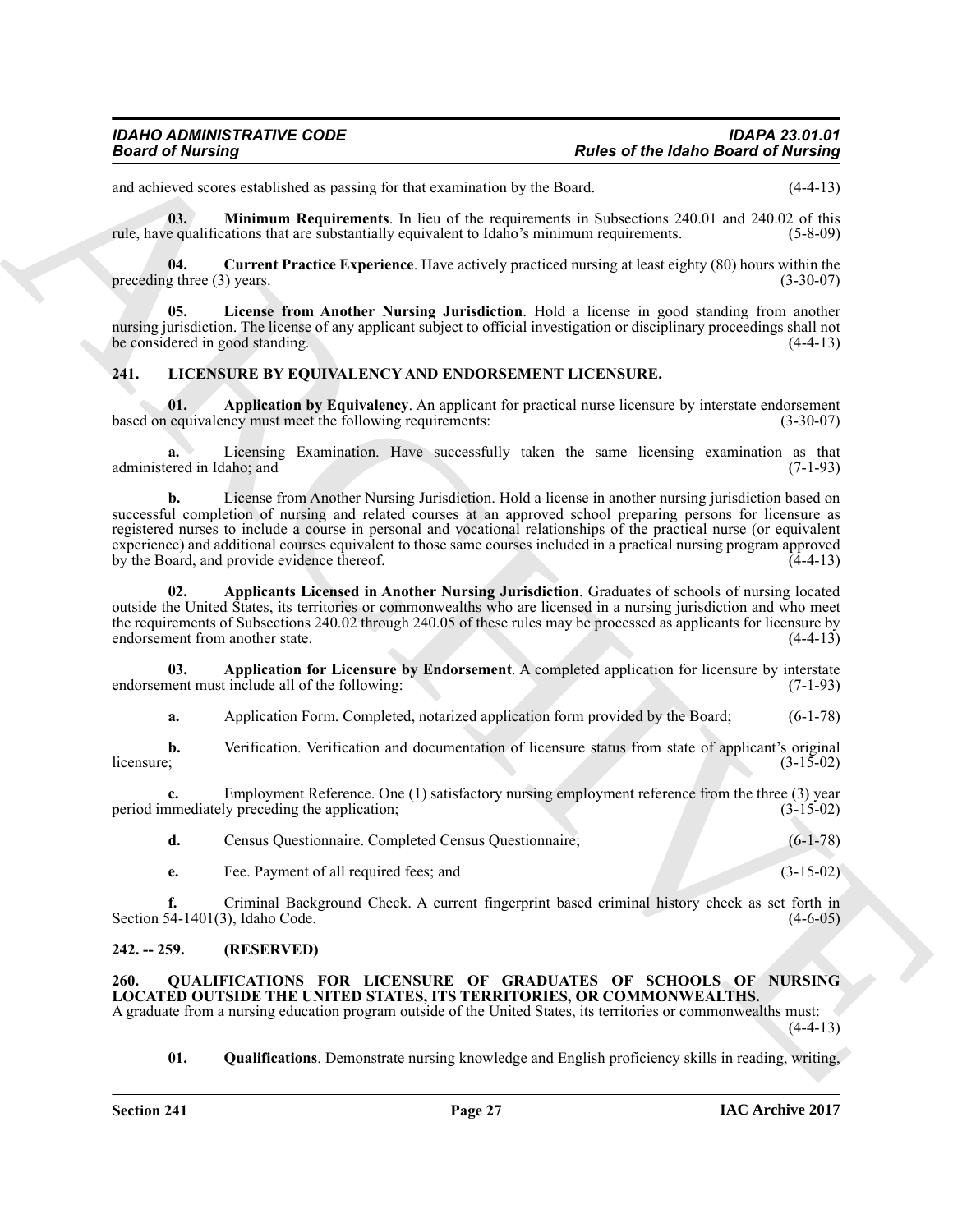and achieved scores established as passing for that examination by the Board. (4-4-13)

<span id="page-26-15"></span>**03. Minimum Requirements**. In lieu of the requirements in Subsections 240.01 and 240.02 of this rule, have qualifications that are substantially equivalent to Idaho's minimum requirements. (5-8-09)

<span id="page-26-13"></span>**04.** Current Practice Experience. Have actively practiced nursing at least eighty (80) hours within the g three (3) years. (3-30-07) preceding three  $(3)$  years.

<span id="page-26-14"></span>**05. License from Another Nursing Jurisdiction**. Hold a license in good standing from another nursing jurisdiction. The license of any applicant subject to official investigation or disciplinary proceedings shall not be considered in good standing. (4-4-13)

### <span id="page-26-3"></span><span id="page-26-0"></span>**241. LICENSURE BY EQUIVALENCY AND ENDORSEMENT LICENSURE.**

<span id="page-26-5"></span>**01. Application by Equivalency**. An applicant for practical nurse licensure by interstate endorsement equivalency must meet the following requirements: (3-30-07) based on equivalency must meet the following requirements:

<span id="page-26-11"></span>**a.** Licensing Examination. Have successfully taken the same licensing examination as that administered in Idaho; and (7-1-93) (3-1-93)

**Basica of the latino Simulation**<br> **Reales of the latino Basica of the latino Basica of the latino Basica of the latino Basica of the latino<br>
Excited in the state of the latinosity and the latinosity and the latinosity of b.** License from Another Nursing Jurisdiction. Hold a license in another nursing jurisdiction based on successful completion of nursing and related courses at an approved school preparing persons for licensure as registered nurses to include a course in personal and vocational relationships of the practical nurse (or equivalent experience) and additional courses equivalent to those same courses included in a practical nursing program approved by the Board, and provide evidence thereof.

<span id="page-26-4"></span>**02. Applicants Licensed in Another Nursing Jurisdiction**. Graduates of schools of nursing located outside the United States, its territories or commonwealths who are licensed in a nursing jurisdiction and who meet the requirements of Subsections 240.02 through 240.05 of these rules may be processed as applicants for licensure by endorsement from another state.  $(4-4-13)$ endorsement from another state.

**03. Application for Licensure by Endorsement**. A completed application for licensure by interstate nent must include all of the following: (7-1-93) endorsement must include all of the following:

<span id="page-26-12"></span><span id="page-26-7"></span><span id="page-26-6"></span>**a.** Application Form. Completed, notarized application form provided by the Board; (6-1-78)

**b.** Verification. Verification and documentation of licensure status from state of applicant's original licensure; (3-15-02)  $l$ icensure;  $(3-15-02)$ 

**c.** Employment Reference. One (1) satisfactory nursing employment reference from the three (3) year nmediately preceding the application; (3-15-02) period immediately preceding the application;

<span id="page-26-10"></span><span id="page-26-8"></span>**d.** Census Questionnaire. Completed Census Questionnaire; (6-1-78)

<span id="page-26-9"></span>**e.** Fee. Payment of all required fees; and (3-15-02)

**f.** Criminal Background Check. A current fingerprint based criminal history check as set forth in Section 54-1401(3), Idaho Code. (4-6-05)

### <span id="page-26-1"></span>**242. -- 259. (RESERVED)**

### <span id="page-26-16"></span><span id="page-26-2"></span>**260. QUALIFICATIONS FOR LICENSURE OF GRADUATES OF SCHOOLS OF NURSING LOCATED OUTSIDE THE UNITED STATES, ITS TERRITORIES, OR COMMONWEALTHS.**

A graduate from a nursing education program outside of the United States, its territories or commonwealths must:  $(4-4-13)$ 

<span id="page-26-17"></span>**01. Qualifications**. Demonstrate nursing knowledge and English proficiency skills in reading, writing,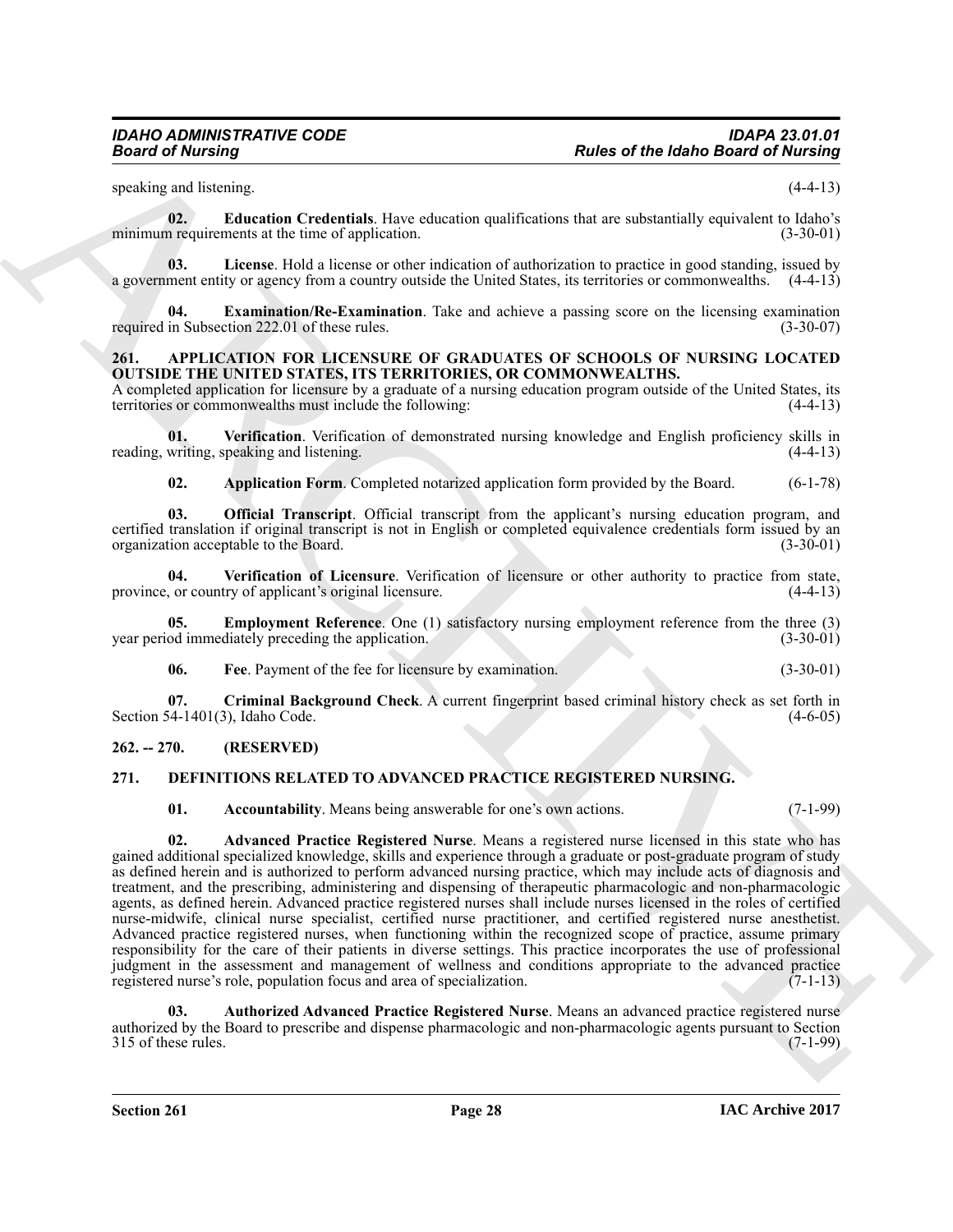<span id="page-27-15"></span>speaking and listening. (4-4-13)

**02. Education Credentials**. Have education qualifications that are substantially equivalent to Idaho's minimum requirements at the time of application. (3-30-01)

<span id="page-27-17"></span>**03. License**. Hold a license or other indication of authorization to practice in good standing, issued by a government entity or agency from a country outside the United States, its territories or commonwealths. (4-4-13)

<span id="page-27-16"></span>**04. Examination/Re-Examination**. Take and achieve a passing score on the licensing examination required in Subsection 222.01 of these rules. (3-30-07)

### <span id="page-27-3"></span><span id="page-27-0"></span>**261. APPLICATION FOR LICENSURE OF GRADUATES OF SCHOOLS OF NURSING LOCATED OUTSIDE THE UNITED STATES, ITS TERRITORIES, OR COMMONWEALTHS.**

A completed application for licensure by a graduate of a nursing education program outside of the United States, its territories or commonwealths must include the following: (4-4-13)

**01.** Verification. Verification of demonstrated nursing knowledge and English proficiency skills in writing, speaking and listening. (4-4-13) reading, writing, speaking and listening.

<span id="page-27-10"></span><span id="page-27-9"></span><span id="page-27-8"></span><span id="page-27-4"></span>**02. Application Form**. Completed notarized application form provided by the Board. (6-1-78)

**03. Official Transcript**. Official transcript from the applicant's nursing education program, and certified translation if original transcript is not in English or completed equivalence credentials form issued by an organization acceptable to the Board. (3-30-01) organization acceptable to the Board.

**04.** Verification of Licensure. Verification of licensure or other authority to practice from state, or country of applicant's original licensure. (4-4-13) province, or country of applicant's original licensure.

**05. Employment Reference**. One (1) satisfactory nursing employment reference from the three (3) od immediately preceding the application. (3-30-01) year period immediately preceding the application.

<span id="page-27-7"></span><span id="page-27-6"></span><span id="page-27-5"></span>**06. Fee**. Payment of the fee for licensure by examination. (3-30-01)

**07.** Criminal Background Check. A current fingerprint based criminal history check as set forth in 54-1401(3), Idaho Code. (4-6-05) Section 54-1401 $(3)$ , Idaho Code.

### <span id="page-27-1"></span>**262. -- 270. (RESERVED)**

### <span id="page-27-2"></span>**271. DEFINITIONS RELATED TO ADVANCED PRACTICE REGISTERED NURSING.**

<span id="page-27-13"></span><span id="page-27-12"></span><span id="page-27-11"></span>**01. Accountability**. Means being answerable for one's own actions. (7-1-99)

**Fraction of the latinos of the latinos field of the latinos field of the latinos field of the latinos and six-<br>
and isolation and the latinos of the latinos function and fraction in the state state in the state of the la 02. Advanced Practice Registered Nurse**. Means a registered nurse licensed in this state who has gained additional specialized knowledge, skills and experience through a graduate or post-graduate program of study as defined herein and is authorized to perform advanced nursing practice, which may include acts of diagnosis and treatment, and the prescribing, administering and dispensing of therapeutic pharmacologic and non-pharmacologic agents, as defined herein. Advanced practice registered nurses shall include nurses licensed in the roles of certified nurse-midwife, clinical nurse specialist, certified nurse practitioner, and certified registered nurse anesthetist. Advanced practice registered nurses, when functioning within the recognized scope of practice, assume primary responsibility for the care of their patients in diverse settings. This practice incorporates the use of professional judgment in the assessment and management of wellness and conditions appropriate to the advanced practice registered nurse's role, population focus and area of specialization. (7-1-13)

<span id="page-27-14"></span>**03. Authorized Advanced Practice Registered Nurse**. Means an advanced practice registered nurse authorized by the Board to prescribe and dispense pharmacologic and non-pharmacologic agents pursuant to Section 315 of these rules. (7-1-99) 315 of these rules.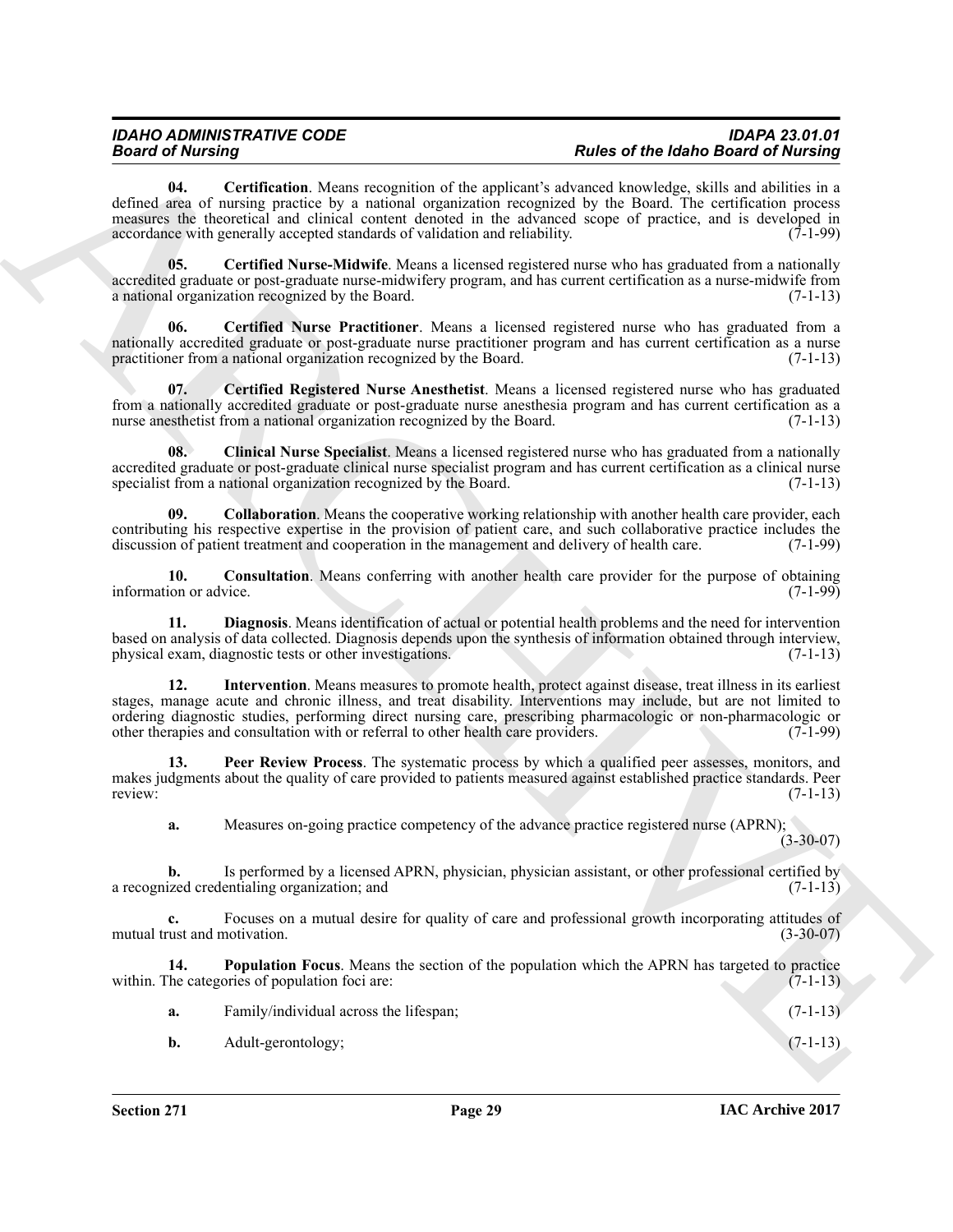**Second of the Contribution** Manus consuments of the spokesnik advanta of the **left of the local contribution** of the spokesnik results of the **left of the spin of the spin of the spin of the spin of the spin of the spin 04. Certification**. Means recognition of the applicant's advanced knowledge, skills and abilities in a defined area of nursing practice by a national organization recognized by the Board. The certification process measures the theoretical and clinical content denoted in the advanced scope of practice, and is developed in accordance with generally accepted standards of validation and reliability.  $(7-1-99)$ 

<span id="page-28-2"></span><span id="page-28-0"></span>**05. Certified Nurse-Midwife**. Means a licensed registered nurse who has graduated from a nationally accredited graduate or post-graduate nurse-midwifery program, and has current certification as a nurse-midwife from a national organization recognized by the Board. (7-1-13)

<span id="page-28-1"></span>**06. Certified Nurse Practitioner**. Means a licensed registered nurse who has graduated from a nationally accredited graduate or post-graduate nurse practitioner program and has current certification as a nurse practitioner from a national organization recognized by the Board. (7-1-13) practitioner from a national organization recognized by the Board.

<span id="page-28-3"></span>**07. Certified Registered Nurse Anesthetist**. Means a licensed registered nurse who has graduated from a nationally accredited graduate or post-graduate nurse anesthesia program and has current certification as a nurse anesthetist from a national organization recognized by the Board. (7-1-13)

<span id="page-28-4"></span>**08. Clinical Nurse Specialist**. Means a licensed registered nurse who has graduated from a nationally accredited graduate or post-graduate clinical nurse specialist program and has current certification as a clinical nurse<br>specialist from a national organization recognized by the Board. (7-1-13) specialist from a national organization recognized by the Board.

<span id="page-28-5"></span>**09. Collaboration**. Means the cooperative working relationship with another health care provider, each contributing his respective expertise in the provision of patient care, and such collaborative practice includes the discussion of patient treatment and cooperation in the management and delivery of health care. (7-1-99) discussion of patient treatment and cooperation in the management and delivery of health care.

<span id="page-28-6"></span>**10. Consultation**. Means conferring with another health care provider for the purpose of obtaining ion or advice. (7-1-99) information or advice.

<span id="page-28-7"></span>**11. Diagnosis**. Means identification of actual or potential health problems and the need for intervention based on analysis of data collected. Diagnosis depends upon the synthesis of information obtained through interview, physical exam, diagnostic tests or other investigations.

<span id="page-28-8"></span>**12. Intervention**. Means measures to promote health, protect against disease, treat illness in its earliest stages, manage acute and chronic illness, and treat disability. Interventions may include, but are not limited to ordering diagnostic studies, performing direct nursing care, prescribing pharmacologic or non-pharmacologic or other therapies and consultation with or referral to other health care providers. (7-1-99) other therapies and consultation with or referral to other health care providers.

**13. Peer Review Process**. The systematic process by which a qualified peer assesses, monitors, and makes judgments about the quality of care provided to patients measured against established practice standards. Peer<br>(7-1-13) review: (7-1-13)

<span id="page-28-9"></span>**a.** Measures on-going practice competency of the advance practice registered nurse (APRN);  $(3-30-07)$ 

**b.** Is performed by a licensed APRN, physician, physician assistant, or other professional certified by ized credentialing organization; and (7-1-13) a recognized credentialing organization; and

**c.** Focuses on a mutual desire for quality of care and professional growth incorporating attitudes of mutual trust and motivation. (3-30-07)

**14. Population Focus**. Means the section of the population which the APRN has targeted to practice within. The categories of population foci are: (7-1-13)

<span id="page-28-10"></span>

|    | Family/individual across the lifespan; | $(7-1-13)$ |
|----|----------------------------------------|------------|
| b. | Adult-gerontology;                     | $(7-1-13)$ |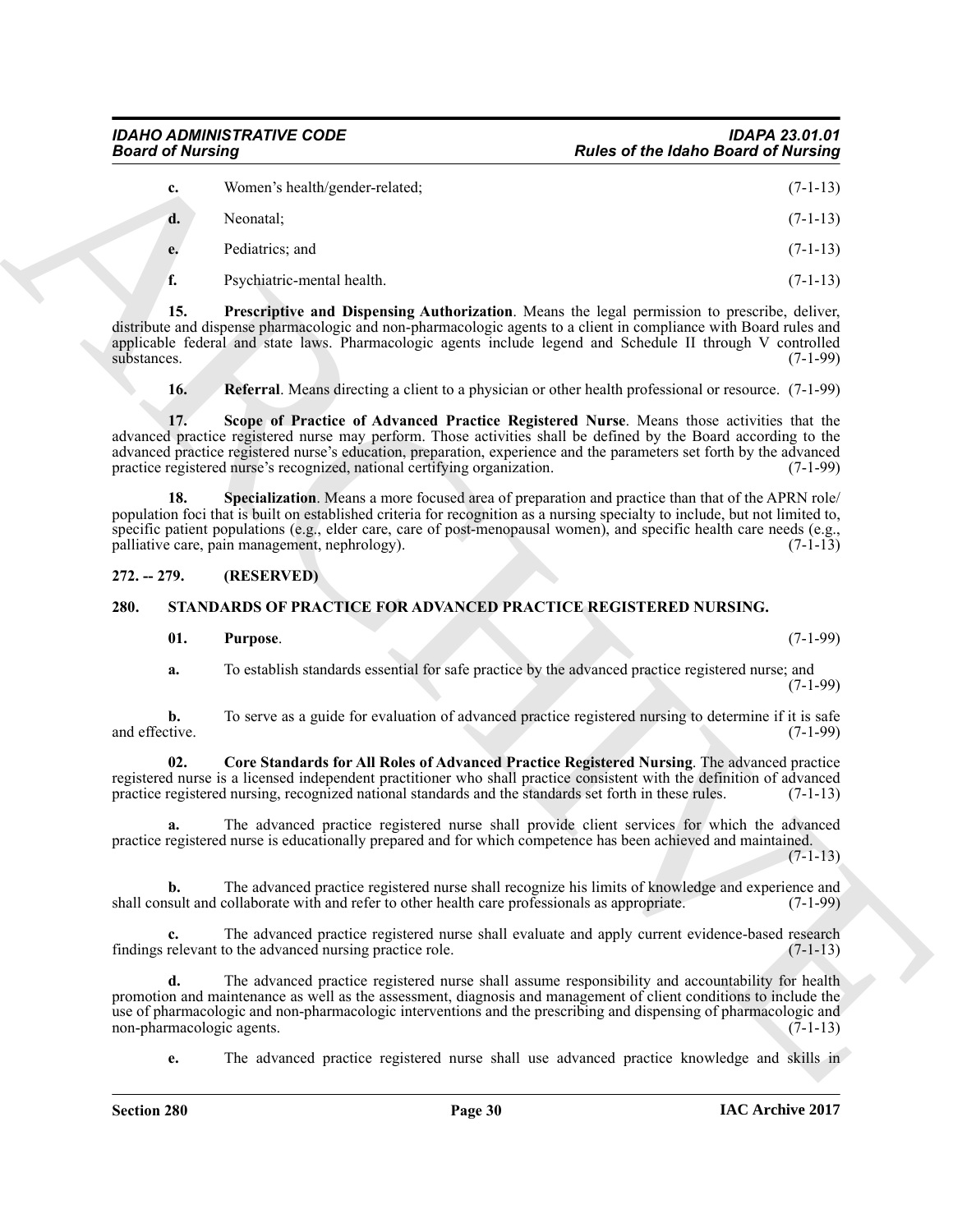<span id="page-29-2"></span>

| <b>Board of Nursing</b>         |                                                                                                                                                                                                                                                                                                                                                                                                                  | <b>Rules of the Idaho Board of Nursing</b> |
|---------------------------------|------------------------------------------------------------------------------------------------------------------------------------------------------------------------------------------------------------------------------------------------------------------------------------------------------------------------------------------------------------------------------------------------------------------|--------------------------------------------|
| c.                              | Women's health/gender-related;                                                                                                                                                                                                                                                                                                                                                                                   | $(7-1-13)$                                 |
| d.                              | Neonatal;                                                                                                                                                                                                                                                                                                                                                                                                        | $(7-1-13)$                                 |
| e.                              | Pediatrics; and                                                                                                                                                                                                                                                                                                                                                                                                  | $(7-1-13)$                                 |
| f.                              | Psychiatric-mental health.                                                                                                                                                                                                                                                                                                                                                                                       | $(7-1-13)$                                 |
| 15.<br>substances.              | Prescriptive and Dispensing Authorization. Means the legal permission to prescribe, deliver,<br>distribute and dispense pharmacologic and non-pharmacologic agents to a client in compliance with Board rules and<br>applicable federal and state laws. Pharmacologic agents include legend and Schedule II through V controlled                                                                                 | $(7-1-99)$                                 |
| 16.                             | <b>Referral</b> . Means directing a client to a physician or other health professional or resource. (7-1-99)                                                                                                                                                                                                                                                                                                     |                                            |
| 17.                             | Scope of Practice of Advanced Practice Registered Nurse. Means those activities that the<br>advanced practice registered nurse may perform. Those activities shall be defined by the Board according to the<br>advanced practice registered nurse's education, preparation, experience and the parameters set forth by the advanced<br>practice registered nurse's recognized, national certifying organization. | $(7-1-99)$                                 |
| 18.                             | Specialization. Means a more focused area of preparation and practice than that of the APRN role/<br>population foci that is built on established criteria for recognition as a nursing specialty to include, but not limited to,<br>specific patient populations (e.g., elder care, care of post-menopausal women), and specific health care needs (e.g.,<br>palliative care, pain management, nephrology).     | $(7-1-13)$                                 |
| $272. - 279.$                   | (RESERVED)                                                                                                                                                                                                                                                                                                                                                                                                       |                                            |
| 280.                            | STANDARDS OF PRACTICE FOR ADVANCED PRACTICE REGISTERED NURSING.                                                                                                                                                                                                                                                                                                                                                  |                                            |
| 01.                             | Purpose.                                                                                                                                                                                                                                                                                                                                                                                                         | $(7-1-99)$                                 |
| a.                              | To establish standards essential for safe practice by the advanced practice registered nurse; and                                                                                                                                                                                                                                                                                                                | $(7-1-99)$                                 |
| b.<br>and effective.            | To serve as a guide for evaluation of advanced practice registered nursing to determine if it is safe                                                                                                                                                                                                                                                                                                            | $(7-1-99)$                                 |
| 02.                             | Core Standards for All Roles of Advanced Practice Registered Nursing. The advanced practice<br>registered nurse is a licensed independent practitioner who shall practice consistent with the definition of advanced<br>practice registered nursing, recognized national standards and the standards set forth in these rules.                                                                                   | $(7-1-13)$                                 |
|                                 | The advanced practice registered nurse shall provide client services for which the advanced<br>practice registered nurse is educationally prepared and for which competence has been achieved and maintained.                                                                                                                                                                                                    | $(7-1-13)$                                 |
| $\mathbf{b}$ .                  | The advanced practice registered nurse shall recognize his limits of knowledge and experience and<br>shall consult and collaborate with and refer to other health care professionals as appropriate.                                                                                                                                                                                                             | $(7-1-99)$                                 |
|                                 | The advanced practice registered nurse shall evaluate and apply current evidence-based research<br>findings relevant to the advanced nursing practice role.                                                                                                                                                                                                                                                      | $(7-1-13)$                                 |
|                                 |                                                                                                                                                                                                                                                                                                                                                                                                                  |                                            |
| d.<br>non-pharmacologic agents. | The advanced practice registered nurse shall assume responsibility and accountability for health<br>promotion and maintenance as well as the assessment, diagnosis and management of client conditions to include the<br>use of pharmacologic and non-pharmacologic interventions and the prescribing and dispensing of pharmacologic and                                                                        | $(7-1-13)$                                 |

### <span id="page-29-5"></span><span id="page-29-4"></span><span id="page-29-3"></span><span id="page-29-0"></span>**272. -- 279. (RESERVED)**

### <span id="page-29-1"></span>**280. STANDARDS OF PRACTICE FOR ADVANCED PRACTICE REGISTERED NURSING.**

### <span id="page-29-8"></span><span id="page-29-7"></span><span id="page-29-6"></span>**01. Purpose**. (7-1-99)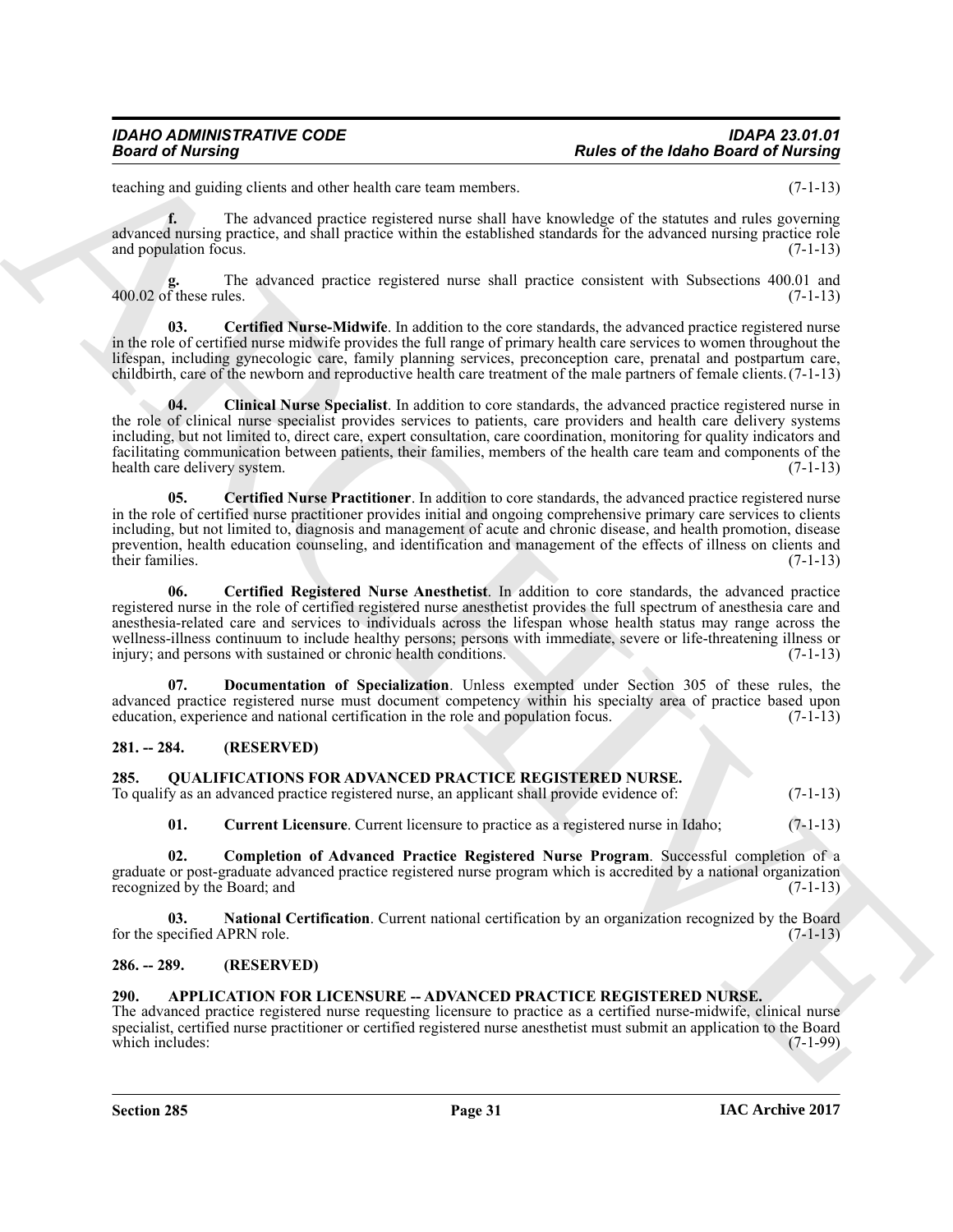teaching and guiding clients and other health care team members. (7-1-13)

**f.** The advanced practice registered nurse shall have knowledge of the statutes and rules governing advanced nursing practice, and shall practice within the established standards for the advanced nursing practice role and population focus.  $(7-1-13)$ 

The advanced practice registered nurse shall practice consistent with Subsections 400.01 and les. (7-1-13)  $400.02$  of these rules.

<span id="page-30-10"></span>**03. Certified Nurse-Midwife**. In addition to the core standards, the advanced practice registered nurse in the role of certified nurse midwife provides the full range of primary health care services to women throughout the lifespan, including gynecologic care, family planning services, preconception care, prenatal and postpartum care, childbirth, care of the newborn and reproductive health care treatment of the male partners of female clients.(7-1-13)

<span id="page-30-12"></span><span id="page-30-9"></span>**04. Clinical Nurse Specialist**. In addition to core standards, the advanced practice registered nurse in the role of clinical nurse specialist provides services to patients, care providers and health care delivery systems including, but not limited to, direct care, expert consultation, care coordination, monitoring for quality indicators and facilitating communication between patients, their families, members of the health care team and components of the health care delivery system. (7-1-13) (3.2)

**Fraction of the latinos of the latinos control of the latinos of the latinos field of the state and properties and the latinos of the state and the state and the state and the state and the state and the state of the sta 05. Certified Nurse Practitioner**. In addition to core standards, the advanced practice registered nurse in the role of certified nurse practitioner provides initial and ongoing comprehensive primary care services to clients including, but not limited to, diagnosis and management of acute and chronic disease, and health promotion, disease prevention, health education counseling, and identification and management of the effects of illness on clients and their families. (7-1-13) their families. (7-1-13)

<span id="page-30-11"></span>**06. Certified Registered Nurse Anesthetist**. In addition to core standards, the advanced practice registered nurse in the role of certified registered nurse anesthetist provides the full spectrum of anesthesia care and anesthesia-related care and services to individuals across the lifespan whose health status may range across the wellness-illness continuum to include healthy persons; persons with immediate, severe or life-threatening illness or injury; and persons with sustained or chronic health conditions. (7-1-13) injury; and persons with sustained or chronic health conditions.

<span id="page-30-13"></span>**07. Documentation of Specialization**. Unless exempted under Section 305 of these rules, the advanced practice registered nurse must document competency within his specialty area of practice based upon education, experience and national certification in the role and population focus. (7-1-13) education, experience and national certification in the role and population focus.

### <span id="page-30-0"></span>**281. -- 284. (RESERVED)**

<span id="page-30-5"></span><span id="page-30-1"></span>

| 285. | <b>QUALIFICATIONS FOR ADVANCED PRACTICE REGISTERED NURSE.</b>                                |  |            |  |
|------|----------------------------------------------------------------------------------------------|--|------------|--|
|      | To qualify as an advanced practice registered nurse, an applicant shall provide evidence of: |  | $(7-1-13)$ |  |

<span id="page-30-8"></span><span id="page-30-7"></span><span id="page-30-6"></span>**01.** Current Licensure. Current licensure to practice as a registered nurse in Idaho; (7-1-13)

**02. Completion of Advanced Practice Registered Nurse Program**. Successful completion of a graduate or post-graduate advanced practice registered nurse program which is accredited by a national organization recognized by the Board: and (7-1-13) recognized by the Board; and

**National Certification**. Current national certification by an organization recognized by the Board for the specified APRN role. (7-1-13)

### <span id="page-30-2"></span>**286. -- 289. (RESERVED)**

### <span id="page-30-4"></span><span id="page-30-3"></span>**290. APPLICATION FOR LICENSURE -- ADVANCED PRACTICE REGISTERED NURSE.**

The advanced practice registered nurse requesting licensure to practice as a certified nurse-midwife, clinical nurse specialist, certified nurse practitioner or certified registered nurse anesthetist must submit an application to the Board<br>(7-1-99) which includes: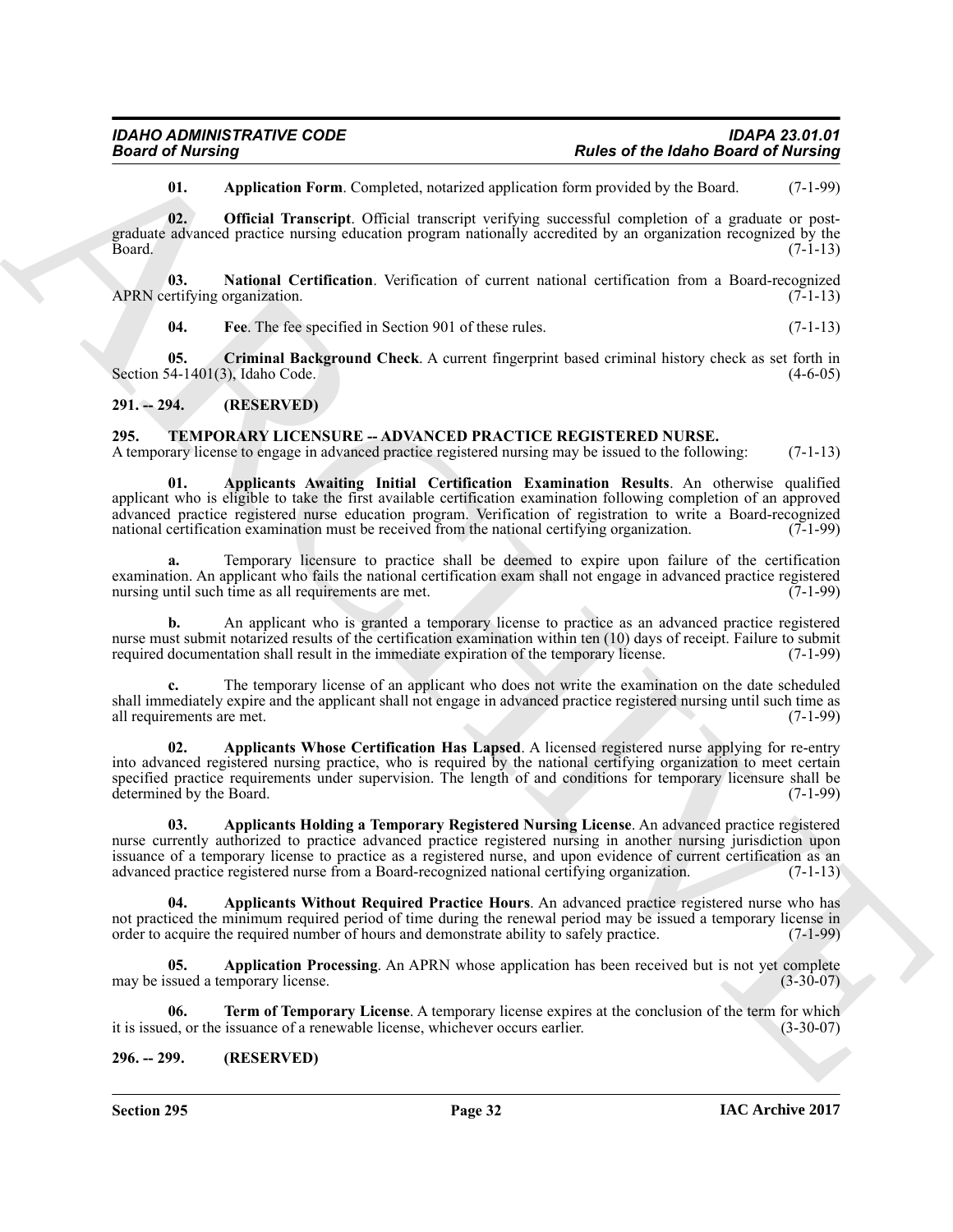<span id="page-31-7"></span><span id="page-31-3"></span>**01.** Application Form. Completed, notarized application form provided by the Board. (7-1-99)

**02. Official Transcript**. Official transcript verifying successful completion of a graduate or postgraduate advanced practice nursing education program nationally accredited by an organization recognized by the<br>Board. (7-1-13)  $Board.$  (7-1-13)

**03.** National Certification. Verification of current national certification from a Board-recognized ertifying organization. (7-1-13) APRN certifying organization.

<span id="page-31-6"></span><span id="page-31-5"></span><span id="page-31-4"></span>**04. Fee**. The fee specified in Section 901 of these rules. (7-1-13)

**05. Criminal Background Check**. A current fingerprint based criminal history check as set forth in 54-1401(3). Idaho Code. (4-6-05) Section 54-1401 $(3)$ , Idaho Code.

### <span id="page-31-0"></span>**291. -- 294. (RESERVED)**

### <span id="page-31-8"></span><span id="page-31-1"></span>**295. TEMPORARY LICENSURE -- ADVANCED PRACTICE REGISTERED NURSE.**

<span id="page-31-9"></span>A temporary license to engage in advanced practice registered nursing may be issued to the following: (7-1-13)

**From Constraints** Process Particle Herman Computed, metancies process and process and the higher state of the state<br>  $\frac{1}{2}$  and  $\frac{1}{2}$  and  $\frac{1}{2}$  and  $\frac{1}{2}$  and  $\frac{1}{2}$  and  $\frac{1}{2}$  and  $\frac{1}{2}$  and  $\frac{1$ **01. Applicants Awaiting Initial Certification Examination Results**. An otherwise qualified applicant who is eligible to take the first available certification examination following completion of an approved advanced practice registered nurse education program. Verification of registration to write a Board-recognized national certification examination must be received from the national certifying organization. (7-1-99) national certification examination must be received from the national certifying organization.

**a.** Temporary licensure to practice shall be deemed to expire upon failure of the certification examination. An applicant who fails the national certification exam shall not engage in advanced practice registered<br>nursing until such time as all requirements are met. (7-1-99) nursing until such time as all requirements are met.

**b.** An applicant who is granted a temporary license to practice as an advanced practice registered nurse must submit notarized results of the certification examination within ten (10) days of receipt. Failure to submit required documentation shall result in the immediate expiration of the temporary license. (7-1-99) required documentation shall result in the immediate expiration of the temporary license.

**c.** The temporary license of an applicant who does not write the examination on the date scheduled shall immediately expire and the applicant shall not engage in advanced practice registered nursing until such time as all requirements are met. (7-1-99) all requirements are met.

<span id="page-31-11"></span>**02. Applicants Whose Certification Has Lapsed**. A licensed registered nurse applying for re-entry into advanced registered nursing practice, who is required by the national certifying organization to meet certain specified practice requirements under supervision. The length of and conditions for temporary licensure shall be determined by the Board. (7-1-99) determined by the Board.

<span id="page-31-10"></span>**03. Applicants Holding a Temporary Registered Nursing License**. An advanced practice registered nurse currently authorized to practice advanced practice registered nursing in another nursing jurisdiction upon issuance of a temporary license to practice as a registered nurse, and upon evidence of current certification as an advanced practice registered nurse from a Board-recognized national certifying organization. (7-1-13)

<span id="page-31-12"></span>**04. Applicants Without Required Practice Hours**. An advanced practice registered nurse who has not practiced the minimum required period of time during the renewal period may be issued a temporary license in order to acquire the required number of hours and demonstrate ability to safely practice. (7-1-99) order to acquire the required number of hours and demonstrate ability to safely practice.

<span id="page-31-13"></span>**05. Application Processing**. An APRN whose application has been received but is not yet complete may be issued a temporary license. (3-30-07)

<span id="page-31-14"></span>**06. Term of Temporary License**. A temporary license expires at the conclusion of the term for which ed, or the issuance of a renewable license, whichever occurs earlier. (3-30-07) it is issued, or the issuance of a renewable license, whichever occurs earlier.

### <span id="page-31-2"></span>**296. -- 299. (RESERVED)**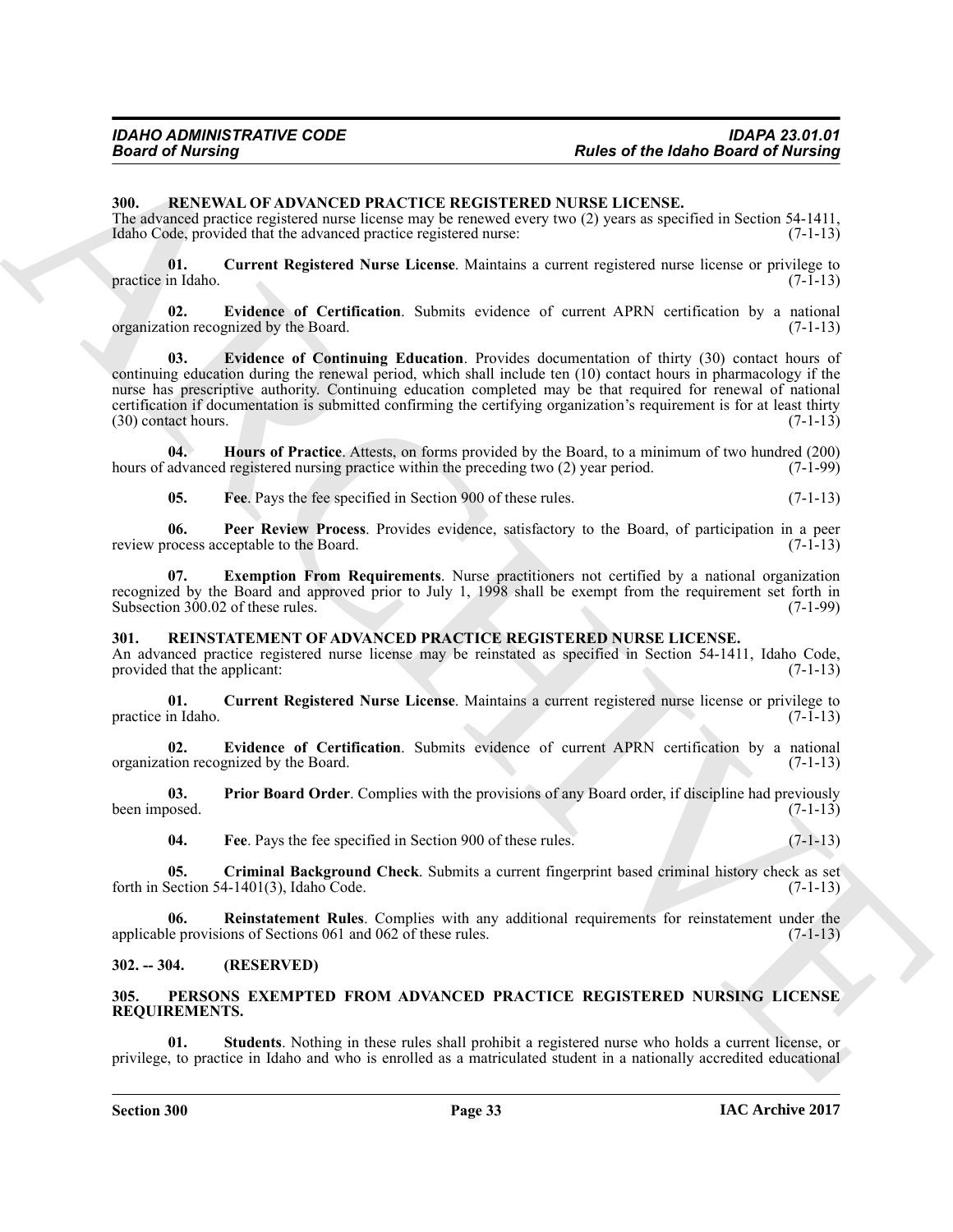### <span id="page-32-13"></span><span id="page-32-0"></span>**300. RENEWAL OF ADVANCED PRACTICE REGISTERED NURSE LICENSE.**

The advanced practice registered nurse license may be renewed every two (2) years as specified in Section 54-1411, Idaho Code, provided that the advanced practice registered nurse: (7-1-13)

<span id="page-32-14"></span>**01. Current Registered Nurse License**. Maintains a current registered nurse license or privilege to practice in Idaho.

<span id="page-32-16"></span><span id="page-32-15"></span>**02. Evidence of Certification**. Submits evidence of current APRN certification by a national organization recognized by the Board. (7-1-13)

ARCHIVE **03. Evidence of Continuing Education**. Provides documentation of thirty (30) contact hours of continuing education during the renewal period, which shall include ten (10) contact hours in pharmacology if the nurse has prescriptive authority. Continuing education completed may be that required for renewal of national certification if documentation is submitted confirming the certifying organization's requirement is for at least thirty  $(30)$  contact hours.  $(7-1-13)$ 

**04. Hours of Practice**. Attests, on forms provided by the Board, to a minimum of two hundred (200) hours of advanced registered nursing practice within the preceding two (2) year period. (7-1-99)

<span id="page-32-20"></span><span id="page-32-19"></span><span id="page-32-18"></span><span id="page-32-17"></span>**05.** Free. Pays the fee specified in Section 900 of these rules. (7-1-13)

**06. Peer Review Process**. Provides evidence, satisfactory to the Board, of participation in a peer rocess acceptable to the Board. (7-1-13) review process acceptable to the Board.

**07. Exemption From Requirements**. Nurse practitioners not certified by a national organization recognized by the Board and approved prior to July 1, 1998 shall be exempt from the requirement set forth in Subsection 300.02 of these rules. (7-1-99) Subsection 300.02 of these rules.

### <span id="page-32-6"></span><span id="page-32-1"></span>**301. REINSTATEMENT OF ADVANCED PRACTICE REGISTERED NURSE LICENSE.**

An advanced practice registered nurse license may be reinstated as specified in Section 54-1411, Idaho Code, provided that the applicant: (7-1-13) provided that the applicant:

<span id="page-32-8"></span>**01. Current Registered Nurse License**. Maintains a current registered nurse license or privilege to practice in Idaho.

<span id="page-32-9"></span>**02.** Evidence of Certification. Submits evidence of current APRN certification by a national ion recognized by the Board. (7-1-13) organization recognized by the Board.

**03.** Prior Board Order. Complies with the provisions of any Board order, if discipline had previously osed. (7-1-13) been imposed.

<span id="page-32-12"></span><span id="page-32-11"></span><span id="page-32-10"></span><span id="page-32-7"></span>**04. Fee**. Pays the fee specified in Section 900 of these rules. (7-1-13)

**05.** Criminal Background Check. Submits a current fingerprint based criminal history check as set Section 54-1401(3), Idaho Code. (7-1-13) forth in Section  $54-1401(3)$ , Idaho Code.

**06. Reinstatement Rules**. Complies with any additional requirements for reinstatement under the le provisions of Sections 061 and 062 of these rules. (7-1-13) applicable provisions of Sections 061 and 062 of these rules.

### <span id="page-32-2"></span>**302. -- 304. (RESERVED)**

### <span id="page-32-4"></span><span id="page-32-3"></span>**305. PERSONS EXEMPTED FROM ADVANCED PRACTICE REGISTERED NURSING LICENSE REQUIREMENTS.**

<span id="page-32-5"></span>**01. Students**. Nothing in these rules shall prohibit a registered nurse who holds a current license, or privilege, to practice in Idaho and who is enrolled as a matriculated student in a nationally accredited educational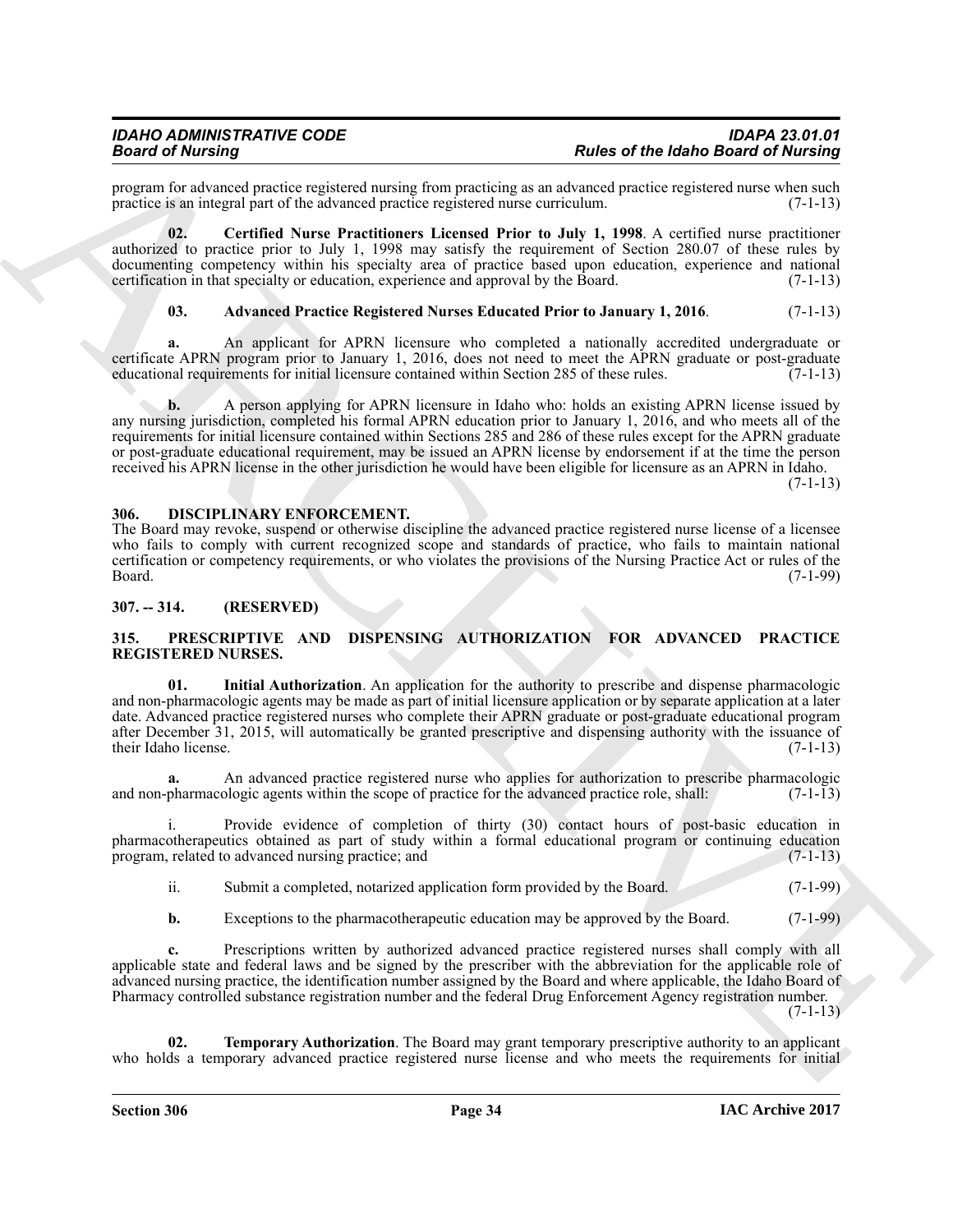program for advanced practice registered nursing from practicing as an advanced practice registered nurse when such practice is an integral part of the advanced practice registered nurse curriculum. (7-1-13) practice is an integral part of the advanced practice registered nurse curriculum.

**02. Certified Nurse Practitioners Licensed Prior to July 1, 1998**. A certified nurse practitioner authorized to practice prior to July 1, 1998 may satisfy the requirement of Section 280.07 of these rules by documenting competency within his specialty area of practice based upon education, experience and national certification in that specialty or education, experience and approval by the Board. (7-1-13) certification in that specialty or education, experience and approval by the Board.

### <span id="page-33-5"></span><span id="page-33-4"></span>**03. Advanced Practice Registered Nurses Educated Prior to January 1, 2016**. (7-1-13)

**a.** An applicant for APRN licensure who completed a nationally accredited undergraduate or certificate APRN program prior to January 1, 2016, does not need to meet the APRN graduate or post-graduate educational requirements for initial licensure contained within Section 285 of these rules. (7-1-13) educational requirements for initial licensure contained within Section 285 of these rules.

**Solution** of the based of the based of the **Religion of the labor Gaussian** properties of the *Photo Based of Newton Properties and Contact Contact Contact Contact Contact Contact Contact Contact Contact Contact Contact* **b.** A person applying for APRN licensure in Idaho who: holds an existing APRN license issued by any nursing jurisdiction, completed his formal APRN education prior to January 1, 2016, and who meets all of the requirements for initial licensure contained within Sections 285 and 286 of these rules except for the APRN graduate or post-graduate educational requirement, may be issued an APRN license by endorsement if at the time the person received his APRN license in the other jurisdiction he would have been eligible for licensure as an APRN in Idaho.  $(7-1-13)$ 

<span id="page-33-3"></span><span id="page-33-0"></span>**306. DISCIPLINARY ENFORCEMENT.**

The Board may revoke, suspend or otherwise discipline the advanced practice registered nurse license of a licensee who fails to comply with current recognized scope and standards of practice, who fails to maintain national certification or competency requirements, or who violates the provisions of the Nursing Practice Act or rules of the Board. (7-1-99)

### <span id="page-33-1"></span>**307. -- 314. (RESERVED)**

### <span id="page-33-6"></span><span id="page-33-2"></span>**315. PRESCRIPTIVE AND DISPENSING AUTHORIZATION FOR ADVANCED PRACTICE REGISTERED NURSES.**

<span id="page-33-7"></span>**01. Initial Authorization**. An application for the authority to prescribe and dispense pharmacologic and non-pharmacologic agents may be made as part of initial licensure application or by separate application at a later date. Advanced practice registered nurses who complete their APRN graduate or post-graduate educational program after December 31, 2015, will automatically be granted prescriptive and dispensing authority with the issuance of their Idaho license. (7-1-13)

**a.** An advanced practice registered nurse who applies for authorization to prescribe pharmacologic pharmacologic agents within the scope of practice for the advanced practice role, shall: (7-1-13) and non-pharmacologic agents within the scope of practice for the advanced practice role, shall:

i. Provide evidence of completion of thirty (30) contact hours of post-basic education in pharmacotherapeutics obtained as part of study within a formal educational program or continuing education program, related to advanced nursing practice; and (7-1-13) program, related to advanced nursing practice; and

ii. Submit a completed, notarized application form provided by the Board. (7-1-99)

**b.** Exceptions to the pharmacotherapeutic education may be approved by the Board. (7-1-99)

**c.** Prescriptions written by authorized advanced practice registered nurses shall comply with all applicable state and federal laws and be signed by the prescriber with the abbreviation for the applicable role of advanced nursing practice, the identification number assigned by the Board and where applicable, the Idaho Board of Pharmacy controlled substance registration number and the federal Drug Enforcement Agency registration number.

 $(7-1-13)$ 

<span id="page-33-8"></span>**02. Temporary Authorization**. The Board may grant temporary prescriptive authority to an applicant who holds a temporary advanced practice registered nurse license and who meets the requirements for initial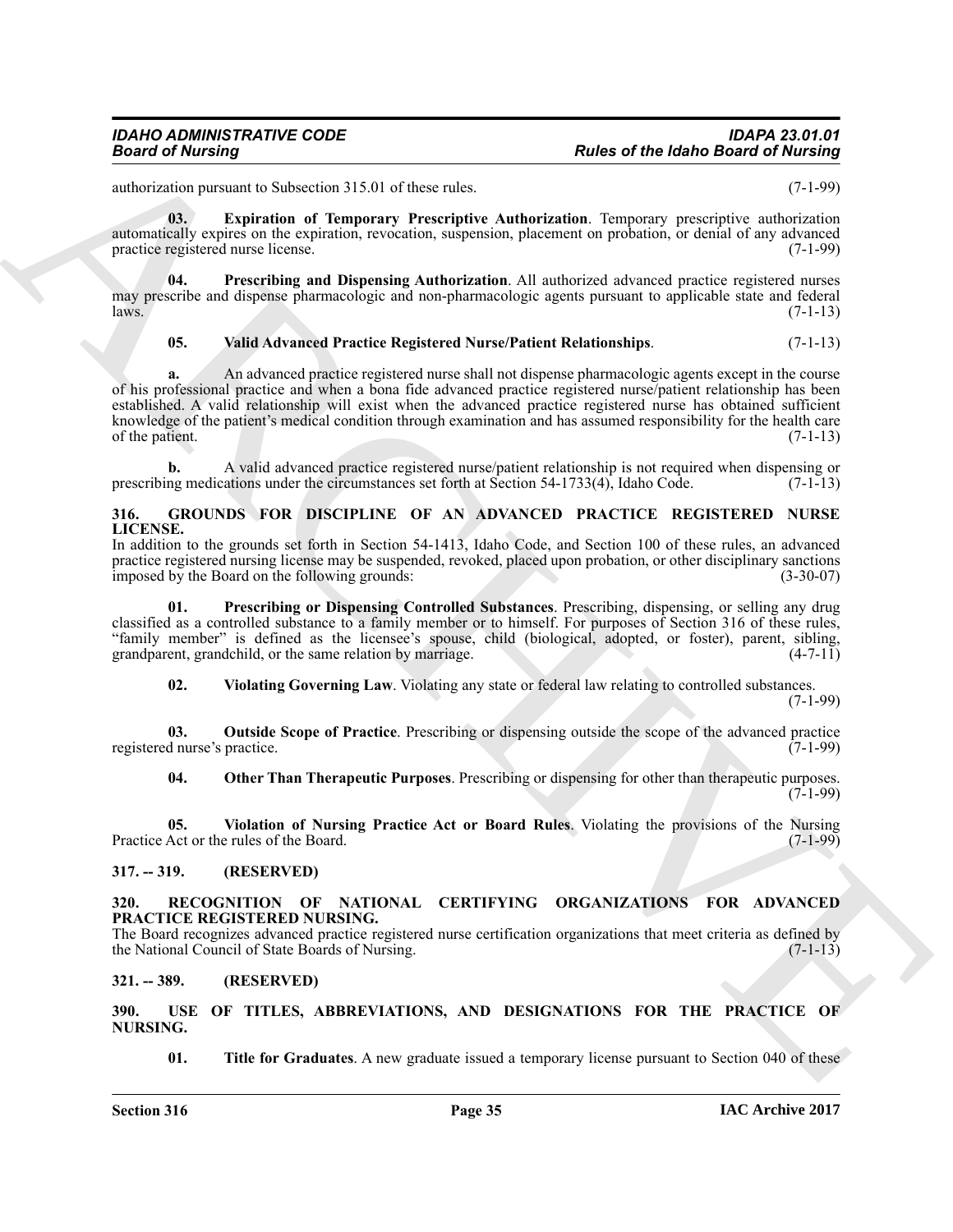authorization pursuant to Subsection 315.01 of these rules. (7-1-99)

<span id="page-34-11"></span>**03. Expiration of Temporary Prescriptive Authorization**. Temporary prescriptive authorization automatically expires on the expiration, revocation, suspension, placement on probation, or denial of any advanced practice registered nurse license. (7-1-99)

**04. Prescribing and Dispensing Authorization**. All authorized advanced practice registered nurses may prescribe and dispense pharmacologic and non-pharmacologic agents pursuant to applicable state and federal<br>(7-1-13) laws.  $(7-1-13)$ 

### <span id="page-34-12"></span>**05. Valid Advanced Practice Registered Nurse/Patient Relationships**. (7-1-13)

**Fraction Constraints: Properties and Constraints:** *Properties ARCHIVER CREATIVES CONSTRAINTS (ACTES)***<br>
<b>ARCHIVER CONSTRAINTS:** *PROPERTY ARCHIVERS CONSTRAINTS: <i>PROPERTY ARCHIVERS CONSTRAINTS: PROPERTY ARCHIV* **a.** An advanced practice registered nurse shall not dispense pharmacologic agents except in the course of his professional practice and when a bona fide advanced practice registered nurse/patient relationship has been established. A valid relationship will exist when the advanced practice registered nurse has obtained sufficient knowledge of the patient's medical condition through examination and has assumed responsibility for the health care<br>of the patient. (7-1-13) of the patient.

**b.** A valid advanced practice registered nurse/patient relationship is not required when dispensing or prescribing medications under the circumstances set forth at Section 54-1733(4), Idaho Code.

### <span id="page-34-5"></span><span id="page-34-0"></span>**316. GROUNDS FOR DISCIPLINE OF AN ADVANCED PRACTICE REGISTERED NURSE LICENSE.**

In addition to the grounds set forth in Section 54-1413, Idaho Code, and Section 100 of these rules, an advanced practice registered nursing license may be suspended, revoked, placed upon probation, or other disciplinary sanctions<br>(3-30-07) (3-30-07) imposed by the Board on the following grounds:

**Prescribing or Dispensing Controlled Substances**. Prescribing, dispensing, or selling any drug classified as a controlled substance to a family member or to himself. For purposes of Section 316 of these rules, "family member" is defined as the licensee's spouse, child (biological, adopted, or foster), parent, sibling, grandparent, grandchild, or the same relation by marriage.

<span id="page-34-9"></span><span id="page-34-8"></span><span id="page-34-7"></span>**02. Violating Governing Law**. Violating any state or federal law relating to controlled substances.

(7-1-99)

**03. Outside Scope of Practice**. Prescribing or dispensing outside the scope of the advanced practice d nurse's practice. registered nurse's practice.

<span id="page-34-10"></span><span id="page-34-6"></span>**04. Other Than Therapeutic Purposes**. Prescribing or dispensing for other than therapeutic purposes.  $(7-1-99)$ 

**05. Violation of Nursing Practice Act or Board Rules**. Violating the provisions of the Nursing Practice Act or the rules of the Board. (7-1-99)

### <span id="page-34-1"></span>**317. -- 319. (RESERVED)**

### <span id="page-34-13"></span><span id="page-34-2"></span>**320. RECOGNITION OF NATIONAL CERTIFYING ORGANIZATIONS FOR ADVANCED PRACTICE REGISTERED NURSING.**

The Board recognizes advanced practice registered nurse certification organizations that meet criteria as defined by the National Council of State Boards of Nursing. (7-1-13) the National Council of State Boards of Nursing.

### <span id="page-34-3"></span>**321. -- 389. (RESERVED)**

<span id="page-34-14"></span><span id="page-34-4"></span>**390. USE OF TITLES, ABBREVIATIONS, AND DESIGNATIONS FOR THE PRACTICE OF NURSING.**

<span id="page-34-15"></span>**01.** Title for Graduates. A new graduate issued a temporary license pursuant to Section 040 of these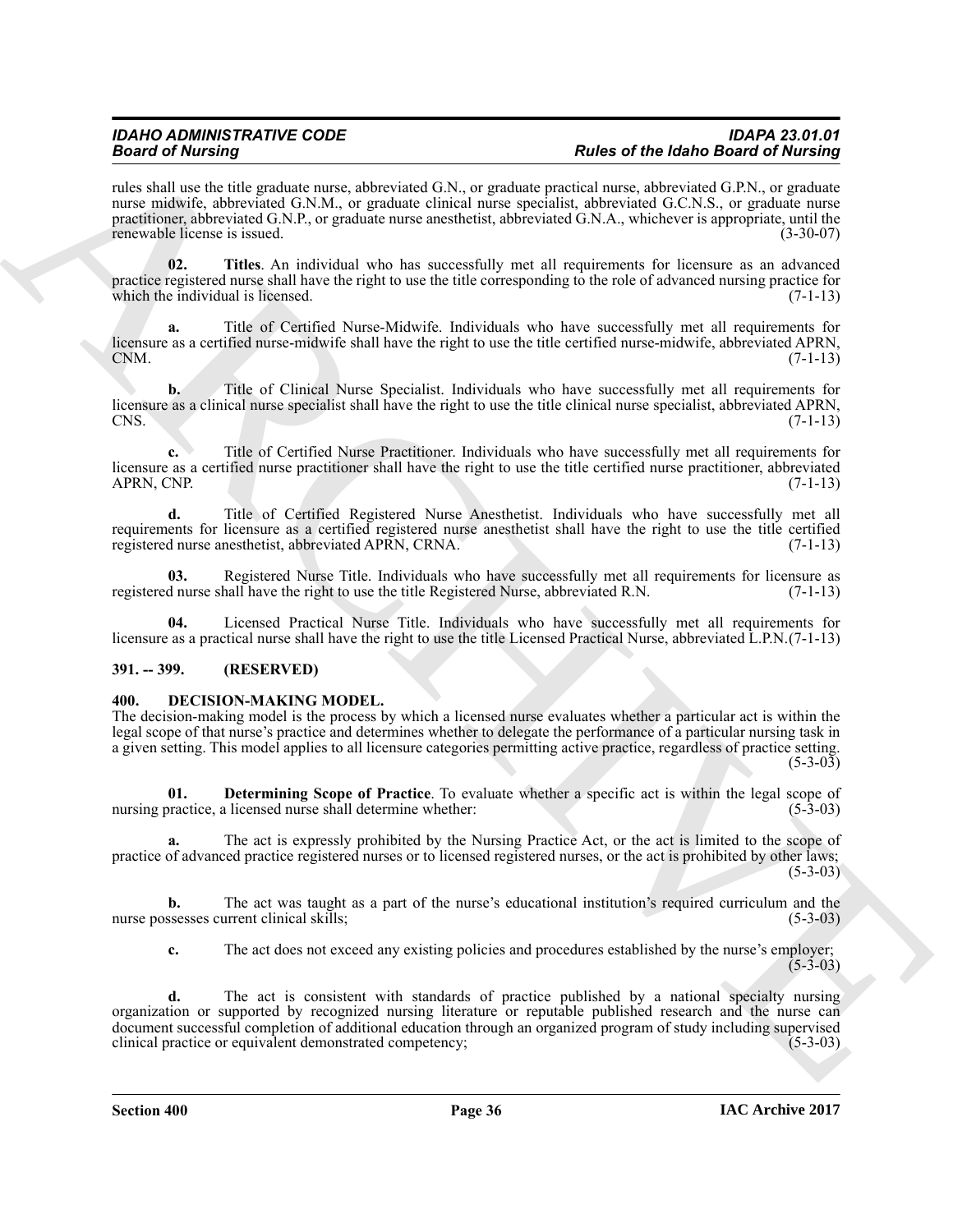rules shall use the title graduate nurse, abbreviated G.N., or graduate practical nurse, abbreviated G.P.N., or graduate nurse midwife, abbreviated G.N.M., or graduate clinical nurse specialist, abbreviated G.C.N.S., or graduate nurse practitioner, abbreviated G.N.P., or graduate nurse anesthetist, abbreviated G.N.A., whichever is appropriate, until the renewable license is issued.

<span id="page-35-10"></span>**02. Titles**. An individual who has successfully met all requirements for licensure as an advanced practice registered nurse shall have the right to use the title corresponding to the role of advanced nursing practice for which the individual is licensed.  $(7-1-13)$ 

<span id="page-35-6"></span>**a.** Title of Certified Nurse-Midwife. Individuals who have successfully met all requirements for licensure as a certified nurse-midwife shall have the right to use the title certified nurse-midwife, abbreviated APRN, CNM.  $CNM.$  (7-1-13)

<span id="page-35-7"></span>**b.** Title of Clinical Nurse Specialist. Individuals who have successfully met all requirements for licensure as a clinical nurse specialist shall have the right to use the title clinical nurse specialist, abbreviated APRN, CNS. (7-1-13)  $\cos(7-1-13)$ 

<span id="page-35-8"></span>**c.** Title of Certified Nurse Practitioner. Individuals who have successfully met all requirements for licensure as a certified nurse practitioner shall have the right to use the title certified nurse practitioner, abbreviated APRN, CNP. (7-1-13)

<span id="page-35-9"></span>**d.** Title of Certified Registered Nurse Anesthetist. Individuals who have successfully met all requirements for licensure as a certified registered nurse anesthetist shall have the right to use the title certified registered nurse anesthetist, abbreviated APRN, CRNA. (7-1-13)

<span id="page-35-5"></span>**03.** Registered Nurse Title. Individuals who have successfully met all requirements for licensure as d nurse shall have the right to use the title Registered Nurse, abbreviated R.N. (7-1-13) registered nurse shall have the right to use the title Registered Nurse, abbreviated R.N.

<span id="page-35-4"></span>**04.** Licensed Practical Nurse Title. Individuals who have successfully met all requirements for licensure as a practical nurse shall have the right to use the title Licensed Practical Nurse, abbreviated L.P.N.(7-1-13)

### <span id="page-35-0"></span>**391. -- 399. (RESERVED)**

### <span id="page-35-2"></span><span id="page-35-1"></span>**400. DECISION-MAKING MODEL.**

The decision-making model is the process by which a licensed nurse evaluates whether a particular act is within the legal scope of that nurse's practice and determines whether to delegate the performance of a particular nursing task in a given setting. This model applies to all licensure categories permitting active practice, regardless of practice setting.  $(5-3-03)$ 

<span id="page-35-3"></span>**01. Determining Scope of Practice**. To evaluate whether a specific act is within the legal scope of practice. a licensed nurse shall determine whether: (5-3-03) nursing practice, a licensed nurse shall determine whether:

**a.** The act is expressly prohibited by the Nursing Practice Act, or the act is limited to the scope of practice of advanced practice registered nurses or to licensed registered nurses, or the act is prohibited by other laws;  $(5-3-03)$ 

**b.** The act was taught as a part of the nurse's educational institution's required curriculum and the nurse possesses current clinical skills; (5-3-03) (5-3-03)

**c.** The act does not exceed any existing policies and procedures established by the nurse's employer; (5-3-03)

Beach of Museum is a material three states and the space of the Habe of the Habe Beach of the Music measurement of the Music measurement of the Music measurement of the Music measurement of the Music measurement of the Mu **d.** The act is consistent with standards of practice published by a national specialty nursing organization or supported by recognized nursing literature or reputable published research and the nurse can document successful completion of additional education through an organized program of study including supervised<br>clinical practice or equivalent demonstrated competency;<br>(5-3-03) clinical practice or equivalent demonstrated competency;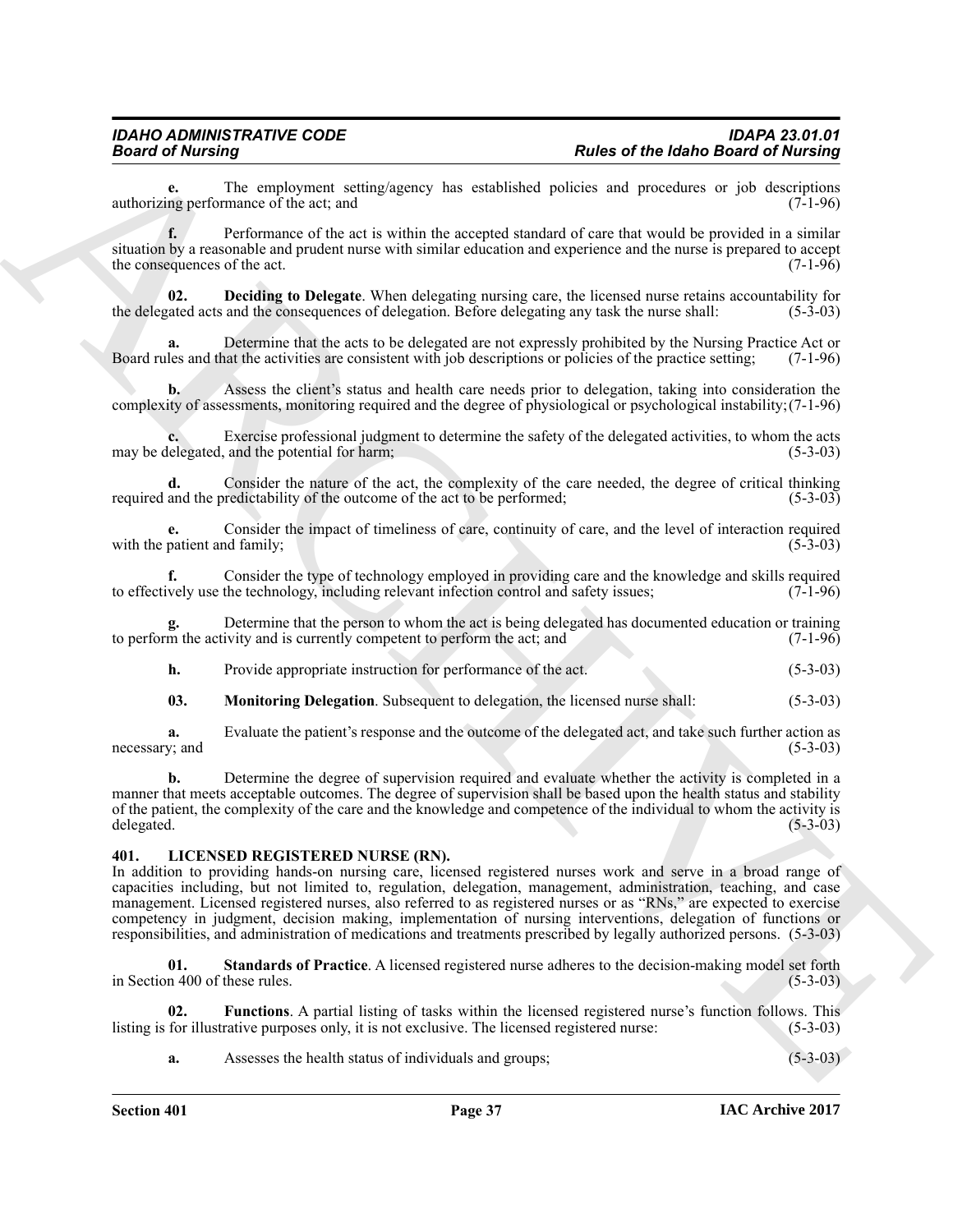**e.** The employment setting/agency has established policies and procedures or job descriptions ng performance of the act: and (7-1-96) authorizing performance of the act; and

**f.** Performance of the act is within the accepted standard of care that would be provided in a similar situation by a reasonable and prudent nurse with similar education and experience and the nurse is prepared to accept<br>the consequences of the act. (7-1-96) the consequences of the act.

<span id="page-36-1"></span>**02. Deciding to Delegate**. When delegating nursing care, the licensed nurse retains accountability for a rated acts and the consequences of delegation. Before delegating any task the nurse shall: (5-3-03) the delegated acts and the consequences of delegation. Before delegating any task the nurse shall:

Determine that the acts to be delegated are not expressly prohibited by the Nursing Practice Act or pat the activities are consistent with job descriptions or policies of the practice setting; (7-1-96) Board rules and that the activities are consistent with job descriptions or policies of the practice setting;

**b.** Assess the client's status and health care needs prior to delegation, taking into consideration the complexity of assessments, monitoring required and the degree of physiological or psychological instability;(7-1-96)

**c.** Exercise professional judgment to determine the safety of the delegated activities, to whom the acts lelegated, and the potential for harm; (5-3-03) may be delegated, and the potential for harm;

**d.** Consider the nature of the act, the complexity of the care needed, the degree of critical thinking and the predictability of the outcome of the act to be performed: (5-3-03) required and the predictability of the outcome of the act to be performed;

**e.** Consider the impact of timeliness of care, continuity of care, and the level of interaction required patient and family; (5-3-03) with the patient and family;

**f.** Consider the type of technology employed in providing care and the knowledge and skills required vely use the technology, including relevant infection control and safety issues; (7-1-96) to effectively use the technology, including relevant infection control and safety issues;

Determine that the person to whom the act is being delegated has documented education or training ivity and is currently competent to perform the act; and (7-1-96) to perform the activity and is currently competent to perform the act; and

**h.** Provide appropriate instruction for performance of the act. (5-3-03)

<span id="page-36-2"></span>**03. Monitoring Delegation**. Subsequent to delegation, the licensed nurse shall: (5-3-03)

**a.** Evaluate the patient's response and the outcome of the delegated act, and take such further action as  $(x)$ : and  $(5-3-03)$ necessary; and

**b.** Determine the degree of supervision required and evaluate whether the activity is completed in a manner that meets acceptable outcomes. The degree of supervision shall be based upon the health status and stability of the patient, the complexity of the care and the knowledge and competence of the individual to whom the activity is delegated. (5-3-03) delegated. (5-3-03)

### <span id="page-36-3"></span><span id="page-36-0"></span>**401. LICENSED REGISTERED NURSE (RN).**

**Fraction of the latter of the latter system and the system and the system and the system and the system and the system and the system and the system and the system and the system and the system and the system and the sys** In addition to providing hands-on nursing care, licensed registered nurses work and serve in a broad range of capacities including, but not limited to, regulation, delegation, management, administration, teaching, and case management. Licensed registered nurses, also referred to as registered nurses or as "RNs," are expected to exercise competency in judgment, decision making, implementation of nursing interventions, delegation of functions or responsibilities, and administration of medications and treatments prescribed by legally authorized persons. (5-3-03)

<span id="page-36-5"></span>**01. Standards of Practice**. A licensed registered nurse adheres to the decision-making model set forth in Section 400 of these rules. (5-3-03)

**02.** Functions. A partial listing of tasks within the licensed registered nurse's function follows. This for illustrative purposes only, it is not exclusive. The licensed registered nurse: (5-3-03) listing is for illustrative purposes only, it is not exclusive. The licensed registered nurse:

<span id="page-36-4"></span>**a.** Assesses the health status of individuals and groups; (5-3-03)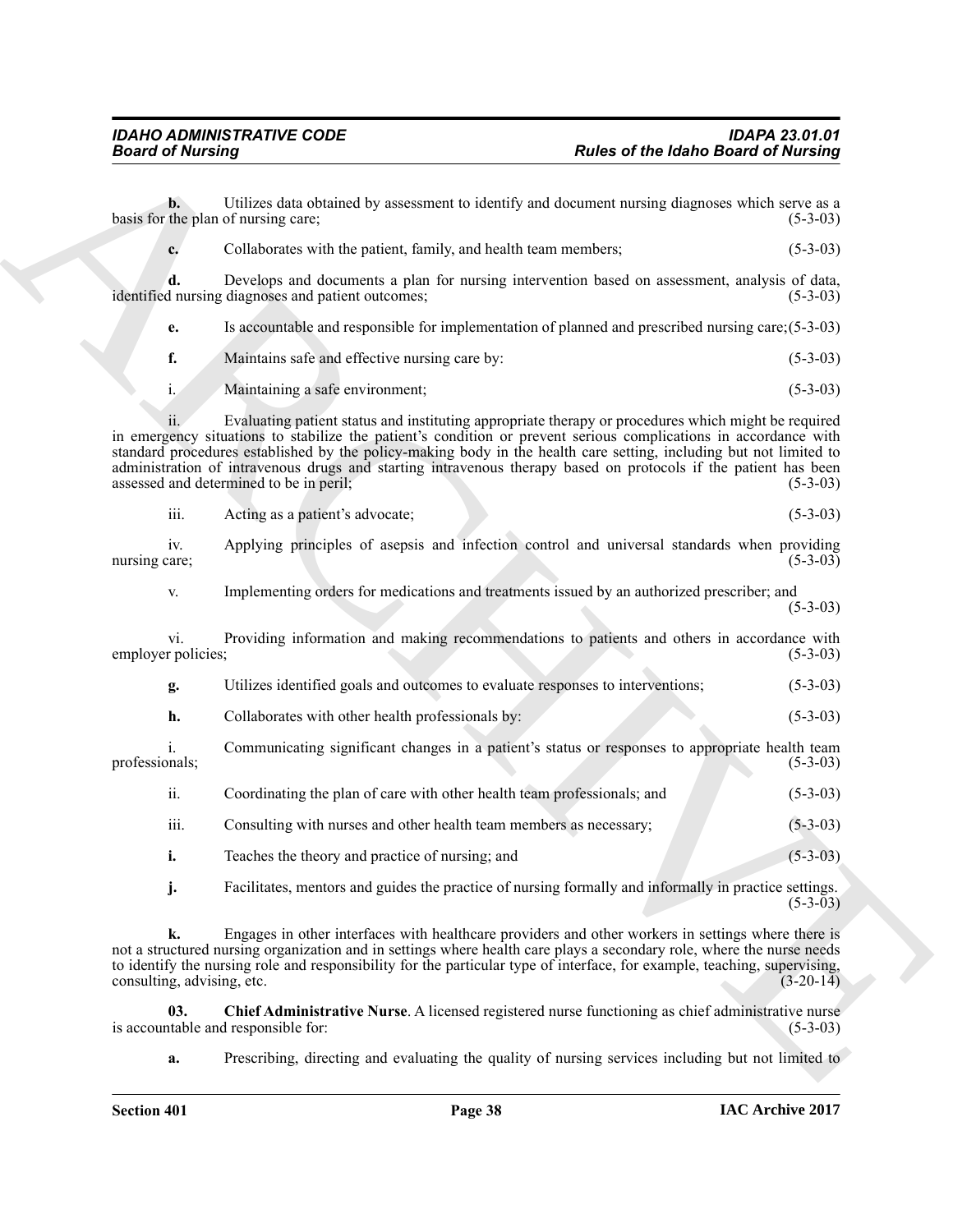<span id="page-37-0"></span>

| <b>Board of Nursing</b>                                  | <b>Rules of the Idaho Board of Nursing</b>                                                                                                                                                                                                                                                                                                                                                                                                                       |                |
|----------------------------------------------------------|------------------------------------------------------------------------------------------------------------------------------------------------------------------------------------------------------------------------------------------------------------------------------------------------------------------------------------------------------------------------------------------------------------------------------------------------------------------|----------------|
| $\mathbf{b}$ .<br>basis for the plan of nursing care;    | Utilizes data obtained by assessment to identify and document nursing diagnoses which serve as a                                                                                                                                                                                                                                                                                                                                                                 | $(5-3-03)$     |
| c.                                                       | Collaborates with the patient, family, and health team members;                                                                                                                                                                                                                                                                                                                                                                                                  | $(5-3-03)$     |
| d.<br>identified nursing diagnoses and patient outcomes; | Develops and documents a plan for nursing intervention based on assessment, analysis of data,                                                                                                                                                                                                                                                                                                                                                                    | $(5-3-03)$     |
| e.                                                       | Is accountable and responsible for implementation of planned and prescribed nursing care; (5-3-03)                                                                                                                                                                                                                                                                                                                                                               |                |
| f.                                                       | Maintains safe and effective nursing care by:                                                                                                                                                                                                                                                                                                                                                                                                                    | $(5-3-03)$     |
| $i$ .<br>Maintaining a safe environment;                 |                                                                                                                                                                                                                                                                                                                                                                                                                                                                  | $(5-3-03)$     |
| assessed and determined to be in peril;                  | Evaluating patient status and instituting appropriate therapy or procedures which might be required<br>in emergency situations to stabilize the patient's condition or prevent serious complications in accordance with<br>standard procedures established by the policy-making body in the health care setting, including but not limited to<br>administration of intravenous drugs and starting intravenous therapy based on protocols if the patient has been | $(5-3-03)$     |
| iii.<br>Acting as a patient's advocate;                  |                                                                                                                                                                                                                                                                                                                                                                                                                                                                  | $(5-3-03)$     |
| iv.<br>nursing care;                                     | Applying principles of asepsis and infection control and universal standards when providing                                                                                                                                                                                                                                                                                                                                                                      | $(5-3-03)$     |
| V.                                                       | Implementing orders for medications and treatments issued by an authorized prescriber; and                                                                                                                                                                                                                                                                                                                                                                       | $(5-3-03)$     |
| V1.<br>employer policies;                                | Providing information and making recommendations to patients and others in accordance with                                                                                                                                                                                                                                                                                                                                                                       | $(5-3-03)$     |
| g.                                                       | Utilizes identified goals and outcomes to evaluate responses to interventions;                                                                                                                                                                                                                                                                                                                                                                                   | $(5-3-03)$     |
| h.                                                       | Collaborates with other health professionals by:                                                                                                                                                                                                                                                                                                                                                                                                                 | $(5-3-03)$     |
| $\mathbf{1}$ .<br>professionals;                         | Communicating significant changes in a patient's status or responses to appropriate health team                                                                                                                                                                                                                                                                                                                                                                  | $(5-3-03)$     |
| ii.                                                      | Coordinating the plan of care with other health team professionals; and                                                                                                                                                                                                                                                                                                                                                                                          | $(5-3-03)$     |
| iii.                                                     | Consulting with nurses and other health team members as necessary;                                                                                                                                                                                                                                                                                                                                                                                               | $(5-3-03)$     |
| i.                                                       | Teaches the theory and practice of nursing; and                                                                                                                                                                                                                                                                                                                                                                                                                  | $(5 - 3 - 03)$ |
| j.                                                       | Facilitates, mentors and guides the practice of nursing formally and informally in practice settings.                                                                                                                                                                                                                                                                                                                                                            | $(5-3-03)$     |
| k.<br>consulting, advising, etc.                         | Engages in other interfaces with healthcare providers and other workers in settings where there is<br>not a structured nursing organization and in settings where health care plays a secondary role, where the nurse needs<br>to identify the nursing role and responsibility for the particular type of interface, for example, teaching, supervising,                                                                                                         | $(3-20-14)$    |
| 03.<br>is accountable and responsible for:               | Chief Administrative Nurse. A licensed registered nurse functioning as chief administrative nurse                                                                                                                                                                                                                                                                                                                                                                | $(5-3-03)$     |
|                                                          | Prescribing, directing and evaluating the quality of nursing services including but not limited to                                                                                                                                                                                                                                                                                                                                                               |                |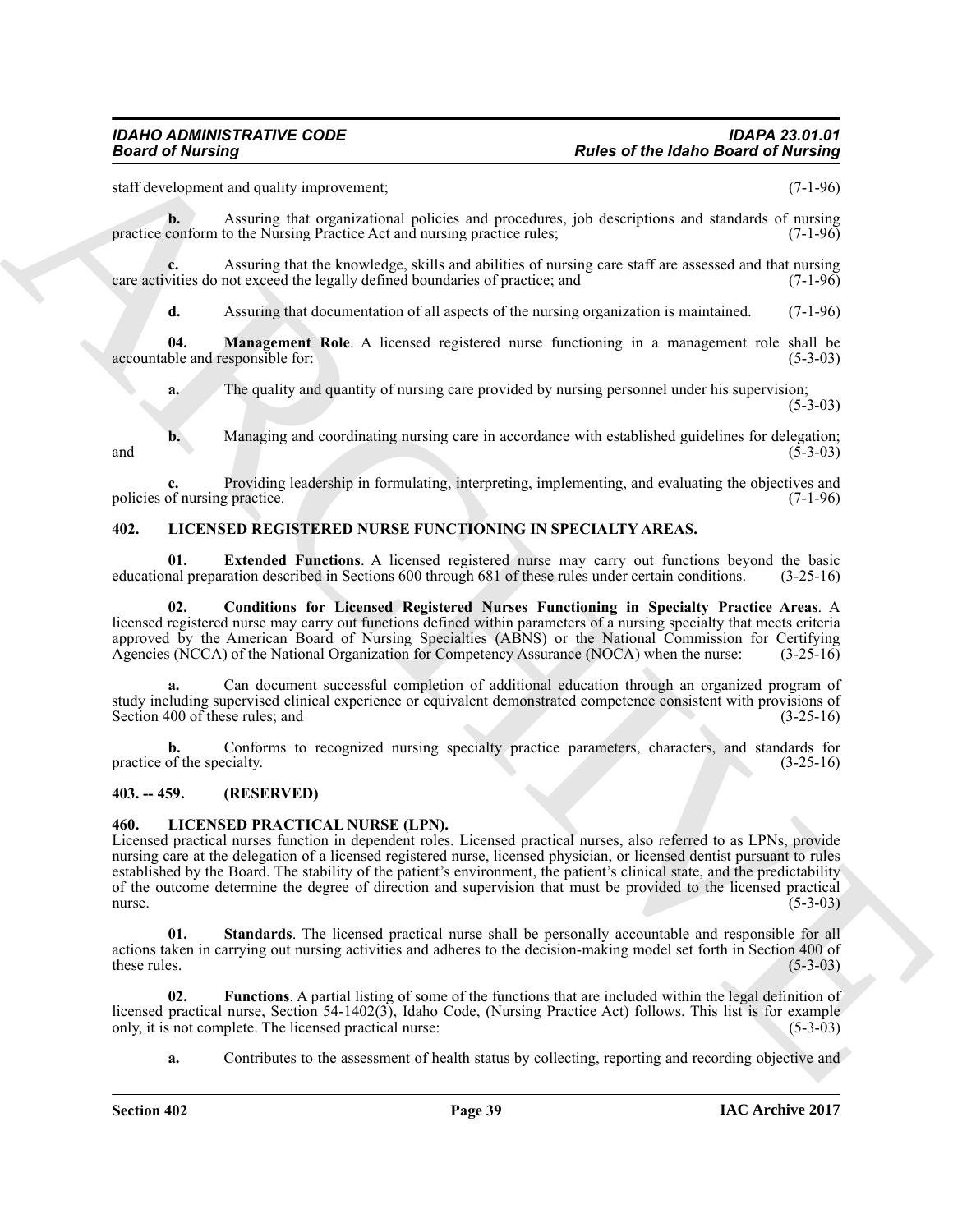staff development and quality improvement; (7-1-96)

**b.** Assuring that organizational policies and procedures, job descriptions and standards of nursing practice conform to the Nursing Practice Act and nursing practice rules; (7-1-96)

Assuring that the knowledge, skills and abilities of nursing care staff are assessed and that nursing not exceed the legally defined boundaries of practice; and  $(7-1-96)$ care activities do not exceed the legally defined boundaries of practice; and

<span id="page-38-6"></span>**d.** Assuring that documentation of all aspects of the nursing organization is maintained. (7-1-96)

**04. Management Role**. A licensed registered nurse functioning in a management role shall be ble and responsible for: (5-3-03) accountable and responsible for:

**a.** The quality and quantity of nursing care provided by nursing personnel under his supervision;

 $(5-3-03)$ 

**b.** Managing and coordinating nursing care in accordance with established guidelines for delegation; (5-3-03) and  $(5-3-03)$ 

**c.** Providing leadership in formulating, interpreting, implementing, and evaluating the objectives and of nursing practice. (7-1-96) policies of nursing practice.

### <span id="page-38-7"></span><span id="page-38-0"></span>**402. LICENSED REGISTERED NURSE FUNCTIONING IN SPECIALTY AREAS.**

<span id="page-38-9"></span>**01. Extended Functions**. A licensed registered nurse may carry out functions beyond the basic nal preparation described in Sections 600 through 681 of these rules under certain conditions. (3-25-16) educational preparation described in Sections 600 through 681 of these rules under certain conditions.

<span id="page-38-8"></span>**02. Conditions for Licensed Registered Nurses Functioning in Specialty Practice Areas**. A licensed registered nurse may carry out functions defined within parameters of a nursing specialty that meets criteria approved by the American Board of Nursing Specialties (ABNS) or the National Commission for Certifying Agencies (NCCA) of the National Organization for Competency Assurance (NOCA) when the nurse: (3-25-16) Agencies (NCCA) of the National Organization for Competency Assurance (NOCA) when the nurse:

**a.** Can document successful completion of additional education through an organized program of study including supervised clinical experience or equivalent demonstrated competence consistent with provisions of<br>
Section 400 of these rules; and<br>
(3-25-16) Section 400 of these rules; and

**b.** Conforms to recognized nursing specialty practice parameters, characters, and standards for of the specialty. (3-25-16) practice of the specialty.

### <span id="page-38-1"></span>**403. -- 459. (RESERVED)**

### <span id="page-38-3"></span><span id="page-38-2"></span>**460. LICENSED PRACTICAL NURSE (LPN).**

**Fraction Constraint (Although Scheme Constraint (Although Scheme Constraint (Although Scheme Constraint (Although Scheme Constraint (Although Scheme Constraint (Although Scheme Constraint (Although Scheme Constraint (Alt** Licensed practical nurses function in dependent roles. Licensed practical nurses, also referred to as LPNs, provide nursing care at the delegation of a licensed registered nurse, licensed physician, or licensed dentist pursuant to rules established by the Board. The stability of the patient's environment, the patient's clinical state, and the predictability of the outcome determine the degree of direction and supervision that must be provided to the licensed practical nurse.  $n = (5-3-03)$ 

<span id="page-38-5"></span>**01. Standards**. The licensed practical nurse shall be personally accountable and responsible for all actions taken in carrying out nursing activities and adheres to the decision-making model set forth in Section 400 of these rules. (5-3-03) these rules.  $(5-3-03)$ 

**02. Functions**. A partial listing of some of the functions that are included within the legal definition of licensed practical nurse, Section 54-1402(3), Idaho Code, (Nursing Practice Act) follows. This list is for example only, it is not complete. The licensed practical nurse: (5-3-03) only, it is not complete. The licensed practical nurse:

<span id="page-38-4"></span>**a.** Contributes to the assessment of health status by collecting, reporting and recording objective and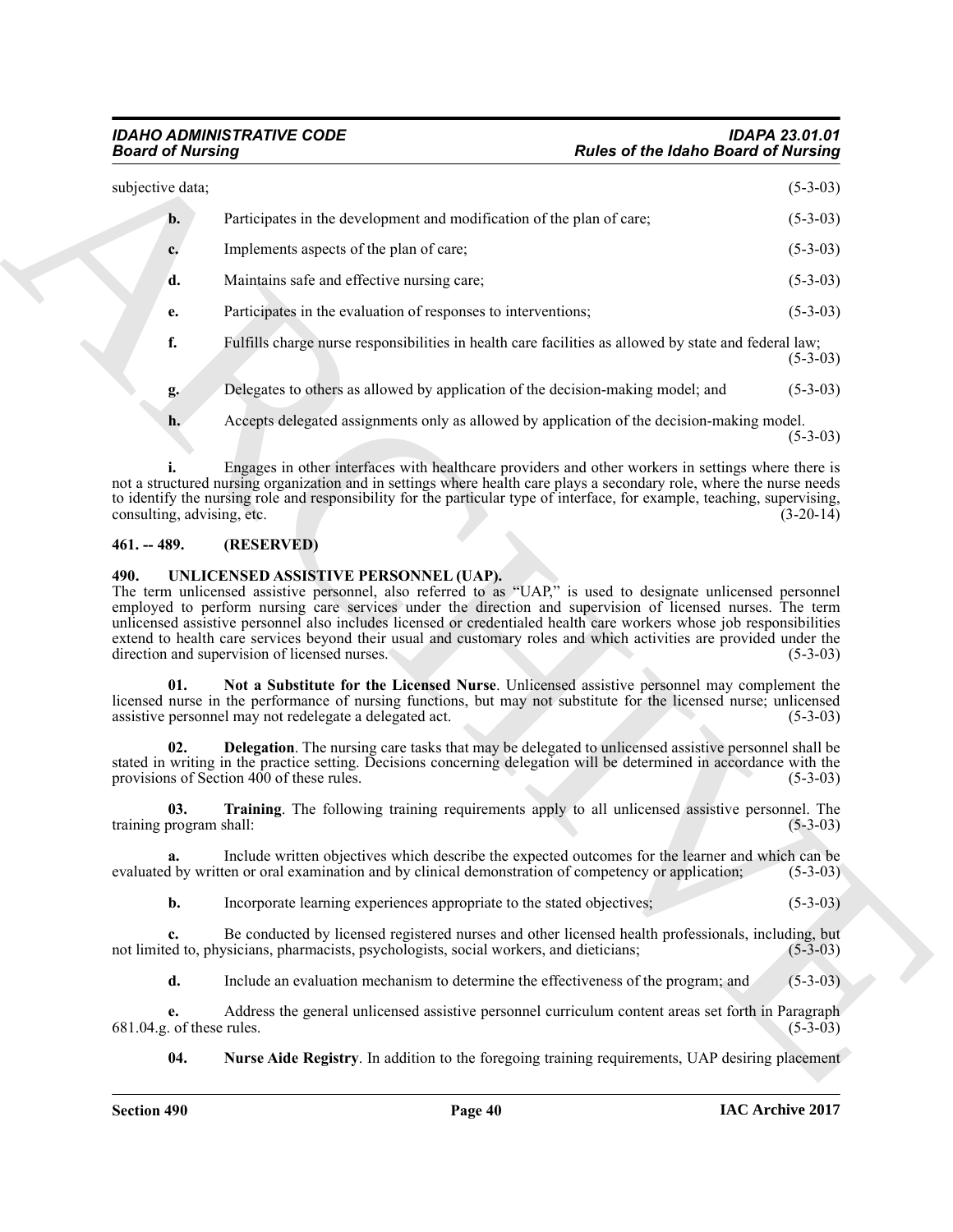| <b>Board of Nursing</b>         |                                                                                                                                                                                                                                                                                                                                                                                                                                                                                                                           | <b>Rules of the Idaho Board of Nursing</b> |  |
|---------------------------------|---------------------------------------------------------------------------------------------------------------------------------------------------------------------------------------------------------------------------------------------------------------------------------------------------------------------------------------------------------------------------------------------------------------------------------------------------------------------------------------------------------------------------|--------------------------------------------|--|
| subjective data;                |                                                                                                                                                                                                                                                                                                                                                                                                                                                                                                                           | $(5-3-03)$                                 |  |
| b.                              | Participates in the development and modification of the plan of care;                                                                                                                                                                                                                                                                                                                                                                                                                                                     | $(5-3-03)$                                 |  |
| c.                              | Implements aspects of the plan of care;                                                                                                                                                                                                                                                                                                                                                                                                                                                                                   | $(5-3-03)$                                 |  |
| d.                              | Maintains safe and effective nursing care;                                                                                                                                                                                                                                                                                                                                                                                                                                                                                | $(5-3-03)$                                 |  |
| e.                              | Participates in the evaluation of responses to interventions;                                                                                                                                                                                                                                                                                                                                                                                                                                                             | $(5-3-03)$                                 |  |
| f.                              | Fulfills charge nurse responsibilities in health care facilities as allowed by state and federal law;                                                                                                                                                                                                                                                                                                                                                                                                                     | $(5-3-03)$                                 |  |
| g.                              | Delegates to others as allowed by application of the decision-making model; and                                                                                                                                                                                                                                                                                                                                                                                                                                           | $(5-3-03)$                                 |  |
| h.                              | Accepts delegated assignments only as allowed by application of the decision-making model.                                                                                                                                                                                                                                                                                                                                                                                                                                | $(5-3-03)$                                 |  |
| consulting, advising, etc.      | Engages in other interfaces with healthcare providers and other workers in settings where there is<br>not a structured nursing organization and in settings where health care plays a secondary role, where the nurse needs<br>to identify the nursing role and responsibility for the particular type of interface, for example, teaching, supervising,                                                                                                                                                                  | $(3-20-14)$                                |  |
| $461. - 489.$                   | (RESERVED)                                                                                                                                                                                                                                                                                                                                                                                                                                                                                                                |                                            |  |
|                                 | The term unlicensed assistive personnel, also referred to as "UAP," is used to designate unlicensed personnel<br>employed to perform nursing care services under the direction and supervision of licensed nurses. The term<br>unlicensed assistive personnel also includes licensed or credentialed health care workers whose job responsibilities<br>extend to health care services beyond their usual and customary roles and which activities are provided under the<br>direction and supervision of licensed nurses. | $(5-3-03)$                                 |  |
| 01.                             | Not a Substitute for the Licensed Nurse. Unlicensed assistive personnel may complement the<br>licensed nurse in the performance of nursing functions, but may not substitute for the licensed nurse; unlicensed<br>assistive personnel may not redelegate a delegated act.                                                                                                                                                                                                                                                | $(5-3-03)$                                 |  |
| 02.                             | Delegation. The nursing care tasks that may be delegated to unlicensed assistive personnel shall be<br>stated in writing in the practice setting. Decisions concerning delegation will be determined in accordance with the<br>provisions of Section 400 of these rules.                                                                                                                                                                                                                                                  | $(5-3-03)$                                 |  |
| 03.<br>training program shall:  | Training. The following training requirements apply to all unlicensed assistive personnel. The                                                                                                                                                                                                                                                                                                                                                                                                                            | $(5-3-03)$                                 |  |
| a.                              | Include written objectives which describe the expected outcomes for the learner and which can be<br>evaluated by written or oral examination and by clinical demonstration of competency or application;                                                                                                                                                                                                                                                                                                                  | $(5-3-03)$                                 |  |
|                                 | Incorporate learning experiences appropriate to the stated objectives;                                                                                                                                                                                                                                                                                                                                                                                                                                                    | $(5-3-03)$                                 |  |
| b.                              |                                                                                                                                                                                                                                                                                                                                                                                                                                                                                                                           |                                            |  |
| c.                              | Be conducted by licensed registered nurses and other licensed health professionals, including, but<br>not limited to, physicians, pharmacists, psychologists, social workers, and dieticians;                                                                                                                                                                                                                                                                                                                             | $(5-3-03)$                                 |  |
| d.                              | Include an evaluation mechanism to determine the effectiveness of the program; and                                                                                                                                                                                                                                                                                                                                                                                                                                        | $(5-3-03)$                                 |  |
| e.<br>681.04.g. of these rules. | Address the general unlicensed assistive personnel curriculum content areas set forth in Paragraph                                                                                                                                                                                                                                                                                                                                                                                                                        | $(5-3-03)$                                 |  |

### <span id="page-39-0"></span>**461. -- 489. (RESERVED)**

### <span id="page-39-6"></span><span id="page-39-5"></span><span id="page-39-4"></span><span id="page-39-3"></span><span id="page-39-2"></span><span id="page-39-1"></span>**490. UNLICENSED ASSISTIVE PERSONNEL (UAP).**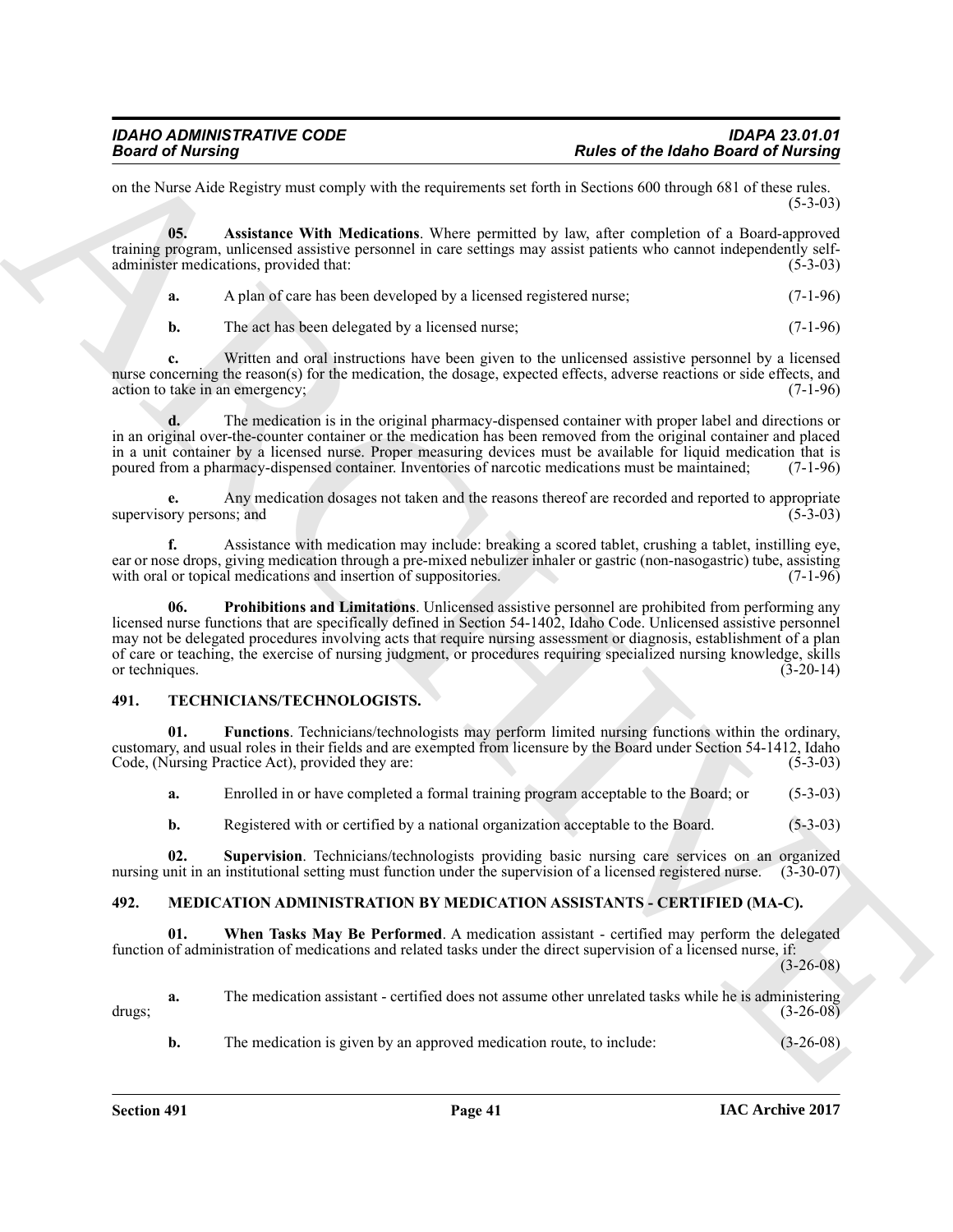on the Nurse Aide Registry must comply with the requirements set forth in Sections 600 through 681 of these rules.  $(5-3-03)$ 

**05. Assistance With Medications**. Where permitted by law, after completion of a Board-approved training program, unlicensed assistive personnel in care settings may assist patients who cannot independently selfadminister medications, provided that: (5-3-03)

<span id="page-40-7"></span>

|  | A plan of care has been developed by a licensed registered nurse; | $(7-1-96)$ |
|--|-------------------------------------------------------------------|------------|
|--|-------------------------------------------------------------------|------------|

**b.** The act has been delegated by a licensed nurse; (7-1-96)

**c.** Written and oral instructions have been given to the unlicensed assistive personnel by a licensed nurse concerning the reason(s) for the medication, the dosage, expected effects, adverse reactions or side effects, and action to take in an emergency: (7-1-96) action to take in an emergency;

**d.** The medication is in the original pharmacy-dispensed container with proper label and directions or in an original over-the-counter container or the medication has been removed from the original container and placed in a unit container by a licensed nurse. Proper measuring devices must be available for liquid medication that is poured from a pharmacy-dispensed container. Inventories of narcotic medications must be maintained; (7-1-96)

**e.** Any medication dosages not taken and the reasons thereof are recorded and reported to appropriate supervisory persons; and

<span id="page-40-8"></span>**f.** Assistance with medication may include: breaking a scored tablet, crushing a tablet, instilling eye, ear or nose drops, giving medication through a pre-mixed nebulizer inhaler or gastric (non-nasogastric) tube, assisting with oral or topical medications and insertion of suppositories. (7-1-96) with oral or topical medications and insertion of suppositories.

**Fraction of the latino distribution** in the control of the state of the latino Braid of Nucking and the state of the state of the state of the state of the state of the state of the state of the state of the state of the **06. Prohibitions and Limitations**. Unlicensed assistive personnel are prohibited from performing any licensed nurse functions that are specifically defined in Section 54-1402, Idaho Code. Unlicensed assistive personnel may not be delegated procedures involving acts that require nursing assessment or diagnosis, establishment of a plan of care or teaching, the exercise of nursing judgment, or procedures requiring specialized nursing knowledge, skills or techniques. (3-20-14) or techniques.

### <span id="page-40-4"></span><span id="page-40-0"></span>**491. TECHNICIANS/TECHNOLOGISTS.**

**01. Functions**. Technicians/technologists may perform limited nursing functions within the ordinary, customary, and usual roles in their fields and are exempted from licensure by the Board under Section 54-1412, Idaho Code, (Nursing Practice Act), provided they are:

<span id="page-40-5"></span>**a.** Enrolled in or have completed a formal training program acceptable to the Board; or (5-3-03)

<span id="page-40-6"></span><span id="page-40-3"></span>**b.** Registered with or certified by a national organization acceptable to the Board. (5-3-03)

**02.** Supervision. Technicians/technologists providing basic nursing care services on an organized unit in an institutional setting must function under the supervision of a licensed registered nurse. (3-30-07) nursing unit in an institutional setting must function under the supervision of a licensed registered nurse.

### <span id="page-40-2"></span><span id="page-40-1"></span>**492. MEDICATION ADMINISTRATION BY MEDICATION ASSISTANTS - CERTIFIED (MA-C).**

**01. When Tasks May Be Performed**. A medication assistant - certified may perform the delegated function of administration of medications and related tasks under the direct supervision of a licensed nurse, if:

(3-26-08)

**a.** The medication assistant - certified does not assume other unrelated tasks while he is administering drugs; (3-26-08)

**b.** The medication is given by an approved medication route, to include: (3-26-08)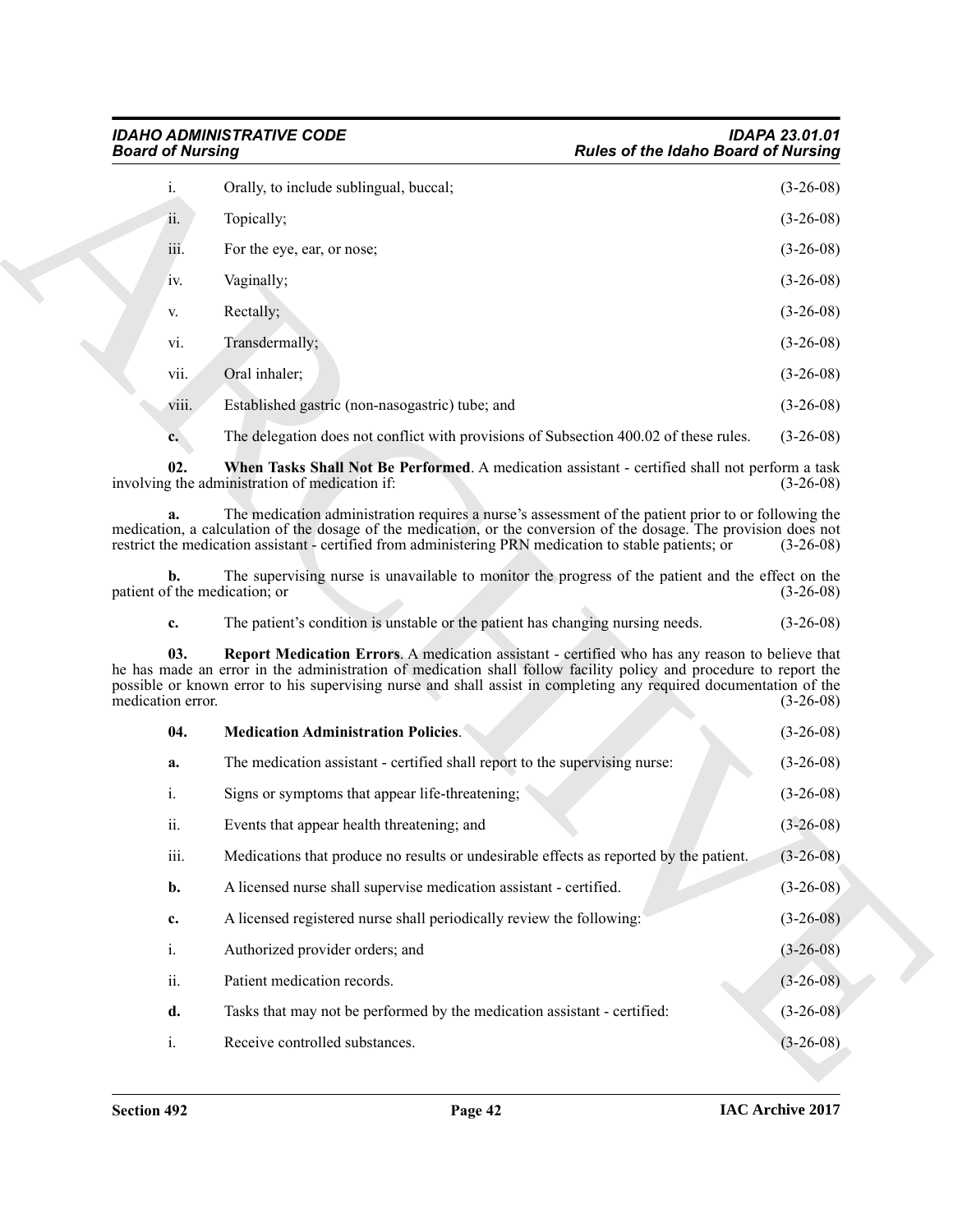<span id="page-41-2"></span><span id="page-41-1"></span><span id="page-41-0"></span>

| $\mathbf{i}$ . | Orally, to include sublingual, buccal;          | $(3-26-08)$ |
|----------------|-------------------------------------------------|-------------|
| ii.            | Topically;                                      | $(3-26-08)$ |
| iii.           | For the eye, ear, or nose;                      | $(3-26-08)$ |
| IV.            | Vaginally;                                      | $(3-26-08)$ |
| V.             | Rectally;                                       | $(3-26-08)$ |
| vi.            | Transdermally;                                  | $(3-26-08)$ |
| vii.           | Oral inhaler;                                   | $(3-26-08)$ |
| viii.          | Established gastric (non-nasogastric) tube; and | $(3-26-08)$ |
|                |                                                 |             |

| <b>Board of Nursing</b>  |                                                                                                                                                                                                                                                                                                                                           |                                                                                                                                                                                                                                                                                                                                      | <b>Rules of the Idaho Board of Nursing</b> |                                                                                                       |
|--------------------------|-------------------------------------------------------------------------------------------------------------------------------------------------------------------------------------------------------------------------------------------------------------------------------------------------------------------------------------------|--------------------------------------------------------------------------------------------------------------------------------------------------------------------------------------------------------------------------------------------------------------------------------------------------------------------------------------|--------------------------------------------|-------------------------------------------------------------------------------------------------------|
|                          | i.                                                                                                                                                                                                                                                                                                                                        | Orally, to include sublingual, buccal;                                                                                                                                                                                                                                                                                               |                                            | $(3-26-08)$                                                                                           |
|                          | ii.                                                                                                                                                                                                                                                                                                                                       | Topically;                                                                                                                                                                                                                                                                                                                           |                                            | $(3-26-08)$                                                                                           |
|                          | iii.                                                                                                                                                                                                                                                                                                                                      | For the eye, ear, or nose;                                                                                                                                                                                                                                                                                                           |                                            | $(3-26-08)$                                                                                           |
|                          | IV.                                                                                                                                                                                                                                                                                                                                       | Vaginally;                                                                                                                                                                                                                                                                                                                           |                                            | $(3-26-08)$                                                                                           |
|                          | V.                                                                                                                                                                                                                                                                                                                                        | Rectally;                                                                                                                                                                                                                                                                                                                            |                                            | $(3-26-08)$                                                                                           |
|                          | vi.                                                                                                                                                                                                                                                                                                                                       | Transdermally;                                                                                                                                                                                                                                                                                                                       |                                            | $(3-26-08)$                                                                                           |
|                          | vii.                                                                                                                                                                                                                                                                                                                                      | Oral inhaler;                                                                                                                                                                                                                                                                                                                        |                                            | $(3-26-08)$                                                                                           |
|                          | viii.                                                                                                                                                                                                                                                                                                                                     | Established gastric (non-nasogastric) tube; and                                                                                                                                                                                                                                                                                      |                                            | $(3-26-08)$                                                                                           |
|                          | c.                                                                                                                                                                                                                                                                                                                                        | The delegation does not conflict with provisions of Subsection 400.02 of these rules.                                                                                                                                                                                                                                                |                                            | $(3-26-08)$                                                                                           |
|                          | 02.                                                                                                                                                                                                                                                                                                                                       | When Tasks Shall Not Be Performed. A medication assistant - certified shall not perform a task<br>involving the administration of medication if:                                                                                                                                                                                     |                                            | $(3-26-08)$                                                                                           |
|                          | a.                                                                                                                                                                                                                                                                                                                                        | The medication administration requires a nurse's assessment of the patient prior to or following the<br>medication, a calculation of the dosage of the medication, or the conversion of the dosage. The provision does not<br>restrict the medication assistant - certified from administering PRN medication to stable patients; or |                                            | $(3-26-08)$                                                                                           |
|                          | b.                                                                                                                                                                                                                                                                                                                                        | The supervising nurse is unavailable to monitor the progress of the patient and the effect on the<br>patient of the medication; or                                                                                                                                                                                                   |                                            | $(3-26-08)$                                                                                           |
|                          | c.                                                                                                                                                                                                                                                                                                                                        | The patient's condition is unstable or the patient has changing nursing needs.                                                                                                                                                                                                                                                       |                                            | $(3-26-08)$                                                                                           |
| 03.<br>medication error. | Report Medication Errors. A medication assistant - certified who has any reason to believe that<br>he has made an error in the administration of medication shall follow facility policy and procedure to report the<br>possible or known error to his supervising nurse and shall assist in completing any required documentation of the |                                                                                                                                                                                                                                                                                                                                      | $(3-26-08)$                                |                                                                                                       |
|                          |                                                                                                                                                                                                                                                                                                                                           |                                                                                                                                                                                                                                                                                                                                      |                                            |                                                                                                       |
|                          | 04.                                                                                                                                                                                                                                                                                                                                       | <b>Medication Administration Policies.</b>                                                                                                                                                                                                                                                                                           |                                            |                                                                                                       |
|                          | a.                                                                                                                                                                                                                                                                                                                                        | The medication assistant - certified shall report to the supervising nurse:                                                                                                                                                                                                                                                          |                                            |                                                                                                       |
|                          | i.                                                                                                                                                                                                                                                                                                                                        | Signs or symptoms that appear life-threatening;                                                                                                                                                                                                                                                                                      |                                            |                                                                                                       |
|                          | ii.                                                                                                                                                                                                                                                                                                                                       | Events that appear health threatening; and                                                                                                                                                                                                                                                                                           |                                            |                                                                                                       |
|                          | iii.                                                                                                                                                                                                                                                                                                                                      | Medications that produce no results or undesirable effects as reported by the patient.                                                                                                                                                                                                                                               |                                            |                                                                                                       |
|                          | b.                                                                                                                                                                                                                                                                                                                                        | A licensed nurse shall supervise medication assistant - certified.                                                                                                                                                                                                                                                                   |                                            |                                                                                                       |
|                          | c.                                                                                                                                                                                                                                                                                                                                        | A licensed registered nurse shall periodically review the following:                                                                                                                                                                                                                                                                 |                                            | $(3-26-08)$<br>$(3-26-08)$                                                                            |
|                          | $i$ .                                                                                                                                                                                                                                                                                                                                     | Authorized provider orders; and                                                                                                                                                                                                                                                                                                      |                                            |                                                                                                       |
|                          | ii.                                                                                                                                                                                                                                                                                                                                       | Patient medication records.                                                                                                                                                                                                                                                                                                          |                                            | $(3-26-08)$<br>$(3-26-08)$<br>$(3-26-08)$<br>$(3-26-08)$<br>$(3-26-08)$<br>$(3-26-08)$<br>$(3-26-08)$ |
|                          | d.                                                                                                                                                                                                                                                                                                                                        | Tasks that may not be performed by the medication assistant - certified:                                                                                                                                                                                                                                                             |                                            | $(3-26-08)$                                                                                           |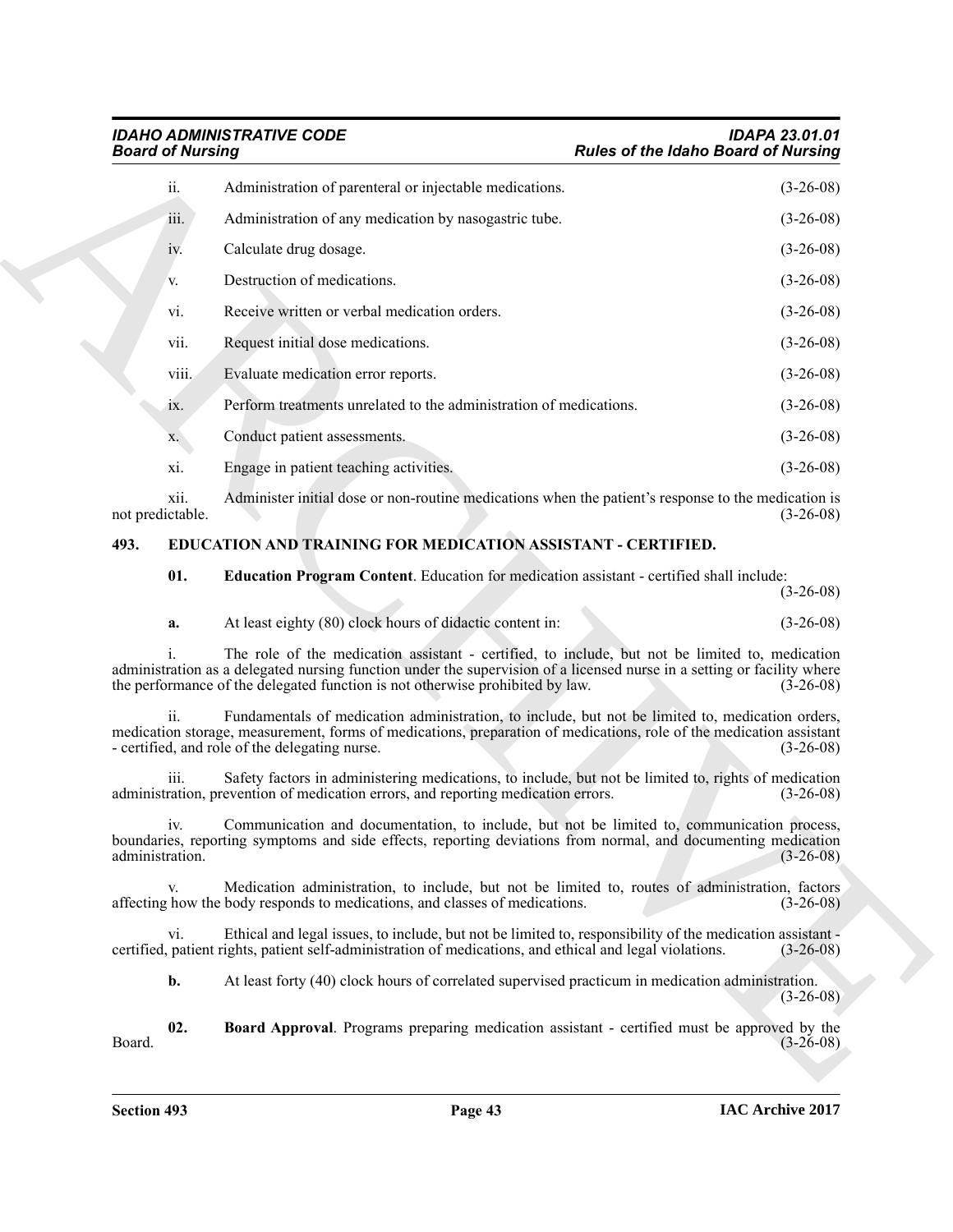## *IDAHO ADMINISTRATIVE CODE IDAPA 23.01.01*

| <b>Board of Nursing</b>  |                                                                                                                                                                                                                                                                                                             | <b>Rules of the Idaho Board of Nursing</b> |             |
|--------------------------|-------------------------------------------------------------------------------------------------------------------------------------------------------------------------------------------------------------------------------------------------------------------------------------------------------------|--------------------------------------------|-------------|
| ii.                      | Administration of parenteral or injectable medications.                                                                                                                                                                                                                                                     |                                            | $(3-26-08)$ |
| iii.                     | Administration of any medication by nasogastric tube.                                                                                                                                                                                                                                                       |                                            | $(3-26-08)$ |
| 1V.                      | Calculate drug dosage.                                                                                                                                                                                                                                                                                      |                                            | $(3-26-08)$ |
| V.                       | Destruction of medications.                                                                                                                                                                                                                                                                                 |                                            | $(3-26-08)$ |
| vi.                      | Receive written or verbal medication orders.                                                                                                                                                                                                                                                                |                                            | $(3-26-08)$ |
| vii.                     | Request initial dose medications.                                                                                                                                                                                                                                                                           |                                            | $(3-26-08)$ |
| viii.                    | Evaluate medication error reports.                                                                                                                                                                                                                                                                          |                                            | $(3-26-08)$ |
| 1X.                      | Perform treatments unrelated to the administration of medications.                                                                                                                                                                                                                                          |                                            | $(3-26-08)$ |
| X.                       | Conduct patient assessments.                                                                                                                                                                                                                                                                                |                                            | $(3-26-08)$ |
| xi.                      | Engage in patient teaching activities.                                                                                                                                                                                                                                                                      |                                            | $(3-26-08)$ |
| xii.<br>not predictable. | Administer initial dose or non-routine medications when the patient's response to the medication is                                                                                                                                                                                                         |                                            | $(3-26-08)$ |
| 493.                     | EDUCATION AND TRAINING FOR MEDICATION ASSISTANT - CERTIFIED.                                                                                                                                                                                                                                                |                                            |             |
| 01.                      | Education Program Content. Education for medication assistant - certified shall include:                                                                                                                                                                                                                    |                                            | $(3-26-08)$ |
| a.                       | At least eighty (80) clock hours of didactic content in:                                                                                                                                                                                                                                                    |                                            | $(3-26-08)$ |
|                          | The role of the medication assistant - certified, to include, but not be limited to, medication<br>administration as a delegated nursing function under the supervision of a licensed nurse in a setting or facility where<br>the performance of the delegated function is not otherwise prohibited by law. |                                            | $(3-26-08)$ |
| ii.                      | Fundamentals of medication administration, to include, but not be limited to, medication orders,<br>medication storage, measurement, forms of medications, preparation of medications, role of the medication assistant<br>- certified, and role of the delegating nurse.                                   |                                            | $(3-26-08)$ |
| 111.                     | Safety factors in administering medications, to include, but not be limited to, rights of medication<br>administration, prevention of medication errors, and reporting medication errors.                                                                                                                   |                                            | $(3-26-08)$ |
| 1V.<br>administration.   | Communication and documentation, to include, but not be limited to, communication process,<br>boundaries, reporting symptoms and side effects, reporting deviations from normal, and documenting medication                                                                                                 |                                            | $(3-26-08)$ |
| V.                       | Medication administration, to include, but not be limited to, routes of administration, factors<br>affecting how the body responds to medications, and classes of medications.                                                                                                                              |                                            | $(3-26-08)$ |
| vi.                      | Ethical and legal issues, to include, but not be limited to, responsibility of the medication assistant -<br>certified, patient rights, patient self-administration of medications, and ethical and legal violations.                                                                                       |                                            | $(3-26-08)$ |
| b.                       | At least forty (40) clock hours of correlated supervised practicum in medication administration.                                                                                                                                                                                                            |                                            | $(3-26-08)$ |
| 02.<br>Board.            | Board Approval. Programs preparing medication assistant - certified must be approved by the                                                                                                                                                                                                                 |                                            | $(3-26-08)$ |
|                          |                                                                                                                                                                                                                                                                                                             |                                            |             |
|                          |                                                                                                                                                                                                                                                                                                             |                                            |             |

### <span id="page-42-3"></span><span id="page-42-2"></span><span id="page-42-1"></span><span id="page-42-0"></span>**493. EDUCATION AND TRAINING FOR MEDICATION ASSISTANT - CERTIFIED.**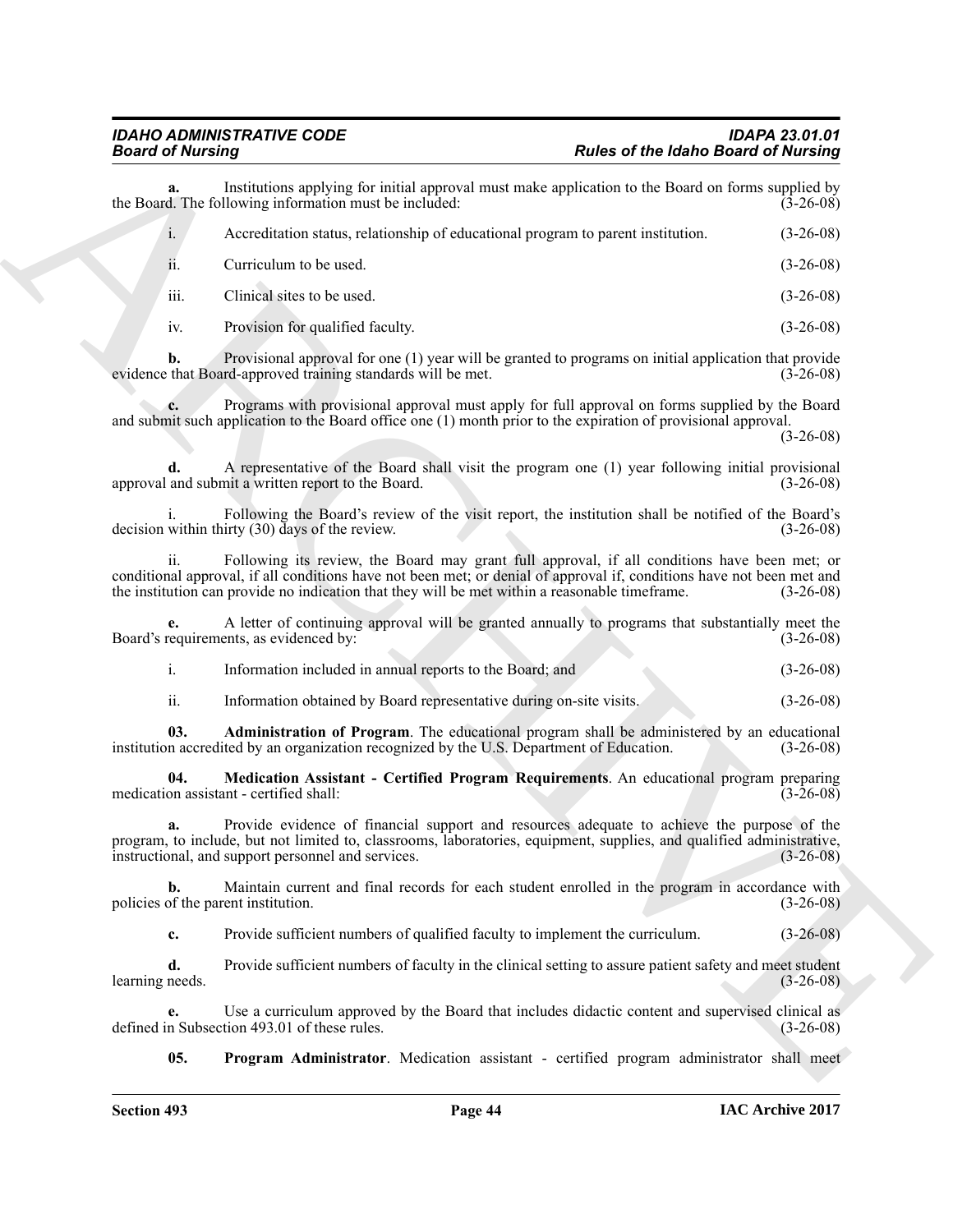| <b>Board of Nursing</b> |                                                                                                                                                                                                                                                                                                                         | <b>Rules of the Idaho Board of Nursing</b> |
|-------------------------|-------------------------------------------------------------------------------------------------------------------------------------------------------------------------------------------------------------------------------------------------------------------------------------------------------------------------|--------------------------------------------|
| а.                      | Institutions applying for initial approval must make application to the Board on forms supplied by<br>the Board. The following information must be included:                                                                                                                                                            | $(3-26-08)$                                |
| $i$ .                   | Accreditation status, relationship of educational program to parent institution.                                                                                                                                                                                                                                        | $(3-26-08)$                                |
| 11.                     | Curriculum to be used.                                                                                                                                                                                                                                                                                                  | $(3-26-08)$                                |
| iii.                    | Clinical sites to be used.                                                                                                                                                                                                                                                                                              | $(3-26-08)$                                |
| iv.                     | Provision for qualified faculty.                                                                                                                                                                                                                                                                                        | $(3-26-08)$                                |
| b.                      | Provisional approval for one (1) year will be granted to programs on initial application that provide<br>evidence that Board-approved training standards will be met.                                                                                                                                                   | $(3-26-08)$                                |
|                         | Programs with provisional approval must apply for full approval on forms supplied by the Board<br>and submit such application to the Board office one (1) month prior to the expiration of provisional approval.                                                                                                        | $(3-26-08)$                                |
| d.                      | A representative of the Board shall visit the program one (1) year following initial provisional<br>approval and submit a written report to the Board.                                                                                                                                                                  | $(3-26-08)$                                |
|                         | Following the Board's review of the visit report, the institution shall be notified of the Board's<br>decision within thirty (30) days of the review.                                                                                                                                                                   | $(3-26-08)$                                |
| $\overline{11}$ .       | Following its review, the Board may grant full approval, if all conditions have been met; or<br>conditional approval, if all conditions have not been met; or denial of approval if, conditions have not been met and<br>the institution can provide no indication that they will be met within a reasonable timeframe. | $(3-26-08)$                                |
|                         | A letter of continuing approval will be granted annually to programs that substantially meet the<br>Board's requirements, as evidenced by:                                                                                                                                                                              | $(3-26-08)$                                |
| $\mathbf{i}$ .          | Information included in annual reports to the Board; and                                                                                                                                                                                                                                                                | $(3-26-08)$                                |
| ii.                     | Information obtained by Board representative during on-site visits.                                                                                                                                                                                                                                                     | $(3-26-08)$                                |
| 03.                     | Administration of Program. The educational program shall be administered by an educational<br>institution accredited by an organization recognized by the U.S. Department of Education.                                                                                                                                 | $(3-26-08)$                                |
| 04.                     | Medication Assistant - Certified Program Requirements. An educational program preparing<br>medication assistant - certified shall:                                                                                                                                                                                      | $(3-26-08)$                                |
| a.                      | Provide evidence of financial support and resources adequate to achieve the purpose of the<br>program, to include, but not limited to, classrooms, laboratories, equipment, supplies, and qualified administrative,<br>instructional, and support personnel and services.                                               | $(3-26-08)$                                |
| $\mathbf{b}$ .          | Maintain current and final records for each student enrolled in the program in accordance with<br>policies of the parent institution.                                                                                                                                                                                   | $(3-26-08)$                                |
| $c_{\cdot}$             | Provide sufficient numbers of qualified faculty to implement the curriculum.                                                                                                                                                                                                                                            | $(3-26-08)$                                |
| d.<br>learning needs.   | Provide sufficient numbers of faculty in the clinical setting to assure patient safety and meet student                                                                                                                                                                                                                 | $(3-26-08)$                                |
| e.                      | Use a curriculum approved by the Board that includes didactic content and supervised clinical as<br>defined in Subsection 493.01 of these rules.                                                                                                                                                                        | $(3-26-08)$                                |
| 05.                     | <b>Program Administrator</b> . Medication assistant - certified program administrator shall meet                                                                                                                                                                                                                        |                                            |

<span id="page-43-2"></span><span id="page-43-1"></span><span id="page-43-0"></span>

| Information included in annual reports to the Board; and | $(3-26-08)$ |
|----------------------------------------------------------|-------------|
|                                                          |             |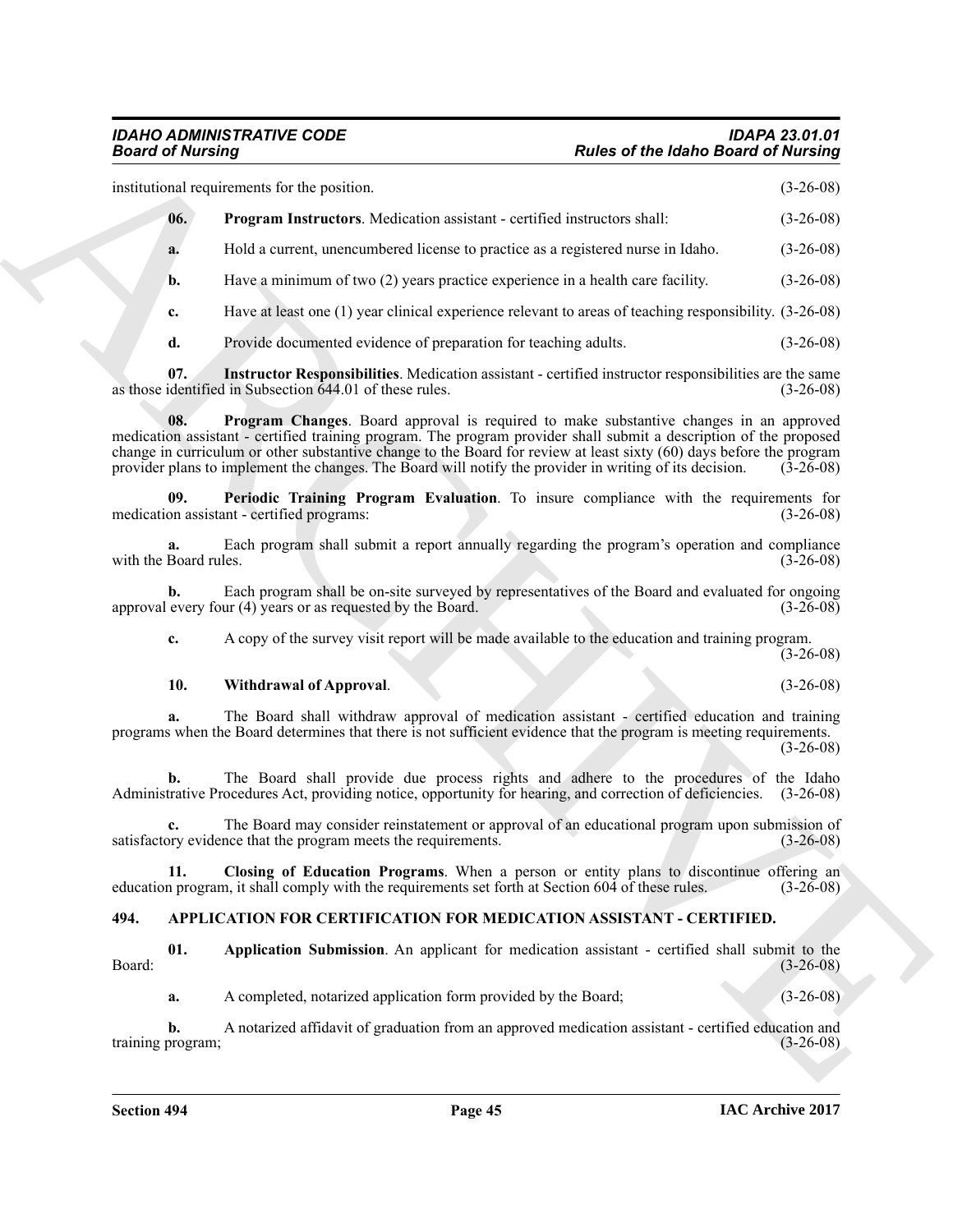institutional requirements for the position. (3-26-08)

<span id="page-44-7"></span>

| 06.       | <b>Program Instructors.</b> Medication assistant - certified instructors shall:  | $(3-26-08)$ |
|-----------|----------------------------------------------------------------------------------|-------------|
| <b>a.</b> | Hold a current, unencumbered license to practice as a registered nurse in Idaho. | $(3-26-08)$ |

**b.** Have a minimum of two (2) years practice experience in a health care facility. (3-26-08)

**c.** Have at least one (1) year clinical experience relevant to areas of teaching responsibility. (3-26-08)

<span id="page-44-6"></span><span id="page-44-4"></span>**d.** Provide documented evidence of preparation for teaching adults. (3-26-08)

**07.** Instructor Responsibilities. Medication assistant - certified instructor responsibilities are the same identified in Subsection 644.01 of these rules. (3-26-08) as those identified in Subsection  $644.01$  of these rules.

**Fraction Control of the United States of the Idaho Brazil of Nutring<br>
modulated States and States up produces<br>
and G Freepowe Internet Medicinia averture certified increases and<br>
1. Except internet modulated Scattering t 08. Program Changes**. Board approval is required to make substantive changes in an approved medication assistant - certified training program. The program provider shall submit a description of the proposed change in curriculum or other substantive change to the Board for review at least sixty (60) days before the program provider plans to implement the changes. The Board will notify the provider in writing of its decision. (3-26-08)

<span id="page-44-5"></span>**09.** Periodic Training Program Evaluation. To insure compliance with the requirements for on assistant - certified programs: medication assistant - certified programs:

**a.** Each program shall submit a report annually regarding the program's operation and compliance with the Board rules.  $(3-26-08)$ 

**b.** Each program shall be on-site surveyed by representatives of the Board and evaluated for ongoing every four (4) years or as requested by the Board.  $(3-26-08)$ approval every four  $(4)$  years or as requested by the Board.

**c.** A copy of the survey visit report will be made available to the education and training program.  $(3-26-08)$ 

### <span id="page-44-8"></span>**10. Withdrawal of Approval**. (3-26-08)

**a.** The Board shall withdraw approval of medication assistant - certified education and training programs when the Board determines that there is not sufficient evidence that the program is meeting requirements. (3-26-08)

**b.** The Board shall provide due process rights and adhere to the procedures of the Idaho trative Procedures Act, providing notice, opportunity for hearing, and correction of deficiencies. (3-26-08) Administrative Procedures Act, providing notice, opportunity for hearing, and correction of deficiencies.

**c.** The Board may consider reinstatement or approval of an educational program upon submission of satisfactory evidence that the program meets the requirements. (3-26-08)

<span id="page-44-3"></span>**11. Closing of Education Programs**. When a person or entity plans to discontinue offering an program, it shall comply with the requirements set forth at Section 604 of these rules. (3-26-08) education program, it shall comply with the requirements set forth at Section 604 of these rules.

### <span id="page-44-1"></span><span id="page-44-0"></span>**494. APPLICATION FOR CERTIFICATION FOR MEDICATION ASSISTANT - CERTIFIED.**

**01.** Application Submission. An applicant for medication assistant - certified shall submit to the (3-26-08) Board: (3-26-08)

<span id="page-44-2"></span>**a.** A completed, notarized application form provided by the Board; (3-26-08)

**b.** A notarized affidavit of graduation from an approved medication assistant - certified education and orogram;<br>(3-26-08) training program;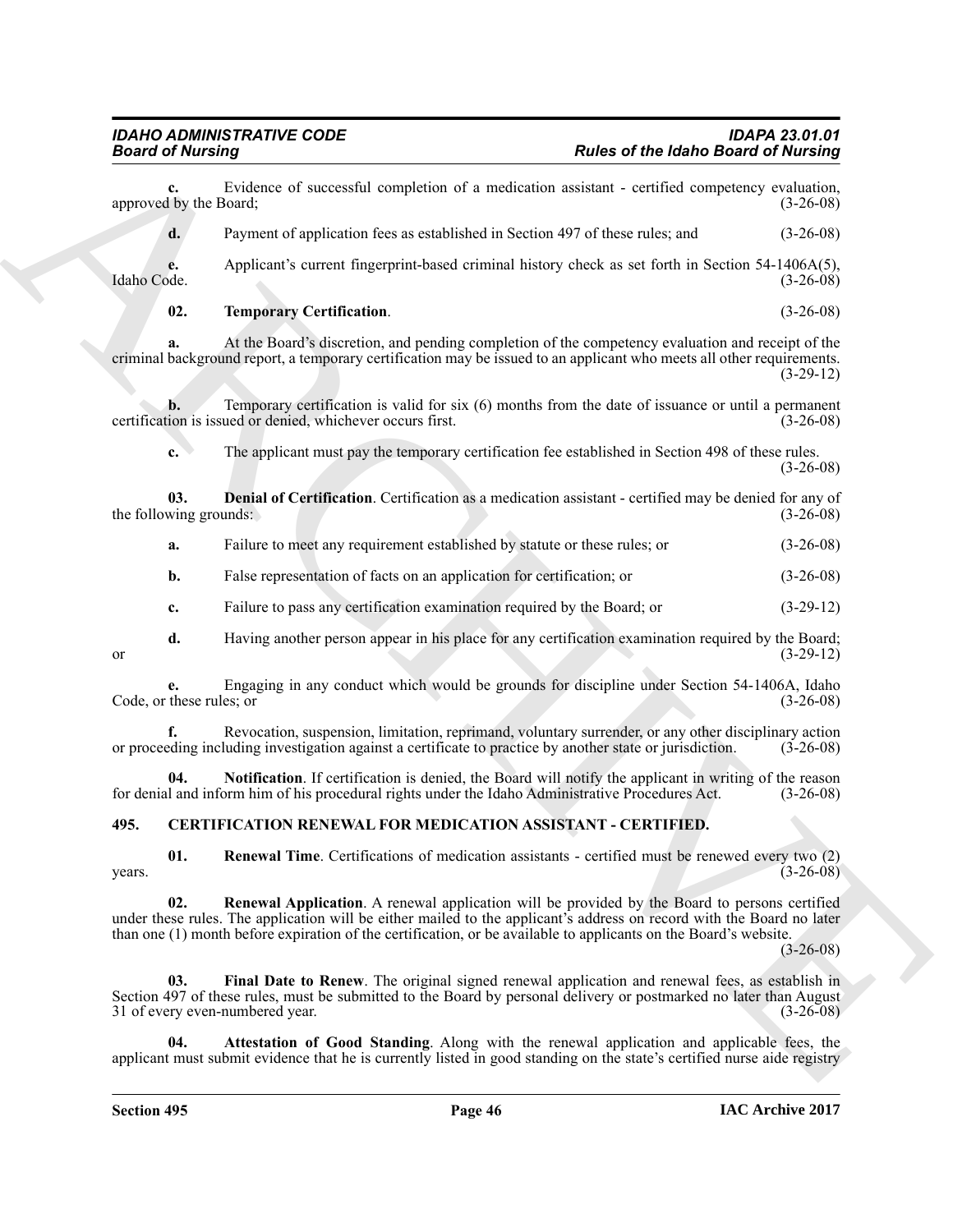<span id="page-45-3"></span>**Example 2. Control of the set of the labor Gale of the labor Based of Nutrington**<br>
approximately the set of the set of the set of the set of the set of the set of the set of the set of the set of the set of the set of **c.** Evidence of successful completion of a medication assistant - certified competency evaluation, (by the Board; (3-26-08) approved by the Board; **d.** Payment of application fees as established in Section 497 of these rules; and  $(3-26-08)$ **e.** Applicant's current fingerprint-based criminal history check as set forth in Section 54-1406A(5), Idaho Code. (3-26-08) Idaho Code. (3-26-08) **02. Temporary Certification**. (3-26-08) **a.** At the Board's discretion, and pending completion of the competency evaluation and receipt of the criminal background report, a temporary certification may be issued to an applicant who meets all other requirements. (3-29-12) **b.** Temporary certification is valid for six (6) months from the date of issuance or until a permanent ion is issued or denied, whichever occurs first. (3-26-08) certification is issued or denied, whichever occurs first. **c.** The applicant must pay the temporary certification fee established in Section 498 of these rules. (3-26-08) **03. Denial of Certification**. Certification as a medication assistant - certified may be denied for any of wing grounds: (3-26-08) the following grounds: **a.** Failure to meet any requirement established by statute or these rules; or (3-26-08) **b.** False representation of facts on an application for certification; or (3-26-08) **c.** Failure to pass any certification examination required by the Board; or (3-29-12) **d.** Having another person appear in his place for any certification examination required by the Board; (3-29-12) or  $(3-29-12)$ **e.** Engaging in any conduct which would be grounds for discipline under Section 54-1406A, Idaho Code, or these rules; or (3-26-08) **f.** Revocation, suspension, limitation, reprimand, voluntary surrender, or any other disciplinary action eding including investigation against a certificate to practice by another state or jurisdiction. (3-26-08) or proceeding including investigation against a certificate to practice by another state or jurisdiction. **Notification**. If certification is denied, the Board will notify the applicant in writing of the reason orm him of his procedural rights under the Idaho Administrative Procedures Act. (3-26-08) for denial and inform him of his procedural rights under the Idaho Administrative Procedures Act.

### <span id="page-45-4"></span><span id="page-45-2"></span><span id="page-45-1"></span><span id="page-45-0"></span>**495. CERTIFICATION RENEWAL FOR MEDICATION ASSISTANT - CERTIFIED.**

<span id="page-45-8"></span>**01. Renewal Time**. Certifications of medication assistants - certified must be renewed every two (2)  $years.$  (3-26-08)

<span id="page-45-7"></span>**02. Renewal Application**. A renewal application will be provided by the Board to persons certified under these rules. The application will be either mailed to the applicant's address on record with the Board no later than one (1) month before expiration of the certification, or be available to applicants on the Board's website.

 $(3-26-08)$ 

<span id="page-45-6"></span>**Final Date to Renew**. The original signed renewal application and renewal fees, as establish in Section 497 of these rules, must be submitted to the Board by personal delivery or postmarked no later than August 31 of every even-numbered year. (3-26-08)

<span id="page-45-5"></span>Attestation of Good Standing. Along with the renewal application and applicable fees, the applicant must submit evidence that he is currently listed in good standing on the state's certified nurse aide registry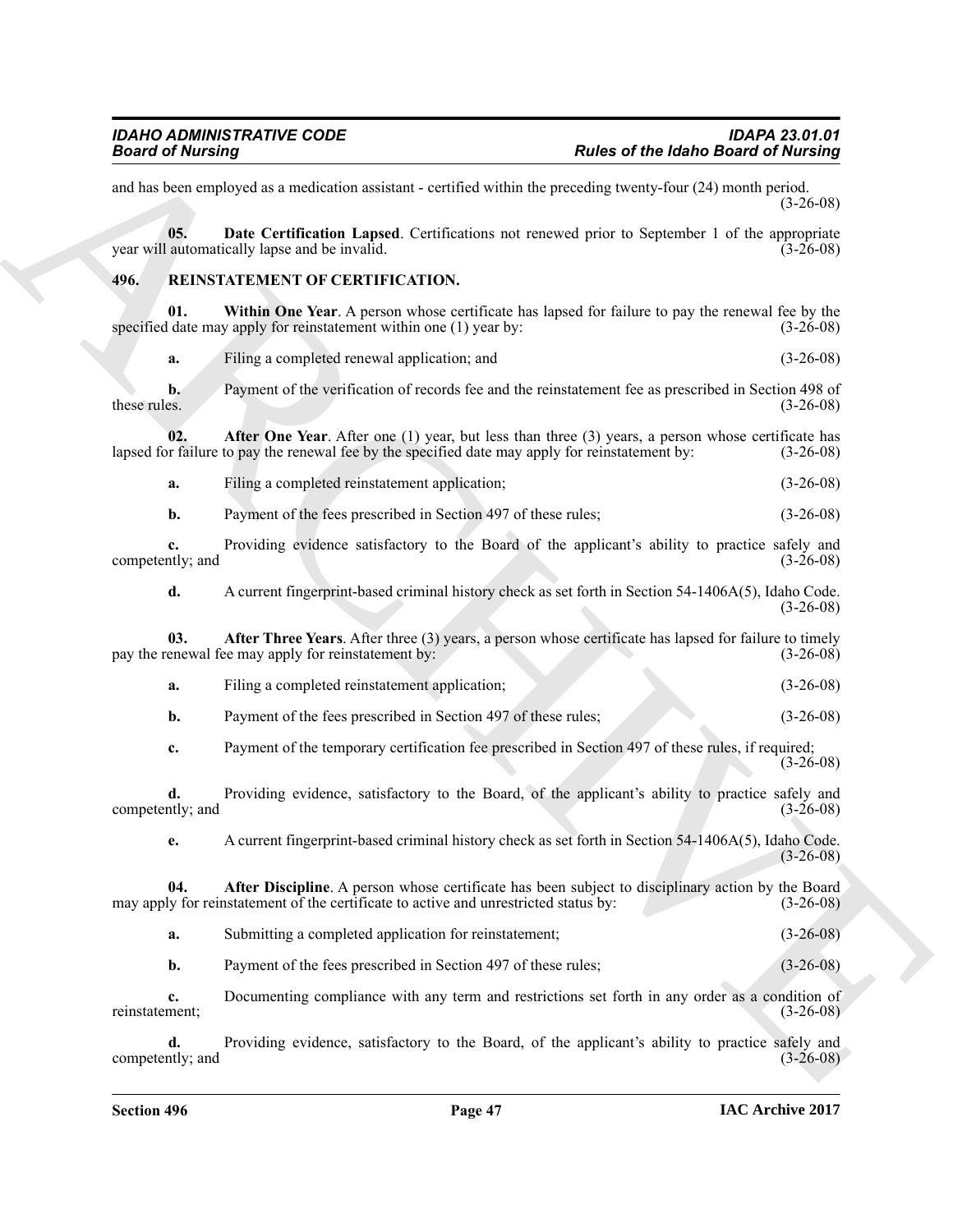<span id="page-46-6"></span><span id="page-46-5"></span><span id="page-46-4"></span><span id="page-46-3"></span><span id="page-46-2"></span><span id="page-46-1"></span><span id="page-46-0"></span>**Example 2.1 Consider the Construction Constrainer** *Columb* **2.1 <b>Columb 2.1 Columb 2.1 Columb 2.1 Columb 2.1 Columb 2.1 Columb 2.1 Columb 2.1 Columb 2.1 Columb 2.1 Columb 2.1 Columb 2.1 Columb 2.** and has been employed as a medication assistant - certified within the preceding twenty-four (24) month period. (3-26-08) **05. Date Certification Lapsed**. Certifications not renewed prior to September 1 of the appropriate year will automatically lapse and be invalid. (3-26-08) **496. REINSTATEMENT OF CERTIFICATION. 01. Within One Year**. A person whose certificate has lapsed for failure to pay the renewal fee by the specified date may apply for reinstatement within one (1) year by:  $(3-26-08)$ **a.** Filing a completed renewal application; and (3-26-08) **b.** Payment of the verification of records fee and the reinstatement fee as prescribed in Section 498 of these rules. (3-26-08) these rules.  $(3-26-08)$ **02. After One Year**. After one (1) year, but less than three (3) years, a person whose certificate has r failure to pay the renewal fee by the specified date may apply for reinstatement by: (3-26-08) lapsed for failure to pay the renewal fee by the specified date may apply for reinstatement by: **a.** Filing a completed reinstatement application; (3-26-08) **b.** Payment of the fees prescribed in Section 497 of these rules; (3-26-08) **c.** Providing evidence satisfactory to the Board of the applicant's ability to practice safely and competently; and (3-26-08) **d.** A current fingerprint-based criminal history check as set forth in Section 54-1406A(5), Idaho Code. (3-26-08) **03. After Three Years**. After three (3) years, a person whose certificate has lapsed for failure to timely enewal fee may apply for reinstatement by: (3-26-08) pay the renewal fee may apply for reinstatement by: **a.** Filing a completed reinstatement application; (3-26-08) **b.** Payment of the fees prescribed in Section 497 of these rules; (3-26-08) **c.** Payment of the temporary certification fee prescribed in Section 497 of these rules, if required;  $(3-26-08)$ **d.** Providing evidence, satisfactory to the Board, of the applicant's ability to practice safely and (3-26-08) competently; and **e.** A current fingerprint-based criminal history check as set forth in Section 54-1406A(5), Idaho Code.  $(3-26-08)$ **04. After Discipline**. A person whose certificate has been subject to disciplinary action by the Board ly for reinstatement of the certificate to active and unrestricted status by: (3-26-08) may apply for reinstatement of the certificate to active and unrestricted status by: **a.** Submitting a completed application for reinstatement;  $(3-26-08)$ **b.** Payment of the fees prescribed in Section 497 of these rules; (3-26-08) **c.** Documenting compliance with any term and restrictions set forth in any order as a condition of ment;  $(3-26-08)$ reinstatement;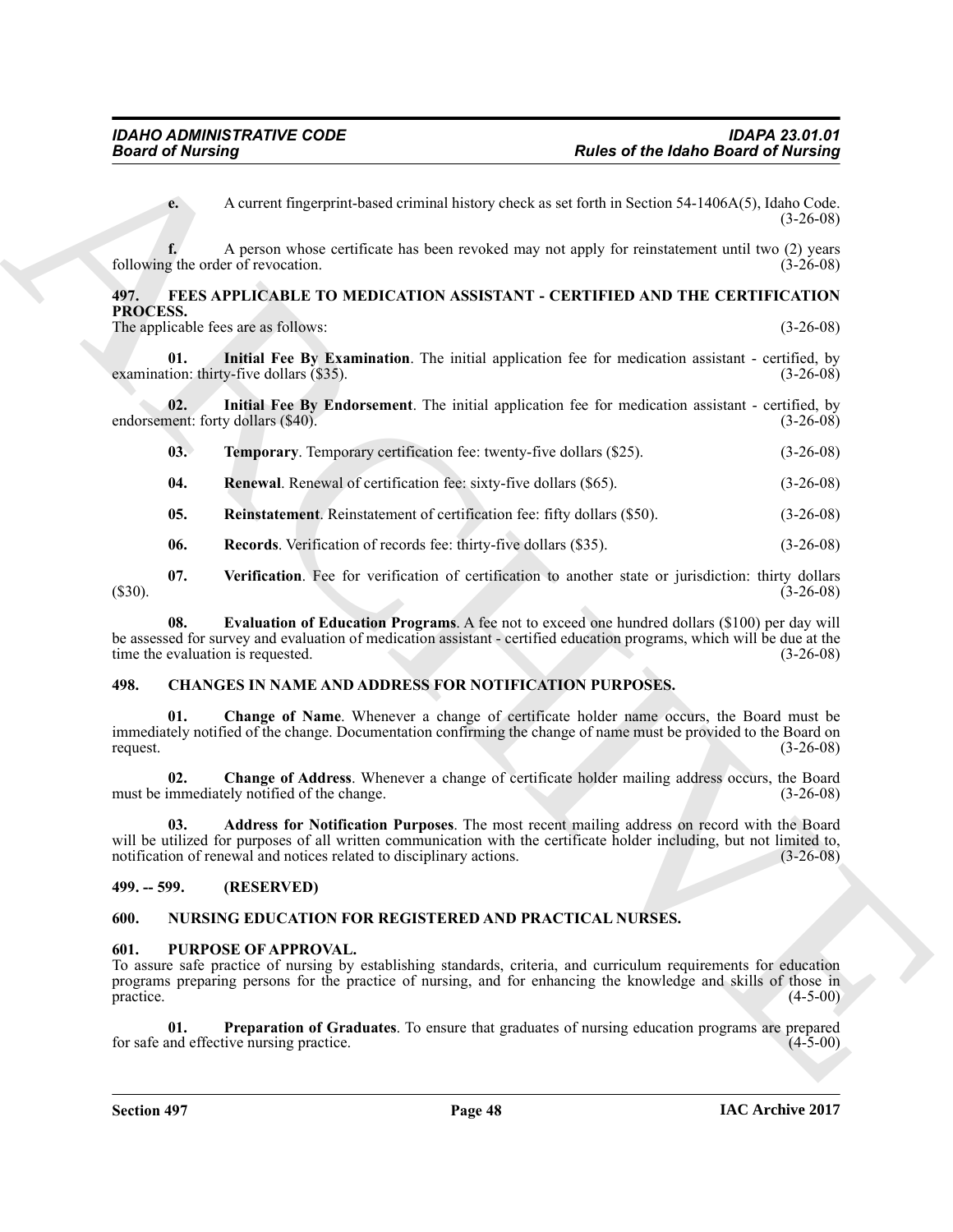### <span id="page-47-16"></span><span id="page-47-15"></span><span id="page-47-12"></span><span id="page-47-11"></span><span id="page-47-9"></span><span id="page-47-0"></span>**497. FEES APPLICABLE TO MEDICATION ASSISTANT - CERTIFIED AND THE CERTIFICATION PROCESS.**

| A current fingerprint-based criminal history check as set forth in Section 54-1406A(5), Idaho Code.<br>$e_{\cdot}$<br>A person whose certificate has been revoked may not apply for reinstatement until two (2) years<br>following the order of revocation.<br>FEES APPLICABLE TO MEDICATION ASSISTANT - CERTIFIED AND THE CERTIFICATION<br>497.<br>PROCESS.<br>The applicable fees are as follows:<br>Initial Fee By Examination. The initial application fee for medication assistant - certified, by<br>01.<br>examination: thirty-five dollars (\$35).<br>Initial Fee By Endorsement. The initial application fee for medication assistant - certified, by<br>02.<br>endorsement: forty dollars (\$40).<br>Temporary. Temporary certification fee: twenty-five dollars (\$25).<br>03.<br>04.<br><b>Renewal</b> . Renewal of certification fee: sixty-five dollars (\$65).<br>05.<br>Reinstatement. Reinstatement of certification fee: fifty dollars (\$50).<br>Records. Verification of records fee: thirty-five dollars (\$35).<br>06.<br>07.<br>Verification. Fee for verification of certification to another state or jurisdiction: thirty dollars<br>$(\$30).$<br>Evaluation of Education Programs. A fee not to exceed one hundred dollars (\$100) per day will<br>08.<br>be assessed for survey and evaluation of medication assistant - certified education programs, which will be due at the<br>time the evaluation is requested.<br>CHANGES IN NAME AND ADDRESS FOR NOTIFICATION PURPOSES.<br>498.<br>Change of Name. Whenever a change of certificate holder name occurs, the Board must be<br>01.<br>immediately notified of the change. Documentation confirming the change of name must be provided to the Board on<br>request.<br>Change of Address. Whenever a change of certificate holder mailing address occurs, the Board<br>02.<br>must be immediately notified of the change.<br>Address for Notification Purposes. The most recent mailing address on record with the Board<br>03.<br>will be utilized for purposes of all written communication with the certificate holder including, but not limited to,<br>notification of renewal and notices related to disciplinary actions.<br>(RESERVED)<br>$499. - 599.$<br><b>NURSING EDUCATION FOR REGISTERED AND PRACTICAL NURSES.</b><br>600.<br>601.<br>PURPOSE OF APPROVAL.<br>To assure safe practice of nursing by establishing standards, criteria, and curriculum requirements for education<br>programs preparing persons for the practice of nursing, and for enhancing the knowledge and skills of those in<br>practice. | <b>Board of Nursing</b> |                                                                                               | <b>Rules of the Idaho Board of Nursing</b> |             |
|--------------------------------------------------------------------------------------------------------------------------------------------------------------------------------------------------------------------------------------------------------------------------------------------------------------------------------------------------------------------------------------------------------------------------------------------------------------------------------------------------------------------------------------------------------------------------------------------------------------------------------------------------------------------------------------------------------------------------------------------------------------------------------------------------------------------------------------------------------------------------------------------------------------------------------------------------------------------------------------------------------------------------------------------------------------------------------------------------------------------------------------------------------------------------------------------------------------------------------------------------------------------------------------------------------------------------------------------------------------------------------------------------------------------------------------------------------------------------------------------------------------------------------------------------------------------------------------------------------------------------------------------------------------------------------------------------------------------------------------------------------------------------------------------------------------------------------------------------------------------------------------------------------------------------------------------------------------------------------------------------------------------------------------------------------------------------------------------------------------------------------------------------------------------------------------------------------------------------------------------------------------------------------------------------------------------------------------------------------------------------------------------------------------------------------------------------------------------------------------------------------------------------------------------------------------------------------------------------------------|-------------------------|-----------------------------------------------------------------------------------------------|--------------------------------------------|-------------|
|                                                                                                                                                                                                                                                                                                                                                                                                                                                                                                                                                                                                                                                                                                                                                                                                                                                                                                                                                                                                                                                                                                                                                                                                                                                                                                                                                                                                                                                                                                                                                                                                                                                                                                                                                                                                                                                                                                                                                                                                                                                                                                                                                                                                                                                                                                                                                                                                                                                                                                                                                                                                              |                         |                                                                                               |                                            | $(3-26-08)$ |
|                                                                                                                                                                                                                                                                                                                                                                                                                                                                                                                                                                                                                                                                                                                                                                                                                                                                                                                                                                                                                                                                                                                                                                                                                                                                                                                                                                                                                                                                                                                                                                                                                                                                                                                                                                                                                                                                                                                                                                                                                                                                                                                                                                                                                                                                                                                                                                                                                                                                                                                                                                                                              |                         |                                                                                               |                                            | $(3-26-08)$ |
|                                                                                                                                                                                                                                                                                                                                                                                                                                                                                                                                                                                                                                                                                                                                                                                                                                                                                                                                                                                                                                                                                                                                                                                                                                                                                                                                                                                                                                                                                                                                                                                                                                                                                                                                                                                                                                                                                                                                                                                                                                                                                                                                                                                                                                                                                                                                                                                                                                                                                                                                                                                                              |                         |                                                                                               |                                            |             |
|                                                                                                                                                                                                                                                                                                                                                                                                                                                                                                                                                                                                                                                                                                                                                                                                                                                                                                                                                                                                                                                                                                                                                                                                                                                                                                                                                                                                                                                                                                                                                                                                                                                                                                                                                                                                                                                                                                                                                                                                                                                                                                                                                                                                                                                                                                                                                                                                                                                                                                                                                                                                              |                         |                                                                                               |                                            | $(3-26-08)$ |
|                                                                                                                                                                                                                                                                                                                                                                                                                                                                                                                                                                                                                                                                                                                                                                                                                                                                                                                                                                                                                                                                                                                                                                                                                                                                                                                                                                                                                                                                                                                                                                                                                                                                                                                                                                                                                                                                                                                                                                                                                                                                                                                                                                                                                                                                                                                                                                                                                                                                                                                                                                                                              |                         |                                                                                               |                                            | $(3-26-08)$ |
|                                                                                                                                                                                                                                                                                                                                                                                                                                                                                                                                                                                                                                                                                                                                                                                                                                                                                                                                                                                                                                                                                                                                                                                                                                                                                                                                                                                                                                                                                                                                                                                                                                                                                                                                                                                                                                                                                                                                                                                                                                                                                                                                                                                                                                                                                                                                                                                                                                                                                                                                                                                                              |                         |                                                                                               |                                            | $(3-26-08)$ |
|                                                                                                                                                                                                                                                                                                                                                                                                                                                                                                                                                                                                                                                                                                                                                                                                                                                                                                                                                                                                                                                                                                                                                                                                                                                                                                                                                                                                                                                                                                                                                                                                                                                                                                                                                                                                                                                                                                                                                                                                                                                                                                                                                                                                                                                                                                                                                                                                                                                                                                                                                                                                              |                         |                                                                                               |                                            | $(3-26-08)$ |
|                                                                                                                                                                                                                                                                                                                                                                                                                                                                                                                                                                                                                                                                                                                                                                                                                                                                                                                                                                                                                                                                                                                                                                                                                                                                                                                                                                                                                                                                                                                                                                                                                                                                                                                                                                                                                                                                                                                                                                                                                                                                                                                                                                                                                                                                                                                                                                                                                                                                                                                                                                                                              |                         |                                                                                               |                                            | $(3-26-08)$ |
|                                                                                                                                                                                                                                                                                                                                                                                                                                                                                                                                                                                                                                                                                                                                                                                                                                                                                                                                                                                                                                                                                                                                                                                                                                                                                                                                                                                                                                                                                                                                                                                                                                                                                                                                                                                                                                                                                                                                                                                                                                                                                                                                                                                                                                                                                                                                                                                                                                                                                                                                                                                                              |                         |                                                                                               |                                            | $(3-26-08)$ |
|                                                                                                                                                                                                                                                                                                                                                                                                                                                                                                                                                                                                                                                                                                                                                                                                                                                                                                                                                                                                                                                                                                                                                                                                                                                                                                                                                                                                                                                                                                                                                                                                                                                                                                                                                                                                                                                                                                                                                                                                                                                                                                                                                                                                                                                                                                                                                                                                                                                                                                                                                                                                              |                         |                                                                                               |                                            | $(3-26-08)$ |
|                                                                                                                                                                                                                                                                                                                                                                                                                                                                                                                                                                                                                                                                                                                                                                                                                                                                                                                                                                                                                                                                                                                                                                                                                                                                                                                                                                                                                                                                                                                                                                                                                                                                                                                                                                                                                                                                                                                                                                                                                                                                                                                                                                                                                                                                                                                                                                                                                                                                                                                                                                                                              |                         |                                                                                               |                                            | $(3-26-08)$ |
|                                                                                                                                                                                                                                                                                                                                                                                                                                                                                                                                                                                                                                                                                                                                                                                                                                                                                                                                                                                                                                                                                                                                                                                                                                                                                                                                                                                                                                                                                                                                                                                                                                                                                                                                                                                                                                                                                                                                                                                                                                                                                                                                                                                                                                                                                                                                                                                                                                                                                                                                                                                                              |                         |                                                                                               |                                            | $(3-26-08)$ |
|                                                                                                                                                                                                                                                                                                                                                                                                                                                                                                                                                                                                                                                                                                                                                                                                                                                                                                                                                                                                                                                                                                                                                                                                                                                                                                                                                                                                                                                                                                                                                                                                                                                                                                                                                                                                                                                                                                                                                                                                                                                                                                                                                                                                                                                                                                                                                                                                                                                                                                                                                                                                              |                         |                                                                                               |                                            |             |
|                                                                                                                                                                                                                                                                                                                                                                                                                                                                                                                                                                                                                                                                                                                                                                                                                                                                                                                                                                                                                                                                                                                                                                                                                                                                                                                                                                                                                                                                                                                                                                                                                                                                                                                                                                                                                                                                                                                                                                                                                                                                                                                                                                                                                                                                                                                                                                                                                                                                                                                                                                                                              |                         |                                                                                               |                                            | $(3-26-08)$ |
|                                                                                                                                                                                                                                                                                                                                                                                                                                                                                                                                                                                                                                                                                                                                                                                                                                                                                                                                                                                                                                                                                                                                                                                                                                                                                                                                                                                                                                                                                                                                                                                                                                                                                                                                                                                                                                                                                                                                                                                                                                                                                                                                                                                                                                                                                                                                                                                                                                                                                                                                                                                                              |                         |                                                                                               |                                            | $(3-26-08)$ |
|                                                                                                                                                                                                                                                                                                                                                                                                                                                                                                                                                                                                                                                                                                                                                                                                                                                                                                                                                                                                                                                                                                                                                                                                                                                                                                                                                                                                                                                                                                                                                                                                                                                                                                                                                                                                                                                                                                                                                                                                                                                                                                                                                                                                                                                                                                                                                                                                                                                                                                                                                                                                              |                         |                                                                                               |                                            | $(3-26-08)$ |
|                                                                                                                                                                                                                                                                                                                                                                                                                                                                                                                                                                                                                                                                                                                                                                                                                                                                                                                                                                                                                                                                                                                                                                                                                                                                                                                                                                                                                                                                                                                                                                                                                                                                                                                                                                                                                                                                                                                                                                                                                                                                                                                                                                                                                                                                                                                                                                                                                                                                                                                                                                                                              |                         |                                                                                               |                                            |             |
|                                                                                                                                                                                                                                                                                                                                                                                                                                                                                                                                                                                                                                                                                                                                                                                                                                                                                                                                                                                                                                                                                                                                                                                                                                                                                                                                                                                                                                                                                                                                                                                                                                                                                                                                                                                                                                                                                                                                                                                                                                                                                                                                                                                                                                                                                                                                                                                                                                                                                                                                                                                                              |                         |                                                                                               |                                            |             |
|                                                                                                                                                                                                                                                                                                                                                                                                                                                                                                                                                                                                                                                                                                                                                                                                                                                                                                                                                                                                                                                                                                                                                                                                                                                                                                                                                                                                                                                                                                                                                                                                                                                                                                                                                                                                                                                                                                                                                                                                                                                                                                                                                                                                                                                                                                                                                                                                                                                                                                                                                                                                              |                         |                                                                                               |                                            | $(4-5-00)$  |
| for safe and effective nursing practice.                                                                                                                                                                                                                                                                                                                                                                                                                                                                                                                                                                                                                                                                                                                                                                                                                                                                                                                                                                                                                                                                                                                                                                                                                                                                                                                                                                                                                                                                                                                                                                                                                                                                                                                                                                                                                                                                                                                                                                                                                                                                                                                                                                                                                                                                                                                                                                                                                                                                                                                                                                     | 01.                     | Preparation of Graduates. To ensure that graduates of nursing education programs are prepared |                                            | $(4-5-00)$  |

### <span id="page-47-17"></span><span id="page-47-14"></span><span id="page-47-13"></span><span id="page-47-10"></span><span id="page-47-8"></span><span id="page-47-7"></span><span id="page-47-5"></span><span id="page-47-1"></span>**498. CHANGES IN NAME AND ADDRESS FOR NOTIFICATION PURPOSES.**

### <span id="page-47-6"></span><span id="page-47-2"></span>**499. -- 599. (RESERVED)**

### <span id="page-47-18"></span><span id="page-47-3"></span>**600. NURSING EDUCATION FOR REGISTERED AND PRACTICAL NURSES.**

### <span id="page-47-20"></span><span id="page-47-19"></span><span id="page-47-4"></span>**601. PURPOSE OF APPROVAL.**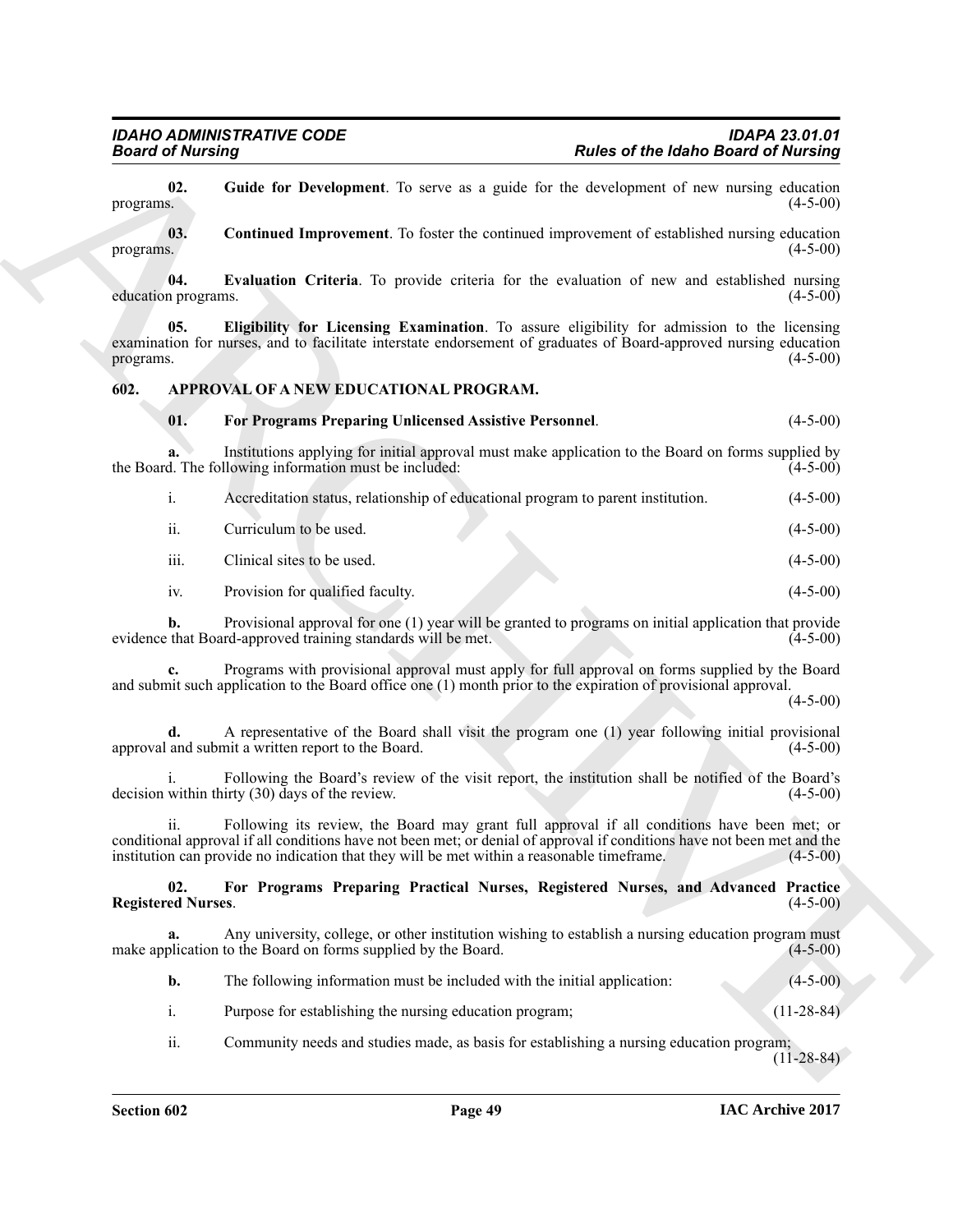### <span id="page-48-4"></span><span id="page-48-0"></span>**602. APPROVAL OF A NEW EDUCATIONAL PROGRAM.**

### <span id="page-48-6"></span><span id="page-48-5"></span><span id="page-48-3"></span><span id="page-48-1"></span>**01. For Programs Preparing Unlicensed Assistive Personnel**. (4-5-00)

<span id="page-48-7"></span>

| 02.<br>Guide for Development. To serve as a guide for the development of new nursing education<br>programs.<br>Continued Improvement. To foster the continued improvement of established nursing education<br>03.<br>programs.<br>04.<br><b>Evaluation Criteria</b> . To provide criteria for the evaluation of new and established nursing<br>education programs.<br>Eligibility for Licensing Examination. To assure eligibility for admission to the licensing<br>05.<br>examination for nurses, and to facilitate interstate endorsement of graduates of Board-approved nursing education<br>programs.<br>602.<br>APPROVAL OF A NEW EDUCATIONAL PROGRAM.<br>01.<br>For Programs Preparing Unlicensed Assistive Personnel.<br>Institutions applying for initial approval must make application to the Board on forms supplied by<br>a.<br>the Board. The following information must be included:<br>Accreditation status, relationship of educational program to parent institution.<br>i.<br>ii.<br>Curriculum to be used.<br>iii.<br>Clinical sites to be used.<br>Provision for qualified faculty.<br>iv.<br>Provisional approval for one (1) year will be granted to programs on initial application that provide<br>b.<br>evidence that Board-approved training standards will be met.<br>Programs with provisional approval must apply for full approval on forms supplied by the Board<br>c.<br>and submit such application to the Board office one (1) month prior to the expiration of provisional approval.<br>A representative of the Board shall visit the program one (1) year following initial provisional<br>approval and submit a written report to the Board.<br>Following the Board's review of the visit report, the institution shall be notified of the Board's<br>decision within thirty $(30)$ days of the review.<br>Following its review, the Board may grant full approval if all conditions have been met; or<br>11.<br>conditional approval if all conditions have not been met; or denial of approval if conditions have not been met and the<br>institution can provide no indication that they will be met within a reasonable timeframe.<br>02.<br>For Programs Preparing Practical Nurses, Registered Nurses, and Advanced Practice<br><b>Registered Nurses.</b><br>Any university, college, or other institution wishing to establish a nursing education program must<br>a.<br>make application to the Board on forms supplied by the Board.<br>The following information must be included with the initial application:<br>b.<br>i.<br>Purpose for establishing the nursing education program; | <b>Board of Nursing</b> |                                                                                          | <b>Rules of the Idaho Board of Nursing</b> |
|----------------------------------------------------------------------------------------------------------------------------------------------------------------------------------------------------------------------------------------------------------------------------------------------------------------------------------------------------------------------------------------------------------------------------------------------------------------------------------------------------------------------------------------------------------------------------------------------------------------------------------------------------------------------------------------------------------------------------------------------------------------------------------------------------------------------------------------------------------------------------------------------------------------------------------------------------------------------------------------------------------------------------------------------------------------------------------------------------------------------------------------------------------------------------------------------------------------------------------------------------------------------------------------------------------------------------------------------------------------------------------------------------------------------------------------------------------------------------------------------------------------------------------------------------------------------------------------------------------------------------------------------------------------------------------------------------------------------------------------------------------------------------------------------------------------------------------------------------------------------------------------------------------------------------------------------------------------------------------------------------------------------------------------------------------------------------------------------------------------------------------------------------------------------------------------------------------------------------------------------------------------------------------------------------------------------------------------------------------------------------------------------------------------------------------------------------------------------------------------------------------------------------------------------------------------------------------------------------------------------------------------|-------------------------|------------------------------------------------------------------------------------------|--------------------------------------------|
|                                                                                                                                                                                                                                                                                                                                                                                                                                                                                                                                                                                                                                                                                                                                                                                                                                                                                                                                                                                                                                                                                                                                                                                                                                                                                                                                                                                                                                                                                                                                                                                                                                                                                                                                                                                                                                                                                                                                                                                                                                                                                                                                                                                                                                                                                                                                                                                                                                                                                                                                                                                                                                        |                         |                                                                                          | $(4-5-00)$                                 |
|                                                                                                                                                                                                                                                                                                                                                                                                                                                                                                                                                                                                                                                                                                                                                                                                                                                                                                                                                                                                                                                                                                                                                                                                                                                                                                                                                                                                                                                                                                                                                                                                                                                                                                                                                                                                                                                                                                                                                                                                                                                                                                                                                                                                                                                                                                                                                                                                                                                                                                                                                                                                                                        |                         |                                                                                          | $(4-5-00)$                                 |
|                                                                                                                                                                                                                                                                                                                                                                                                                                                                                                                                                                                                                                                                                                                                                                                                                                                                                                                                                                                                                                                                                                                                                                                                                                                                                                                                                                                                                                                                                                                                                                                                                                                                                                                                                                                                                                                                                                                                                                                                                                                                                                                                                                                                                                                                                                                                                                                                                                                                                                                                                                                                                                        |                         |                                                                                          | $(4-5-00)$                                 |
|                                                                                                                                                                                                                                                                                                                                                                                                                                                                                                                                                                                                                                                                                                                                                                                                                                                                                                                                                                                                                                                                                                                                                                                                                                                                                                                                                                                                                                                                                                                                                                                                                                                                                                                                                                                                                                                                                                                                                                                                                                                                                                                                                                                                                                                                                                                                                                                                                                                                                                                                                                                                                                        |                         |                                                                                          | $(4-5-00)$                                 |
|                                                                                                                                                                                                                                                                                                                                                                                                                                                                                                                                                                                                                                                                                                                                                                                                                                                                                                                                                                                                                                                                                                                                                                                                                                                                                                                                                                                                                                                                                                                                                                                                                                                                                                                                                                                                                                                                                                                                                                                                                                                                                                                                                                                                                                                                                                                                                                                                                                                                                                                                                                                                                                        |                         |                                                                                          |                                            |
|                                                                                                                                                                                                                                                                                                                                                                                                                                                                                                                                                                                                                                                                                                                                                                                                                                                                                                                                                                                                                                                                                                                                                                                                                                                                                                                                                                                                                                                                                                                                                                                                                                                                                                                                                                                                                                                                                                                                                                                                                                                                                                                                                                                                                                                                                                                                                                                                                                                                                                                                                                                                                                        |                         |                                                                                          | $(4-5-00)$                                 |
|                                                                                                                                                                                                                                                                                                                                                                                                                                                                                                                                                                                                                                                                                                                                                                                                                                                                                                                                                                                                                                                                                                                                                                                                                                                                                                                                                                                                                                                                                                                                                                                                                                                                                                                                                                                                                                                                                                                                                                                                                                                                                                                                                                                                                                                                                                                                                                                                                                                                                                                                                                                                                                        |                         |                                                                                          | $(4-5-00)$                                 |
|                                                                                                                                                                                                                                                                                                                                                                                                                                                                                                                                                                                                                                                                                                                                                                                                                                                                                                                                                                                                                                                                                                                                                                                                                                                                                                                                                                                                                                                                                                                                                                                                                                                                                                                                                                                                                                                                                                                                                                                                                                                                                                                                                                                                                                                                                                                                                                                                                                                                                                                                                                                                                                        |                         |                                                                                          | $(4-5-00)$                                 |
|                                                                                                                                                                                                                                                                                                                                                                                                                                                                                                                                                                                                                                                                                                                                                                                                                                                                                                                                                                                                                                                                                                                                                                                                                                                                                                                                                                                                                                                                                                                                                                                                                                                                                                                                                                                                                                                                                                                                                                                                                                                                                                                                                                                                                                                                                                                                                                                                                                                                                                                                                                                                                                        |                         |                                                                                          | $(4-5-00)$                                 |
|                                                                                                                                                                                                                                                                                                                                                                                                                                                                                                                                                                                                                                                                                                                                                                                                                                                                                                                                                                                                                                                                                                                                                                                                                                                                                                                                                                                                                                                                                                                                                                                                                                                                                                                                                                                                                                                                                                                                                                                                                                                                                                                                                                                                                                                                                                                                                                                                                                                                                                                                                                                                                                        |                         |                                                                                          | $(4-5-00)$                                 |
|                                                                                                                                                                                                                                                                                                                                                                                                                                                                                                                                                                                                                                                                                                                                                                                                                                                                                                                                                                                                                                                                                                                                                                                                                                                                                                                                                                                                                                                                                                                                                                                                                                                                                                                                                                                                                                                                                                                                                                                                                                                                                                                                                                                                                                                                                                                                                                                                                                                                                                                                                                                                                                        |                         |                                                                                          | $(4-5-00)$                                 |
|                                                                                                                                                                                                                                                                                                                                                                                                                                                                                                                                                                                                                                                                                                                                                                                                                                                                                                                                                                                                                                                                                                                                                                                                                                                                                                                                                                                                                                                                                                                                                                                                                                                                                                                                                                                                                                                                                                                                                                                                                                                                                                                                                                                                                                                                                                                                                                                                                                                                                                                                                                                                                                        |                         |                                                                                          | $(4-5-00)$                                 |
|                                                                                                                                                                                                                                                                                                                                                                                                                                                                                                                                                                                                                                                                                                                                                                                                                                                                                                                                                                                                                                                                                                                                                                                                                                                                                                                                                                                                                                                                                                                                                                                                                                                                                                                                                                                                                                                                                                                                                                                                                                                                                                                                                                                                                                                                                                                                                                                                                                                                                                                                                                                                                                        |                         |                                                                                          | $(4-5-00)$                                 |
|                                                                                                                                                                                                                                                                                                                                                                                                                                                                                                                                                                                                                                                                                                                                                                                                                                                                                                                                                                                                                                                                                                                                                                                                                                                                                                                                                                                                                                                                                                                                                                                                                                                                                                                                                                                                                                                                                                                                                                                                                                                                                                                                                                                                                                                                                                                                                                                                                                                                                                                                                                                                                                        |                         |                                                                                          | $(4-5-00)$                                 |
|                                                                                                                                                                                                                                                                                                                                                                                                                                                                                                                                                                                                                                                                                                                                                                                                                                                                                                                                                                                                                                                                                                                                                                                                                                                                                                                                                                                                                                                                                                                                                                                                                                                                                                                                                                                                                                                                                                                                                                                                                                                                                                                                                                                                                                                                                                                                                                                                                                                                                                                                                                                                                                        |                         |                                                                                          | $(4-5-00)$                                 |
|                                                                                                                                                                                                                                                                                                                                                                                                                                                                                                                                                                                                                                                                                                                                                                                                                                                                                                                                                                                                                                                                                                                                                                                                                                                                                                                                                                                                                                                                                                                                                                                                                                                                                                                                                                                                                                                                                                                                                                                                                                                                                                                                                                                                                                                                                                                                                                                                                                                                                                                                                                                                                                        |                         |                                                                                          | $(4-5-00)$                                 |
|                                                                                                                                                                                                                                                                                                                                                                                                                                                                                                                                                                                                                                                                                                                                                                                                                                                                                                                                                                                                                                                                                                                                                                                                                                                                                                                                                                                                                                                                                                                                                                                                                                                                                                                                                                                                                                                                                                                                                                                                                                                                                                                                                                                                                                                                                                                                                                                                                                                                                                                                                                                                                                        |                         |                                                                                          | $(4-5-00)$                                 |
|                                                                                                                                                                                                                                                                                                                                                                                                                                                                                                                                                                                                                                                                                                                                                                                                                                                                                                                                                                                                                                                                                                                                                                                                                                                                                                                                                                                                                                                                                                                                                                                                                                                                                                                                                                                                                                                                                                                                                                                                                                                                                                                                                                                                                                                                                                                                                                                                                                                                                                                                                                                                                                        |                         |                                                                                          | $(4-5-00)$                                 |
|                                                                                                                                                                                                                                                                                                                                                                                                                                                                                                                                                                                                                                                                                                                                                                                                                                                                                                                                                                                                                                                                                                                                                                                                                                                                                                                                                                                                                                                                                                                                                                                                                                                                                                                                                                                                                                                                                                                                                                                                                                                                                                                                                                                                                                                                                                                                                                                                                                                                                                                                                                                                                                        |                         |                                                                                          | $(4-5-00)$                                 |
|                                                                                                                                                                                                                                                                                                                                                                                                                                                                                                                                                                                                                                                                                                                                                                                                                                                                                                                                                                                                                                                                                                                                                                                                                                                                                                                                                                                                                                                                                                                                                                                                                                                                                                                                                                                                                                                                                                                                                                                                                                                                                                                                                                                                                                                                                                                                                                                                                                                                                                                                                                                                                                        |                         |                                                                                          | $(11-28-84)$                               |
|                                                                                                                                                                                                                                                                                                                                                                                                                                                                                                                                                                                                                                                                                                                                                                                                                                                                                                                                                                                                                                                                                                                                                                                                                                                                                                                                                                                                                                                                                                                                                                                                                                                                                                                                                                                                                                                                                                                                                                                                                                                                                                                                                                                                                                                                                                                                                                                                                                                                                                                                                                                                                                        | ii.                     | Community needs and studies made, as basis for establishing a nursing education program; | $(11-28-84)$                               |

### <span id="page-48-2"></span>**02. For Programs Preparing Practical Nurses, Registered Nurses, and Advanced Practice Registered Nurses.**

- i. Purpose for establishing the nursing education program; (11-28-84)
- ii. Community needs and studies made, as basis for establishing a nursing education program;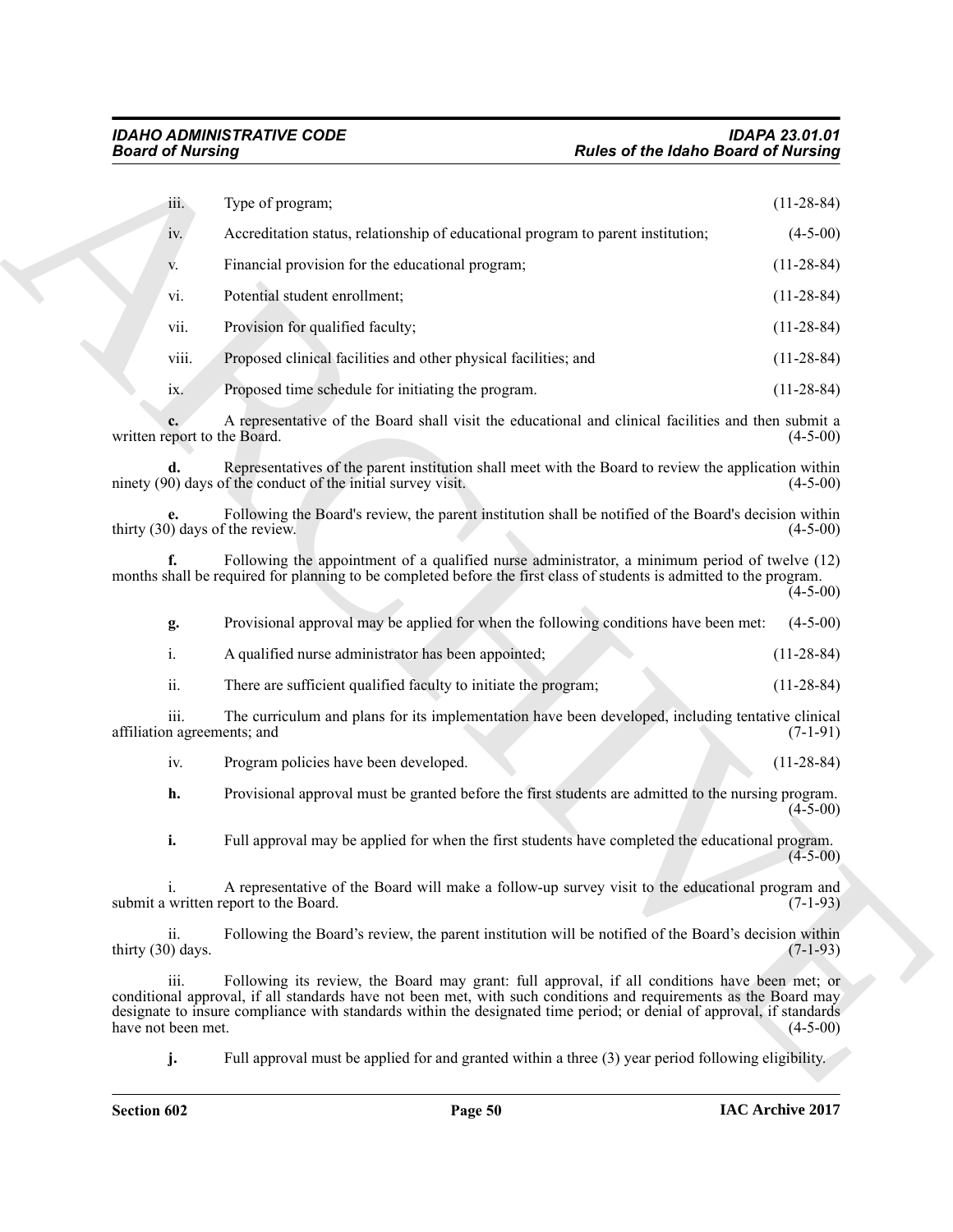| <b>Board of Nursing</b>                        |                                                                                                                                                                                                                                                                                                                                           | <b>Rules of the Idaho Board of Nursing</b> |
|------------------------------------------------|-------------------------------------------------------------------------------------------------------------------------------------------------------------------------------------------------------------------------------------------------------------------------------------------------------------------------------------------|--------------------------------------------|
| iii.                                           | Type of program;                                                                                                                                                                                                                                                                                                                          | $(11-28-84)$                               |
| iv.                                            | Accreditation status, relationship of educational program to parent institution;                                                                                                                                                                                                                                                          | $(4-5-00)$                                 |
| V.                                             | Financial provision for the educational program;                                                                                                                                                                                                                                                                                          | $(11-28-84)$                               |
| vi.                                            | Potential student enrollment;                                                                                                                                                                                                                                                                                                             | $(11-28-84)$                               |
| vii.                                           | Provision for qualified faculty;                                                                                                                                                                                                                                                                                                          | $(11-28-84)$                               |
| viii.                                          | Proposed clinical facilities and other physical facilities; and                                                                                                                                                                                                                                                                           | $(11-28-84)$                               |
| 1X.                                            | Proposed time schedule for initiating the program.                                                                                                                                                                                                                                                                                        | $(11-28-84)$                               |
| written report to the Board.                   | A representative of the Board shall visit the educational and clinical facilities and then submit a                                                                                                                                                                                                                                       | $(4-5-00)$                                 |
| d.                                             | Representatives of the parent institution shall meet with the Board to review the application within<br>ninety (90) days of the conduct of the initial survey visit.                                                                                                                                                                      | $(4-5-00)$                                 |
| thirty (30) days of the review.                | Following the Board's review, the parent institution shall be notified of the Board's decision within                                                                                                                                                                                                                                     | $(4-5-00)$                                 |
|                                                | Following the appointment of a qualified nurse administrator, a minimum period of twelve (12)<br>months shall be required for planning to be completed before the first class of students is admitted to the program.                                                                                                                     | $(4-5-00)$                                 |
| g.                                             | Provisional approval may be applied for when the following conditions have been met:                                                                                                                                                                                                                                                      | $(4-5-00)$                                 |
| $\mathbf{i}$ .                                 | A qualified nurse administrator has been appointed;                                                                                                                                                                                                                                                                                       | $(11-28-84)$                               |
| ii.                                            | There are sufficient qualified faculty to initiate the program;                                                                                                                                                                                                                                                                           | $(11-28-84)$                               |
| iii.<br>affiliation agreements; and            | The curriculum and plans for its implementation have been developed, including tentative clinical                                                                                                                                                                                                                                         | $(7-1-91)$                                 |
| iv.                                            | Program policies have been developed.                                                                                                                                                                                                                                                                                                     | $(11-28-84)$                               |
| h.                                             | Provisional approval must be granted before the first students are admitted to the nursing program.                                                                                                                                                                                                                                       | $(4-5-00)$                                 |
| i.                                             | Full approval may be applied for when the first students have completed the educational program.                                                                                                                                                                                                                                          | $(4-5-00)$                                 |
| <sup>i</sup>                                   | A representative of the Board will make a follow-up survey visit to the educational program and<br>submit a written report to the Board.                                                                                                                                                                                                  | $(7-1-93)$                                 |
| $\overline{\mathbf{u}}$ .<br>thirty (30) days. | Following the Board's review, the parent institution will be notified of the Board's decision within                                                                                                                                                                                                                                      | $(7-1-93)$                                 |
| iii.<br>have not been met.                     | Following its review, the Board may grant: full approval, if all conditions have been met; or<br>conditional approval, if all standards have not been met, with such conditions and requirements as the Board may<br>designate to insure compliance with standards within the designated time period; or denial of approval, if standards | $(4-5-00)$                                 |
| j.                                             | Full approval must be applied for and granted within a three (3) year period following eligibility.                                                                                                                                                                                                                                       |                                            |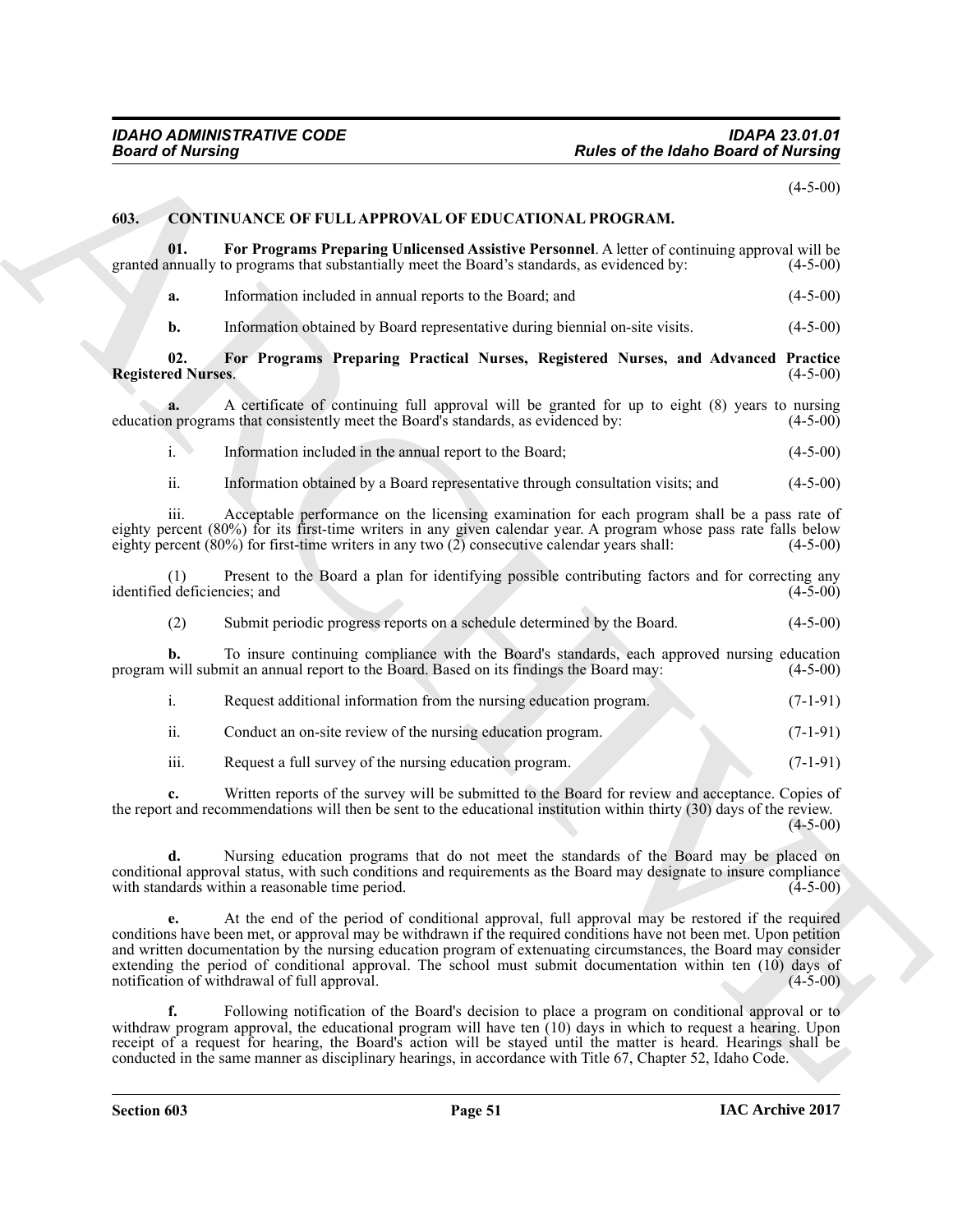$(4-5-00)$ 

### <span id="page-50-1"></span><span id="page-50-0"></span>**603. CONTINUANCE OF FULL APPROVAL OF EDUCATIONAL PROGRAM.**

**01. For Programs Preparing Unlicensed Assistive Personnel**. A letter of continuing approval will be granted annually to programs that substantially meet the Board's standards, as evidenced by: (4-5-00)

<span id="page-50-3"></span>**a.** Information included in annual reports to the Board; and (4-5-00)

<span id="page-50-2"></span>**b.** Information obtained by Board representative during biennial on-site visits.  $(4-5-00)$ 

**02. For Programs Preparing Practical Nurses, Registered Nurses, and Advanced Practice Registered Nurses.** 

**a.** A certificate of continuing full approval will be granted for up to eight (8) years to nursing n programs that consistently meet the Board's standards, as evidenced by:  $(4-5-00)$ education programs that consistently meet the Board's standards, as evidenced by:

i. Information included in the annual report to the Board; (4-5-00)

ii. Information obtained by a Board representative through consultation visits; and (4-5-00)

iii. Acceptable performance on the licensing examination for each program shall be a pass rate of eighty percent (80%) for its first-time writers in any given calendar year. A program whose pass rate falls below<br>eighty percent (80%) for first-time writers in any two (2) consecutive calendar years shall: (4-5-00) eighty percent  $(80%)$  for first-time writers in any two  $(2)$  consecutive calendar years shall:

(1) Present to the Board a plan for identifying possible contributing factors and for correcting any identified deficiencies; and

(2) Submit periodic progress reports on a schedule determined by the Board. (4-5-00)

**b.** To insure continuing compliance with the Board's standards, each approved nursing education will submit an annual report to the Board. Based on its findings the Board may: (4-5-00) program will submit an annual report to the Board. Based on its findings the Board may:

- i. Request additional information from the nursing education program. (7-1-91)
- ii. Conduct an on-site review of the nursing education program. (7-1-91)
- iii. Request a full survey of the nursing education program. (7-1-91)

**c.** Written reports of the survey will be submitted to the Board for review and acceptance. Copies of the report and recommendations will then be sent to the educational institution within thirty (30) days of the review.  $(4-5-00)$ 

**d.** Nursing education programs that do not meet the standards of the Board may be placed on conditional approval status, with such conditions and requirements as the Board may designate to insure compliance with standards within a reasonable time period.

**Fraction of the latino distribution of the latino distribution of the latino distribution (44-40)<br>
(4).** CONTINUANCE OF FULLAPROVAL OF FINICATIONAL PROCRAM,<br>
(4). The Tropynum Properties that contains the properties of t **e.** At the end of the period of conditional approval, full approval may be restored if the required conditions have been met, or approval may be withdrawn if the required conditions have not been met. Upon petition and written documentation by the nursing education program of extenuating circumstances, the Board may consider extending the period of conditional approval. The school must submit documentation within ten (10) days of notification of withdrawal of full approval. (4-5-00) (4-5-00)

**f.** Following notification of the Board's decision to place a program on conditional approval or to withdraw program approval, the educational program will have ten (10) days in which to request a hearing. Upon receipt of a request for hearing, the Board's action will be stayed until the matter is heard. Hearings shall be conducted in the same manner as disciplinary hearings, in accordance with Title 67, Chapter 52, Idaho Code.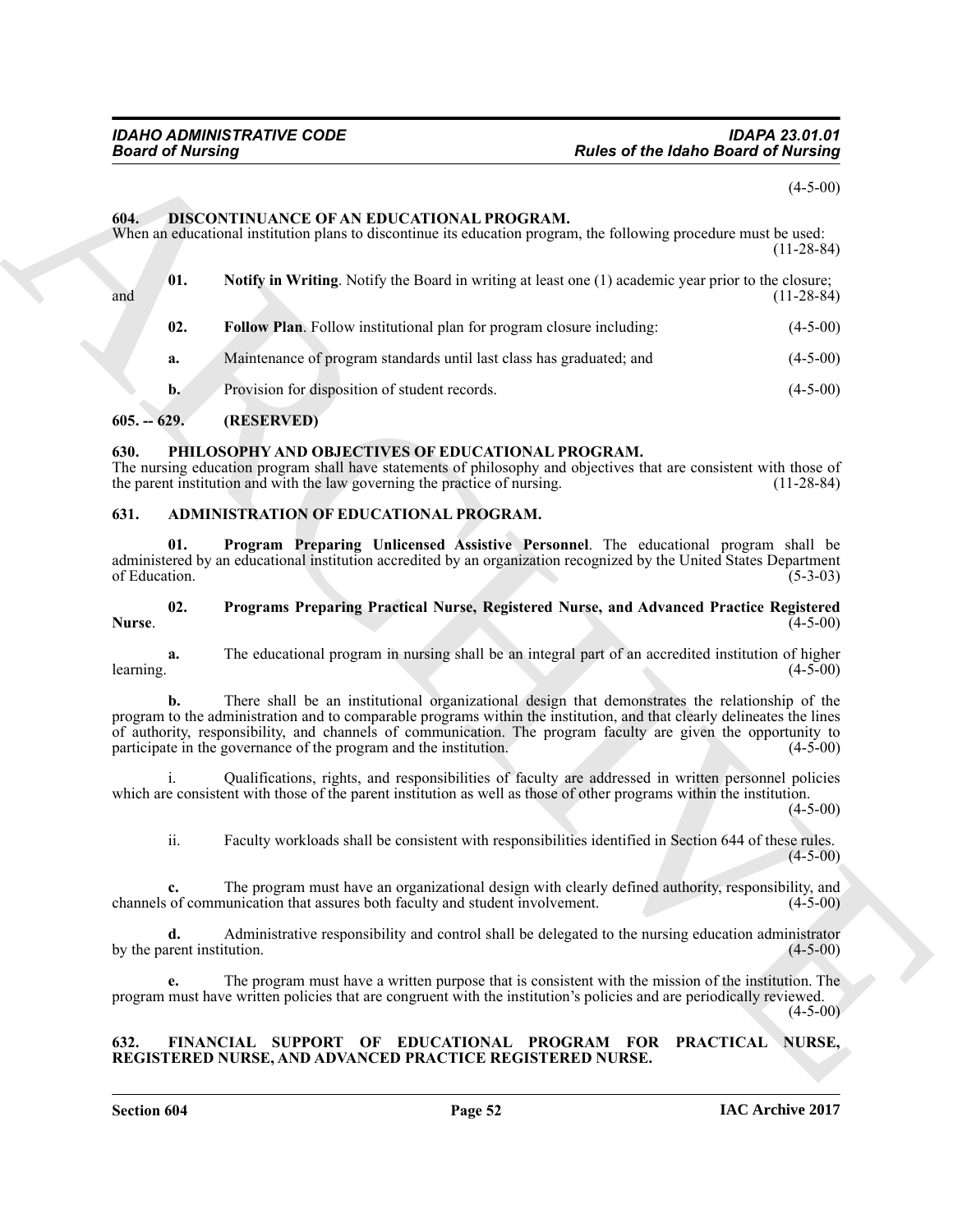### <span id="page-51-10"></span><span id="page-51-9"></span><span id="page-51-8"></span><span id="page-51-0"></span>**604. DISCONTINUANCE OF AN EDUCATIONAL PROGRAM.**

| <b>Rules of the Idaho Board of Nursing</b> | <b>Board of Nursing</b>                                                                                                                                                                                                                                                                                                                                                                                               |
|--------------------------------------------|-----------------------------------------------------------------------------------------------------------------------------------------------------------------------------------------------------------------------------------------------------------------------------------------------------------------------------------------------------------------------------------------------------------------------|
| $(4-5-00)$                                 |                                                                                                                                                                                                                                                                                                                                                                                                                       |
| $(11-28-84)$                               | DISCONTINUANCE OF AN EDUCATIONAL PROGRAM.<br>When an educational institution plans to discontinue its education program, the following procedure must be used:                                                                                                                                                                                                                                                        |
| $(11-28-84)$                               | 01.<br><b>Notify in Writing.</b> Notify the Board in writing at least one (1) academic year prior to the closure;                                                                                                                                                                                                                                                                                                     |
| $(4-5-00)$                                 | 02.<br>Follow Plan. Follow institutional plan for program closure including:                                                                                                                                                                                                                                                                                                                                          |
| $(4-5-00)$                                 | Maintenance of program standards until last class has graduated; and<br>a.                                                                                                                                                                                                                                                                                                                                            |
| $(4-5-00)$                                 | Provision for disposition of student records.<br>$\mathbf{b}$ .                                                                                                                                                                                                                                                                                                                                                       |
|                                            | (RESERVED)<br>$605. - 629.$                                                                                                                                                                                                                                                                                                                                                                                           |
| $(11-28-84)$                               | PHILOSOPHY AND OBJECTIVES OF EDUCATIONAL PROGRAM.<br>The nursing education program shall have statements of philosophy and objectives that are consistent with those of<br>the parent institution and with the law governing the practice of nursing.                                                                                                                                                                 |
|                                            | ADMINISTRATION OF EDUCATIONAL PROGRAM.                                                                                                                                                                                                                                                                                                                                                                                |
| $(5-3-03)$                                 | 01.<br>Program Preparing Unlicensed Assistive Personnel. The educational program shall be<br>administered by an educational institution accredited by an organization recognized by the United States Department<br>of Education.                                                                                                                                                                                     |
| $(4-5-00)$                                 | 02.<br>Programs Preparing Practical Nurse, Registered Nurse, and Advanced Practice Registered<br>Nurse.                                                                                                                                                                                                                                                                                                               |
| $(4-5-00)$                                 | The educational program in nursing shall be an integral part of an accredited institution of higher<br>a.<br>learning.                                                                                                                                                                                                                                                                                                |
| $(4-5-00)$                                 | There shall be an institutional organizational design that demonstrates the relationship of the<br>b.<br>program to the administration and to comparable programs within the institution, and that clearly delineates the lines<br>of authority, responsibility, and channels of communication. The program faculty are given the opportunity to<br>participate in the governance of the program and the institution. |
| $(4-5-00)$                                 | Qualifications, rights, and responsibilities of faculty are addressed in written personnel policies<br>which are consistent with those of the parent institution as well as those of other programs within the institution.                                                                                                                                                                                           |
| $(4-5-00)$                                 | Faculty workloads shall be consistent with responsibilities identified in Section 644 of these rules.<br>ii.                                                                                                                                                                                                                                                                                                          |
| $(4-5-00)$                                 | The program must have an organizational design with clearly defined authority, responsibility, and<br>c.<br>channels of communication that assures both faculty and student involvement.                                                                                                                                                                                                                              |
|                                            | Administrative responsibility and control shall be delegated to the nursing education administrator<br>d.                                                                                                                                                                                                                                                                                                             |
| $(4-5-00)$                                 | by the parent institution.                                                                                                                                                                                                                                                                                                                                                                                            |

### <span id="page-51-1"></span>**605. -- 629. (RESERVED)**

### <span id="page-51-12"></span><span id="page-51-2"></span>**630. PHILOSOPHY AND OBJECTIVES OF EDUCATIONAL PROGRAM.**

### <span id="page-51-6"></span><span id="page-51-5"></span><span id="page-51-3"></span>**631. ADMINISTRATION OF EDUCATIONAL PROGRAM.**

### <span id="page-51-7"></span>**02. Programs Preparing Practical Nurse, Registered Nurse, and Advanced Practice Registered Nurse**. (4-5-00)

### <span id="page-51-11"></span><span id="page-51-4"></span>**632. FINANCIAL SUPPORT OF EDUCATIONAL PROGRAM FOR PRACTICAL NURSE, REGISTERED NURSE, AND ADVANCED PRACTICE REGISTERED NURSE.**

**Section 604 Page 52**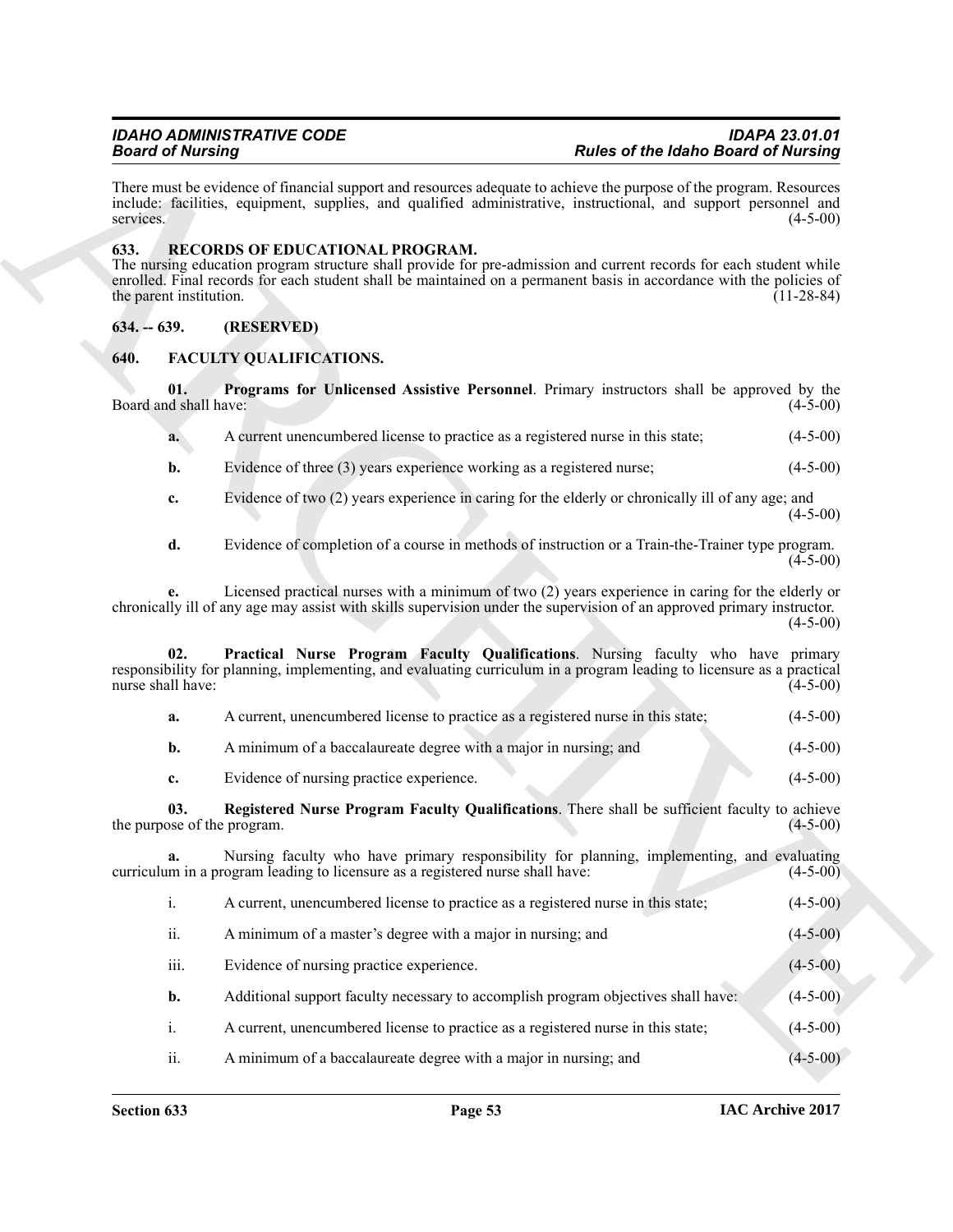There must be evidence of financial support and resources adequate to achieve the purpose of the program. Resources include: facilities, equipment, supplies, and qualified administrative, instructional, and support personnel and services. (4-5-00)

### <span id="page-52-7"></span><span id="page-52-0"></span>**633. RECORDS OF EDUCATIONAL PROGRAM.**

The nursing education program structure shall provide for pre-admission and current records for each student while enrolled. Final records for each student shall be maintained on a permanent basis in accordance with the policies of the parent institution. (11-28-84)

### <span id="page-52-1"></span>**634. -- 639. (RESERVED)**

### <span id="page-52-3"></span><span id="page-52-2"></span>**640. FACULTY QUALIFICATIONS.**

**01. Programs for Unlicensed Assistive Personnel**. Primary instructors shall be approved by the Board and shall have: (4-5-00)

- <span id="page-52-5"></span>**a.** A current unencumbered license to practice as a registered nurse in this state; (4-5-00)
- **b.** Evidence of three (3) years experience working as a registered nurse; (4-5-00)
- **c.** Evidence of two (2) years experience in caring for the elderly or chronically ill of any age; and  $(4-5-00)$
- **d.** Evidence of completion of a course in methods of instruction or a Train-the-Trainer type program.  $(4-5-00)$

**e.** Licensed practical nurses with a minimum of two (2) years experience in caring for the elderly or chronically ill of any age may assist with skills supervision under the supervision of an approved primary instructor.  $(4-5-00)$ 

Beach of Museum growth superiority and the state of the Habse and China and China and China and China and China<br>
Have made somewhere of Emmand superiority and qualitative intermediate intermediate and angles permanental a **Practical Nurse Program Faculty Qualifications**. Nursing faculty who have primary responsibility for planning, implementing, and evaluating curriculum in a program leading to licensure as a practical nurse shall have:

<span id="page-52-4"></span>

- **b.** A minimum of a baccalaureate degree with a major in nursing; and  $(4-5-00)$
- <span id="page-52-6"></span>**c.** Evidence of nursing practice experience. (4-5-00)

**03. Registered Nurse Program Faculty Qualifications**. There shall be sufficient faculty to achieve the purpose of the program.

**a.** Nursing faculty who have primary responsibility for planning, implementing, and evaluating m in a program leading to licensure as a registered nurse shall have:  $(4-5-00)$ curriculum in a program leading to licensure as a registered nurse shall have:

- i. A current, unencumbered license to practice as a registered nurse in this state; (4-5-00)
	- ii. A minimum of a master's degree with a major in nursing; and  $(4-5-00)$
	- iii. Evidence of nursing practice experience. (4-5-00)
	- **b.** Additional support faculty necessary to accomplish program objectives shall have: (4-5-00)
	- i. A current, unencumbered license to practice as a registered nurse in this state; (4-5-00)
	- ii. A minimum of a baccalaureate degree with a major in nursing; and (4-5-00)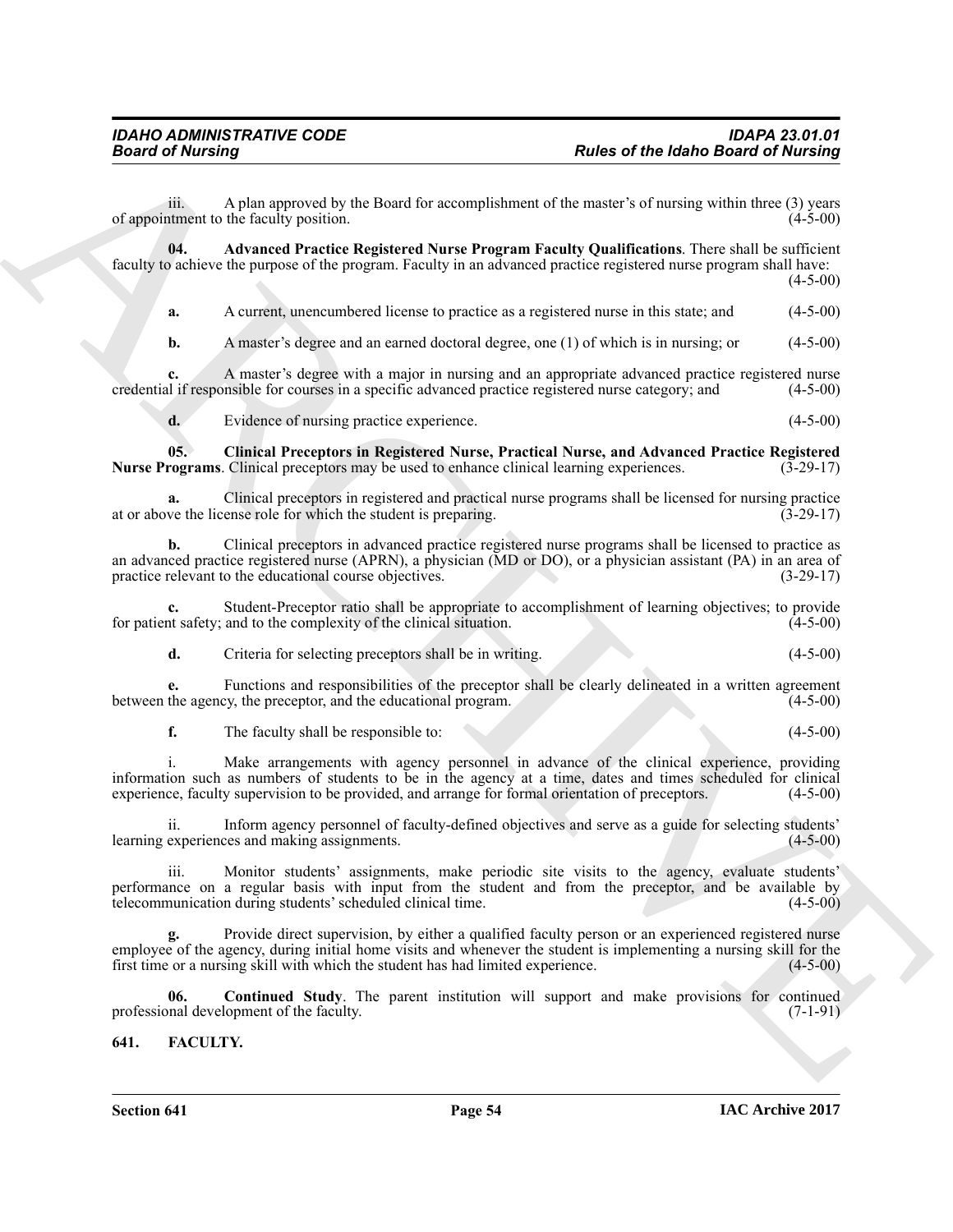iii. A plan approved by the Board for accomplishment of the master's of nursing within three  $(3)$  years nument to the faculty position.  $(4-5-00)$ of appointment to the faculty position.

**04. Advanced Practice Registered Nurse Program Faculty Qualifications**. There shall be sufficient faculty to achieve the purpose of the program. Faculty in an advanced practice registered nurse program shall have:  $(4-5-00)$ 

<span id="page-53-2"></span>**a.** A current, unencumbered license to practice as a registered nurse in this state; and  $(4-5-00)$ 

**b.** A master's degree and an earned doctoral degree, one (1) of which is in nursing; or (4-5-00)

**c.** A master's degree with a major in nursing and an appropriate advanced practice registered nurse il if responsible for courses in a specific advanced practice registered nurse category; and (4-5-00) credential if responsible for courses in a specific advanced practice registered nurse category; and

<span id="page-53-3"></span>**d.** Evidence of nursing practice experience. (4-5-00)

**05. Clinical Preceptors in Registered Nurse, Practical Nurse, and Advanced Practice Registered Nurse Programs**. Clinical preceptors may be used to enhance clinical learning experiences. (3-29-17)

**a.** Clinical preceptors in registered and practical nurse programs shall be licensed for nursing practice ve the license role for which the student is preparing. (3-29-17) at or above the license role for which the student is preparing.

**b.** Clinical preceptors in advanced practice registered nurse programs shall be licensed to practice as an advanced practice registered nurse (APRN), a physician (MD or DO), or a physician assistant (PA) in an area of practice relevant to the educational course objectives. (3-29-17) practice relevant to the educational course objectives.

**c.** Student-Preceptor ratio shall be appropriate to accomplishment of learning objectives; to provide int safety; and to the complexity of the clinical situation. (4-5-00) for patient safety; and to the complexity of the clinical situation.

**d.** Criteria for selecting preceptors shall be in writing. (4-5-00)

**e.** Functions and responsibilities of the preceptor shall be clearly delineated in a written agreement the agency, the preceptor, and the educational program. (4-5-00) between the agency, the preceptor, and the educational program.

**f.** The faculty shall be responsible to: (4-5-00)

i. Make arrangements with agency personnel in advance of the clinical experience, providing information such as numbers of students to be in the agency at a time, dates and times scheduled for clinical experience, faculty supervision to be provided, and arrange for formal orientation of preceptors. (4-5-00) experience, faculty supervision to be provided, and arrange for formal orientation of preceptors.

ii. Inform agency personnel of faculty-defined objectives and serve as a guide for selecting students' learning experiences and making assignments. (4-5-00)

iii. Monitor students' assignments, make periodic site visits to the agency, evaluate students' performance on a regular basis with input from the student and from the preceptor, and be available by telecommunication during students' scheduled clinical time. telecommunication during students' scheduled clinical time.

**Fraction of the laboration in the state of the laboration Example and the transformation of the state of the laboration of the state of the state of the state of the state of the state of the state of the state of the st g.** Provide direct supervision, by either a qualified faculty person or an experienced registered nurse employee of the agency, during initial home visits and whenever the student is implementing a nursing skill for the first time or a nursing skill with which the student has had limited experience. (4-5-00) first time or a nursing skill with which the student has had limited experience.

<span id="page-53-4"></span>**06.** Continued Study. The parent institution will support and make provisions for continued mal development of the faculty. (7-1-91) professional development of the faculty.

<span id="page-53-1"></span><span id="page-53-0"></span>**641. FACULTY.**

**Section 641 Page 54**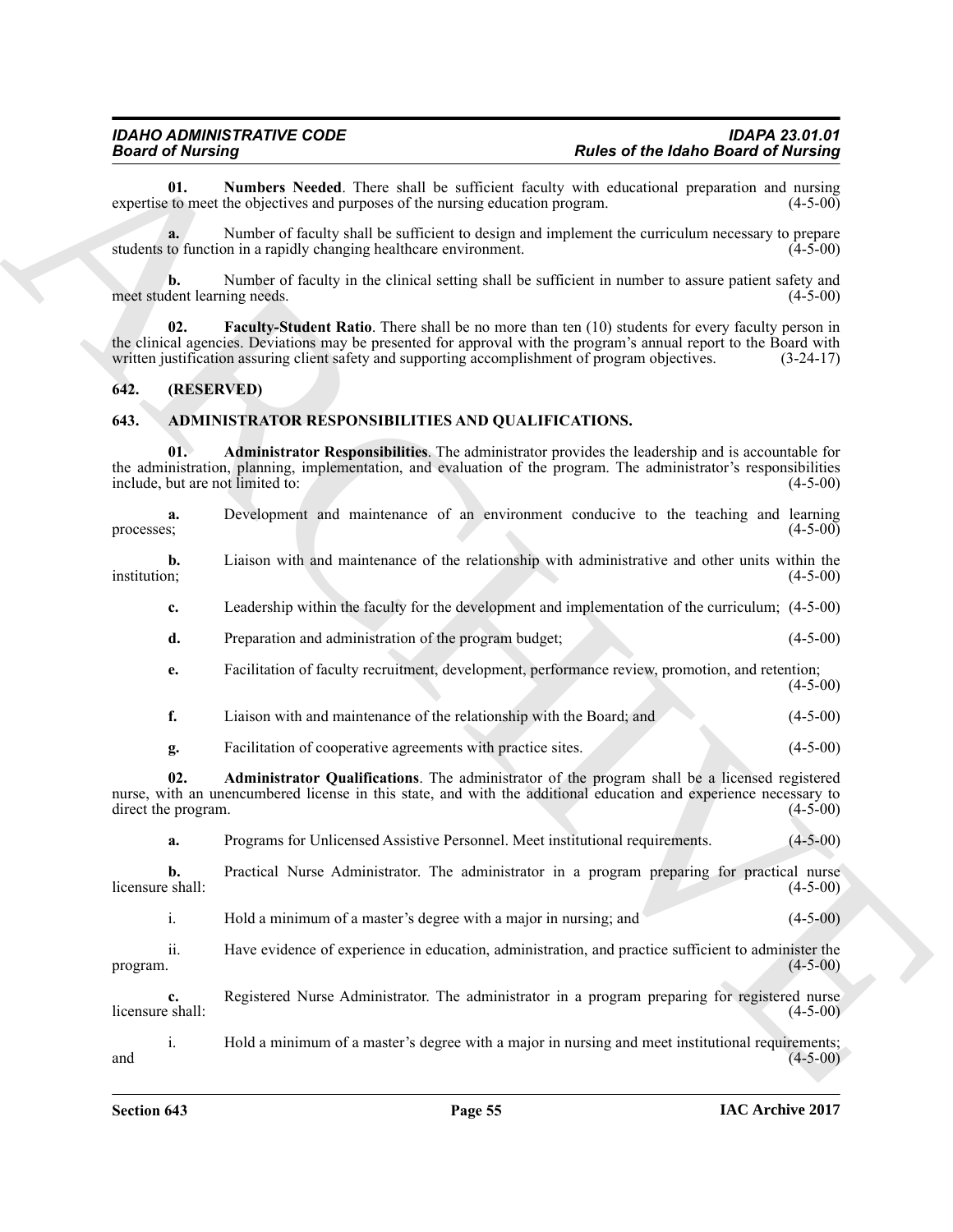### <span id="page-54-5"></span><span id="page-54-0"></span>**642. (RESERVED)**

### <span id="page-54-4"></span><span id="page-54-3"></span><span id="page-54-2"></span><span id="page-54-1"></span>**643. ADMINISTRATOR RESPONSIBILITIES AND QUALIFICATIONS.**

<span id="page-54-6"></span>

|                  | <b>Board of Nursing</b>    |                                                                                                                                                                                                                                                                                                                                     | <b>Rules of the Idaho Board of Nursing</b> |
|------------------|----------------------------|-------------------------------------------------------------------------------------------------------------------------------------------------------------------------------------------------------------------------------------------------------------------------------------------------------------------------------------|--------------------------------------------|
|                  | 01.                        | Numbers Needed. There shall be sufficient faculty with educational preparation and nursing<br>expertise to meet the objectives and purposes of the nursing education program.                                                                                                                                                       | $(4-5-00)$                                 |
|                  |                            | Number of faculty shall be sufficient to design and implement the curriculum necessary to prepare<br>students to function in a rapidly changing healthcare environment.                                                                                                                                                             | $(4-5-00)$                                 |
|                  | b.                         | Number of faculty in the clinical setting shall be sufficient in number to assure patient safety and<br>meet student learning needs.                                                                                                                                                                                                | $(4-5-00)$                                 |
|                  | 02.                        | <b>Faculty-Student Ratio</b> . There shall be no more than ten (10) students for every faculty person in<br>the clinical agencies. Deviations may be presented for approval with the program's annual report to the Board with<br>written justification assuring client safety and supporting accomplishment of program objectives. | $(3-24-17)$                                |
| 642.             | (RESERVED)                 |                                                                                                                                                                                                                                                                                                                                     |                                            |
| 643.             |                            | ADMINISTRATOR RESPONSIBILITIES AND QUALIFICATIONS.                                                                                                                                                                                                                                                                                  |                                            |
|                  | 01.                        | <b>Administrator Responsibilities</b> . The administrator provides the leadership and is accountable for<br>the administration, planning, implementation, and evaluation of the program. The administrator's responsibilities<br>include, but are not limited to:                                                                   | $(4-5-00)$                                 |
| processes;       | a.                         | Development and maintenance of an environment conducive to the teaching and learning                                                                                                                                                                                                                                                | $(4-5-00)$                                 |
| institution;     | b.                         | Liaison with and maintenance of the relationship with administrative and other units within the                                                                                                                                                                                                                                     | $(4-5-00)$                                 |
|                  | c.                         | Leadership within the faculty for the development and implementation of the curriculum; (4-5-00)                                                                                                                                                                                                                                    |                                            |
|                  | d.                         | Preparation and administration of the program budget;                                                                                                                                                                                                                                                                               | $(4-5-00)$                                 |
|                  | e.                         | Facilitation of faculty recruitment, development, performance review, promotion, and retention;                                                                                                                                                                                                                                     | $(4-5-00)$                                 |
|                  | f.                         | Liaison with and maintenance of the relationship with the Board; and                                                                                                                                                                                                                                                                | $(4-5-00)$                                 |
|                  | g.                         | Facilitation of cooperative agreements with practice sites.                                                                                                                                                                                                                                                                         | $(4-5-00)$                                 |
|                  | 02.<br>direct the program. | Administrator Qualifications. The administrator of the program shall be a licensed registered<br>nurse, with an unencumbered license in this state, and with the additional education and experience necessary to                                                                                                                   | $(4-5-00)$                                 |
|                  | a.                         | Programs for Unlicensed Assistive Personnel. Meet institutional requirements.                                                                                                                                                                                                                                                       | $(4-5-00)$                                 |
| licensure shall: | b.                         | Practical Nurse Administrator. The administrator in a program preparing for practical nurse                                                                                                                                                                                                                                         | $(4-5-00)$                                 |
|                  | $\mathbf{i}$ .             | Hold a minimum of a master's degree with a major in nursing; and                                                                                                                                                                                                                                                                    | $(4-5-00)$                                 |
| program.         | ii.                        | Have evidence of experience in education, administration, and practice sufficient to administer the                                                                                                                                                                                                                                 | $(4-5-00)$                                 |
| licensure shall: | c.                         | Registered Nurse Administrator. The administrator in a program preparing for registered nurse                                                                                                                                                                                                                                       | $(4-5-00)$                                 |
|                  | $i$ .                      | Hold a minimum of a master's degree with a major in nursing and meet institutional requirements;                                                                                                                                                                                                                                    | $(4-5-00)$                                 |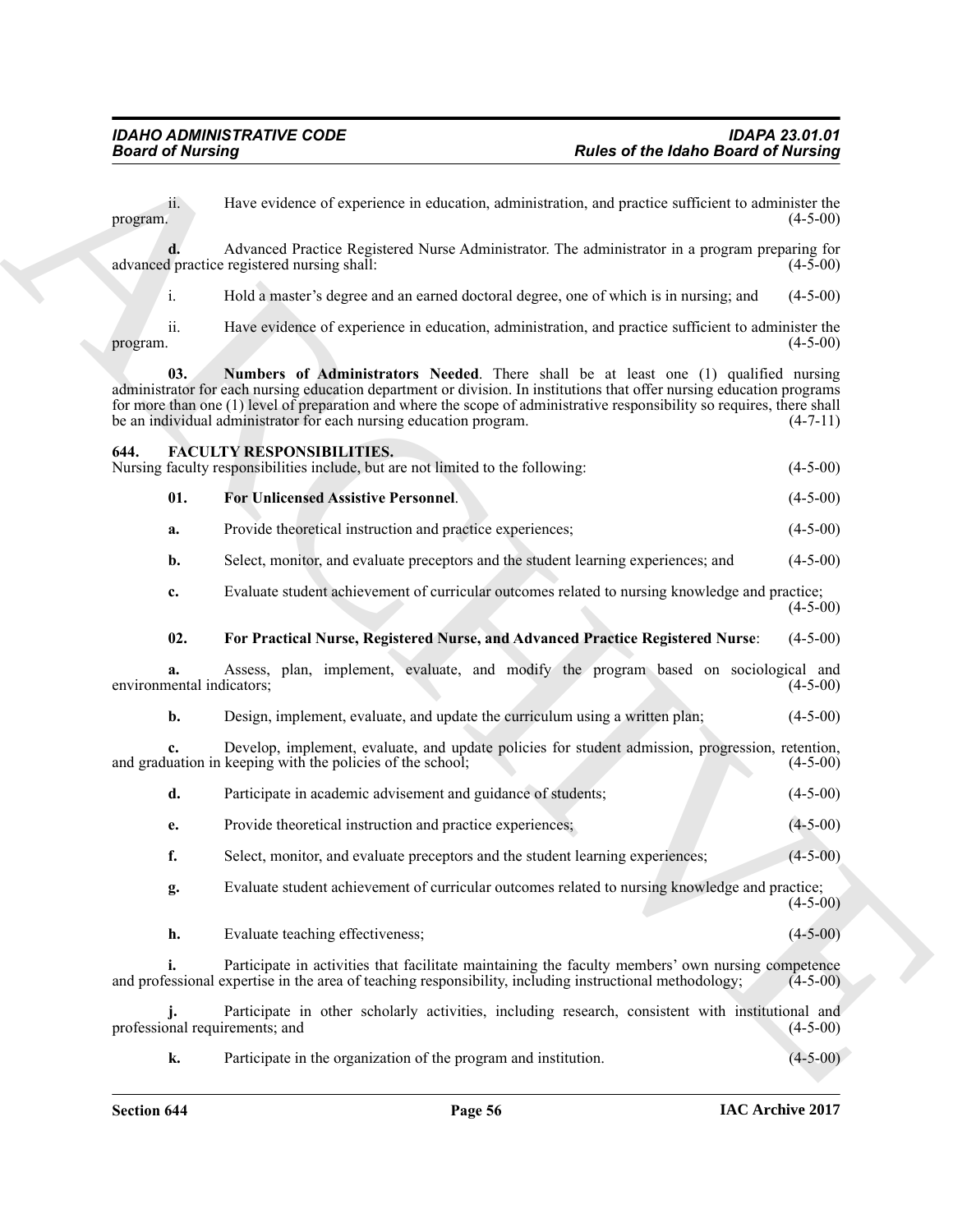**Poster of the latino distribution in the set of the latino distribution is the content of the set of the set of the set of the set of the set of the set of the set of the set of the set of the set of the set of the set o**  $\mu$  program. (4-5-00) **d.** Advanced Practice Registered Nurse Administrator. The administrator in a program preparing for d practice registered nursing shall: (4-5-00) advanced practice registered nursing shall: i. Hold a master's degree and an earned doctoral degree, one of which is in nursing; and (4-5-00) ii. Have evidence of experience in education, administration, and practice sufficient to administer the  $\mu$  program.  $(4-5-00)$ **03. Numbers of Administrators Needed**. There shall be at least one (1) qualified nursing administrator for each nursing education department or division. In institutions that offer nursing education programs for more than one (1) level of preparation and where the scope of administrative responsibility so requires, there shall be an individual administrator for each nursing education program. (4-7-11) **644. FACULTY RESPONSIBILITIES.** Nursing faculty responsibilities include, but are not limited to the following: (4-5-00) **01. For Unlicensed Assistive Personnel**. (4-5-00) **a.** Provide theoretical instruction and practice experiences; (4-5-00) **b.** Select, monitor, and evaluate preceptors and the student learning experiences; and  $(4-5-00)$ **c.** Evaluate student achievement of curricular outcomes related to nursing knowledge and practice; (4-5-00) **02. For Practical Nurse, Registered Nurse, and Advanced Practice Registered Nurse**: (4-5-00) **a.** Assess, plan, implement, evaluate, and modify the program based on sociological and nental indicators; (4-5-00) environmental indicators; **b.** Design, implement, evaluate, and update the curriculum using a written plan; (4-5-00) **c.** Develop, implement, evaluate, and update policies for student admission, progression, retention, uation in keeping with the policies of the school; (4-5-00) and graduation in keeping with the policies of the school; **d.** Participate in academic advisement and guidance of students; (4-5-00) **e.** Provide theoretical instruction and practice experiences; (4-5-00) **f.** Select, monitor, and evaluate preceptors and the student learning experiences; (4-5-00)

<span id="page-55-3"></span><span id="page-55-2"></span><span id="page-55-1"></span><span id="page-55-0"></span>ii. Have evidence of experience in education, administration, and practice sufficient to administer the

<span id="page-55-4"></span>**g.** Evaluate student achievement of curricular outcomes related to nursing knowledge and practice;  $(4-5-00)$ 

**h.** Evaluate teaching effectiveness; (4-5-00)

**i.** Participate in activities that facilitate maintaining the faculty members' own nursing competence and professional expertise in the area of teaching responsibility, including instructional methodology; (4-5-00)

**j.** Participate in other scholarly activities, including research, consistent with institutional and requirements; and (4-5-00) professional requirements; and

**k.** Participate in the organization of the program and institution. (4-5-00)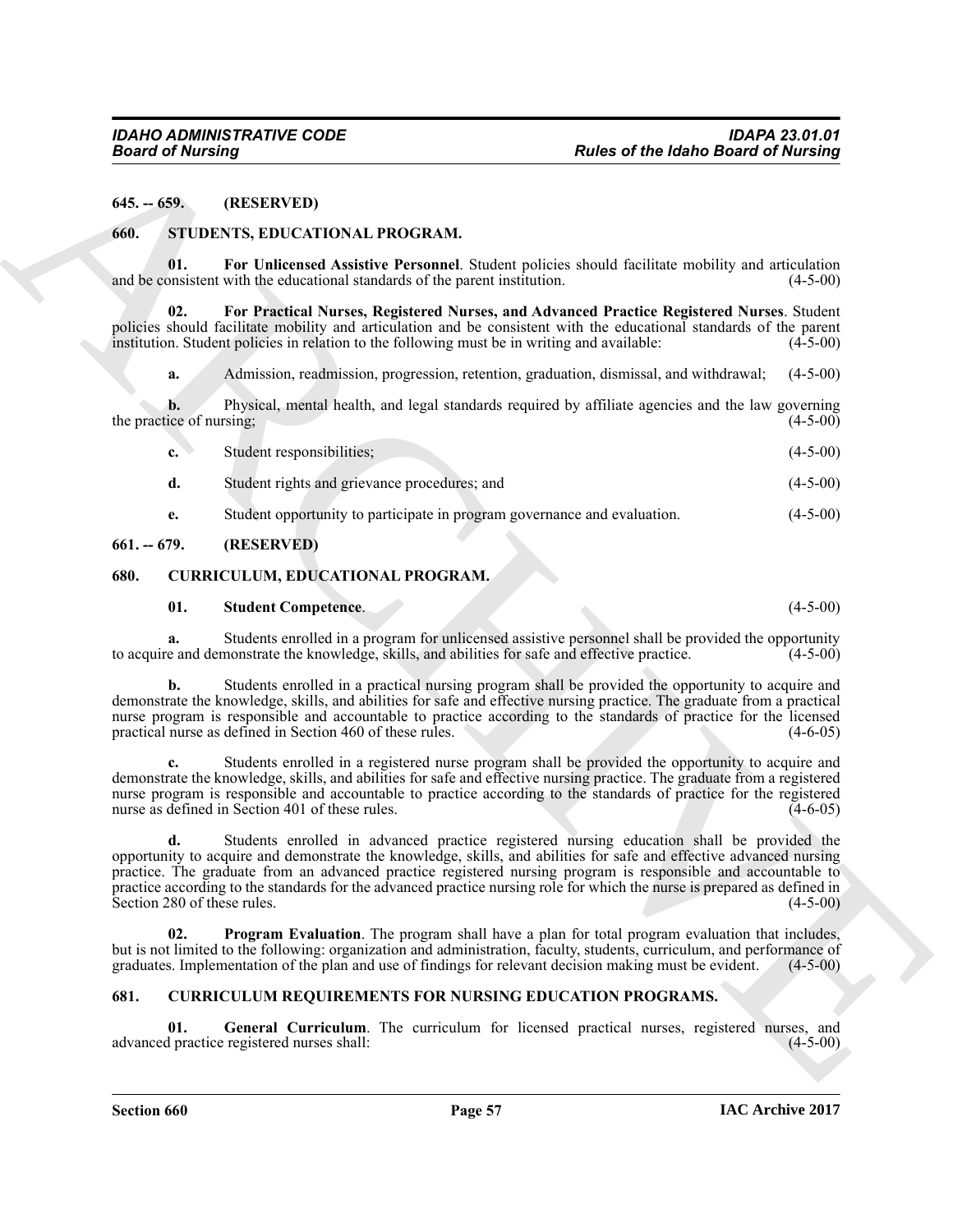### <span id="page-56-0"></span>**645. -- 659. (RESERVED)**

### <span id="page-56-10"></span><span id="page-56-1"></span>**660. STUDENTS, EDUCATIONAL PROGRAM.**

<span id="page-56-12"></span>**01. For Unlicensed Assistive Personnel**. Student policies should facilitate mobility and articulation and be consistent with the educational standards of the parent institution.

**02. For Practical Nurses, Registered Nurses, and Advanced Practice Registered Nurses**. Student policies should facilitate mobility and articulation and be consistent with the educational standards of the parent institution. Student policies in relation to the following must be in writing and available: (4-5-00) institution. Student policies in relation to the following must be in writing and available:

<span id="page-56-11"></span>**a.** Admission, readmission, progression, retention, graduation, dismissal, and withdrawal; (4-5-00)

**b.** Physical, mental health, and legal standards required by affiliate agencies and the law governing ice of nursing: (4-5-00) the practice of nursing;

| Student responsibilities;                                                | $(4-5-00)$ |
|--------------------------------------------------------------------------|------------|
| Student rights and grievance procedures; and                             | $(4-5-00)$ |
| Student opportunity to participate in program governance and evaluation. | $(4-5-00)$ |

### <span id="page-56-2"></span>**661. -- 679. (RESERVED)**

### <span id="page-56-3"></span>**680. CURRICULUM, EDUCATIONAL PROGRAM.**

### <span id="page-56-9"></span><span id="page-56-7"></span>**01. Student Competence**. (4-5-00)

**a.** Students enrolled in a program for unlicensed assistive personnel shall be provided the opportunity e and demonstrate the knowledge, skills, and abilities for safe and effective practice. (4-5-00) to acquire and demonstrate the knowledge, skills, and abilities for safe and effective practice.

**b.** Students enrolled in a practical nursing program shall be provided the opportunity to acquire and demonstrate the knowledge, skills, and abilities for safe and effective nursing practice. The graduate from a practical nurse program is responsible and accountable to practice according to the standards of practice for the licensed practical nurse as defined in Section 460 of these rules. (4-6-05) practical nurse as defined in Section 460 of these rules.

**c.** Students enrolled in a registered nurse program shall be provided the opportunity to acquire and demonstrate the knowledge, skills, and abilities for safe and effective nursing practice. The graduate from a registered nurse program is responsible and accountable to practice according to the standards of practice for the registered<br>nurse as defined in Section 401 of these rules. nurse as defined in Section 401 of these rules.

**Fourier of the Interior example is a specific the of the Interior Boston of the Interior Control Control Control Control Control Control Control Control Control Control Control Control Control Control Control Control Con d.** Students enrolled in advanced practice registered nursing education shall be provided the opportunity to acquire and demonstrate the knowledge, skills, and abilities for safe and effective advanced nursing practice. The graduate from an advanced practice registered nursing program is responsible and accountable to practice according to the standards for the advanced practice nursing role for which the nurse is prepared as defined in Section 280 of these rules.  $(4-5-00)$ 

<span id="page-56-8"></span>**02. Program Evaluation**. The program shall have a plan for total program evaluation that includes, but is not limited to the following: organization and administration, faculty, students, curriculum, and performance of graduates. Implementation of the plan and use of findings for relevant decision making must be evident graduates. Implementation of the plan and use of findings for relevant decision making must be evident.

### <span id="page-56-5"></span><span id="page-56-4"></span>**681. CURRICULUM REQUIREMENTS FOR NURSING EDUCATION PROGRAMS.**

<span id="page-56-6"></span>**01.** General Curriculum. The curriculum for licensed practical nurses, registered nurses, and practice registered nurses shall: (4-5-00) advanced practice registered nurses shall: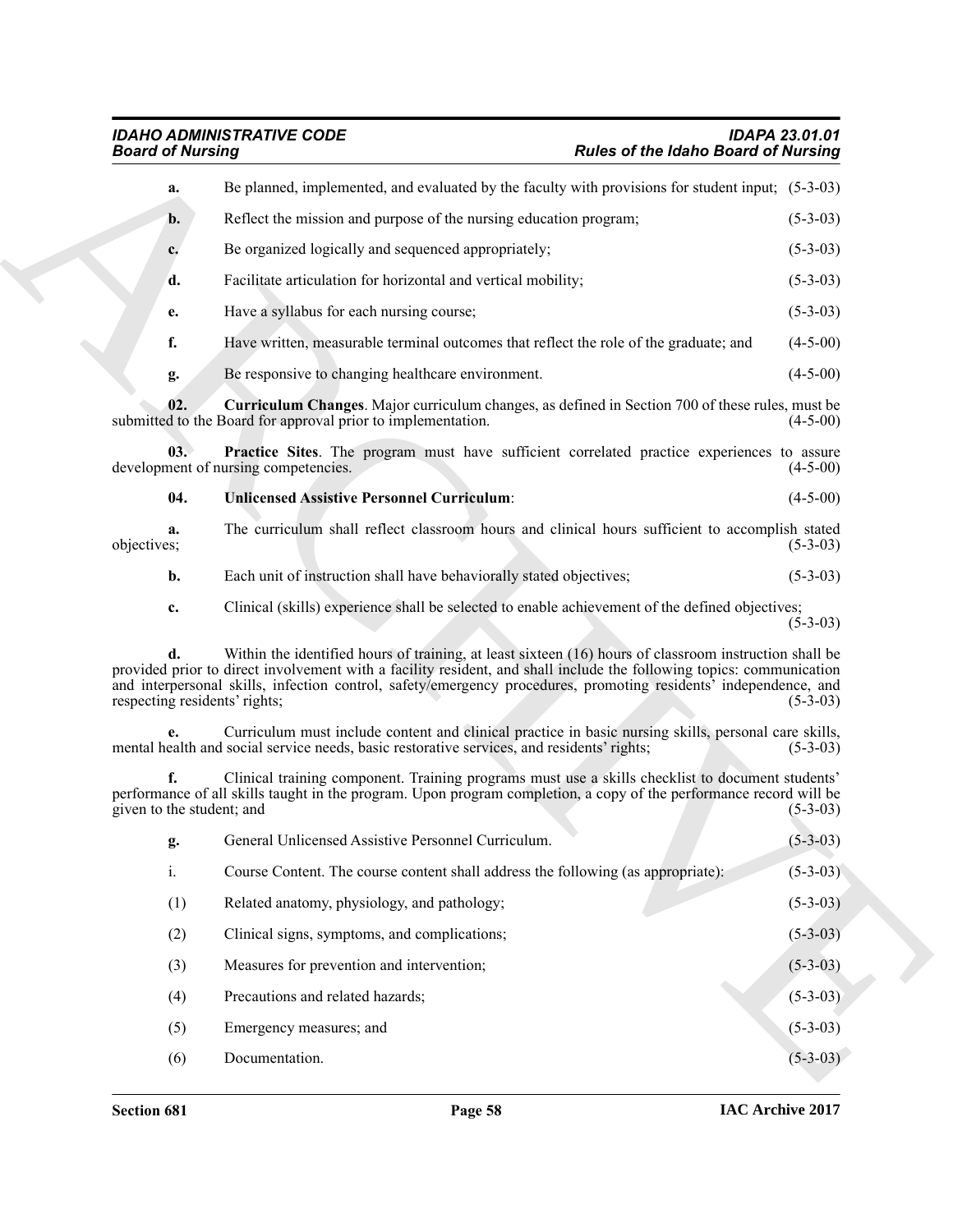<span id="page-57-2"></span><span id="page-57-1"></span><span id="page-57-0"></span>

| <b>Board of Nursing</b>             |                                                                                                                                                                                                                                                                                                                                                    | <b>Rules of the Idaho Board of Nursing</b> |            |
|-------------------------------------|----------------------------------------------------------------------------------------------------------------------------------------------------------------------------------------------------------------------------------------------------------------------------------------------------------------------------------------------------|--------------------------------------------|------------|
| a.                                  | Be planned, implemented, and evaluated by the faculty with provisions for student input; (5-3-03)                                                                                                                                                                                                                                                  |                                            |            |
| $\mathbf{b}$ .                      | Reflect the mission and purpose of the nursing education program;                                                                                                                                                                                                                                                                                  |                                            | $(5-3-03)$ |
| c.                                  | Be organized logically and sequenced appropriately;                                                                                                                                                                                                                                                                                                |                                            | $(5-3-03)$ |
| d.                                  | Facilitate articulation for horizontal and vertical mobility;                                                                                                                                                                                                                                                                                      |                                            | $(5-3-03)$ |
| e.                                  | Have a syllabus for each nursing course;                                                                                                                                                                                                                                                                                                           |                                            | $(5-3-03)$ |
| f.                                  | Have written, measurable terminal outcomes that reflect the role of the graduate; and                                                                                                                                                                                                                                                              |                                            | $(4-5-00)$ |
| g.                                  | Be responsive to changing healthcare environment.                                                                                                                                                                                                                                                                                                  |                                            | $(4-5-00)$ |
| 02.                                 | <b>Curriculum Changes.</b> Major curriculum changes, as defined in Section 700 of these rules, must be<br>submitted to the Board for approval prior to implementation.                                                                                                                                                                             |                                            | $(4-5-00)$ |
| 03.                                 | Practice Sites. The program must have sufficient correlated practice experiences to assure<br>development of nursing competencies.                                                                                                                                                                                                                 |                                            | $(4-5-00)$ |
| 04.                                 | <b>Unlicensed Assistive Personnel Curriculum:</b>                                                                                                                                                                                                                                                                                                  |                                            | $(4-5-00)$ |
| a.<br>objectives;                   | The curriculum shall reflect classroom hours and clinical hours sufficient to accomplish stated                                                                                                                                                                                                                                                    |                                            | $(5-3-03)$ |
| b.                                  | Each unit of instruction shall have behaviorally stated objectives;                                                                                                                                                                                                                                                                                |                                            | $(5-3-03)$ |
| c.                                  | Clinical (skills) experience shall be selected to enable achievement of the defined objectives;                                                                                                                                                                                                                                                    |                                            | $(5-3-03)$ |
| d.<br>respecting residents' rights; | Within the identified hours of training, at least sixteen (16) hours of classroom instruction shall be<br>provided prior to direct involvement with a facility resident, and shall include the following topics: communication<br>and interpersonal skills, infection control, safety/emergency procedures, promoting residents' independence, and |                                            | $(5-3-03)$ |
|                                     | Curriculum must include content and clinical practice in basic nursing skills, personal care skills,<br>mental health and social service needs, basic restorative services, and residents' rights;                                                                                                                                                 |                                            | $(5-3-03)$ |
| f.<br>given to the student; and     | Clinical training component. Training programs must use a skills checklist to document students'<br>performance of all skills taught in the program. Upon program completion, a copy of the performance record will be                                                                                                                             |                                            | $(5-3-03)$ |
| g.                                  | General Unlicensed Assistive Personnel Curriculum.                                                                                                                                                                                                                                                                                                 |                                            | $(5-3-03)$ |
| $i$ .                               | Course Content. The course content shall address the following (as appropriate):                                                                                                                                                                                                                                                                   |                                            | $(5-3-03)$ |
| (1)                                 | Related anatomy, physiology, and pathology;                                                                                                                                                                                                                                                                                                        |                                            | $(5-3-03)$ |
| (2)                                 | Clinical signs, symptoms, and complications;                                                                                                                                                                                                                                                                                                       |                                            | $(5-3-03)$ |
| (3)                                 | Measures for prevention and intervention;                                                                                                                                                                                                                                                                                                          |                                            | $(5-3-03)$ |
| (4)                                 | Precautions and related hazards;                                                                                                                                                                                                                                                                                                                   |                                            | $(5-3-03)$ |
| (5)                                 | Emergency measures; and                                                                                                                                                                                                                                                                                                                            |                                            | $(5-3-03)$ |
| (6)                                 | Documentation.                                                                                                                                                                                                                                                                                                                                     |                                            | $(5-3-03)$ |
|                                     |                                                                                                                                                                                                                                                                                                                                                    |                                            |            |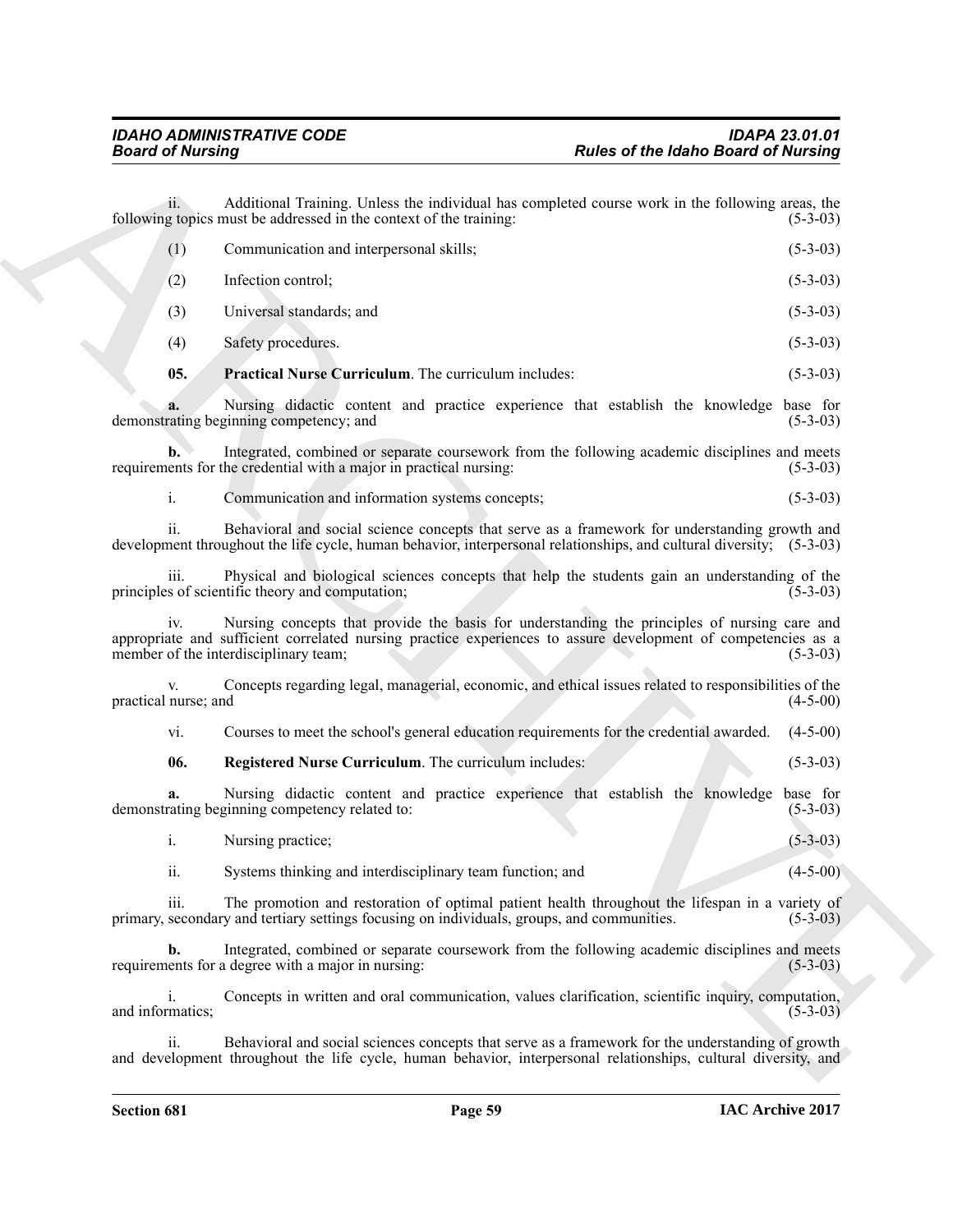<span id="page-58-1"></span><span id="page-58-0"></span>

| <b>Board of Nursing</b> |                                                                                                                                                                                                                                                        | <b>Rules of the Idaho Board of Nursing</b> |
|-------------------------|--------------------------------------------------------------------------------------------------------------------------------------------------------------------------------------------------------------------------------------------------------|--------------------------------------------|
| ii.                     | Additional Training. Unless the individual has completed course work in the following areas, the<br>following topics must be addressed in the context of the training:                                                                                 | $(5-3-03)$                                 |
| (1)                     | Communication and interpersonal skills;                                                                                                                                                                                                                | $(5-3-03)$                                 |
| (2)                     | Infection control;                                                                                                                                                                                                                                     | $(5-3-03)$                                 |
| (3)                     | Universal standards; and                                                                                                                                                                                                                               | $(5-3-03)$                                 |
| (4)                     | Safety procedures.                                                                                                                                                                                                                                     | $(5-3-03)$                                 |
| 05.                     | Practical Nurse Curriculum. The curriculum includes:                                                                                                                                                                                                   | $(5-3-03)$                                 |
|                         | Nursing didactic content and practice experience that establish the knowledge<br>demonstrating beginning competency; and                                                                                                                               | base for<br>$(5-3-03)$                     |
| b.                      | Integrated, combined or separate coursework from the following academic disciplines and meets<br>requirements for the credential with a major in practical nursing:                                                                                    | $(5-3-03)$                                 |
| i.                      | Communication and information systems concepts;                                                                                                                                                                                                        | $(5-3-03)$                                 |
| ii.                     | Behavioral and social science concepts that serve as a framework for understanding growth and<br>development throughout the life cycle, human behavior, interpersonal relationships, and cultural diversity; (5-3-03)                                  |                                            |
| iii.                    | Physical and biological sciences concepts that help the students gain an understanding of the<br>principles of scientific theory and computation;                                                                                                      | $(5-3-03)$                                 |
| 1V.                     | Nursing concepts that provide the basis for understanding the principles of nursing care and<br>appropriate and sufficient correlated nursing practice experiences to assure development of competencies as a<br>member of the interdisciplinary team; | $(5-3-03)$                                 |
| practical nurse; and    | Concepts regarding legal, managerial, economic, and ethical issues related to responsibilities of the                                                                                                                                                  | $(4-5-00)$                                 |
| vi.                     | Courses to meet the school's general education requirements for the credential awarded.                                                                                                                                                                | $(4-5-00)$                                 |
| 06.                     | Registered Nurse Curriculum. The curriculum includes:                                                                                                                                                                                                  | $(5-3-03)$                                 |
|                         | Nursing didactic content and practice experience that establish the knowledge base for<br>demonstrating beginning competency related to:                                                                                                               | $(5-3-03)$                                 |
| $i$ .                   | Nursing practice;                                                                                                                                                                                                                                      | $(5-3-03)$                                 |
| ii.                     | Systems thinking and interdisciplinary team function; and                                                                                                                                                                                              | $(4-5-00)$                                 |
| iii.                    | The promotion and restoration of optimal patient health throughout the lifespan in a variety of<br>primary, secondary and tertiary settings focusing on individuals, groups, and communities.                                                          | $(5-3-03)$                                 |
| b.                      | Integrated, combined or separate coursework from the following academic disciplines and meets<br>requirements for a degree with a major in nursing:                                                                                                    | $(5-3-03)$                                 |
| 1.<br>and informatics;  | Concepts in written and oral communication, values clarification, scientific inquiry, computation,                                                                                                                                                     | $(5-3-03)$                                 |
| ii.                     | Behavioral and social sciences concepts that serve as a framework for the understanding of growth<br>and development throughout the life cycle, human behavior, interpersonal relationships, cultural diversity, and                                   |                                            |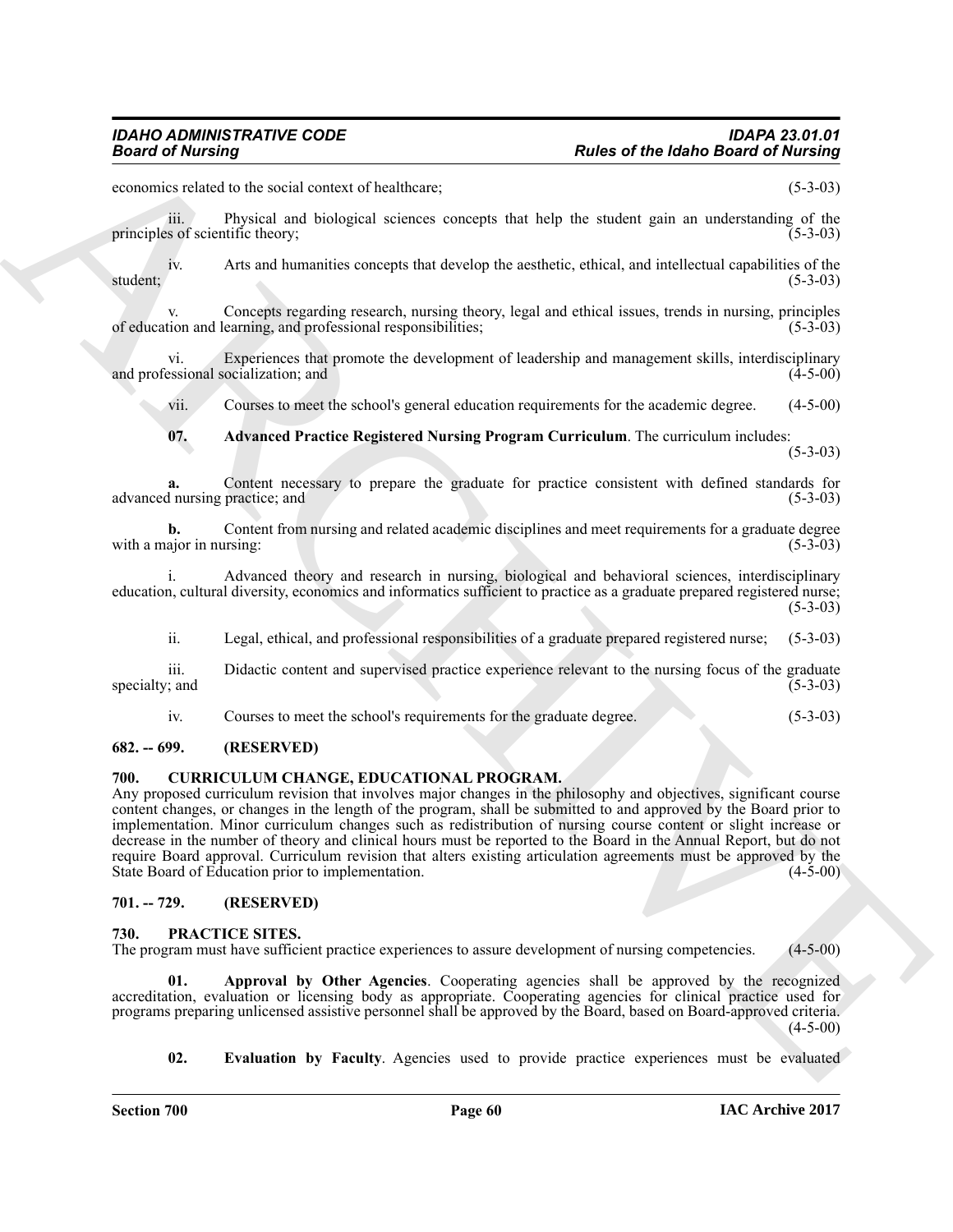economics related to the social context of healthcare; (5-3-03)

iii. Physical and biological sciences concepts that help the student gain an understanding of the sof scientific theory: (5-3-03) principles of scientific theory;

iv. Arts and humanities concepts that develop the aesthetic, ethical, and intellectual capabilities of the (5-3-03) student; (5-3-03)

Concepts regarding research, nursing theory, legal and ethical issues, trends in nursing, principles of education and learning, and professional responsibilities; (5-3-03)

vi. Experiences that promote the development of leadership and management skills, interdisciplinary and professional socialization; and

vii. Courses to meet the school's general education requirements for the academic degree. (4-5-00)

<span id="page-59-5"></span>**07. Advanced Practice Registered Nursing Program Curriculum**. The curriculum includes:

(5-3-03)

**a.** Content necessary to prepare the graduate for practice consistent with defined standards for l nursing practice; and (5-3-03) advanced nursing practice; and

**b.** Content from nursing and related academic disciplines and meet requirements for a graduate degree ajor in nursing: (5-3-03) with a major in nursing:

i. Advanced theory and research in nursing, biological and behavioral sciences, interdisciplinary education, cultural diversity, economics and informatics sufficient to practice as a graduate prepared registered nurse; (5-3-03)

ii. Legal, ethical, and professional responsibilities of a graduate prepared registered nurse; (5-3-03)

iii. Didactic content and supervised practice experience relevant to the nursing focus of the graduate (5-3-03) specialty; and

<span id="page-59-4"></span>iv. Courses to meet the school's requirements for the graduate degree. (5-3-03)

### <span id="page-59-0"></span>**682. -- 699. (RESERVED)**

### <span id="page-59-1"></span>**700. CURRICULUM CHANGE, EDUCATIONAL PROGRAM.**

**Fractional Control of the state of the Idaho Based of Nutling Counter that the space of the Idaho Based of Nutling<br>
symmetric to the social content of haddless;<br>
symmetric in the symmetric symmetric symmetric symmetric s** Any proposed curriculum revision that involves major changes in the philosophy and objectives, significant course content changes, or changes in the length of the program, shall be submitted to and approved by the Board prior to implementation. Minor curriculum changes such as redistribution of nursing course content or slight increase or decrease in the number of theory and clinical hours must be reported to the Board in the Annual Report, but do not require Board approval. Curriculum revision that alters existing articulation agreements must be approved by the State Board of Education prior to implementation. (4-5-00) State Board of Education prior to implementation.

### <span id="page-59-2"></span>**701. -- 729. (RESERVED)**

### <span id="page-59-6"></span><span id="page-59-3"></span>**730. PRACTICE SITES.**

The program must have sufficient practice experiences to assure development of nursing competencies. (4-5-00)

Approval by Other Agencies. Cooperating agencies shall be approved by the recognized accreditation, evaluation or licensing body as appropriate. Cooperating agencies for clinical practice used for programs preparing unlicensed assistive personnel shall be approved by the Board, based on Board-approved criteria. (4-5-00)

<span id="page-59-8"></span><span id="page-59-7"></span>**02. Evaluation by Faculty**. Agencies used to provide practice experiences must be evaluated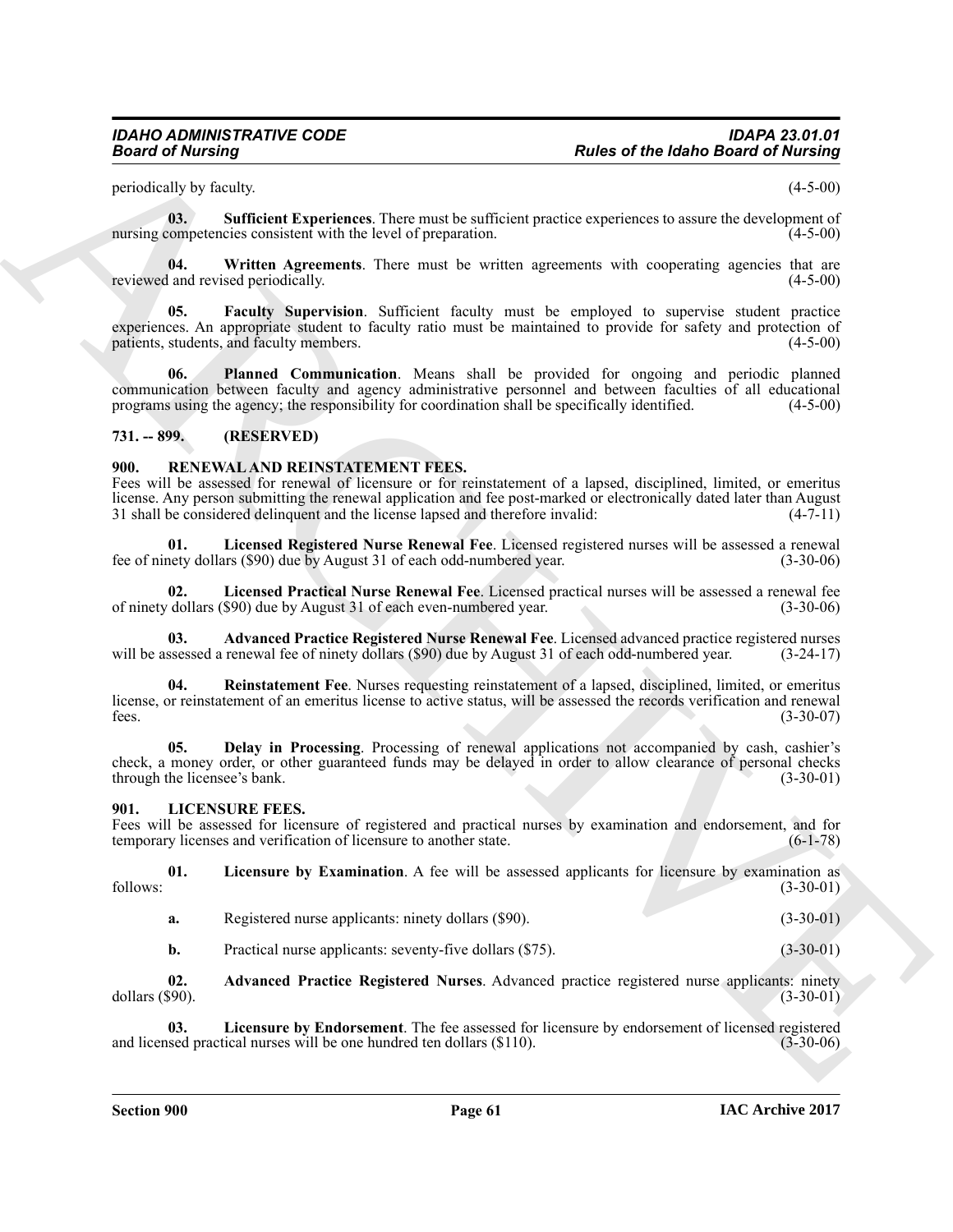<span id="page-60-9"></span>periodically by faculty. (4-5-00)

**03. Sufficient Experiences**. There must be sufficient practice experiences to assure the development of nursing competencies consistent with the level of preparation. (4-5-00)

<span id="page-60-10"></span>**04.** Written Agreements. There must be written agreements with cooperating agencies that are land revised periodically. (4-5-00) reviewed and revised periodically.

<span id="page-60-7"></span>**05. Faculty Supervision**. Sufficient faculty must be employed to supervise student practice experiences. An appropriate student to faculty ratio must be maintained to provide for safety and protection of patients, students, and faculty members. (4-5-00)

<span id="page-60-8"></span>**06. Planned Communication**. Means shall be provided for ongoing and periodic planned communication between faculty and agency administrative personnel and between faculties of all educational programs using the agency; the responsibility for coordination shall be specifically identified. (4-5-00)

### <span id="page-60-0"></span>**731. -- 899. (RESERVED)**

### <span id="page-60-11"></span><span id="page-60-1"></span>**900. RENEWAL AND REINSTATEMENT FEES.**

**Passes of the lattach in Archives Christian Constraint Christian Christian Christian Christian Christian Christian Christian Christian Christian Christian Christian Christian Christian Christian Christian Christian Chris** Fees will be assessed for renewal of licensure or for reinstatement of a lapsed, disciplined, limited, or emeritus license. Any person submitting the renewal application and fee post-marked or electronically dated later than August 31 shall be considered delinguent and the license lapsed and therefore invalid: (4-7-11) 31 shall be considered delinquent and the license lapsed and therefore invalid:

<span id="page-60-15"></span>**01. Licensed Registered Nurse Renewal Fee**. Licensed registered nurses will be assessed a renewal fee of ninety dollars (\$90) due by August 31 of each odd-numbered year. (3-30-06)

<span id="page-60-14"></span>**02. Licensed Practical Nurse Renewal Fee**. Licensed practical nurses will be assessed a renewal fee of ninety dollars (\$90) due by August 31 of each even-numbered year.

<span id="page-60-12"></span>**03. Advanced Practice Registered Nurse Renewal Fee**. Licensed advanced practice registered nurses will be assessed a renewal fee of ninety dollars (\$90) due by August 31 of each odd-numbered year.

<span id="page-60-16"></span>**Reinstatement Fee**. Nurses requesting reinstatement of a lapsed, disciplined, limited, or emeritus license, or reinstatement of an emeritus license to active status, will be assessed the records verification and renewal fees. (3-30-07) fees.  $(3-30-07)$ 

<span id="page-60-13"></span>**05. Delay in Processing**. Processing of renewal applications not accompanied by cash, cashier's check, a money order, or other guaranteed funds may be delayed in order to allow clearance of personal checks through the licensee's bank. (3-30-01) through the licensee's bank.

### <span id="page-60-3"></span><span id="page-60-2"></span>**901. LICENSURE FEES.**

Fees will be assessed for licensure of registered and practical nurses by examination and endorsement, and for temporary licenses and verification of licensure to another state. (6-1-78)

**01.** Licensure by Examination. A fee will be assessed applicants for licensure by examination as (3-30-01) follows: (3-30-01)

- <span id="page-60-6"></span>**a.** Registered nurse applicants: ninety dollars (\$90). (3-30-01)
- <span id="page-60-5"></span><span id="page-60-4"></span>**b.** Practical nurse applicants: seventy-five dollars (\$75). (3-30-01)

**02. Advanced Practice Registered Nurses**. Advanced practice registered nurse applicants: ninety dollars (\$90). (3-30-01)

**03.** Licensure by Endorsement. The fee assessed for licensure by endorsement of licensed registered sed practical nurses will be one hundred ten dollars (\$110). (3-30-06) and licensed practical nurses will be one hundred ten dollars  $(\$110)$ .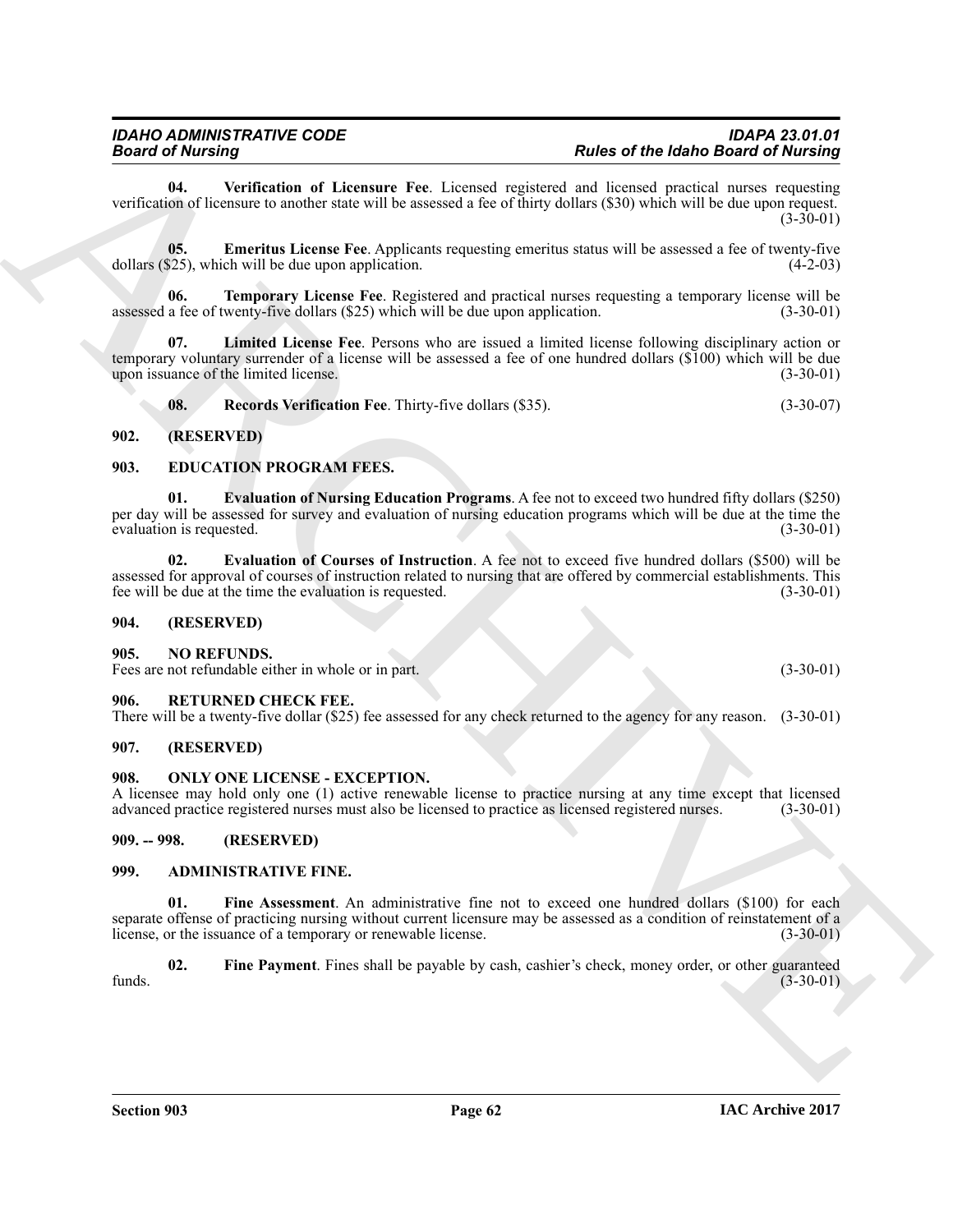<span id="page-61-19"></span>**04. Verification of Licensure Fee**. Licensed registered and licensed practical nurses requesting verification of licensure to another state will be assessed a fee of thirty dollars (\$30) which will be due upon request.  $(3-30-01)$ 

<span id="page-61-15"></span>**05. Emeritus License Fee**. Applicants requesting emeritus status will be assessed a fee of twenty-five dollars (\$25), which will be due upon application. (4-2-03)

<span id="page-61-18"></span>**06. Temporary License Fee**. Registered and practical nurses requesting a temporary license will be a fee of twenty-five dollars (\$25) which will be due upon application. (3-30-01) assessed a fee of twenty-five dollars  $(\$25)$  which will be due upon application.

**07. Limited License Fee**. Persons who are issued a limited license following disciplinary action or temporary voluntary surrender of a license will be assessed a fee of one hundred dollars (\$100) which will be due<br>(3-30-01) (3-30-01) upon issuance of the limited license.

<span id="page-61-17"></span><span id="page-61-16"></span><span id="page-61-14"></span><span id="page-61-12"></span>**08.** Records Verification Fee. Thirty-five dollars (\$35). (3-30-07)

### <span id="page-61-0"></span>**902. (RESERVED)**

### <span id="page-61-1"></span>**903. EDUCATION PROGRAM FEES.**

**01. Evaluation of Nursing Education Programs**. A fee not to exceed two hundred fifty dollars (\$250) per day will be assessed for survey and evaluation of nursing education programs which will be due at the time the evaluation is requested. (3-30-01) evaluation is requested.

<span id="page-61-13"></span>**02. Evaluation of Courses of Instruction**. A fee not to exceed five hundred dollars (\$500) will be assessed for approval of courses of instruction related to nursing that are offered by commercial establishments. This fee will be due at the time the evaluation is requested. (3-30-01) fee will be due at the time the evaluation is requested.

### <span id="page-61-2"></span>**904. (RESERVED)**

### <span id="page-61-20"></span><span id="page-61-3"></span>**905. NO REFUNDS.**

Fees are not refundable either in whole or in part. (3-30-01)

### <span id="page-61-22"></span><span id="page-61-4"></span>**906. RETURNED CHECK FEE.**

There will be a twenty-five dollar (\$25) fee assessed for any check returned to the agency for any reason. (3-30-01)

### <span id="page-61-5"></span>**907. (RESERVED)**

### <span id="page-61-21"></span><span id="page-61-6"></span>**908. ONLY ONE LICENSE - EXCEPTION.**

A licensee may hold only one (1) active renewable license to practice nursing at any time except that licensed advanced practice registered nurses must also be licensed to practice as licensed registered nurses. (3-30-01) advanced practice registered nurses must also be licensed to practice as licensed registered nurses.

<span id="page-61-7"></span>**909. -- 998. (RESERVED)**

### <span id="page-61-10"></span><span id="page-61-9"></span><span id="page-61-8"></span>**999. ADMINISTRATIVE FINE.**

**Beard of Museum of the strength Control of Lineary Proposed into the label Bearing Control of the main strength control of the strength control of the strength control of the strength control of the strength control of t 01. Fine Assessment**. An administrative fine not to exceed one hundred dollars (\$100) for each separate offense of practicing nursing without current licensure may be assessed as a condition of reinstatement of a license, or the issuance of a temporary or renewable license. (3-30-01) license, or the issuance of a temporary or renewable license.

<span id="page-61-11"></span>**02. Fine Payment**. Fines shall be payable by cash, cashier's check, money order, or other guaranteed funds. (3-30-01)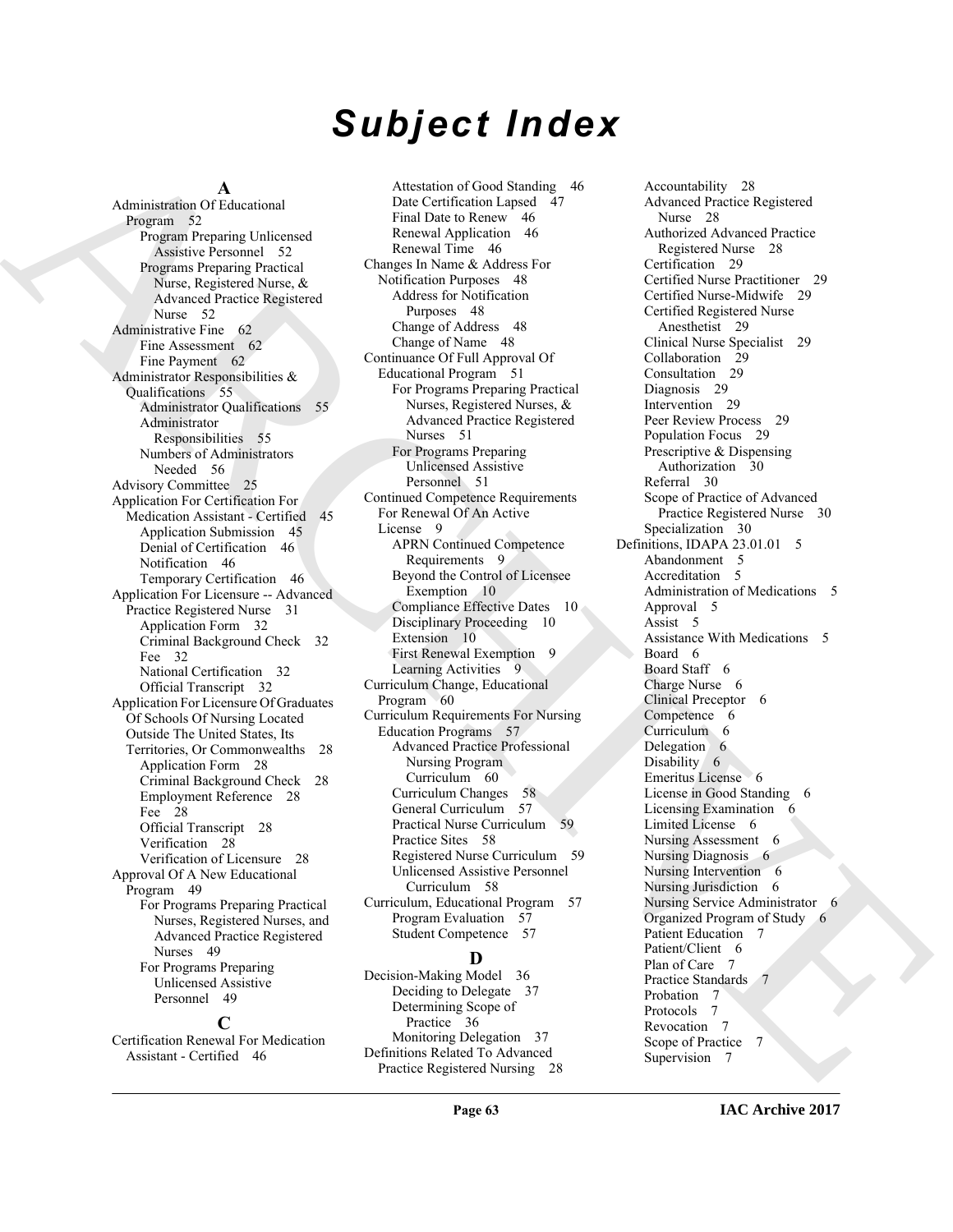# *Subject Index*

### **A**

Administration Of Educational Program 52 Program Preparing Unlicensed Assistive Personnel 52 Programs Preparing Practical Nurse, Registered Nurse, & Advanced Practice Registered Nurse 52 Administrative Fine 62 Fine Assessment 62 Fine Payment 62 Administrator Responsibilities & Qualifications 55 Administrator Qualifications 55 Administrator Responsibilities 55 Numbers of Administrators Needed 56 Advisory Committee 25 Application For Certification For Medication Assistant - Certified 45 Application Submission 45 Denial of Certification 46 Notification 46 Temporary Certification 46 Application For Licensure -- Advanced Practice Registered Nurse 31 Application Form 32 Criminal Background Check 32 Fee 32 National Certification 32 Official Transcript 32 Application For Licensure Of Graduates Of Schools Of Nursing Located Outside The United States, Its Territories, Or Commonwealths 28 Application Form 28 Criminal Background Check 28 Employment Reference 28 Fee 28 Official Transcript 28 Verification 28 Verification of Licensure 28 Approval Of A New Educational Program 49 For Programs Preparing Practical Nurses, Registered Nurses, and Advanced Practice Registered Nurses 49 For Programs Preparing Unlicensed Assistive Personnel 49

**C** Certification Renewal For Medication Assistant - Certified 46

Attestation of Good Standing 46 Date Certification Lapsed 47 Final Date to Renew 46 Renewal Application 46 Renewal Time 46 Changes In Name & Address For Notification Purposes 48 Address for Notification Purposes 48 Change of Address 48 Change of Name 48 Continuance Of Full Approval Of Educational Program 51 For Programs Preparing Practical Nurses, Registered Nurses, & Advanced Practice Registered Nurses 51 For Programs Preparing Unlicensed Assistive Personnel 51 Continued Competence Requirements For Renewal Of An Active License 9 APRN Continued Competence Requirements 9 Beyond the Control of Licensee Exemption 10 Compliance Effective Dates 10 Disciplinary Proceeding 10 Extension 10 First Renewal Exemption 9 Learning Activities 9 Curriculum Change, Educational Program 60 Curriculum Requirements For Nursing Education Programs 57 Advanced Practice Professional Nursing Program Curriculum 60 Curriculum Changes 58 General Curriculum 57 Practical Nurse Curriculum 59 Practice Sites 58 Registered Nurse Curriculum 59 Unlicensed Assistive Personnel Curriculum 58 Curriculum, Educational Program 57 Program Evaluation 57 Student Competence 57

### **D**

Decision-Making Model 36 Deciding to Delegate 37 Determining Scope of Practice 36 Monitoring Delegation 37 Definitions Related To Advanced Practice Registered Nursing 28

Administration (Account of the state of the state of the state of the state of the state of the state of the state of the state of the state of the state of the state of the state of the state of the state of the state of Accountability 28 Advanced Practice Registered Nurse 28 Authorized Advanced Practice Registered Nurse 28 Certification 29 Certified Nurse Practitioner 29 Certified Nurse-Midwife 29 Certified Registered Nurse Anesthetist 29 Clinical Nurse Specialist 29 Collaboration 29 Consultation 29 Diagnosis 29 Intervention 29 Peer Review Process 29 Population Focus 29 Prescriptive & Dispensing Authorization 30 Referral 30 Scope of Practice of Advanced Practice Registered Nurse 30 Specialization 30 Definitions, IDAPA 23.01.01 5 Abandonment 5 Accreditation 5 Administration of Medications 5 Approval 5 Assist 5 Assistance With Medications 5 Board 6 Board Staff 6 Charge Nurse 6 Clinical Preceptor 6 Competence 6 Curriculum 6 Delegation 6 Disability 6 Emeritus License 6 License in Good Standing 6 Licensing Examination 6 Limited License 6 Nursing Assessment 6 Nursing Diagnosis 6 Nursing Intervention 6 Nursing Jurisdiction 6 Nursing Service Administrator 6 Organized Program of Study 6 Patient Education 7 Patient/Client 6 Plan of Care 7 Practice Standards 7 Probation 7 Protocols 7 Revocation 7 Scope of Practice 7 Supervision 7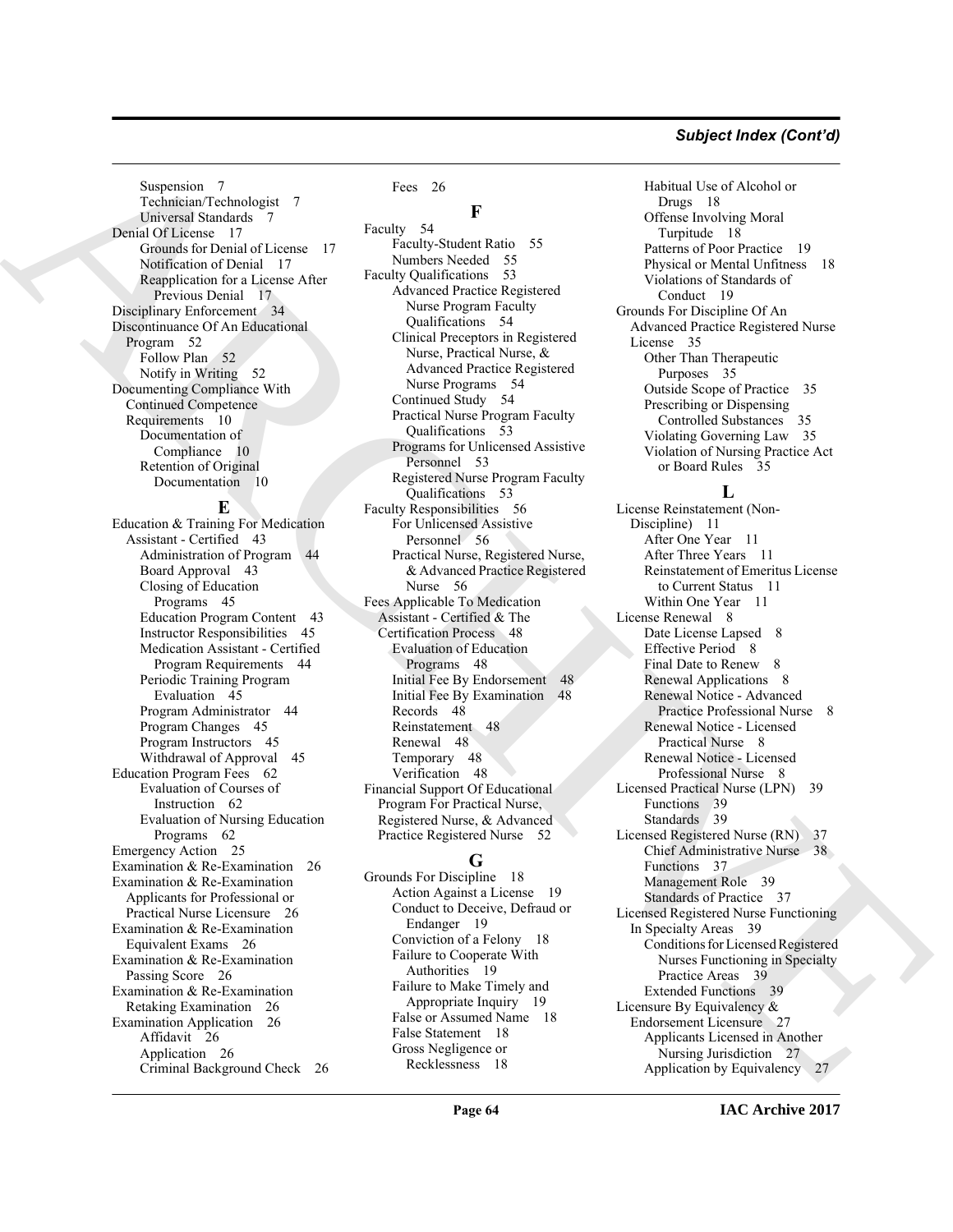### *Subject Index (Cont'd)*

Suspension 7 Technician/Technologist 7 Universal Standards 7 Denial Of License 17 Grounds for Denial of License 17 Notification of Denial 17 Reapplication for a License After Previous Denial 17 Disciplinary Enforcement 34 Discontinuance Of An Educational Program 52 Follow Plan 52 Notify in Writing 52 Documenting Compliance With Continued Competence Requirements 10 Documentation of Compliance 10 Retention of Original Documentation 10

### **E**

Education & Training For Medication Assistant - Certified 43 Administration of Program 44 Board Approval 43 Closing of Education Programs 45 Education Program Content 43 Instructor Responsibilities 45 Medication Assistant - Certified Program Requirements 44 Periodic Training Program Evaluation 45 Program Administrator 44 Program Changes 45 Program Instructors 45 Withdrawal of Approval 45 Education Program Fees 62 Evaluation of Courses of Instruction 62 Evaluation of Nursing Education Programs 62 Emergency Action 25 Examination & Re-Examination 26 Examination & Re-Examination Applicants for Professional or Practical Nurse Licensure 26 Examination & Re-Examination Equivalent Exams 26 Examination & Re-Examination Passing Score 26 Examination & Re-Examination Retaking Examination 26 Examination Application 26 Affidavit 26 Application 26 Criminal Background Check 26 Fees 26

**F**

[A](#page-16-5)[R](#page-9-5)[CH](#page-55-4)[I](#page-51-11)[VE](#page-38-8) Faculty 54 Faculty-Student Ratio 55 Numbers Needed 55 Faculty Qualifications 53 Advanced Practice Registered Nurse Program Faculty Qualifications 54 Clinical Preceptors in Registered Nurse, Practical Nurse, & Advanced Practice Registered Nurse Programs 54 Continued Study 54 Practical Nurse Program Faculty Qualifications 53 Programs for Unlicensed Assistive Personnel 53 Registered Nurse Program Faculty Qualifications 53 Faculty Responsibilities 56 For Unlicensed Assistive Personnel 56 Practical Nurse, Registered Nurse, & Advanced Practice Registered Nurse 56 Fees Applicable To Medication Assistant - Certified & The Certification Process 48 Evaluation of Education Programs 48 Initial Fee By Endorsement 48 Initial Fee By Examination 48 Records 48 Reinstatement 48 Renewal 48 Temporary 48 Verification 48 Financial Support Of Educational Program For Practical Nurse, Registered Nurse, & Advanced Practice Registered Nurse 52

### **G**

Grounds For Discipline 18 Action Against a License 19 Conduct to Deceive, Defraud or Endanger 19 Conviction of a Felony 18 Failure to Cooperate With Authorities 19 Failure to Make Timely and Appropriate Inquiry 19 False or Assumed Name 18 False Statement 18 Gross Negligence or Recklessness 18

Habitual Use of Alcohol or Drugs 18 Offense Involving Moral Turpitude 18 Patterns of Poor Practice 19 Physical or Mental Unfitness 18 Violations of Standards of Conduct 19 Grounds For Discipline Of An Advanced Practice Registered Nurse License 35 Other Than Therapeutic Purposes 35 Outside Scope of Practice 35 Prescribing or Dispensing Controlled Substances 35 Violating Governing Law 35 Violation of Nursing Practice Act or Board Rules 35

### **L**

License Reinstatement (Non-Discipline) 11 After One Year 11 After Three Years 11 Reinstatement of Emeritus License to Current Status 11 Within One Year 11 License Renewal 8 Date License Lapsed 8 Effective Period 8 Final Date to Renew 8 Renewal Applications 8 Renewal Notice - Advanced Practice Professional Nurse 8 Renewal Notice - Licensed Practical Nurse 8 Renewal Notice - Licensed Professional Nurse 8 Licensed Practical Nurse (LPN) 39 Functions 39 Standards 39 Licensed Registered Nurse (RN) 37 Chief Administrative Nurse 38 Functions 37 Management Role 39 Standards of Practice 37 Licensed Registered Nurse Functioning In Specialty Areas 39 Conditions for Licensed Registered Nurses Functioning in Specialty Practice Areas 39 Extended Functions 39 Licensure By Equivalency & Endorsement Licensure 27 Applicants Licensed in Another Nursing Jurisdiction 27 Application by Equivalency 27

**IAC Archive 2017**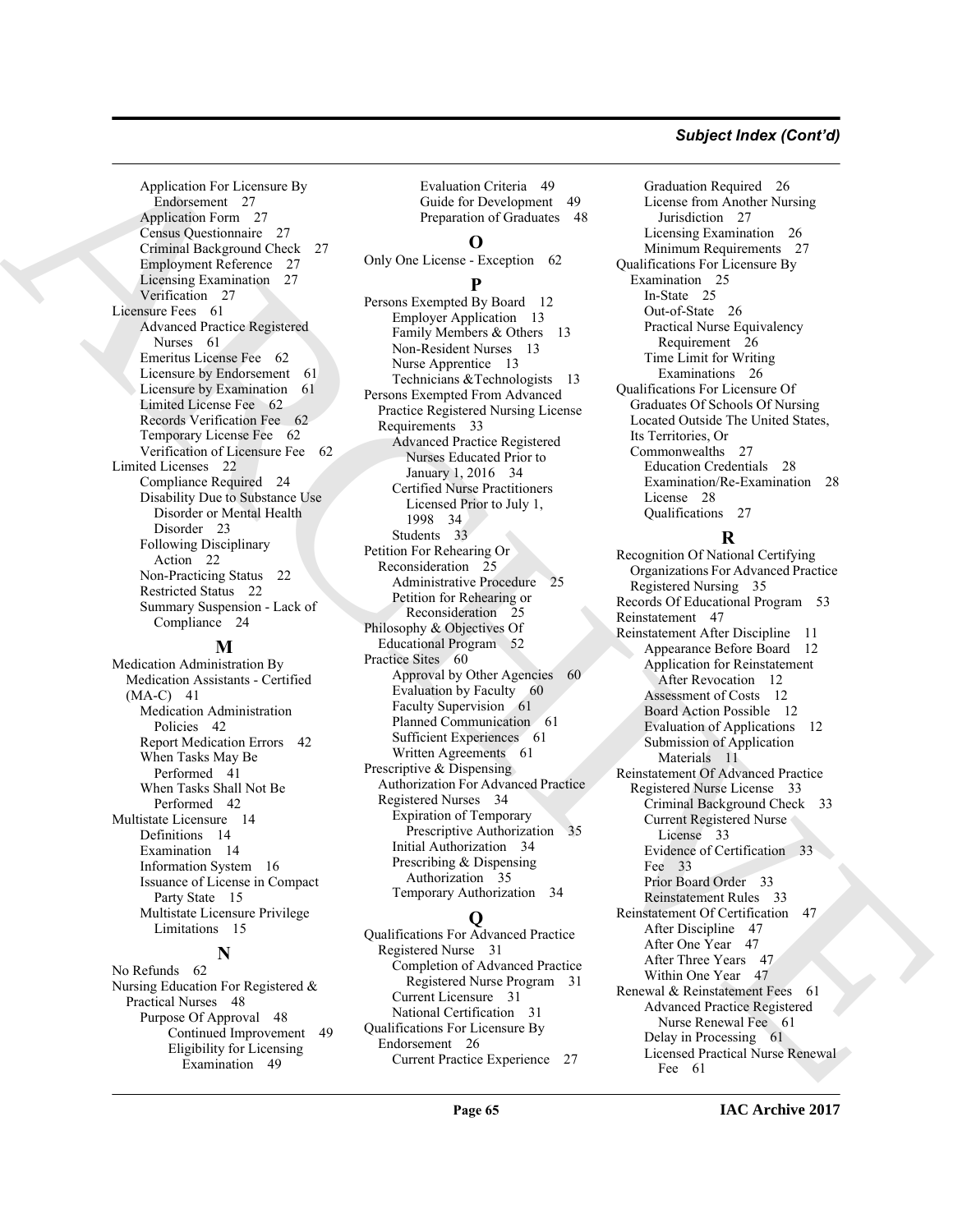### *Subject Index (Cont'd)*

Application For Licensure By Endorsement 27 Application Form 27 Census Questionnaire 27 Criminal Background Check 27 Employment Reference 27 Licensing Examination 27 Verification 27 Licensure Fees 61 Advanced Practice Registered Nurses 61 Emeritus License Fee 62 Licensure by Endorsement 61 Licensure by Examination 61 Limited License Fee 62 Records Verification Fee 62 Temporary License Fee 62 Verification of Licensure Fee 62 Limited Licenses 22 Compliance Required 24 Disability Due to Substance Use Disorder or Mental Health Disorder 23 Following Disciplinary Action 22 Non-Practicing Status 22 Restricted Status 22 Summary Suspension - Lack of Compliance 24

### **M**

Medication Administration By Medication Assistants - Certified (MA-C) 41 Medication Administration Policies 42 Report Medication Errors 42 When Tasks May Be Performed 41 When Tasks Shall Not Be Performed 42 Multistate Licensure 14 Definitions 14 Examination 14 Information System 16 Issuance of License in Compact Party State 15 Multistate Licensure Privilege Limitations 15

### **N**

No Refunds 62 Nursing Education For Registered & Practical Nurses 48 Purpose Of Approval 48 Continued Improvement 49 Eligibility for Licensing Examination 49

Evaluation Criteria 49 Guide for Development 49 Preparation of Graduates 48

### **O**

Only One License - Exception 62

### **P**

[A](#page-26-6)pplication between the control of the control of the control of the control of the control of the control of the control of the control of the control of the control of the control of the control of the control of the co Persons Exempted By Board 12 Employer Application 13 Family Members & Others 13 Non-Resident Nurses 13 Nurse Apprentice 13 Technicians & Technologists 13 Persons Exempted From Advanced Practice Registered Nursing License Requirements 33 Advanced Practice Registered Nurses Educated Prior to January 1, 2016 34 Certified Nurse Practitioners Licensed Prior to July 1, 1998 34 Students 33 Petition For Rehearing Or Reconsideration 25 Administrative Procedure 25 Petition for Rehearing or Reconsideration 25 Philosophy & Objectives Of Educational Program 52 Practice Sites 60 Approval by Other Agencies 60 Evaluation by Faculty 60 Faculty Supervision 61 Planned Communication 61 Sufficient Experiences 61 Written Agreements 61 Prescriptive & Dispensing Authorization For Advanced Practice Registered Nurses 34 Expiration of Temporary Prescriptive Authorization 35 Initial Authorization 34 Prescribing & Dispensing Authorization 35 Temporary Authorization 34

### **Q**

Qualifications For Advanced Practice Registered Nurse 31 Completion of Advanced Practice Registered Nurse Program 31 Current Licensure 31 National Certification 31 Qualifications For Licensure By Endorsement 26 Current Practice Experience 27

Graduation Required 26 License from Another Nursing Jurisdiction 27 Licensing Examination 26 Minimum Requirements 27 Qualifications For Licensure By Examination 25 In-State 25 Out-of-State 26 Practical Nurse Equivalency Requirement 26 Time Limit for Writing Examinations 26 Qualifications For Licensure Of Graduates Of Schools Of Nursing Located Outside The United States, Its Territories, Or Commonwealths 27 Education Credentials 28 Examination/Re-Examination 28 License 28 Qualifications 27

### **R**

Recognition Of National Certifying Organizations For Advanced Practice Registered Nursing 35 Records Of Educational Program 53 Reinstatement 47 Reinstatement After Discipline 11 Appearance Before Board 12 Application for Reinstatement After Revocation 12 Assessment of Costs 12 Board Action Possible 12 Evaluation of Applications 12 Submission of Application Materials 11 Reinstatement Of Advanced Practice Registered Nurse License 33 Criminal Background Check 33 Current Registered Nurse License 33 Evidence of Certification 33 Fee 33 Prior Board Order 33 Reinstatement Rules 33 Reinstatement Of Certification 47 After Discipline 47 After One Year 47 After Three Years 47 Within One Year 47 Renewal & Reinstatement Fees 61 Advanced Practice Registered Nurse Renewal Fee 61 Delay in Processing 61 Licensed Practical Nurse Renewal Fee 61